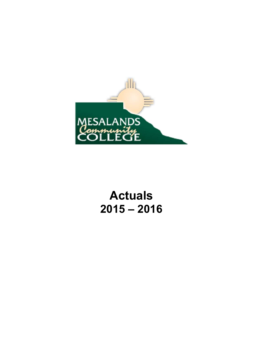

# **Actuals 2015 – 2016**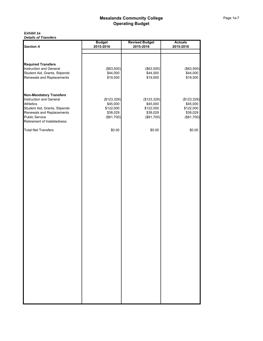#### *Exhibit 1a Details of Transfers*

| <b>Section A</b>                                   | <b>Budget</b><br>2015-2016 | <b>Revised Budget</b><br>2015-2016 | <b>Actuals</b><br>2015-2016 |
|----------------------------------------------------|----------------------------|------------------------------------|-----------------------------|
|                                                    |                            |                                    |                             |
|                                                    |                            |                                    |                             |
|                                                    |                            |                                    |                             |
| <b>Required Transfers</b>                          |                            |                                    |                             |
| Instruction and General                            | (\$63,500)                 | (\$63,500)                         | (\$63,500)                  |
| Student Aid, Grants, Stipends                      | \$44,000                   | \$44,000                           | \$44,000                    |
| Renewals and Replacements                          | \$19,500                   | \$19,500                           | \$19,500                    |
|                                                    |                            |                                    |                             |
|                                                    |                            |                                    |                             |
| <b>Non-Mandatory Transfers</b>                     |                            |                                    |                             |
| Instruction and General                            | (\$123,329)                | (\$123,329)                        | (\$123,329)                 |
| <b>Athletics</b>                                   | \$45,000                   | \$45,000                           | \$45,000                    |
| Student Aid, Grants, Stipends                      | \$122,000                  | \$122,000                          | \$122,000                   |
| Renewals and Replacements<br><b>Public Service</b> | \$38,029                   | \$38,029                           | \$38,029                    |
| Retirement of Indebtedness                         | (\$81,700)                 | (\$81,700)                         | (\$81,700)                  |
|                                                    |                            |                                    |                             |
| <b>Total Net Transfers</b>                         | \$0.00                     | \$0.00                             | \$0.00                      |
|                                                    |                            |                                    |                             |
|                                                    |                            |                                    |                             |
|                                                    |                            |                                    |                             |
|                                                    |                            |                                    |                             |
|                                                    |                            |                                    |                             |
|                                                    |                            |                                    |                             |
|                                                    |                            |                                    |                             |
|                                                    |                            |                                    |                             |
|                                                    |                            |                                    |                             |
|                                                    |                            |                                    |                             |
|                                                    |                            |                                    |                             |
|                                                    |                            |                                    |                             |
|                                                    |                            |                                    |                             |
|                                                    |                            |                                    |                             |
|                                                    |                            |                                    |                             |
|                                                    |                            |                                    |                             |
|                                                    |                            |                                    |                             |
|                                                    |                            |                                    |                             |
|                                                    |                            |                                    |                             |
|                                                    |                            |                                    |                             |
|                                                    |                            |                                    |                             |
|                                                    |                            |                                    |                             |
|                                                    |                            |                                    |                             |
|                                                    |                            |                                    |                             |
|                                                    |                            |                                    |                             |
|                                                    |                            |                                    |                             |
|                                                    |                            |                                    |                             |
|                                                    |                            |                                    |                             |
|                                                    |                            |                                    |                             |
|                                                    |                            |                                    |                             |
|                                                    |                            |                                    |                             |
|                                                    |                            |                                    |                             |
|                                                    |                            |                                    |                             |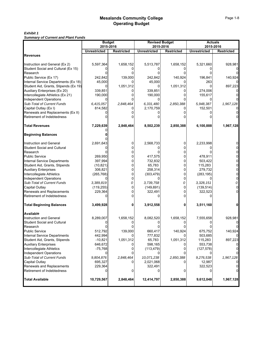## *Exhibit 1*

*Summary of Current and Plant Funds*

|                                                                 | <b>Budget</b>         |                   | <b>Revised Budget</b> |                   | <b>Actuals</b><br>2015-2016 |                   |  |  |
|-----------------------------------------------------------------|-----------------------|-------------------|-----------------------|-------------------|-----------------------------|-------------------|--|--|
|                                                                 | 2015-2016             |                   | 2015-2016             |                   |                             |                   |  |  |
| <b>Revenues</b>                                                 | <b>Unrestricted</b>   | <b>Restricted</b> | <b>Unrestricted</b>   | <b>Restricted</b> | <b>Unrestricted</b>         | <b>Restricted</b> |  |  |
|                                                                 |                       |                   |                       |                   |                             |                   |  |  |
| Instruction and General (Ex 2)                                  | 5,597,364             | 1,658,152         | 5,513,787             | 1,658,152         | 5,321,660                   | 928,981           |  |  |
| Student Social and Cultural (Ex 15)                             |                       |                   |                       |                   |                             |                   |  |  |
| Research                                                        |                       |                   |                       |                   |                             |                   |  |  |
| Public Service (Ex 17)                                          | 242,842               | 139,000           | 242,842               | 140,924           | 196,841                     | 140,924           |  |  |
| Internal Service Departments (Ex 18)                            | 45,000                |                   | 45,000                |                   | 263                         |                   |  |  |
| Student Aid, Grants, Stipends (Ex 19)                           | 0                     | 1,051,312         | 0                     | 1,051,312         | ŋ                           | 897,223           |  |  |
| Auxiliary Enterprises (Ex 20)                                   | 339,851               |                   | 339,851               |                   | 274,006                     |                   |  |  |
| Intercollegiate Athletics (Ex 21)                               | 190,000               | 0                 | 190,000               | 0                 | 155,617                     |                   |  |  |
| Independent Operations                                          |                       |                   |                       |                   |                             |                   |  |  |
| Sub-Total of Current Funds                                      | 6,415,057             | 2,848,464         | 6,331,480             | 2,850,388         | 5,948,387                   | 1,967,128         |  |  |
| Capital Outlay (Ex I)                                           | 814,582               | 0                 | 2,170,759             | n                 | 152,501                     |                   |  |  |
| Renewals and Replacements (Ex II)<br>Retirement of Indebtedness |                       |                   |                       |                   |                             |                   |  |  |
|                                                                 |                       |                   |                       |                   |                             |                   |  |  |
| <b>Total Revenues</b>                                           | 7,229,639             | 2,848,464         | 8,502,239             | 2,850,388         | 6,100,888                   | 1,967,128         |  |  |
| <b>Beginning Balances</b>                                       |                       |                   |                       |                   |                             |                   |  |  |
|                                                                 |                       |                   |                       |                   |                             |                   |  |  |
| Instruction and General                                         | 2,691,643             | 0                 | 2,568,733             | 0                 | 2,233,998                   |                   |  |  |
| <b>Student Social and Cultural</b>                              |                       | 0                 |                       | n                 |                             |                   |  |  |
| Research                                                        |                       | 0                 |                       |                   |                             |                   |  |  |
| <b>Public Service</b>                                           | 269,950               | 0                 | 417,575               |                   | 478,911                     |                   |  |  |
| <b>Internal Service Departments</b>                             | 397,994               | 0                 | 732,832               | 0<br>0            | 503,422                     | 0<br>0            |  |  |
| Student Aid, Grants, Stipends                                   | (10, 821)             | 0<br>0            | 65,783                | 0                 | 115,283                     | 0                 |  |  |
| <b>Auxiliary Enterprises</b><br>Intercollegiate Athletics       | 306,821<br>(265, 768) | 0                 | 258,314<br>(303, 479) | 0                 | 279,732<br>(283, 195)       |                   |  |  |
| Independent Operations                                          |                       | 0                 |                       | 0                 |                             | $\Omega$          |  |  |
| Sub-Total of Current Funds                                      | 3,389,819             | 0                 | 3,739,758             | 0                 | 3,328,151                   | 0                 |  |  |
| Capital Outlay                                                  | (119, 255)            | 0                 | (149, 691)            |                   | (139, 514)                  |                   |  |  |
| Renewals and Replacements                                       | 229,364               | 0                 | 322,491               | 0                 | 322,523                     |                   |  |  |
| Retirement of Indebtedness                                      |                       | 0                 |                       |                   |                             |                   |  |  |
| <b>Total Beginning Balances</b>                                 | 3,499,928             | 0                 | 3,912,558             | 0                 | 3,511,160                   |                   |  |  |
| Available                                                       |                       |                   |                       |                   |                             |                   |  |  |
| <b>Instruction and General</b>                                  | 8,289,007             | 1,658,152         | 8,082,520             | 1,658,152         | 7,555,658                   | 928,981           |  |  |
| <b>Student Social and Cultural</b>                              |                       |                   |                       |                   |                             |                   |  |  |
| Research                                                        |                       |                   |                       |                   |                             |                   |  |  |
| <b>Public Service</b>                                           | 512,792               | 139,000           | 660,417               | 140,924           | 675,752                     | 140,924           |  |  |
| Internal Service Departments                                    | 442,994               | 0                 | 777,832               | 0                 | 503,685                     |                   |  |  |
| Student Aid, Grants, Stipends                                   | $-10,821$             | 1,051,312         | 65,783                | 1,051,312         | 115,283                     | 897,223           |  |  |
| <b>Auxiliary Enterprises</b>                                    | 646,672               |                   | 598,165               |                   | 553,738                     |                   |  |  |
| Intercollegiate Athletics                                       | $-75,768$             |                   | (113, 479)            |                   | (127, 578)                  |                   |  |  |
| <b>Independent Operations</b><br>Sub-Total of Current Funds     | 9.804.876             | 0<br>2,848,464    | 10,071,238            | 2,850,388         |                             | 1,967,128         |  |  |
| Capital Outlay                                                  | 695,327               |                   | 2,021,068             |                   | 9,276,538<br>12,987         |                   |  |  |
| Renewals and Replacements                                       | 229,364               |                   | 322,491               |                   | 322,523                     |                   |  |  |
| Retirement of Indebtedness                                      | 0                     | 0                 | 0                     | 0                 | 0                           |                   |  |  |
| <b>Total Available</b>                                          | 10,729,567            | 2,848,464         | 12,414,797            | 2,850,388         | 9,612,048                   | 1,967,128         |  |  |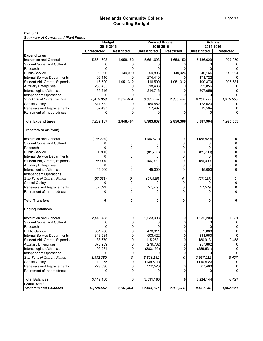## *Exhibit 1*

*Summary of Current and Plant Funds*

|                                                         | <b>Budget</b>                    |                   | <b>Revised Budget</b>            |                   | <b>Actuals</b><br>2015-2016 |                   |  |  |
|---------------------------------------------------------|----------------------------------|-------------------|----------------------------------|-------------------|-----------------------------|-------------------|--|--|
|                                                         | 2015-2016<br><b>Unrestricted</b> | <b>Restricted</b> | 2015-2016<br><b>Unrestricted</b> | <b>Restricted</b> | <b>Unrestricted</b>         | <b>Restricted</b> |  |  |
| <b>Expenditures</b>                                     |                                  |                   |                                  |                   |                             |                   |  |  |
| <b>Instruction and General</b>                          | 5,661,693                        | 1,658,152         | 5,661,693                        | 1,658,152         | 5,436,629                   | 927,950           |  |  |
| Student Social and Cultural                             |                                  |                   |                                  |                   |                             |                   |  |  |
| Research                                                |                                  |                   |                                  |                   |                             |                   |  |  |
| <b>Public Service</b>                                   | 99,806                           | 139,000           | 99,806                           | 140,924           | 40,164                      | 140,924           |  |  |
| Internal Service Departments                            | 99,410                           |                   | 274,410                          |                   | 171,722                     |                   |  |  |
| Student Aid, Grants, Stipends                           | 116,500                          | 1,051,312         | 116,500                          | 1,051,312         | 100,370                     | 906,681           |  |  |
| <b>Auxiliary Enterprises</b>                            | 268,433                          |                   | 318,433                          |                   | 295,856                     |                   |  |  |
| Intercollegiate Athletics                               | 169,216                          |                   | 214,716                          |                   | 207,056                     |                   |  |  |
| <b>Independent Operations</b>                           | 0                                |                   | 0                                |                   |                             |                   |  |  |
| Sub-Total of Current Funds                              | 6,415,058                        | 2,848,464         | 6,685,558                        | 2,850,388         | 6,251,797                   | 1,975,555         |  |  |
| Capital Outlay                                          | 814,582                          |                   | 2,160,582                        |                   | 123,523                     |                   |  |  |
| Renewals and Replacements                               | 57,497                           |                   | 57,497                           |                   | 12,584                      |                   |  |  |
| Retirement of Indebtedness                              |                                  |                   |                                  |                   |                             |                   |  |  |
| <b>Total Expenditures</b>                               | 7,287,137                        | 2,848,464         | 8,903,637                        | 2,850,388         | 6,387,904                   | 1,975,555         |  |  |
| Transfers to or (from)                                  |                                  |                   |                                  |                   |                             |                   |  |  |
| Instruction and General                                 | (186, 829)                       | 0                 | (186, 829)                       | 0                 | (186, 829)                  | 0                 |  |  |
| Student Social and Cultural                             | 0                                | 0                 | 0                                | 0                 | 0                           | 0                 |  |  |
| Research                                                | 0                                | 0                 | 0                                | 0                 |                             |                   |  |  |
| <b>Public Service</b>                                   | (81,700)                         | 0                 | (81,700)                         | 0                 | (81,700)                    | 0                 |  |  |
| <b>Internal Service Departments</b>                     | 0                                | 0                 | 0                                | 0                 | <sup>0</sup>                | 0                 |  |  |
| Student Aid, Grants, Stipends                           | 166,000                          | 0                 | 166,000                          | 0                 | 166,000                     | 0                 |  |  |
| <b>Auxiliary Enterprises</b>                            | 0                                | 0                 |                                  | 0                 |                             | 0                 |  |  |
| Intercollegiate Athletics                               | 45,000                           | 0                 | 45,000                           | 0                 | 45,000                      | 0                 |  |  |
| <b>Independent Operations</b>                           |                                  |                   |                                  |                   |                             |                   |  |  |
| Sub-Total of Current Funds                              | (57, 529)                        | 0                 | (57, 529)                        | 0                 | (57, 529)                   | 0                 |  |  |
| Capital Outlay                                          | 0                                | 0                 | 0                                | 0                 | o                           | 0                 |  |  |
| Renewals and Replacements                               | 57,529                           | 0                 | 57,529                           | 0                 | 57,529                      | 0                 |  |  |
| Retirement of Indebtedness                              | 0                                | $\Omega$          |                                  | ŋ                 |                             | 0                 |  |  |
| <b>Total Transfers</b>                                  | 0                                | 0                 | 0                                | 0                 | 0                           | 0                 |  |  |
| <b>Ending Balances</b>                                  |                                  |                   |                                  |                   |                             |                   |  |  |
| Instruction and General                                 | 2,440,485                        | 0                 | 2,233,998                        | 0                 | 1,932,200                   | 1,031             |  |  |
| Student Social and Cultural                             |                                  |                   |                                  |                   |                             | 0                 |  |  |
| Research                                                |                                  |                   |                                  |                   |                             |                   |  |  |
| Public Service                                          | 331,286                          | 0                 | 478,911                          | 0                 | 553,888                     | 0                 |  |  |
| <b>Internal Service Departments</b>                     | 343,584                          | 0                 | 503,422                          | $\pmb{0}$         | 331,963                     | 0                 |  |  |
| Student Aid, Grants, Stipends                           | 38,679                           | 0                 | 115,283                          | $\overline{0}$    | 180,913                     | $-9,458$          |  |  |
| <b>Auxiliary Enterprises</b>                            | 378,239                          | 0                 | 279,732                          | 0                 | 257,882                     |                   |  |  |
| Intercollegiate Athletics                               | $-199,984$                       | 0                 | (283, 195)                       | 0                 | (289, 634)                  | $\overline{0}$    |  |  |
| <b>Independent Operations</b>                           |                                  | 0                 |                                  | 0                 |                             | $\Omega$          |  |  |
| Sub-Total of Current Funds                              | 3,332,289                        | 0                 | 3,328,151                        | 0                 | 2,967,212                   | $-8,427$          |  |  |
| Capital Outlay                                          | $-119,255$                       | 0                 | (139, 514)                       |                   | (110, 536)                  | $\Omega$          |  |  |
| Renewals and Replacements<br>Retirement of Indebtedness | 229,396<br>0                     | 0<br>0            | 322,523<br>0                     | 0<br>0            | 367,468                     | $\overline{0}$    |  |  |
|                                                         |                                  |                   |                                  |                   |                             |                   |  |  |
| <b>Total Balances</b><br><b>Grand Total,</b>            | 3,442,430                        | 0                 | 3,511,160                        | 0                 | 3,224,144                   | $-8,427$          |  |  |
| <b>Transfers and Balances</b>                           | 10,729,567                       | 2,848,464         | 12,414,797                       | 2,850,388         | 9,612,048                   | 1,967,128         |  |  |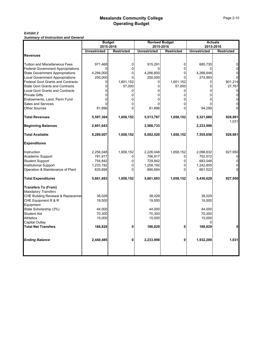## *Exhibit 2*

*Summary of Instruction and General*

|                                          | <b>Budget</b>       |                   |                     | <b>Revised Budget</b> | <b>Actuals</b>      |                   |  |  |
|------------------------------------------|---------------------|-------------------|---------------------|-----------------------|---------------------|-------------------|--|--|
|                                          | 2015-2016           |                   |                     | 2015-2016             |                     | 2015-2016         |  |  |
|                                          | <b>Unrestricted</b> | <b>Restricted</b> | <b>Unrestricted</b> | <b>Restricted</b>     | <b>Unrestricted</b> | <b>Restricted</b> |  |  |
| <b>Revenues</b>                          |                     |                   |                     |                       |                     |                   |  |  |
| Tuition and Miscellaneous Fees           | 971,468             | 0                 | 915,291             | 0                     | 685,730             | $\Omega$          |  |  |
| <b>Federal Government Appropriations</b> | $\Omega$            | $\Omega$          | 0                   | $\Omega$              | n                   | $\Omega$          |  |  |
| <b>State Government Appropriations</b>   | 4,294,000           | 0                 | 4,266,600           | 0                     | 4,266,648           | $\Omega$          |  |  |
| <b>Local Government Appropriations</b>   | 250,000             | 0                 | 250,000             | 0                     | 274,993             | $\overline{0}$    |  |  |
| <b>Federal Govt Grants and Contracts</b> | 0                   | 1,601,152         | 0                   | 1,601,152             | $\Omega$            | 901,214           |  |  |
| <b>State Govt Grants and Contracts</b>   | U                   | 57,000            | U                   | 57,000                | U                   | 27,767            |  |  |
| <b>Local Govt Grants and Contracts</b>   | U                   |                   | n                   |                       | n                   | 0                 |  |  |
| <b>Private Gifts</b>                     |                     |                   |                     |                       |                     | 0                 |  |  |
| Endowments, Land, Perm Fund              |                     |                   |                     |                       |                     | $\Omega$          |  |  |
| Sales and Services                       |                     |                   |                     |                       |                     | 0                 |  |  |
| <b>Other Sources</b>                     | 81,896              |                   | 81,896              |                       | 94,289              |                   |  |  |
| <b>Total Revenues</b>                    | 5,597,364           | 1,658,152         | 5,513,787           | 1,658,152             | 5,321,660           | 928,981<br>1,031  |  |  |
| <b>Beginning Balances</b>                | 2,691,643           |                   | 2,568,733           |                       | 2,233,998           |                   |  |  |
| <b>Total Available</b>                   | 8,289,007           | 1,658,152         | 8,082,520           | 1,658,152             | 7,555,658           | 928,981           |  |  |
| <b>Expenditures</b>                      |                     |                   |                     |                       |                     |                   |  |  |
| Instruction                              | 2,256,048           | 1,658,152         | 2,226,048           | 1,658,152             | 2,096,632           | 927,950           |  |  |
| Academic Support                         | 781,917             | 0                 | 756,917             | 0                     | 752,572             |                   |  |  |
| <b>Student Support</b>                   | 754,842             | 0                 | 729,842             | $\Omega$              | 683,048             | $\Omega$          |  |  |
| <b>Institutional Support</b>             | 1,233,192           | 0                 | 1,258,192           | 0                     | 1,242,855           | 0                 |  |  |
| Operation & Maintenance of Plant         | 635,694             | O                 | 690,694             | O                     | 661,522             | $\overline{0}$    |  |  |
| <b>Total Expenditures</b>                | 5,661,693           | 1,658,152         | 5,661,693           | 1,658,152             | 5,436,629           | 927,950           |  |  |
| <b>Transfers To (From)</b>               |                     |                   |                     |                       |                     |                   |  |  |
| <b>Mandatory Transfers</b>               |                     |                   |                     |                       |                     |                   |  |  |
| CHE Building Renewal & Replacemer        | 38,029              |                   | 38,029              |                       | 38,029              |                   |  |  |
| CHE Equipment R & R                      | 19,500              |                   | 19,500              |                       | 19,500              |                   |  |  |
| Equipment                                |                     |                   |                     |                       |                     |                   |  |  |
| State Scholarship (3%)<br>Student Aid    | 44,000              |                   | 44,000              |                       | 44,000              |                   |  |  |
| <b>Athletics</b>                         | 70,300<br>15,000    |                   | 70,300<br>15,000    |                       | 70,300<br>15,000    |                   |  |  |
| Capital Outlay                           |                     |                   |                     |                       |                     |                   |  |  |
| <b>Total Net Transfers</b>               | 186,829             | 0                 | 186,829             | 0                     | 186,829             | $\Omega$          |  |  |
|                                          |                     |                   |                     |                       |                     |                   |  |  |
| <b>Ending Balance</b>                    | 2,440,485           | 0                 | 2,233,998           | 0                     | 1,932,200           | 1,031             |  |  |
|                                          |                     |                   |                     |                       |                     |                   |  |  |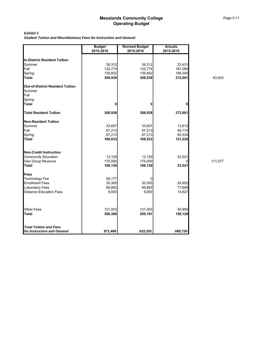#### *Exhibit 3*

*Student Tuition and Miscellaneous Fees for Instruction and General*

|                                                           | <b>Budget</b><br>2015-2016 | <b>Revised Budget</b><br>2015-2016 | <b>Actuals</b><br>2015-2016 |         |
|-----------------------------------------------------------|----------------------------|------------------------------------|-----------------------------|---------|
| <b>In-District Resident Tuition</b>                       |                            |                                    |                             |         |
| Summer                                                    | 36,312                     | 36,312                             | 23,431                      |         |
| Fall                                                      | 132,774                    | 132,774                            | 181,085                     |         |
| Spring                                                    | 139,852                    | 139,852                            | 168,345                     |         |
| <b>Total</b>                                              | 308,938                    | 308,938                            | 372,861                     | 63,923  |
| <b>Out-of-District Resident Tuition</b><br>Summer<br>Fall |                            |                                    |                             |         |
| Spring                                                    |                            |                                    |                             |         |
| <b>Total</b>                                              | 0                          | 0                                  | 0                           |         |
| <b>Total Resident Tuition</b>                             | 308,938                    | 308,938                            | 372,861                     |         |
| <b>Non-Resident Tuition</b>                               |                            |                                    |                             |         |
| Summer                                                    | 33,607                     | 33,607                             | 13,912                      |         |
| Fall                                                      | 67,213                     | 67,213                             | 56,774                      |         |
| Spring                                                    | 67,213                     | 67,213                             | 60,534                      |         |
| <b>Total</b>                                              | 168,033                    | 168,033                            | 131,220                     |         |
| <b>Non-Credit Instruction</b>                             |                            |                                    |                             |         |
| <b>Community Education</b>                                | 13,129                     | 13,129                             | 23,521                      |         |
| Geo Group Revenue                                         | 175,000                    | 175,000                            | 0                           | 111,077 |
| <b>Total</b>                                              | 188,129                    | 188,129                            | 23,521                      |         |
| Fees                                                      |                            |                                    |                             |         |
| <b>Technology Fee</b>                                     | 56,177                     | 0                                  |                             |         |
| <b>Enrollment Fees</b>                                    | 30,305                     | 30,305                             | 24,852                      |         |
| Laboratory Fees                                           | 89,883                     | 89,883                             | 77,699                      |         |
| <b>Distance Education Fees</b>                            | 9,000                      | 9,000                              | 14,627                      |         |
| Other Fees                                                | 121,003                    | 121,003                            | 40,950                      |         |
| <b>Total</b>                                              | 306,368                    | 250,191                            | 158,128                     |         |
| <b>Total Tuition and Fees</b>                             |                            |                                    |                             |         |
| for Instruction and General                               | 971,468                    | 915,291                            | 685,730                     |         |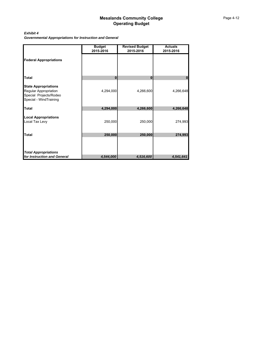#### *Exhibit 4*

*Governmental Appropriations for Instruction and General*

|                                                                                                          | <b>Budget</b><br>2015-2016 | <b>Revised Budget</b><br>2015-2016 | <b>Actuals</b><br>2015-2016 |
|----------------------------------------------------------------------------------------------------------|----------------------------|------------------------------------|-----------------------------|
| <b>Federal Appropriations</b>                                                                            |                            |                                    |                             |
| <b>Total</b>                                                                                             | 0                          | $\bf{0}$                           | 0                           |
| <b>State Appropriations</b><br>Regular Appropriation<br>Special Projects/Rodeo<br>Special - WindTraining | 4,294,000                  | 4,266,600                          | 4,266,648                   |
| <b>Total</b>                                                                                             | 4,294,000                  | 4,266,600                          | 4,266,648                   |
| <b>Local Appropriations</b><br>Local Tax Levy                                                            | 250,000                    | 250,000                            | 274,993                     |
| <b>Total</b>                                                                                             | 250,000                    | 250,000                            | 274,993                     |
|                                                                                                          |                            |                                    |                             |
| <b>Total Appropriations</b>                                                                              |                            |                                    |                             |
| for Instruction and General                                                                              | 4,544,000                  | 4,516,600                          | 4,541,641                   |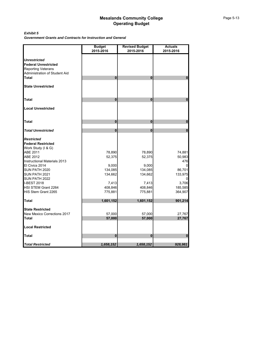#### *Exhibit 5*

*Government Grants and Contracts for Instruction and General*

|                                                    | <b>Budget</b><br>2015-2016 | <b>Revised Budget</b><br>2015-2016 | <b>Actuals</b><br>2015-2016 |
|----------------------------------------------------|----------------------------|------------------------------------|-----------------------------|
|                                                    |                            |                                    |                             |
| <b>Unrestricted</b><br><b>Federal Unrestricted</b> |                            |                                    |                             |
| <b>Reporting Veterans</b>                          |                            |                                    |                             |
| Administration of Student Aid                      |                            |                                    |                             |
| <b>Total</b>                                       | $\mathbf{0}$               | 0                                  | $\mathbf{0}$                |
| <b>State Unrestricted</b>                          |                            |                                    |                             |
| Total                                              | 0                          | $\mathbf{0}$                       | $\mathbf 0$                 |
| <b>Local Unrestricted</b>                          |                            |                                    |                             |
| Total                                              | $\bf{0}$                   | $\bf{0}$                           | $\pmb{0}$                   |
|                                                    |                            |                                    |                             |
| <b>Total Unrestricted</b>                          | 0                          | 0                                  | $\mathbf{0}$                |
| <b>Restricted</b>                                  |                            |                                    |                             |
| <b>Federal Restricted</b>                          |                            |                                    |                             |
| Work Study (I & G)                                 |                            |                                    |                             |
| ABE 2011<br>ABE 2012                               | 78,890                     | 78,890                             | 74,881                      |
| Instructional Materials 2013                       | 52,375                     | 52,375                             | 50,983<br>476               |
| El Civics 2014                                     | 9,000                      | 9,000                              | 0                           |
| SUN PATH 2020                                      | 134,085                    | 134,085                            | 86,701                      |
| SUN PATH 2021                                      | 134,662                    | 134,662                            | 133,975                     |
| SUN PATH 2022                                      |                            |                                    | $\mathbf{0}$                |
| <b>I-BEST 2018</b>                                 | 7,413                      | 7,413                              | 3,706                       |
| HSI STEM Grant 2264                                | 408,846                    | 408,846                            | 185,585                     |
| HIS Stem Grant 2265                                | 775,881                    | 775,881                            | 364,907                     |
| <b>Total</b>                                       | 1,601,152                  | 1,601,152                          | 901,214                     |
| <b>State Restricted</b>                            |                            |                                    |                             |
| New Mexico Corrections 2017                        | 57,000                     | 57,000                             | 27,767                      |
| <b>Total</b>                                       | 57,000                     | 57,000                             | 27,767                      |
| <b>Local Restricted</b>                            |                            |                                    |                             |
| <b>Total</b>                                       | 0                          | 0                                  | $\mathbf 0$                 |
| <b>Total Restricted</b>                            | 1,658,152                  | 1,658,152                          | 928,981                     |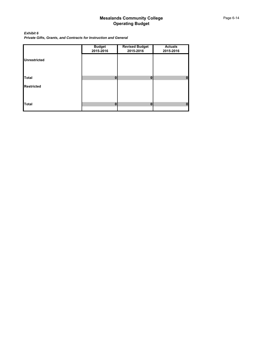*Exhibit 6 Private Gifts, Grants, and Contracts for Instruction and General*

|                     | <b>Budget</b><br>2015-2016 | <b>Revised Budget</b><br>2015-2016 | <b>Actuals</b><br>2015-2016 |
|---------------------|----------------------------|------------------------------------|-----------------------------|
| <b>Unrestricted</b> |                            |                                    |                             |
|                     |                            |                                    |                             |
| <b>Total</b>        | $\Omega$                   | $\mathbf{0}$                       | П                           |
| <b>Restricted</b>   |                            |                                    |                             |
|                     |                            |                                    |                             |
| <b>Total</b>        | $\bf{0}$                   | $\mathbf{0}$                       | Λ                           |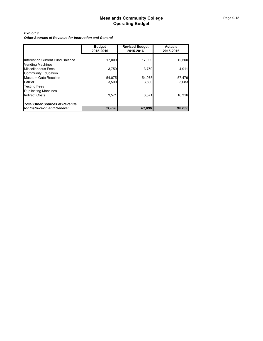#### *Exhibit 9*

*Other Sources of Revenue for Instruction and General*

|                                       | <b>Budget</b><br>2015-2016 | <b>Revised Budget</b><br>2015-2016 | <b>Actuals</b><br>2015-2016 |
|---------------------------------------|----------------------------|------------------------------------|-----------------------------|
|                                       |                            |                                    |                             |
| Interest on Current Fund Balance      | 17,000                     | 17,000                             | 12,500                      |
| <b>Vending Machines</b>               |                            |                                    |                             |
| Miscellaneous Fees                    | 3,750                      | 3,750                              | 4,911                       |
| <b>Community Education</b>            |                            |                                    |                             |
| <b>Museum Gate Receipts</b>           | 54,075                     | 54,075                             | 57,479                      |
| Farrier                               | 3.500                      | 3.500                              | 3,083                       |
| <b>Testing Fees</b>                   |                            |                                    |                             |
| <b>Duplicating Machines</b>           |                            |                                    |                             |
| <b>Indirect Costs</b>                 | 3.571                      | 3,571                              | 16.316                      |
| <b>Total Other Sources of Revenue</b> |                            |                                    |                             |
| for Instruction and General           | 81,896                     | 81,896                             | 94,289                      |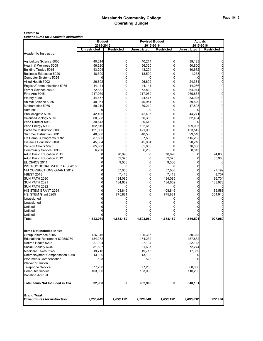#### *Exhibit 10*

*Expenditures for Academic Instruction*

|                                                    | <b>Budget</b>       |              |                     | <b>Revised Budget</b> | <b>Actuals</b>      |                   |  |  |
|----------------------------------------------------|---------------------|--------------|---------------------|-----------------------|---------------------|-------------------|--|--|
|                                                    | 2015-2016           |              |                     | 2015-2016             |                     | 2015-2016         |  |  |
| <b>Academic Instruction</b>                        | <b>Unrestricted</b> | Restricted   | <b>Unrestricted</b> | <b>Restricted</b>     | <b>Unrestricted</b> | <b>Restricted</b> |  |  |
|                                                    |                     |              |                     |                       |                     |                   |  |  |
| Agriculture Science 5000                           | 40,214              | 0            | 40,214              | 0                     | 39,123              | 0                 |  |  |
| Health & Wellness 5005                             | 56,320              | $\mathbf 0$  | 56,320              | 0                     | 50,800              | $\Omega$          |  |  |
| Building Trades 5015                               | 43,204              | 0            | 43,204              | 0                     | 40,672              | $\Omega$          |  |  |
| <b>Business Education 5020</b>                     | 48,500              | 0            | 18,500              | 0                     | 1,258               | 0                 |  |  |
| Computer Systems 5025                              |                     | $\mathbf{0}$ |                     | 0                     |                     | $\Omega$          |  |  |
| Allied Health 5002                                 | 26,692              | 0            | 26,692              | $\overline{0}$        | 24,334              | $\mathbf 0$       |  |  |
| English/Communications 5035                        | 44,141              | $\mathbf{0}$ | 44,141              | 0                     | 44.086              | $\Omega$          |  |  |
| Farrier Science 5040                               | 72,832              | 0            | 72,832              | $\mathbf 0$           | 64,944              | $\mathbf 0$       |  |  |
| Fine Arts 5045                                     | 217,059             | $\mathbf{0}$ | 217,059             | 0                     | 269,835             | $\Omega$          |  |  |
| History 5050                                       | 44,477              | $\mathbf 0$  | 44,477              | 0                     | 33,925              | $\Omega$          |  |  |
| Animal Science 5055                                | 40,951              | 0            | 40,951              | 0                     | 39,829              | $\Omega$          |  |  |
| Mathematics 5060                                   | 59,210              | $\mathbf{0}$ | 59,210              | 0                     | 47,893              | 0                 |  |  |
| Auto 5010                                          |                     | 0            |                     | 0                     |                     | $\overline{0}$    |  |  |
| PreCollegiate 5070                                 | 42,496              | $\mathbf{0}$ | 42,496              | 0                     | 44,271              | $\mathbf 0$       |  |  |
| Science/Geology 5075                               | 60,388              | 0            | 60,388              | $\overline{0}$        | 62,404              | $\mathbf 0$       |  |  |
| Wind Director 5080                                 | 30,643              | $\mathbf{0}$ | 30,643              | 0                     |                     | $\Omega$          |  |  |
| Wind Energy 5088                                   | 102,619             | 0            | 102,619             | $\overline{0}$        | 109,006             | $\Omega$          |  |  |
| Part-time Instruction 5090                         | 421,000             | $\Omega$     | 421,000             | 0                     | 433,542             | $\Omega$          |  |  |
| Summer Instruction 5091                            | 48,500              | $\Omega$     | 48,500              | 0                     | 29,510              |                   |  |  |
| Off Campus Programs 5092                           | 87,500              | $\Omega$     | 87,500              | 0                     | 115,238             |                   |  |  |
| Distance Education 5094                            | 45,084              | $\Omega$     | 45,084              | $\Omega$              | 20,218              |                   |  |  |
| Division Chairs 5095                               | 85,000              | $\Omega$     | 85,000              | 0                     | 76,800              |                   |  |  |
| Community Service 5096                             | 6,250               |              | 6,250               |                       | 8,813               |                   |  |  |
| <b>Adult Basic Education 2011</b>                  | 0                   | 78,890       | 0                   | 78,890                | 0                   | 74,883            |  |  |
| <b>Adult Basic Education 2012</b>                  | 0                   | 52,375       | 0                   | 52,375                |                     | 50,988            |  |  |
| EL CIVICS 2014                                     | 0                   | 9,000        | 0                   | 9,000                 |                     |                   |  |  |
| <b>INSTRUCTIONAL MATERIALS 2013</b>                |                     | $\Omega$     | 0                   |                       |                     |                   |  |  |
| NM CORRECTIONS GRANT 2017                          | 0                   | 57,000       | 0                   | 57,000                | 0                   | 27,192            |  |  |
| <b>I-BEST 2018</b>                                 | 0                   | 7,413        | 0                   | 7,413                 | 0                   | 3,707             |  |  |
|                                                    | $\Omega$            |              | 0                   |                       | 0                   |                   |  |  |
| SUN PATH 2020                                      |                     | 134,085      | 0                   | 134,085               |                     | 86,704            |  |  |
| SUN PATH 2021                                      | 0                   | 134,662      |                     | 134,662               | 0                   | 133,978           |  |  |
| SUN PATH 2022                                      | 0                   | $\Omega$     | 0                   | 0                     | 0                   |                   |  |  |
| HIS STEM GRANT 2264                                | 0                   | 408,846      | 0                   | 408,846               | 0                   | 185,588           |  |  |
| HSI STEM Grant 2265                                | 0                   | 775,881      | 0                   | 775,881               | 0                   | 364,910           |  |  |
| Unassigned                                         |                     | O            |                     |                       | n                   |                   |  |  |
| Unassigned                                         |                     |              |                     |                       |                     |                   |  |  |
| <b>Untitled</b>                                    |                     |              |                     |                       |                     |                   |  |  |
| <b>Untitled</b>                                    |                     |              |                     |                       |                     |                   |  |  |
| <b>Untitled</b>                                    |                     |              |                     |                       |                     |                   |  |  |
| Total                                              | 1,623,080           | 1,658,152    | 1,593,080           | 1,658,152             | 1,556,501           | 927,950           |  |  |
| Items Not Included in 10a                          |                     |              |                     |                       |                     |                   |  |  |
| Group Insurance 6205                               | 126,316             |              | 126,316             |                       | 80,318              |                   |  |  |
| Educational Retirement 6225/6230                   | 184,232             |              | 184,232             |                       | 157,852             |                   |  |  |
| Retiree Health 6235                                | 27,194              |              | 27,194              |                       | 22,118              |                   |  |  |
| Social Security 6240                               | 81,637              |              | 81,637              |                       | 72,274              |                   |  |  |
| Medicare Taxes 6245                                | 19,716              |              | 19,716              |                       | 17,369              |                   |  |  |
| Unemployment Compensation 6260                     |                     |              |                     |                       | 0                   |                   |  |  |
|                                                    | 13,100              |              | 13,100              |                       |                     |                   |  |  |
| Workmen's Compensation                             | 523                 |              | 523                 |                       |                     |                   |  |  |
| <b>Waiver of Tuition</b>                           |                     |              |                     |                       |                     |                   |  |  |
| <b>Telephone Service</b>                           | 77,250              |              | 77,250              |                       | 80.000              |                   |  |  |
| <b>Computer Service</b><br><b>Vacation Accrual</b> | 103,000             |              | 103,000             |                       | 110,200             |                   |  |  |
| Total Items Not Included in 10a                    | 632,968             | 0            | 632,968             | $\mathbf{0}$          | 540,131             | $\mathbf{0}$      |  |  |
| <b>Grand Total</b>                                 |                     |              |                     |                       |                     |                   |  |  |
| <b>Expenditures for Instruction</b>                | 2,256,048           | 1,658,152    | 2,226,048           | 1,658,152             | 2,096,632           | 927,950           |  |  |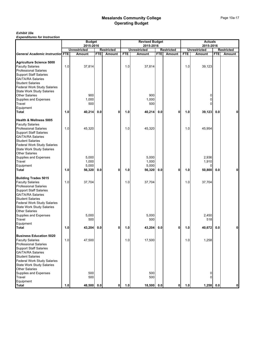#### *Exhibit 10a*

|                                                                                                                                                                                         |       | <b>Budget</b>                 |            |                             |            | <b>Revised Budget</b>                |            |                             |            | <b>Actuals</b>                       |            |                             |
|-----------------------------------------------------------------------------------------------------------------------------------------------------------------------------------------|-------|-------------------------------|------------|-----------------------------|------------|--------------------------------------|------------|-----------------------------|------------|--------------------------------------|------------|-----------------------------|
|                                                                                                                                                                                         |       | 2015-2016                     |            |                             |            | 2015-2016                            |            |                             |            | 2015-2016                            |            |                             |
| <b>General Academic Instruction FTE</b>                                                                                                                                                 |       | <b>Unrestricted</b><br>Amount | <b>FTE</b> | <b>Restricted</b><br>Amount | <b>FTE</b> | <b>Unrestricted</b><br><b>Amount</b> | <b>FTE</b> | <b>Restricted</b><br>Amount | <b>FTE</b> | <b>Unrestricted</b><br><b>Amount</b> | <b>FTE</b> | <b>Restricted</b><br>Amount |
|                                                                                                                                                                                         |       |                               |            |                             |            |                                      |            |                             |            |                                      |            |                             |
| <b>Agriculture Science 5000</b><br><b>Faculty Salaries</b><br><b>Professional Salaries</b>                                                                                              | 1.0   | 37,814                        |            |                             | 1.0        | 37,814                               |            |                             | 1.0        | 39,123                               |            |                             |
| <b>Support Staff Salaries</b><br><b>GA/TA/RA Salaries</b><br><b>Student Salaries</b>                                                                                                    |       |                               |            |                             |            |                                      |            |                             |            |                                      |            |                             |
| Federal Work Study Salaries<br><b>State Work Study Salaries</b><br><b>Other Salaries</b>                                                                                                |       | 900                           |            |                             |            | 900                                  |            |                             |            | 0                                    |            |                             |
| Supplies and Expenses<br>Travel<br>Equipment                                                                                                                                            |       | 1,000<br>500                  |            |                             |            | 1,000<br>500                         |            |                             |            | 0<br>0                               |            |                             |
| Total                                                                                                                                                                                   | 1.0   | 40,214                        | 0.0        | 0                           | 1.0        | 40,214                               | 0.0        | $\mathbf{0}$                | 1.0        | 39,123                               | 0.0        | 0                           |
| <b>Health &amp; Wellness 5005</b><br><b>Faculty Salaries</b>                                                                                                                            |       |                               |            |                             |            |                                      |            |                             |            |                                      |            |                             |
| <b>Professional Salaries</b><br><b>Support Staff Salaries</b><br><b>GA/TA/RA Salaries</b><br><b>Student Salaries</b><br>Federal Work Study Salaries<br><b>State Work Study Salaries</b> | 1.0   | 45,320                        |            |                             | 1.0        | 45,320                               |            |                             | 1.0        | 45,954                               |            |                             |
| <b>Other Salaries</b><br>Supplies and Expenses<br>Travel<br>Equipment                                                                                                                   |       | 5,000<br>1,000<br>5,000       |            | 0                           |            | 5,000<br>1,000<br>5,000              |            | $\mathbf 0$                 |            | 2,936<br>1,910<br>0                  |            | Λ                           |
| Total                                                                                                                                                                                   | $1.0$ | 56,320                        | 0.0        |                             | 1.0        | 56,320                               | 0.0        |                             | 1.0        | 50,800                               | 0.0        |                             |
| <b>Building Trades 5015</b><br><b>Faculty Salaries</b><br><b>Professional Salaries</b><br><b>Support Staff Salaries</b><br><b>GA/TA/RA Salaries</b>                                     | 1.0   | 37,704                        |            |                             | 1.0        | 37,704                               |            |                             | 1.0        | 37,704                               |            |                             |
| <b>Student Salaries</b><br>Federal Work Study Salaries<br><b>State Work Study Salaries</b><br><b>Other Salaries</b><br>Supplies and Expenses                                            |       | 5,000                         |            |                             |            | 5,000                                |            |                             |            | 2,450                                |            |                             |
| Travel                                                                                                                                                                                  |       | 500                           |            |                             |            | 500                                  |            |                             |            | 518                                  |            |                             |
| Equipment<br><b>Total</b>                                                                                                                                                               | 1.0   | 43,204                        | 0.0        | 0                           | 1.0        | 43,204                               | 0.0        | 0                           | 1.0        | 40,672                               | 0.0        | 0                           |
| <b>Business Education 5020</b><br><b>Faculty Salaries</b>                                                                                                                               | 1.0   | 47,500                        |            |                             | 1.0        | 17,500                               |            |                             | 1.0        | 1,258                                |            |                             |
| <b>Professional Salaries</b><br><b>Support Staff Salaries</b><br><b>GA/TA/RA Salaries</b><br><b>Student Salaries</b><br>Federal Work Study Salaries                                     |       |                               |            |                             |            |                                      |            |                             |            |                                      |            |                             |
| <b>State Work Study Salaries</b><br><b>Other Salaries</b><br>Supplies and Expenses                                                                                                      |       | 500                           |            |                             |            | 500                                  |            |                             |            | 0                                    |            |                             |
| Travel<br>Equipment<br>Total                                                                                                                                                            | 1.0   | 500<br>48,500                 | 0.0        | 0                           | 1.0        | 500<br>18,500                        | 0.0        | $\mathbf{0}$                | 1.0        | 0<br>1,258                           | 0.0        | $\mathbf 0$                 |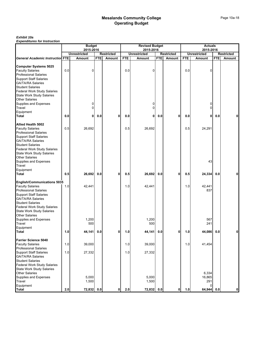#### *Exhibit 10a*

|                                                           |     | <b>Budget</b>                    |            |                   |            | <b>Revised Budget</b>            |            |                   |            | <b>Actuals</b>                                        |            |        |
|-----------------------------------------------------------|-----|----------------------------------|------------|-------------------|------------|----------------------------------|------------|-------------------|------------|-------------------------------------------------------|------------|--------|
|                                                           |     | 2015-2016<br><b>Unrestricted</b> |            | <b>Restricted</b> |            | 2015-2016<br><b>Unrestricted</b> |            | <b>Restricted</b> |            | 2015-2016<br><b>Unrestricted</b><br><b>Restricted</b> |            |        |
| <b>General Academic Instruction FTE</b>                   |     | Amount                           | <b>FTE</b> | Amount            | <b>FTE</b> | Amount                           | <b>FTE</b> | Amount            | <b>FTE</b> | Amount                                                | <b>FTE</b> | Amount |
|                                                           |     |                                  |            |                   |            |                                  |            |                   |            |                                                       |            |        |
| <b>Computer Systems 5025</b>                              | 0.0 |                                  |            |                   |            |                                  |            |                   | 0.0        |                                                       |            |        |
| <b>Faculty Salaries</b><br><b>Professional Salaries</b>   |     | 0                                |            |                   | 0.0        | 0                                |            |                   |            | 0                                                     |            |        |
| <b>Support Staff Salaries</b>                             |     |                                  |            |                   |            |                                  |            |                   |            |                                                       |            |        |
| <b>GA/TA/RA Salaries</b>                                  |     |                                  |            |                   |            |                                  |            |                   |            |                                                       |            |        |
| <b>Student Salaries</b>                                   |     |                                  |            |                   |            |                                  |            |                   |            |                                                       |            |        |
| Federal Work Study Salaries                               |     |                                  |            |                   |            |                                  |            |                   |            |                                                       |            |        |
| <b>State Work Study Salaries</b>                          |     |                                  |            |                   |            |                                  |            |                   |            |                                                       |            |        |
| Other Salaries                                            |     |                                  |            |                   |            |                                  |            |                   |            |                                                       |            |        |
| Supplies and Expenses                                     |     | 0                                |            |                   |            | 0                                |            |                   |            | 0                                                     |            |        |
| Travel                                                    |     | 0                                |            |                   |            | 0                                |            |                   |            | 0                                                     |            |        |
| Equipment                                                 |     |                                  |            |                   |            |                                  |            |                   |            |                                                       |            |        |
| Total                                                     | 0.0 | $\mathbf{0}$                     | 0.0        | 0                 | 0.0        | 0                                | 0.0        | 0                 | 0.0        | 0                                                     | 0.0        | 0      |
|                                                           |     |                                  |            |                   |            |                                  |            |                   |            |                                                       |            |        |
| Allied Health 5002                                        |     |                                  |            |                   |            |                                  |            |                   |            |                                                       |            |        |
| <b>Faculty Salaries</b>                                   | 0.5 | 26,692                           |            |                   | 0.5        | 26,692                           |            |                   | 0.5        | 24,291                                                |            |        |
| <b>Professional Salaries</b>                              |     |                                  |            |                   |            |                                  |            |                   |            |                                                       |            |        |
| <b>Support Staff Salaries</b>                             |     |                                  |            |                   |            |                                  |            |                   |            |                                                       |            |        |
| <b>GA/TA/RA Salaries</b>                                  |     |                                  |            |                   |            |                                  |            |                   |            |                                                       |            |        |
| <b>Student Salaries</b>                                   |     |                                  |            |                   |            |                                  |            |                   |            |                                                       |            |        |
| Federal Work Study Salaries                               |     |                                  |            |                   |            |                                  |            |                   |            |                                                       |            |        |
| <b>State Work Study Salaries</b><br><b>Other Salaries</b> |     |                                  |            |                   |            |                                  |            |                   |            |                                                       |            |        |
|                                                           |     |                                  |            |                   |            |                                  |            |                   |            |                                                       |            |        |
| Supplies and Expenses<br>Travel                           |     |                                  |            |                   |            |                                  |            |                   |            | 43                                                    |            |        |
| Equipment                                                 |     |                                  |            |                   |            |                                  |            |                   |            |                                                       |            |        |
| Total                                                     | 0.5 | 26,692                           | 0.0        | 0                 | 0.5        | 26,692                           | 0.0        | 0                 | 0.5        | 24,334                                                | 0.0        | 0      |
|                                                           |     |                                  |            |                   |            |                                  |            |                   |            |                                                       |            |        |
| <b>English/Communications 5035</b>                        |     |                                  |            |                   |            |                                  |            |                   |            |                                                       |            |        |
| <b>Faculty Salaries</b>                                   | 1.0 | 42,441                           |            |                   | 1.0        | 42,441                           |            |                   | 1.0        | 42,441                                                |            |        |
| <b>Professional Salaries</b>                              |     |                                  |            |                   |            |                                  |            |                   |            | 837                                                   |            |        |
| <b>Support Staff Salaries</b>                             |     |                                  |            |                   |            |                                  |            |                   |            |                                                       |            |        |
| <b>GA/TA/RA Salaries</b>                                  |     |                                  |            |                   |            |                                  |            |                   |            |                                                       |            |        |
| <b>Student Salaries</b>                                   |     |                                  |            |                   |            |                                  |            |                   |            |                                                       |            |        |
| Federal Work Study Salaries                               |     |                                  |            |                   |            |                                  |            |                   |            |                                                       |            |        |
| <b>State Work Study Salaries</b>                          |     |                                  |            |                   |            |                                  |            |                   |            |                                                       |            |        |
| <b>Other Salaries</b>                                     |     |                                  |            |                   |            |                                  |            |                   |            |                                                       |            |        |
| Supplies and Expenses                                     |     | 1,200                            |            |                   |            | 1,200                            |            |                   |            | 567                                                   |            |        |
| Travel                                                    |     | 500                              |            |                   |            | 500                              |            |                   |            | 241                                                   |            |        |
| Equipment<br><b>Total</b>                                 | 1.0 | 44,141                           | 0.0        | 0                 | 1.0        | 44,141                           | 0.0        | 0                 | 1.0        | 44,086                                                | 0.0        |        |
|                                                           |     |                                  |            |                   |            |                                  |            |                   |            |                                                       |            |        |
| <b>Farrier Science 5040</b>                               |     |                                  |            |                   |            |                                  |            |                   |            |                                                       |            |        |
| <b>Faculty Salaries</b>                                   | 1.0 | 39,000                           |            |                   | 1.0        | 39,000                           |            |                   | 1.0        | 41,454                                                |            |        |
| <b>Professional Salaries</b>                              |     |                                  |            |                   |            |                                  |            |                   |            |                                                       |            |        |
| <b>Support Staff Salaries</b>                             | 1.0 | 27,332                           |            |                   | 1.0        | 27,332                           |            |                   |            |                                                       |            |        |
| <b>GA/TA/RA Salaries</b>                                  |     |                                  |            |                   |            |                                  |            |                   |            |                                                       |            |        |
| <b>Student Salaries</b>                                   |     |                                  |            |                   |            |                                  |            |                   |            |                                                       |            |        |
| Federal Work Study Salaries                               |     |                                  |            |                   |            |                                  |            |                   |            |                                                       |            |        |
| <b>State Work Study Salaries</b>                          |     |                                  |            |                   |            |                                  |            |                   |            |                                                       |            |        |
| <b>Other Salaries</b>                                     |     |                                  |            |                   |            |                                  |            |                   |            | 6,334                                                 |            |        |
| Supplies and Expenses                                     |     | 5,000                            |            |                   |            | 5,000                            |            |                   |            | 16,865                                                |            |        |
| Travel                                                    |     | 1,500                            |            |                   |            | 1,500                            |            |                   |            | 291                                                   |            |        |
| Equipment<br><b>Total</b>                                 | 2.0 | 72,832 0.0                       |            | 0                 | 2.0        | 72,832 0.0                       |            | 0                 | 1.0        | 0<br>64,944                                           | 0.0        | 0      |
|                                                           |     |                                  |            |                   |            |                                  |            |                   |            |                                                       |            |        |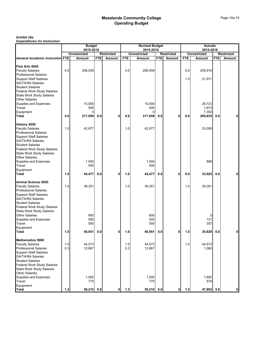#### *Exhibit 10a*

|                                                                 |            | <b>Budget</b><br>2015-2016 |            |                   |            | <b>Revised Budget</b><br>2015-2016 |            |                   |            | <b>Actuals</b><br>2015-2016 |            |                   |
|-----------------------------------------------------------------|------------|----------------------------|------------|-------------------|------------|------------------------------------|------------|-------------------|------------|-----------------------------|------------|-------------------|
|                                                                 |            | <b>Unrestricted</b>        |            | <b>Restricted</b> |            | <b>Unrestricted</b>                |            | <b>Restricted</b> |            | <b>Unrestricted</b>         |            | <b>Restricted</b> |
| <b>General Academic Instruction FTE</b>                         |            | Amount                     | <b>FTE</b> | Amount            | <b>FTE</b> | <b>Amount</b>                      | <b>FTE</b> | Amount            | <b>FTE</b> | Amount                      | <b>FTE</b> | Amount            |
| Fine Arts 5045                                                  |            |                            |            |                   |            |                                    |            |                   |            |                             |            |                   |
| <b>Faculty Salaries</b>                                         | 4.0        | 206,559                    |            |                   | 4.0        | 206,559                            |            |                   | 5.0        | 209,916                     |            |                   |
| <b>Professional Salaries</b>                                    |            |                            |            |                   |            |                                    |            |                   |            |                             |            |                   |
| <b>Support Staff Salaries</b>                                   |            |                            |            |                   |            |                                    |            |                   | 1.0        | 21,971                      |            |                   |
| <b>GA/TA/RA Salaries</b><br><b>Student Salaries</b>             |            |                            |            |                   |            |                                    |            |                   |            |                             |            |                   |
| <b>Federal Work Study Salaries</b>                              |            |                            |            |                   |            |                                    |            |                   |            |                             |            |                   |
| <b>State Work Study Salaries</b>                                |            |                            |            |                   |            |                                    |            |                   |            |                             |            |                   |
| <b>Other Salaries</b>                                           |            |                            |            |                   |            |                                    |            |                   |            |                             |            |                   |
| Supplies and Expenses                                           |            | 10,000                     |            |                   |            | 10,000                             |            |                   |            | 28,723                      |            |                   |
| Travel<br>Equipment                                             |            | 500<br>0                   |            |                   |            | 500<br>0                           |            |                   |            | 1,873<br>7,352              |            |                   |
| <b>Total</b>                                                    | 4.0        | 217,059                    | 0.0        | 0                 | 4.0        | 217,059                            | 0.0        | 0                 | 6.0        | 269,835                     | 0.0        | Ω                 |
|                                                                 |            |                            |            |                   |            |                                    |            |                   |            |                             |            |                   |
| History 5050<br><b>Faculty Salaries</b>                         | 1.0        | 42,977                     |            |                   | 1.0        | 42,977                             |            |                   |            | 33,059                      |            |                   |
| <b>Professional Salaries</b>                                    |            |                            |            |                   |            |                                    |            |                   |            |                             |            |                   |
| Support Staff Salaries                                          |            |                            |            |                   |            |                                    |            |                   |            |                             |            |                   |
| <b>GA/TA/RA Salaries</b>                                        |            |                            |            |                   |            |                                    |            |                   |            |                             |            |                   |
| <b>Student Salaries</b>                                         |            |                            |            |                   |            |                                    |            |                   |            |                             |            |                   |
| Federal Work Study Salaries<br><b>State Work Study Salaries</b> |            |                            |            |                   |            |                                    |            |                   |            |                             |            |                   |
| <b>Other Salaries</b>                                           |            |                            |            |                   |            |                                    |            |                   |            |                             |            |                   |
| Supplies and Expenses                                           |            | 1,000                      |            |                   |            | 1,000                              |            |                   |            | 866                         |            |                   |
| Travel                                                          |            | 500                        |            |                   |            | 500                                |            |                   |            |                             |            |                   |
| Equipment                                                       | 1.0        | 44,477                     | 0.0        | 0                 | 1.0        |                                    | 0.0        | 0                 | 0.0        | 33,925                      | 0.0        | 0                 |
| Total                                                           |            |                            |            |                   |            | 44,477                             |            |                   |            |                             |            |                   |
| <b>Animal Science 5055</b>                                      |            |                            |            |                   |            |                                    |            |                   |            |                             |            |                   |
| <b>Faculty Salaries</b><br><b>Professional Salaries</b>         | 1.0        | 39,351                     |            |                   | 1.0        | 39,351                             |            |                   | 1.0        | 39,351                      |            |                   |
| <b>Support Staff Salaries</b>                                   |            |                            |            |                   |            |                                    |            |                   |            |                             |            |                   |
| <b>GA/TA/RA Salaries</b>                                        |            |                            |            |                   |            |                                    |            |                   |            |                             |            |                   |
| <b>Student Salaries</b>                                         |            |                            |            |                   |            |                                    |            |                   |            |                             |            |                   |
| Federal Work Study Salaries                                     |            |                            |            |                   |            |                                    |            |                   |            |                             |            |                   |
| <b>State Work Study Salaries</b><br>Other Salaries              |            | 600                        |            |                   |            | 600                                |            |                   |            | 0                           |            |                   |
| Supplies and Expenses                                           |            | 500                        |            |                   |            | 500                                |            |                   |            | 121                         |            |                   |
| Travel                                                          |            | 500                        |            |                   |            | 500                                |            |                   |            | 357                         |            |                   |
| Equipment                                                       |            |                            |            |                   |            |                                    |            |                   |            |                             |            |                   |
| <b>Total</b>                                                    | 1.0        | 40,951                     | 0.0        | 0                 | 1.0        | 40,951                             | 0.0        | 0                 | 1.0        | 39,829                      | 0.0        | 0                 |
| <b>Mathematics 5060</b>                                         |            |                            |            |                   |            |                                    |            |                   |            |                             |            |                   |
| <b>Faculty Salaries</b><br><b>Professional Salaries</b>         | 1.0<br>0.3 | 44,573<br>12,867           |            |                   | 1.0<br>0.3 | 44,573<br>12,867                   |            |                   | 1.0        | 44,573<br>1,060             |            |                   |
| <b>Support Staff Salaries</b>                                   |            |                            |            |                   |            |                                    |            |                   |            |                             |            |                   |
| <b>GA/TA/RA Salaries</b>                                        |            |                            |            |                   |            |                                    |            |                   |            |                             |            |                   |
| <b>Student Salaries</b>                                         |            |                            |            |                   |            |                                    |            |                   |            |                             |            |                   |
| Federal Work Study Salaries                                     |            |                            |            |                   |            |                                    |            |                   |            |                             |            |                   |
| State Work Study Salaries<br><b>Other Salaries</b>              |            |                            |            |                   |            |                                    |            |                   |            |                             |            |                   |
| Supplies and Expenses                                           |            | 1,000                      |            |                   |            | 1,000                              |            |                   |            | 1,682                       |            |                   |
| Travel                                                          |            | 770                        |            |                   |            | 770                                |            |                   |            | 578                         |            |                   |
| Equipment                                                       |            |                            |            |                   |            |                                    |            |                   |            |                             |            |                   |
| <b>Total</b>                                                    | $1.3$      | 59,210 0.0                 |            | 0                 | $1.3$      | 59,210 0.0                         |            | 0                 | 1.0        | 47,893                      | 0.0        | 0                 |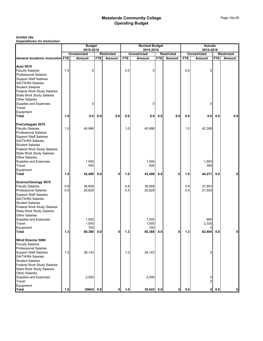#### *Exhibit 10a*

|                                                                                                                                                                                                                                                                                              |            | <b>Budget</b><br>2015-2016 |            |                   |            | <b>Revised Budget</b><br>2015-2016 |            |                   |            | <b>Actuals</b><br>2015-2016 |            |                   |
|----------------------------------------------------------------------------------------------------------------------------------------------------------------------------------------------------------------------------------------------------------------------------------------------|------------|----------------------------|------------|-------------------|------------|------------------------------------|------------|-------------------|------------|-----------------------------|------------|-------------------|
|                                                                                                                                                                                                                                                                                              |            | <b>Unrestricted</b>        |            | <b>Restricted</b> |            | <b>Unrestricted</b>                |            | <b>Restricted</b> |            | <b>Unrestricted</b>         |            | <b>Restricted</b> |
| <b>General Academic Instruction FTE</b>                                                                                                                                                                                                                                                      |            | Amount                     | <b>FTE</b> | Amount            | <b>FTE</b> | Amount                             | <b>FTE</b> | Amount            | <b>FTE</b> | Amount                      | <b>FTE</b> | Amount            |
| <b>Auto 5010</b><br><b>Faculty Salaries</b><br><b>Professional Salaries</b><br><b>Support Staff Salaries</b><br><b>GA/TA/RA Salaries</b><br><b>Student Salaries</b><br>Federal Work Study Salaries                                                                                           | 1.0        | 0                          |            |                   | 0.0        | $\mathbf 0$                        |            |                   | 0.0        | 0                           |            |                   |
| <b>State Work Study Salaries</b><br><b>Other Salaries</b><br>Supplies and Expenses<br>Travel<br>Equipment<br>Total                                                                                                                                                                           | 1.0        | 0.0                        | 0.0        | 0.0               | 0.0        | 0<br>0.0                           | 0.0        | 0.0               | 0.0        | 0<br>0.0                    | 0.0        | 0.0               |
| PreCollegiate 5070<br><b>Faculty Salaries</b><br><b>Professional Salaries</b><br><b>Support Staff Salaries</b><br><b>GA/TA/RA Salaries</b><br><b>Student Salaries</b><br><b>Federal Work Study Salaries</b><br><b>State Work Study Salaries</b>                                              | 1.0        | 40,996                     |            |                   | 1.0        | 40,996                             |            |                   | 1.0        | 42,308                      |            |                   |
| <b>Other Salaries</b><br>Supplies and Expenses<br>Travel<br>Equipment<br>Total                                                                                                                                                                                                               | 1.0        | 1,000<br>500<br>42,496     | 0.0        | 0                 | 1.0        | 1,000<br>500<br>42,496             | 0.0        | $\mathbf 0$       | 1.0        | 1,583<br>380<br>44,271      | 0.0        |                   |
| Science/Geology 5075<br><b>Faculty Salaries</b><br><b>Professional Salaries</b><br><b>Support Staff Salaries</b><br><b>GA/TA/RA Salaries</b><br><b>Student Salaries</b><br>Federal Work Study Salaries<br><b>State Work Study Salaries</b><br><b>Other Salaries</b><br>Supplies and Expenses | 0.8<br>0.5 | 36,859<br>20,829<br>1,000  |            |                   | 0.8<br>0.5 | 36,859<br>20,829<br>1,000          |            |                   | 0.8<br>0.5 | 37,853<br>21,550<br>666     |            |                   |
| Travel<br>Equipment<br><b>Total</b>                                                                                                                                                                                                                                                          | $1.3$      | 1,000<br>700<br>60,388     | 0.0        | 0                 | 1.3        | 1,000<br>700<br>60,388             | 0.0        | 0                 | 1.3        | 2,335<br>62,404             | 0.0        | 0                 |
| Wind Director 5080<br><b>Faculty Salaries</b><br><b>Professional Salaries</b><br><b>Support Staff Salaries</b><br><b>GA/TA/RA Salaries</b><br><b>Student Salaries</b><br>Federal Work Study Salaries<br><b>State Work Study Salaries</b>                                                     | 1.0        | 28,143                     |            |                   | 1.0        | 28,143                             |            |                   |            | 0                           |            |                   |
| <b>Other Salaries</b><br>Supplies and Expenses<br>Travel<br>Equipment                                                                                                                                                                                                                        |            | 2,500                      |            |                   |            | 2,500                              |            |                   | 0.0        | 0<br>0                      |            | 0                 |
| <b>Total</b>                                                                                                                                                                                                                                                                                 | $1.0$      | 30643                      | 0.0        | 0                 | 1.0        | 30,643                             | 0.0        | 0                 |            | 0                           | 0.0        |                   |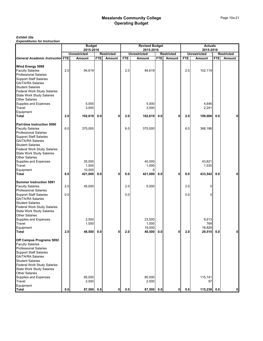#### *Exhibit 10a*

|     |                                                |                                                                      |                                                                                           |                                |                                        |                               |                                           |                                                                              |                                  |                                          | <b>Restricted</b><br>Amount                                     |
|-----|------------------------------------------------|----------------------------------------------------------------------|-------------------------------------------------------------------------------------------|--------------------------------|----------------------------------------|-------------------------------|-------------------------------------------|------------------------------------------------------------------------------|----------------------------------|------------------------------------------|-----------------------------------------------------------------|
|     |                                                |                                                                      |                                                                                           |                                |                                        |                               |                                           |                                                                              |                                  |                                          |                                                                 |
|     | 94,619                                         |                                                                      |                                                                                           | 2.0                            | 94,619                                 |                               |                                           | 2.0                                                                          | 102,119                          |                                          |                                                                 |
|     | 5,000<br>3,000                                 |                                                                      |                                                                                           |                                | 5,000<br>3,000                         |                               |                                           |                                                                              | 4,646<br>2,241                   |                                          |                                                                 |
|     |                                                |                                                                      |                                                                                           |                                |                                        |                               |                                           |                                                                              |                                  |                                          | 0                                                               |
|     |                                                |                                                                      |                                                                                           |                                |                                        |                               |                                           |                                                                              |                                  |                                          |                                                                 |
|     | 375,000                                        |                                                                      |                                                                                           | 6.0                            | 375,000                                |                               |                                           | 6.0                                                                          | 388,186                          |                                          |                                                                 |
| 6.0 | 35,000<br>1,000<br>10,000<br>421,000           |                                                                      | 0                                                                                         | 6.0                            | 45,000<br>1,000<br>$\Omega$<br>421,000 | 0.0                           | 0                                         | 6.0                                                                          | 43,821<br>1,535<br>433,542       | 0.0                                      | 0                                                               |
| 2.0 | 45,000                                         |                                                                      |                                                                                           | 2.0<br>0.0                     | 5,000                                  |                               |                                           | 2.0<br>0.0                                                                   | 0<br>0                           |                                          |                                                                 |
| 2.0 | 2,500<br>1,000                                 | 0.0                                                                  | 0                                                                                         | 2.0                            | 23,500<br>1,000<br>19,000<br>48,500    | 0.0                           | 0                                         | 2.0                                                                          | 9,913<br>769<br>18,828<br>29,510 | 0.0                                      | 0                                                               |
|     | 85,000<br>2,500                                |                                                                      |                                                                                           |                                | 85,000<br>2,500                        |                               |                                           |                                                                              | 115,141<br>97                    |                                          | 0                                                               |
|     | <b>General Academic Instruction FTE</b><br>2.0 | <b>Unrestricted</b><br><b>Amount</b><br>2.0<br>$6.0\,$<br>0.0<br>0.0 | <b>Budget</b><br>2015-2016<br><b>FTE</b><br>102,619<br>0.0<br>0.0<br>48,500<br>87,500 0.0 | Restricted<br>Amount<br>0<br>0 | <b>FTE</b><br>2.0<br>$0.0\,$           | <b>Unrestricted</b><br>Amount | 2015-2016<br>102,619<br>0.0<br>87,500 0.0 | <b>Revised Budget</b><br><b>Restricted</b><br><b>FTE</b><br>Amount<br>0<br>0 | <b>FTE</b><br>2.0<br>$0.0\,$     | <b>Unrestricted</b><br>Amount<br>109,006 | <b>Actuals</b><br>2015-2016<br><b>FTE</b><br>0.0<br>115,238 0.0 |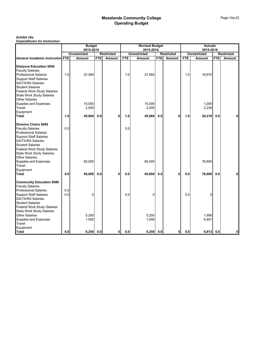#### *Exhibit 10a*

|                                                                                                           |     | <b>Budget</b>           |            |                   |            | <b>Revised Budget</b>   |            |                   |            | <b>Actuals</b>          |            |                   |
|-----------------------------------------------------------------------------------------------------------|-----|-------------------------|------------|-------------------|------------|-------------------------|------------|-------------------|------------|-------------------------|------------|-------------------|
|                                                                                                           |     | 2015-2016               |            |                   |            | 2015-2016               |            |                   |            | 2015-2016               |            |                   |
|                                                                                                           |     | <b>Unrestricted</b>     |            | <b>Restricted</b> |            | <b>Unrestricted</b>     |            | <b>Restricted</b> |            | <b>Unrestricted</b>     |            | <b>Restricted</b> |
| <b>General Academic Instruction FTE</b>                                                                   |     | Amount                  | <b>FTE</b> | Amount            | <b>FTE</b> | Amount                  | <b>FTE</b> | Amount            | <b>FTE</b> | Amount                  | <b>FTE</b> | Amount            |
| <b>Distance Education 5094</b>                                                                            |     |                         |            |                   |            |                         |            |                   |            |                         |            |                   |
| <b>Faculty Salaries</b>                                                                                   |     |                         |            |                   |            |                         |            |                   |            |                         |            |                   |
| <b>Professional Salaries</b>                                                                              | 1.0 | 27,584                  |            |                   | 1.0        | 27,584                  |            |                   | 1.0        | 16,975                  |            |                   |
| <b>Support Staff Salaries</b><br><b>GA/TA/RA Salaries</b>                                                 |     |                         |            |                   |            |                         |            |                   |            |                         |            |                   |
| <b>Student Salaries</b><br>Federal Work Study Salaries                                                    |     |                         |            |                   |            |                         |            |                   |            |                         |            |                   |
| <b>State Work Study Salaries</b>                                                                          |     |                         |            |                   |            |                         |            |                   |            |                         |            |                   |
| <b>Other Salaries</b>                                                                                     |     |                         |            |                   |            |                         |            |                   |            |                         |            |                   |
| Supplies and Expenses                                                                                     |     | 15,000                  |            |                   |            | 15,000                  |            |                   |            | 1,005                   |            |                   |
| Travel                                                                                                    |     | 2,500                   |            |                   |            | 2,500                   |            |                   |            | 2,238                   |            |                   |
| Equipment                                                                                                 |     |                         |            |                   |            |                         |            |                   |            |                         |            |                   |
| <b>Total</b>                                                                                              | 1.0 | 45,084                  | 0.0        | 0                 | 1.0        | 45,084                  | 0.0        | 0                 | 1.0        | 20,218                  | 0.0        | ŋ                 |
| <b>Division Chairs 5095</b>                                                                               |     |                         |            |                   |            |                         |            |                   |            |                         |            |                   |
| <b>Faculty Salaries</b>                                                                                   | 0.0 |                         |            |                   | 0.0        |                         |            |                   |            |                         |            |                   |
| <b>Professional Salaries</b>                                                                              |     |                         |            |                   |            |                         |            |                   |            |                         |            |                   |
| <b>Support Staff Salaries</b>                                                                             |     |                         |            |                   |            |                         |            |                   |            |                         |            |                   |
| <b>GA/TA/RA Salaries</b>                                                                                  |     |                         |            |                   |            |                         |            |                   |            |                         |            |                   |
| <b>Student Salaries</b>                                                                                   |     |                         |            |                   |            |                         |            |                   |            |                         |            |                   |
| <b>Federal Work Study Salaries</b>                                                                        |     |                         |            |                   |            |                         |            |                   |            |                         |            |                   |
| <b>State Work Study Salaries</b>                                                                          |     |                         |            |                   |            |                         |            |                   |            |                         |            |                   |
| <b>Other Salaries</b>                                                                                     |     |                         |            |                   |            |                         |            |                   |            |                         |            |                   |
| Supplies and Expenses                                                                                     |     | 85,000                  |            |                   |            | 85,000                  |            |                   |            | 76,800                  |            |                   |
| Travel                                                                                                    |     |                         |            |                   |            |                         |            |                   |            |                         |            |                   |
| Equipment                                                                                                 |     |                         |            |                   |            |                         |            |                   |            |                         |            |                   |
| <b>Total</b>                                                                                              | 0.0 | 85,000                  | 0.0        | $\mathbf{0}$      | 0.0        | 85,000                  | 0.0        | 0                 | 0.0        | 76,800                  | 0.0        | 0                 |
| <b>Community Education 5096</b>                                                                           |     |                         |            |                   |            |                         |            |                   |            |                         |            |                   |
| <b>Faculty Salaries</b>                                                                                   |     |                         |            |                   |            |                         |            |                   |            |                         |            |                   |
| <b>Professional Salaries</b>                                                                              | 0.0 |                         |            |                   |            |                         |            |                   |            |                         |            |                   |
| <b>Support Staff Salaries</b>                                                                             | 0.0 | 0                       |            |                   | 0.0        | 0                       |            |                   | 0.0        | 0                       |            |                   |
| <b>GA/TA/RA Salaries</b>                                                                                  |     |                         |            |                   |            |                         |            |                   |            |                         |            |                   |
| <b>Student Salaries</b>                                                                                   |     |                         |            |                   |            |                         |            |                   |            |                         |            |                   |
| Federal Work Study Salaries                                                                               |     |                         |            |                   |            |                         |            |                   |            |                         |            |                   |
|                                                                                                           |     |                         |            |                   |            |                         |            |                   |            |                         |            |                   |
|                                                                                                           |     |                         |            |                   |            |                         |            |                   |            |                         |            |                   |
|                                                                                                           |     |                         |            |                   |            |                         |            |                   |            |                         |            |                   |
|                                                                                                           |     |                         |            |                   |            |                         |            |                   |            |                         |            |                   |
| Total                                                                                                     |     |                         |            |                   | 0.0        |                         |            |                   |            |                         |            |                   |
| <b>State Work Study Salaries</b><br><b>Other Salaries</b><br>Supplies and Expenses<br>Travel<br>Equipment | 0.0 | 5,250<br>1,000<br>6,250 | 0.0        | $\mathbf{0}$      |            | 5,250<br>1,000<br>6,250 | 0.0        | $\mathbf 0$       | 0.0        | 1,956<br>6,857<br>8,813 | 0.0        | 0                 |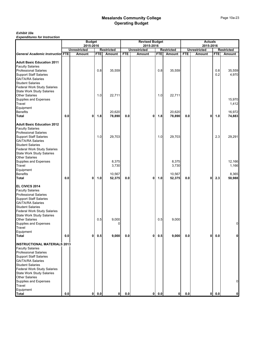## *Exhibit 10a*

|                                                                                                                                                                                                                                                                                                        |         | <b>Budget</b>                        |            |                                    |            | <b>Revised Budget</b>         |            |                                    |            | <b>Actuals</b>                |            |                                    |
|--------------------------------------------------------------------------------------------------------------------------------------------------------------------------------------------------------------------------------------------------------------------------------------------------------|---------|--------------------------------------|------------|------------------------------------|------------|-------------------------------|------------|------------------------------------|------------|-------------------------------|------------|------------------------------------|
|                                                                                                                                                                                                                                                                                                        |         | 2015-2016                            |            |                                    |            | 2015-2016                     |            |                                    |            | 2015-2016                     |            |                                    |
| <b>General Academic Instruction FTE</b>                                                                                                                                                                                                                                                                |         | <b>Unrestricted</b><br><b>Amount</b> | <b>FTE</b> | <b>Restricted</b><br>Amount        | <b>FTE</b> | <b>Unrestricted</b><br>Amount | <b>FTE</b> | <b>Restricted</b><br>Amount        | <b>FTE</b> | <b>Unrestricted</b><br>Amount | <b>FTE</b> | <b>Restricted</b><br>Amount        |
|                                                                                                                                                                                                                                                                                                        |         |                                      |            |                                    |            |                               |            |                                    |            |                               |            |                                    |
| <b>Adult Basic Education 2011</b><br><b>Faculty Salaries</b><br><b>Professional Salaries</b><br><b>Support Staff Salaries</b><br><b>GA/TA/RA Salaries</b><br><b>Student Salaries</b><br>Federal Work Study Salaries                                                                                    |         |                                      | 0.8        | 35,559                             |            |                               | 0.8        | 35,559                             |            |                               | 0.8<br>0.2 | 35,559<br>4,970                    |
| <b>State Work Study Salaries</b><br><b>Other Salaries</b><br>Supplies and Expenses<br>Travel<br>Equipment                                                                                                                                                                                              |         |                                      | 1.0        | 22,711                             |            |                               | 1.0        | 22,711                             |            |                               |            | 15,970<br>1,412                    |
| <b>Benefits</b>                                                                                                                                                                                                                                                                                        |         |                                      |            | 20,620                             |            |                               |            | 20,620                             |            |                               |            | 16,972                             |
| <b>Total</b>                                                                                                                                                                                                                                                                                           | 0.0     | 0                                    | 1.8        | 78,890                             | 0.0        | 0                             | 1.8        | 78,890                             | 0.0        | $\mathbf{0}$                  | 1.0        | 74,883                             |
|                                                                                                                                                                                                                                                                                                        |         |                                      |            |                                    |            |                               |            |                                    |            |                               |            |                                    |
| <b>Adult Basic Education 2012</b><br><b>Faculty Salaries</b><br><b>Professional Salaries</b><br><b>Support Staff Salaries</b><br><b>GA/TA/RA Salaries</b><br><b>Student Salaries</b><br>Federal Work Study Salaries                                                                                    |         |                                      | 1.0        | 29,703                             |            |                               | $1.0$      | 29,703                             |            |                               | 2.3        | 29,291                             |
| State Work Study Salaries<br><b>Other Salaries</b><br>Supplies and Expenses<br>Travel<br>Equipment<br><b>Benefits</b><br><b>Total</b>                                                                                                                                                                  | 0.0     | 0                                    | 1.0        | 8,375<br>3,730<br>10,567<br>52,375 | 0.0        | 0                             | 1.0        | 8,375<br>3,730<br>10,567<br>52,375 | 0.0        | 0                             | 2.3        | 12,166<br>1,166<br>8,365<br>50,988 |
| EL CIVICS 2014<br><b>Faculty Salaries</b><br><b>Professional Salaries</b><br><b>Support Staff Salaries</b><br><b>GA/TA/RA Salaries</b><br><b>Student Salaries</b><br>Federal Work Study Salaries<br>State Work Study Salaries<br><b>Other Salaries</b><br>Supplies and Expenses<br>Travel<br>Equipment |         |                                      | 0.5        | 9,000<br>0                         |            |                               | 0.5        | 9,000                              |            |                               |            | 0                                  |
| <b>Total</b>                                                                                                                                                                                                                                                                                           | 0.0     | 0                                    | 0.5        | 9,000                              | 0.0        | 0                             | 0.5        | 9,000                              | 0.0        | ٥I                            | 0.0        | 0                                  |
| <b>INSTRUCTIONAL MATERIALS 2013</b><br><b>Faculty Salaries</b><br><b>Professional Salaries</b><br><b>Support Staff Salaries</b><br><b>GA/TA/RA Salaries</b><br><b>Student Salaries</b><br>Federal Work Study Salaries<br><b>State Work Study Salaries</b><br><b>Other Salaries</b>                     |         |                                      |            |                                    |            |                               |            |                                    |            |                               |            |                                    |
| Supplies and Expenses                                                                                                                                                                                                                                                                                  |         |                                      |            |                                    |            |                               |            |                                    |            |                               |            | $\overline{0}$                     |
| Travel<br>Equipment<br><b>Total</b>                                                                                                                                                                                                                                                                    | $0.0\,$ | $\mathbf{0}$                         | $0.0\,$    | 0                                  | 0.0        | οI                            | $0.0\,$    | $\mathbf 0$                        | 0.0        |                               | 0 0.0      | 0                                  |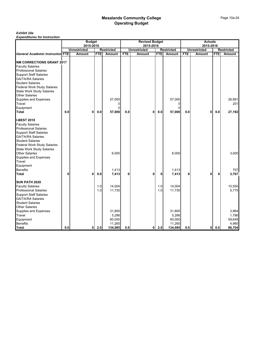#### *Exhibit 10a*

|                                         |          | <b>Budget</b>       |            |                   |            | <b>Revised Budget</b> |            |                   |            | <b>Actuals</b>      |            |                   |
|-----------------------------------------|----------|---------------------|------------|-------------------|------------|-----------------------|------------|-------------------|------------|---------------------|------------|-------------------|
|                                         |          | 2015-2016           |            |                   |            | 2015-2016             |            |                   |            | 2015-2016           |            |                   |
|                                         |          | <b>Unrestricted</b> |            | <b>Restricted</b> |            | <b>Unrestricted</b>   |            | <b>Restricted</b> |            | <b>Unrestricted</b> |            | <b>Restricted</b> |
| <b>General Academic Instruction FTE</b> |          | Amount              | <b>FTE</b> | Amount            | <b>FTE</b> | Amount                | <b>FTE</b> | Amount            | <b>FTE</b> | Amount              | <b>FTE</b> | <b>Amount</b>     |
|                                         |          |                     |            |                   |            |                       |            |                   |            |                     |            |                   |
| <b>NM CORRECTIONS GRANT 2017</b>        |          |                     |            |                   |            |                       |            |                   |            |                     |            |                   |
| <b>Faculty Salaries</b>                 |          |                     |            |                   |            |                       |            |                   |            |                     |            |                   |
| <b>Professional Salaries</b>            |          |                     |            |                   |            |                       |            |                   |            |                     |            |                   |
| <b>Support Staff Salaries</b>           |          |                     |            |                   |            |                       |            |                   |            |                     |            |                   |
| <b>GA/TA/RA Salaries</b>                |          |                     |            |                   |            |                       |            |                   |            |                     |            |                   |
| <b>Student Salaries</b>                 |          |                     |            |                   |            |                       |            |                   |            |                     |            |                   |
| Federal Work Study Salaries             |          |                     |            |                   |            |                       |            |                   |            |                     |            |                   |
| <b>State Work Study Salaries</b>        |          |                     |            |                   |            |                       |            |                   |            |                     |            |                   |
| <b>Other Salaries</b>                   |          |                     |            |                   |            |                       |            |                   |            |                     |            |                   |
| Supplies and Expenses                   |          |                     |            | 57,000            |            |                       |            | 57,000            |            |                     |            | 26,991            |
| Travel                                  |          |                     |            | $\Omega$          |            |                       |            | 0                 |            |                     |            | 201               |
| Equipment                               |          |                     |            | $\Omega$          |            |                       |            | $\Omega$          |            |                     |            |                   |
| <b>Total</b>                            | 0.0      | 0                   | 0.0        | 57,000            | 0.0        | 0                     | 0.0        | 57,000            | 0.0        | 0                   | 0.0        | 27,192            |
| <b>I-BEST 2018</b>                      |          |                     |            |                   |            |                       |            |                   |            |                     |            |                   |
| <b>Faculty Salaries</b>                 |          |                     |            |                   |            |                       |            |                   |            |                     |            |                   |
| <b>Professional Salaries</b>            |          |                     |            |                   |            |                       |            |                   |            |                     |            |                   |
| <b>Support Staff Salaries</b>           |          |                     |            |                   |            |                       |            |                   |            |                     |            |                   |
| <b>GA/TA/RA Salaries</b>                |          |                     |            |                   |            |                       |            |                   |            |                     |            |                   |
| <b>Student Salaries</b>                 |          |                     |            |                   |            |                       |            |                   |            |                     |            |                   |
| Federal Work Study Salaries             |          |                     |            |                   |            |                       |            |                   |            |                     |            |                   |
| <b>State Work Study Salaries</b>        |          |                     |            |                   |            |                       |            |                   |            |                     |            |                   |
| <b>Other Salaries</b>                   |          |                     |            | 6,000             |            |                       |            | 6,000             |            |                     |            | 3,000             |
| Supplies and Expenses                   |          |                     |            |                   |            |                       |            |                   |            |                     |            |                   |
| Travel                                  |          |                     |            |                   |            |                       |            |                   |            |                     |            |                   |
| Equipment                               |          |                     |            |                   |            |                       |            |                   |            |                     |            |                   |
| <b>Benefits</b>                         |          |                     |            | 1,413             |            |                       |            | 1,413             |            |                     |            | 707               |
| <b>Total</b>                            | $\bf{0}$ | 0                   | 0.0        | 7,413             | 0          | 0                     | 0          | 7,413             | 0          | 0                   | 0          | 3,707             |
|                                         |          |                     |            |                   |            |                       |            |                   |            |                     |            |                   |
| <b>SUN PATH 2020</b>                    |          |                     |            |                   |            |                       |            |                   |            |                     |            |                   |
| <b>Faculty Salaries</b>                 |          |                     | 1.0        | 14,004            |            |                       | 1.0        | 14,004            |            |                     |            | 10,550            |
| <b>Professional Salaries</b>            |          |                     | 1.0        | 11,730            |            |                       | 1.0        | 11,730            |            |                     |            | 5,775             |
| <b>Support Staff Salaries</b>           |          |                     |            |                   |            |                       |            |                   |            |                     |            |                   |
| <b>GA/TA/RA Salaries</b>                |          |                     |            |                   |            |                       |            |                   |            |                     |            |                   |
| <b>Student Salaries</b>                 |          |                     |            |                   |            |                       |            |                   |            |                     |            |                   |
| <b>Other Salaries</b>                   |          |                     |            |                   |            |                       |            |                   |            |                     |            |                   |
| Supplies and Expenses                   |          |                     |            | 31,800            |            |                       |            | 31,800            |            |                     |            | 3,964             |
| Travel                                  |          |                     |            | 5,286             |            |                       |            | 5,286             |            |                     |            | 1,786             |
| Equipment                               |          |                     |            | 60,000            |            |                       |            | 60,000            |            |                     |            | 59,649            |
| <b>Benefits</b>                         |          |                     |            | 11,265            |            |                       |            | 11,265            |            |                     |            | 4,980             |
| <b>Total</b>                            | 0.0      | 0                   | 2.0        | 134,085           | 0.0        | 01                    | 2.0        | 134,085           | 0.0        | 0                   | 0.0        | 86,704            |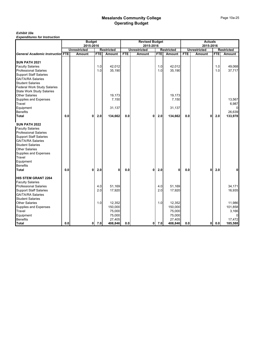#### *Exhibit 10a*

|                                                         |     | <b>Budget</b>       |            |                   |            | <b>Revised Budget</b> |            |                   |            | <b>Actuals</b>      |            |                   |
|---------------------------------------------------------|-----|---------------------|------------|-------------------|------------|-----------------------|------------|-------------------|------------|---------------------|------------|-------------------|
|                                                         |     | 2015-2016           |            |                   |            | 2015-2016             |            |                   |            | 2015-2016           |            |                   |
|                                                         |     | <b>Unrestricted</b> |            | <b>Restricted</b> |            | <b>Unrestricted</b>   |            | <b>Restricted</b> |            | <b>Unrestricted</b> |            | <b>Restricted</b> |
| <b>General Academic Instruction FTE</b>                 |     | Amount              | <b>FTE</b> | Amount            | <b>FTE</b> | Amount                | <b>FTE</b> | Amount            | <b>FTE</b> | Amount              | <b>FTE</b> | Amount            |
| <b>SUN PATH 2021</b>                                    |     |                     |            |                   |            |                       |            |                   |            |                     |            |                   |
|                                                         |     |                     |            |                   |            |                       | 1.0        |                   |            |                     | 1.0        |                   |
| <b>Faculty Salaries</b><br><b>Professional Salaries</b> |     |                     | 1.0<br>1.0 | 42,012<br>35,190  |            |                       | 1.0        | 42,012<br>35,190  |            |                     | 1.0        | 49,068<br>37,717  |
| <b>Support Staff Salaries</b>                           |     |                     |            |                   |            |                       |            |                   |            |                     |            |                   |
| <b>GA/TA/RA Salaries</b>                                |     |                     |            |                   |            |                       |            |                   |            |                     |            |                   |
| <b>Student Salaries</b>                                 |     |                     |            |                   |            |                       |            |                   |            |                     |            |                   |
| <b>Federal Work Study Salaries</b>                      |     |                     |            |                   |            |                       |            |                   |            |                     |            |                   |
| <b>State Work Study Salaries</b>                        |     |                     |            |                   |            |                       |            |                   |            |                     |            |                   |
| <b>Other Salaries</b>                                   |     |                     |            | 19,173            |            |                       |            | 19,173            |            |                     |            |                   |
| Supplies and Expenses                                   |     |                     |            | 7,150             |            |                       |            | 7,150             |            |                     |            | 13,567            |
| Travel                                                  |     |                     |            |                   |            |                       |            |                   |            |                     |            | 6,987             |
| Equipment                                               |     |                     |            | 31,137            |            |                       |            | 31,137            |            |                     |            |                   |
| <b>Benefits</b>                                         |     |                     |            |                   |            |                       |            |                   |            |                     |            | 26,639            |
| Total                                                   | 0.0 | 0                   | 2.0        | 134,662           | 0.0        | 0                     | 2.0        | 134,662           | 0.0        | 0                   | 2.0        | 133,978           |
|                                                         |     |                     |            |                   |            |                       |            |                   |            |                     |            |                   |
| SUN PATH 2022                                           |     |                     |            |                   |            |                       |            |                   |            |                     |            |                   |
| <b>Faculty Salaries</b>                                 |     |                     |            |                   |            |                       |            |                   |            |                     |            |                   |
| <b>Professional Salaries</b>                            |     |                     |            |                   |            |                       |            |                   |            |                     |            |                   |
| <b>Support Staff Salaries</b>                           |     |                     |            |                   |            |                       |            |                   |            |                     |            |                   |
| <b>GA/TA/RA Salaries</b>                                |     |                     |            |                   |            |                       |            |                   |            |                     |            |                   |
| <b>Student Salaries</b>                                 |     |                     |            |                   |            |                       |            |                   |            |                     |            |                   |
| <b>Other Salaries</b>                                   |     |                     |            |                   |            |                       |            |                   |            |                     |            |                   |
| Supplies and Expenses                                   |     |                     |            |                   |            |                       |            |                   |            |                     |            |                   |
| Travel                                                  |     |                     |            |                   |            |                       |            |                   |            |                     |            |                   |
| Equipment                                               |     |                     |            |                   |            |                       |            |                   |            |                     |            |                   |
| <b>Benefits</b>                                         |     |                     |            |                   |            |                       |            |                   |            |                     |            |                   |
| Total                                                   | 0.0 | 0                   | 2.0        | 0                 | 0.0        | 0                     | 2.0        | 0                 | 0.0        | $\mathbf{0}$        | 2.0        | 0                 |
| HIS STEM GRANT 2264                                     |     |                     |            |                   |            |                       |            |                   |            |                     |            |                   |
| <b>Faculty Salaries</b>                                 |     |                     |            |                   |            |                       |            |                   |            |                     |            |                   |
| <b>Professional Salaries</b>                            |     |                     | 4.0        | 51,169            |            |                       | 4.0        | 51,169            |            |                     |            | 34,171            |
| <b>Support Staff Salaries</b>                           |     |                     | 2.0        | 17,920            |            |                       | 2.0        | 17,920            |            |                     |            | 16,935            |
| <b>GA/TA/RA Salaries</b>                                |     |                     |            |                   |            |                       |            |                   |            |                     |            |                   |
| <b>Student Salaries</b>                                 |     |                     |            |                   |            |                       |            |                   |            |                     |            |                   |
| <b>Other Salaries</b>                                   |     |                     | 1.0        | 12,352            |            |                       | 1.0        | 12,352            |            |                     |            | 11,986            |
| Supplies and Expenses                                   |     |                     |            | 150,000           |            |                       |            | 150,000           |            |                     |            | 101,858           |
| Travel                                                  |     |                     |            | 75,000            |            |                       |            | 75,000            |            |                     |            | 3,166             |
| Equipment                                               |     |                     |            | 75,000            |            |                       |            | 75,000            |            |                     |            |                   |
| <b>Benefits</b>                                         |     |                     |            | 27,405            |            |                       |            | 27,405            |            |                     |            | 17,472            |
| Total                                                   | 0.0 | Οl                  | 7.0        | 408,846           | 0.0        | 0                     | 7.0        | 408,846           | 0.0        | 0                   | 0.0        | 185,588           |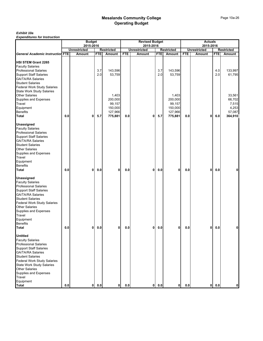#### *Exhibit 10a*

|                                                                                                                                                                                                                                                                                                            |     | <b>Budget</b>                    |            |                                                             |            | <b>Revised Budget</b>            |            |                                                             |            | <b>Actuals</b>                   |            |                                                         |
|------------------------------------------------------------------------------------------------------------------------------------------------------------------------------------------------------------------------------------------------------------------------------------------------------------|-----|----------------------------------|------------|-------------------------------------------------------------|------------|----------------------------------|------------|-------------------------------------------------------------|------------|----------------------------------|------------|---------------------------------------------------------|
|                                                                                                                                                                                                                                                                                                            |     | 2015-2016<br><b>Unrestricted</b> |            | <b>Restricted</b>                                           |            | 2015-2016<br><b>Unrestricted</b> |            | <b>Restricted</b>                                           |            | 2015-2016<br><b>Unrestricted</b> |            | <b>Restricted</b>                                       |
| <b>General Academic Instruction FTE</b>                                                                                                                                                                                                                                                                    |     | <b>Amount</b>                    | <b>FTE</b> | Amount                                                      | <b>FTE</b> | Amount                           | <b>FTE</b> | Amount                                                      | <b>FTE</b> | Amount                           | <b>FTE</b> | Amount                                                  |
|                                                                                                                                                                                                                                                                                                            |     |                                  |            |                                                             |            |                                  |            |                                                             |            |                                  |            |                                                         |
| <b>HSI STEM Grant 2265</b><br><b>Faculty Salaries</b><br><b>Professional Salaries</b><br><b>Support Staff Salaries</b><br><b>GA/TA/RA Salaries</b><br><b>Student Salaries</b><br>Federal Work Study Salaries                                                                                               |     |                                  | 3.7<br>2.0 | 143,596<br>53,759                                           |            |                                  | 3.7<br>2.0 | 143,596<br>53,759                                           |            |                                  | 4.0<br>2.0 | 133,997<br>61,795                                       |
| <b>State Work Study Salaries</b><br><b>Other Salaries</b><br>Supplies and Expenses<br>Travel<br>Equipment<br><b>Benefits</b><br><b>Total</b>                                                                                                                                                               | 0.0 | 0                                | 5.7        | 1,403<br>200,000<br>99,157<br>150,000<br>127,966<br>775,881 | 0.0        | 0                                | 5.7        | 1,403<br>200,000<br>99,157<br>150,000<br>127,966<br>775,881 | 0.0        | 0                                | 6.0        | 33,561<br>66,702<br>7,515<br>4,253<br>57,087<br>364,910 |
| Unassigned<br><b>Faculty Salaries</b><br><b>Professional Salaries</b><br><b>Support Staff Salaries</b><br><b>GA/TA/RA Salaries</b><br><b>Student Salaries</b><br><b>Other Salaries</b><br>Supplies and Expenses<br>Travel<br>Equipment<br><b>Benefits</b><br><b>Total</b>                                  | 0.0 | 0                                | 0.0        | $\mathbf{0}$                                                | 0.0        | 0                                | 0.0        | 0                                                           | 0.0        | 0                                | 0.0        | 0                                                       |
| Unassigned<br><b>Faculty Salaries</b><br><b>Professional Salaries</b><br><b>Support Staff Salaries</b><br><b>GA/TA/RA Salaries</b><br><b>Student Salaries</b><br>Federal Work Study Salaries<br><b>Other Salaries</b><br>Supplies and Expenses<br>Travel<br>Equipment<br><b>Benefits</b>                   |     |                                  |            |                                                             |            |                                  |            |                                                             |            |                                  |            |                                                         |
| <b>Total</b><br><b>Untitled</b><br><b>Faculty Salaries</b><br><b>Professional Salaries</b><br><b>Support Staff Salaries</b><br><b>GA/TA/RA Salaries</b><br><b>Student Salaries</b><br>Federal Work Study Salaries<br>State Work Study Salaries<br><b>Other Salaries</b><br>Supplies and Expenses<br>Travel | 0.0 | 0                                | 0.0        | 0                                                           | 0.0        | 0                                | 0.0        | 0                                                           | 0.0        | 0                                | 0.0        | N                                                       |
| Equipment<br><b>Total</b>                                                                                                                                                                                                                                                                                  | 0.0 | 0                                | 0.0        | $\mathbf{0}$                                                | 0.0        | 0                                | 0.0        | 0                                                           | 0.0        | 0                                | 0.0        | $\mathbf{0}$                                            |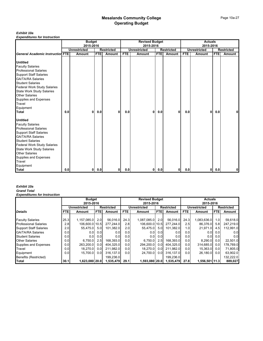#### *Exhibit 10a*

*Expenditures for Instruction*

|                                         |     | <b>Budget</b>       |                |                   |            | <b>Revised Budget</b> |            |                   |            | <b>Actuals</b>      |            |                   |
|-----------------------------------------|-----|---------------------|----------------|-------------------|------------|-----------------------|------------|-------------------|------------|---------------------|------------|-------------------|
|                                         |     | 2015-2016           |                |                   |            | 2015-2016             |            |                   |            | 2015-2016           |            |                   |
|                                         |     | <b>Unrestricted</b> |                | <b>Restricted</b> |            | <b>Unrestricted</b>   |            | <b>Restricted</b> |            | <b>Unrestricted</b> |            | <b>Restricted</b> |
| <b>General Academic Instruction FTE</b> |     | Amount              | <b>FTE</b>     | Amount            | <b>FTE</b> | Amount                | <b>FTE</b> | Amount            | <b>FTE</b> | Amount              | <b>FTE</b> | Amount            |
|                                         |     |                     |                |                   |            |                       |            |                   |            |                     |            |                   |
| <b>Untitled</b>                         |     |                     |                |                   |            |                       |            |                   |            |                     |            |                   |
| <b>Faculty Salaries</b>                 |     |                     |                |                   |            |                       |            |                   |            |                     |            |                   |
| <b>Professional Salaries</b>            |     |                     |                |                   |            |                       |            |                   |            |                     |            |                   |
| <b>Support Staff Salaries</b>           |     |                     |                |                   |            |                       |            |                   |            |                     |            |                   |
| <b>GA/TA/RA Salaries</b>                |     |                     |                |                   |            |                       |            |                   |            |                     |            |                   |
| <b>Student Salaries</b>                 |     |                     |                |                   |            |                       |            |                   |            |                     |            |                   |
| <b>Federal Work Study Salaries</b>      |     |                     |                |                   |            |                       |            |                   |            |                     |            |                   |
| <b>State Work Study Salaries</b>        |     |                     |                |                   |            |                       |            |                   |            |                     |            |                   |
| <b>Other Salaries</b>                   |     |                     |                |                   |            |                       |            |                   |            |                     |            |                   |
| Supplies and Expenses                   |     |                     |                |                   |            |                       |            |                   |            |                     |            |                   |
| Travel                                  |     |                     |                |                   |            |                       |            |                   |            |                     |            |                   |
| Equipment                               |     |                     |                |                   |            |                       |            |                   |            |                     |            |                   |
| <b>Total</b>                            | 0.0 | 0                   | 0.0            | 0                 | 0.0        | 0                     | 0.0        | 0                 | 0.0        | 0                   | 0.0        |                   |
| <b>Untitled</b>                         |     |                     |                |                   |            |                       |            |                   |            |                     |            |                   |
| <b>Faculty Salaries</b>                 |     |                     |                |                   |            |                       |            |                   |            |                     |            |                   |
| <b>Professional Salaries</b>            |     |                     |                |                   |            |                       |            |                   |            |                     |            |                   |
| <b>Support Staff Salaries</b>           |     |                     |                |                   |            |                       |            |                   |            |                     |            |                   |
| <b>GA/TA/RA Salaries</b>                |     |                     |                |                   |            |                       |            |                   |            |                     |            |                   |
| <b>Student Salaries</b>                 |     |                     |                |                   |            |                       |            |                   |            |                     |            |                   |
| <b>Federal Work Study Salaries</b>      |     |                     |                |                   |            |                       |            |                   |            |                     |            |                   |
| <b>State Work Study Salaries</b>        |     |                     |                |                   |            |                       |            |                   |            |                     |            |                   |
| <b>Other Salaries</b>                   |     |                     |                |                   |            |                       |            |                   |            |                     |            |                   |
| Supplies and Expenses                   |     |                     |                |                   |            |                       |            |                   |            |                     |            |                   |
| Travel                                  |     |                     |                |                   |            |                       |            |                   |            |                     |            |                   |
| Equipment                               |     |                     |                |                   |            |                       |            |                   |            |                     |            |                   |
| Total                                   | 0.0 |                     | 0 <sub>0</sub> | 0                 | 0.0        | 0I                    | 0.0        | $\mathbf{0}$      | 0.0        | 01                  | 0.0        | 0                 |

#### *Exhibit 10a Grand Total*

|                               |            | <b>Budget</b>       |            |                   |                  | <b>Revised Budget</b> |            |                   |                  | <b>Actuals</b>      |                  |                   |
|-------------------------------|------------|---------------------|------------|-------------------|------------------|-----------------------|------------|-------------------|------------------|---------------------|------------------|-------------------|
|                               |            | 2015-2016           |            |                   |                  | 2015-2016             |            |                   |                  | 2015-2016           |                  |                   |
|                               |            | <b>Unrestricted</b> |            | <b>Restricted</b> |                  | <b>Unrestricted</b>   |            | <b>Restricted</b> |                  | <b>Unrestricted</b> |                  | <b>Restricted</b> |
| <b>Details</b>                | <b>FTE</b> | Amount              | <b>FTE</b> | Amount            | FTE              | Amount                | <b>FTE</b> | <b>Amount</b>     | <b>FTE</b>       | Amount              | <b>FTE</b>       | Amount            |
|                               |            |                     |            |                   |                  |                       |            |                   |                  |                     |                  |                   |
| <b>Faculty Salaries</b>       | 25.3       | 1.157.085.0         | 2.01       | 56.016.0          | 24.3             | 1.087.085.0           | 2.0        | 56,016.0          | 24.3             | 1,083,636.0         | 1.0 <sub>l</sub> | 59,618.0          |
| <b>Professional Salaries</b>  | 2.8        | 106.600.0 10.5      |            | 277.244.0         | 2.8              | 106.600.0 10.5        |            | 277.244.0         | 2.5              | 86.376.0            | 5.8              | 247.219.0         |
| <b>Support Staff Salaries</b> | 2.0        | 55.475.0            | 5.0        | 101.382.0         | 2.0 <sub>l</sub> | 55.475.0              | 5.0        | 101.382.0         | 1.0 <sub>l</sub> | 21,971.0            | 4.5              | 112,991.0         |
| <b>GA/TA/RA Salaries</b>      | 0.0        | 0.01                | 0.01       | 0.01              | 0.0              | 0.01                  | 0.0        | 0.0               | 0.0 <sub>l</sub> | 0.01                | 0.0              | 0.0               |
| <b>Student Salaries</b>       | 0.0        | 0.01                | 0.01       | 0.01              | 0.01             | 0.01                  | 0.0        | 0.0               | 0.01             | 0.01                | 0.0              | 0.0               |
| <b>Other Salaries</b>         | 0.0        | 6.750.0             | 2.5        | 168.393.0         | 0.01             | 6.750.0               | 2.5        | 168.393.0         | 0.0              | 8.290.0             | 0.0              | 22,501.0          |
| Supplies and Expenses         | 0.0        | 263.200.0           | 0.0        | 404.325.0         | 0.01             | 294.200.0             | 0.0        | 404.325.0         | 0.0              | 314.685.0           | 0.0              | 178,769.0         |
| Travel                        | 0.0        | 18.270.0            | 0.0        | 211.982.0         | 0.01             | 18.270.0              | 0.0        | 211.982.0         | 0.0 <sub>l</sub> | 15.363.0            | 0.0              | 71,805.0          |
| Equipment                     | 0.0        | 15.700.0            | 0.0        | 316.137.0         | 0.01             | 24.700.0              | 0.0        | 316.137.0         | 0.01             | 26.180.0            | 0.0              | 63,902.0          |
| Benefits (Restricted)         |            |                     |            | 199.236.0         |                  |                       |            | 199.236.0         |                  |                     |                  | 132.222.0         |
| Total                         | 30.1       | 1,623,080 20.0      |            | 1,535,479         | 29.1             | 1,593,080 20.0        |            | 1,535,479         | 27.8             | 1,556,501 11.3      |                  | 889,027           |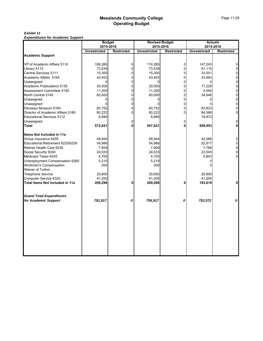*Exhibit 11 Expenditures for Academic Support*

| <b>Lybenatures for Academic Support</b> | <b>Budget</b><br>2015-2016 |                   | <b>Revised Budget</b> | 2015-2016         |                     | <b>Actuals</b><br>2015-2016 |
|-----------------------------------------|----------------------------|-------------------|-----------------------|-------------------|---------------------|-----------------------------|
|                                         | <b>Unrestricted</b>        | <b>Restricted</b> | <b>Unrestricted</b>   | <b>Restricted</b> | <b>Unrestricted</b> | <b>Restricted</b>           |
| <b>Academic Support</b>                 |                            |                   |                       |                   |                     |                             |
| VP of Academic Affairs 5110             | 199,265                    | 0                 | 174,265               | $\overline{0}$    | 147,243             | $\Omega$                    |
| Library 5115                            | 73,539                     | $\Omega$          | 73,539                | $\Omega$          | 81,115              | $\mathbf 0$                 |
| Central Services 5111                   | 15,300                     | 0                 | 15,300                | 0                 | 33,501              | 0                           |
| Academic Affairs 5165                   | 43,453                     | $\Omega$          | 43,453                | $\Omega$          | 43,883              | $\mathbf 0$                 |
| Unassigned                              | $\Omega$                   | 0                 | 0                     | 0                 | $\Omega$            | $\mathsf{O}\xspace$         |
| Academic Publications 5135              | 20,000                     | $\Omega$          | 20,000                | $\Omega$          | 17,229              | 0                           |
| Assessment Committee 5140               | 11,200                     | 0                 | 11,200                | 0                 | 4,054               | 0                           |
| North Central 5145                      | 60,000                     | 0                 | 60,000                | $\mathbf 0$       | 34,646              | 0                           |
| Unassigned                              | 0                          | 0                 | 0                     | $\Omega$          |                     | $\mathbf 0$                 |
| Unassigned                              | $\Omega$                   | 0                 | $\Omega$              | $\Omega$          | O                   | $\mathbf 0$                 |
| Dinosaur Museum 5160                    | 60,752                     | 0                 | 60,752                | 0                 | 93,823              | 0                           |
| Director of Academic Affairs 5180       | 80,222                     | $\Omega$          | 80,222                | $\Omega$          | 84,586              | 0                           |
| <b>Educational Services 5112</b>        | 8,890                      |                   | 8,890                 |                   | 18,873              |                             |
| Unassigned                              |                            | 0                 |                       | $\Omega$          |                     | $\Omega$                    |
| Total                                   | 572,621                    | 0                 | 547,621               | $\mathbf{0}$      | 558,953             | 0                           |
| Items Not Included in 11a               |                            |                   |                       |                   |                     |                             |
| Group Insurance 6205                    | 48,944                     |                   | 48,944                |                   | 42,066              | 0                           |
| Educational Retirement 6225/6230        | 54,986                     |                   | 54,986                |                   | 52,817              | 0                           |
| Retiree Health Care 6235                | 7,909                      |                   | 7,909                 |                   | 7,788               | $\Omega$                    |
| Social Security 6240                    | 24,533                     |                   | 24,533                |                   | 23,545              | 0                           |
| Medicare Taxes 6245                     | 5,705                      |                   | 5,705                 |                   | 5,603               |                             |
| Unemployment Compensation 6260          | 5,219                      |                   | 5,219                 |                   | 0                   |                             |
| Workmen's Compensation                  | 200                        |                   | 200                   |                   |                     |                             |
| Waiver of Tuition                       |                            |                   |                       |                   |                     |                             |
| Telephone Service                       | 20,600                     |                   | 20,600                |                   | 20,600              |                             |
| Computer Service 6320                   | 41,200                     |                   | 41,200                |                   | 41,200              |                             |
| Total Items Not Included in 11a         | 209,296                    | 0                 | 209,296               | 0                 | 193,619             | 0                           |
| <b>Grand Total Expenditures</b>         |                            |                   |                       |                   |                     |                             |
| for Academic Support                    | 781,917                    | 0                 | 756,917               | 0                 | 752,572             | 0                           |
|                                         |                            |                   |                       |                   |                     |                             |
|                                         |                            |                   |                       |                   |                     |                             |
|                                         |                            |                   |                       |                   |                     |                             |
|                                         |                            |                   |                       |                   |                     |                             |
|                                         |                            |                   |                       |                   |                     |                             |
|                                         |                            |                   |                       |                   |                     |                             |
|                                         |                            |                   |                       |                   |                     |                             |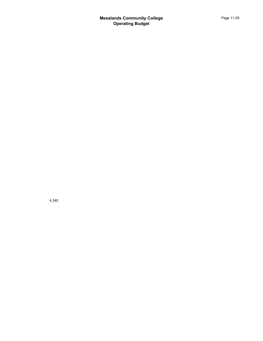4,345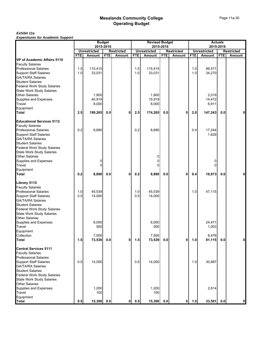#### *Exhibit 11a Expenitures for Academic Support*

|                                                          |                  |                                      | <b>Budget</b> |                             |            | <b>Revised Budget</b>                |            |                             |            |                               | <b>Actuals</b> |                                    |
|----------------------------------------------------------|------------------|--------------------------------------|---------------|-----------------------------|------------|--------------------------------------|------------|-----------------------------|------------|-------------------------------|----------------|------------------------------------|
|                                                          |                  |                                      | 2015-2016     |                             |            |                                      | 2015-2016  |                             |            | 2015-2016                     |                |                                    |
|                                                          | <b>FTE</b>       | <b>Unrestricted</b><br><b>Amount</b> | <b>FTE</b>    | <b>Restricted</b><br>Amount | <b>FTE</b> | <b>Unrestricted</b><br><b>Amount</b> | <b>FTE</b> | <b>Restricted</b><br>Amount | <b>FTE</b> | <b>Unrestricted</b><br>Amount | <b>FTE</b>     | <b>Restricted</b><br><b>Amount</b> |
| VP of Academic Affairs 5110                              |                  |                                      |               |                             |            |                                      |            |                             |            |                               |                |                                    |
| <b>Faculty Salaries</b>                                  |                  |                                      |               |                             |            |                                      |            |                             |            |                               |                |                                    |
| <b>Professional Salaries</b>                             | 1.5              | 115,415                              |               |                             | 1.5        | 115,415                              |            |                             | 1.0        | 89,571                        |                |                                    |
| <b>Support Staff Salaries</b>                            | 1.0              | 33,031                               |               |                             | 1.0        | 33,031                               |            |                             | 1.0        | 34,270                        |                |                                    |
| GA/TA/RA Salaries                                        |                  |                                      |               |                             |            |                                      |            |                             |            |                               |                |                                    |
| <b>Student Salaries</b>                                  |                  |                                      |               |                             |            |                                      |            |                             |            |                               |                |                                    |
| <b>Federal Work Study Salaries</b>                       |                  |                                      |               |                             |            |                                      |            |                             |            |                               |                |                                    |
| State Work Study Salaries<br>Other Salaries              |                  |                                      |               |                             |            |                                      |            |                             |            |                               |                |                                    |
|                                                          |                  | 1,900                                |               |                             |            | 1,900                                |            |                             |            | 2,019                         |                |                                    |
| Supplies and Expenses                                    |                  | 40,919                               |               |                             |            | 15,919                               |            |                             |            | 14,472                        |                |                                    |
| Travel                                                   |                  | 8,000                                |               |                             |            | 8,000                                |            |                             |            | 6,911                         |                |                                    |
| Equipment<br><b>Total</b>                                |                  |                                      |               |                             |            |                                      |            |                             |            |                               |                |                                    |
|                                                          | 2.5              | 199,265                              | 0.0           | 0                           | 2.5        | 174,265                              | 0.0        | 0                           | 2.0        | 147,243                       | 0.0            | 0                                  |
| <b>Educational Services 5112</b>                         |                  |                                      |               |                             |            |                                      |            |                             |            |                               |                |                                    |
| <b>Faculty Salaries</b>                                  |                  |                                      |               |                             |            |                                      |            |                             |            |                               |                |                                    |
| <b>Professional Salaries</b>                             | 0.2              | 8,890                                |               |                             | 0.2        | 8,890                                |            |                             | 0.4        | 17,244                        |                |                                    |
| Support Staff Salaries<br>GA/TA/RA Salaries              |                  |                                      |               |                             |            |                                      |            |                             |            | 1,629                         |                |                                    |
|                                                          |                  |                                      |               |                             |            |                                      |            |                             |            |                               |                |                                    |
| <b>Student Salaries</b>                                  |                  |                                      |               |                             |            |                                      |            |                             |            |                               |                |                                    |
| Federal Work Study Salaries<br>State Work Study Salaries |                  |                                      |               |                             |            |                                      |            |                             |            |                               |                |                                    |
|                                                          |                  |                                      |               |                             |            |                                      |            |                             |            |                               |                |                                    |
| <b>Other Salaries</b>                                    |                  |                                      |               |                             |            | 0                                    |            |                             |            |                               |                |                                    |
| Supplies and Expenses<br>Travel                          |                  | 0                                    |               |                             |            | $\Omega$                             |            |                             |            | 0                             |                |                                    |
|                                                          |                  | 0                                    |               |                             |            | 0                                    |            |                             |            | 0                             |                |                                    |
| Equipment<br><b>Total</b>                                |                  |                                      | 0.0           | 0                           |            |                                      |            |                             |            |                               | 0.0            |                                    |
|                                                          | 0.2              | 8,890                                |               |                             | 0.2        | 8,890                                | 0.0        | 0                           | 0.4        | 18,873                        |                | 0                                  |
| Library 5115                                             |                  |                                      |               |                             |            |                                      |            |                             |            |                               |                |                                    |
| <b>Faculty Salaries</b>                                  |                  |                                      |               |                             |            |                                      |            |                             |            |                               |                |                                    |
|                                                          | 1.0 <sub>l</sub> | 45,539                               |               |                             | 1.0        | 45,539                               |            |                             | 1.0        | 47,115                        |                |                                    |
| Professional Salaries<br>Support Staff Salaries          | 0.5              | 14,000                               |               |                             | 0.5        | 14,000                               |            |                             |            |                               |                |                                    |
| GA/TA/RA Salaries                                        |                  |                                      |               |                             |            |                                      |            |                             |            |                               |                |                                    |
| <b>Student Salaries</b>                                  |                  |                                      |               |                             |            |                                      |            |                             |            |                               |                |                                    |
| <b>Federal Work Study Salaries</b>                       |                  |                                      |               |                             |            |                                      |            |                             |            |                               |                |                                    |
| <b>State Work Study Salaries</b>                         |                  |                                      |               |                             |            |                                      |            |                             |            |                               |                |                                    |
| <b>Other Salaries</b>                                    |                  |                                      |               |                             |            |                                      |            |                             |            |                               |                |                                    |
| Supplies and Expenses<br>Travel                          |                  | 6,000                                |               |                             |            | 6,000                                |            |                             |            | 24,471                        |                |                                    |
|                                                          |                  | 500                                  |               |                             |            | 500                                  |            |                             |            | 1,053                         |                |                                    |
| Equipment                                                |                  | 7,500                                |               |                             |            | 7,500                                |            |                             |            | 8,476                         |                |                                    |
| Collection<br>Total                                      | 1.5              | 73,539                               | 0.0           | $\mathbf 0$                 | 1.5        | 73,539                               | 0.0        | $\mathbf{0}$                | 1.0        | 81,115                        | 0.0            | $\mathbf 0$                        |
|                                                          |                  |                                      |               |                             |            |                                      |            |                             |            |                               |                |                                    |
| <b>Central Services 5111</b>                             |                  |                                      |               |                             |            |                                      |            |                             |            |                               |                |                                    |
| <b>Faculty Salaries</b>                                  |                  |                                      |               |                             |            |                                      |            |                             |            |                               |                |                                    |
| <b>Professional Salaries</b>                             |                  |                                      |               |                             |            |                                      |            |                             |            |                               |                |                                    |
| <b>Support Staff Salaries</b>                            | 0.5              | 14,000                               |               |                             | 0.5        | 14,000                               |            |                             | 1.0        | 30,887                        |                |                                    |
| GA/TA/RA Salaries                                        |                  |                                      |               |                             |            |                                      |            |                             |            |                               |                |                                    |
| <b>Student Salaries</b>                                  |                  |                                      |               |                             |            |                                      |            |                             |            |                               |                |                                    |
| <b>Federal Work Study Salaries</b>                       |                  |                                      |               |                             |            |                                      |            |                             |            |                               |                |                                    |
| State Work Study Salaries<br>Other Salaries              |                  |                                      |               |                             |            |                                      |            |                             |            |                               |                |                                    |
|                                                          |                  |                                      |               |                             |            |                                      |            |                             |            |                               |                |                                    |
| Supplies and Expenses                                    |                  | 1,200                                |               |                             |            | 1,200                                |            |                             |            | 2,614                         |                |                                    |
| Travel                                                   |                  | 100                                  |               |                             |            | 100                                  |            |                             |            |                               |                |                                    |
| Equipment<br><b>Total</b>                                | 0.5              | 15,300                               | $0.0\,$       | $\mathbf 0$                 | 0.5        | 15,300                               | 0.0        | $\mathbf 0$                 | 1.0        | 33,501                        | 0.0            | $\mathbf{0}$                       |
|                                                          |                  |                                      |               |                             |            |                                      |            |                             |            |                               |                |                                    |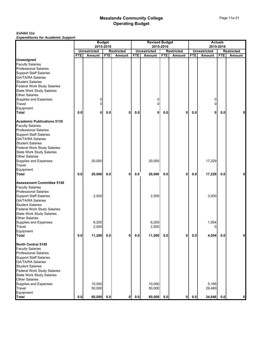#### *Exhibit 11a Expenditures for Academic Support*

|                                    |            |                               | <b>Budget</b> |                             |            | <b>Revised Budget</b>         |            |                                    |            |                               | <b>Actuals</b> |                                    |
|------------------------------------|------------|-------------------------------|---------------|-----------------------------|------------|-------------------------------|------------|------------------------------------|------------|-------------------------------|----------------|------------------------------------|
|                                    |            |                               | 2015-2016     |                             |            |                               | 2015-2016  |                                    |            |                               | 2015-2016      |                                    |
|                                    | <b>FTE</b> | <b>Unrestricted</b><br>Amount | <b>FTE</b>    | <b>Restricted</b><br>Amount | <b>FTE</b> | <b>Unrestricted</b><br>Amount | <b>FTE</b> | <b>Restricted</b><br><b>Amount</b> | <b>FTE</b> | <b>Unrestricted</b><br>Amount | <b>FTE</b>     | <b>Restricted</b><br><b>Amount</b> |
| <b>Unassigned</b>                  |            |                               |               |                             |            |                               |            |                                    |            |                               |                |                                    |
| <b>Faculty Salaries</b>            |            |                               |               |                             |            |                               |            |                                    |            |                               |                |                                    |
| <b>Professional Salaries</b>       |            |                               |               |                             |            |                               |            |                                    |            |                               |                |                                    |
|                                    |            |                               |               |                             |            |                               |            |                                    |            |                               |                |                                    |
| <b>Support Staff Salaries</b>      |            |                               |               |                             |            |                               |            |                                    |            |                               |                |                                    |
| <b>GA/TA/RA Salaries</b>           |            |                               |               |                             |            |                               |            |                                    |            |                               |                |                                    |
| <b>Student Salaries</b>            |            |                               |               |                             |            |                               |            |                                    |            |                               |                |                                    |
| <b>Federal Work Study Salaries</b> |            |                               |               |                             |            |                               |            |                                    |            |                               |                |                                    |
| <b>State Work Study Salaries</b>   |            |                               |               |                             |            |                               |            |                                    |            |                               |                |                                    |
| <b>Other Salaries</b>              |            |                               |               |                             |            |                               |            |                                    |            |                               |                |                                    |
| Supplies and Expenses              |            | 0                             |               |                             |            | 0                             |            |                                    |            | 0                             |                |                                    |
| Travel                             |            | 0                             |               |                             |            | $\Omega$                      |            |                                    |            | 0                             |                |                                    |
| Equipment                          |            |                               |               |                             |            |                               |            |                                    |            |                               |                |                                    |
| <b>Total</b>                       | 0.0        | 0                             | 0.0           | 0                           | 0.0        | 0                             | 0.0        | 0                                  | 0.0        | 0                             | 0.0            |                                    |
| <b>Academic Publications 5135</b>  |            |                               |               |                             |            |                               |            |                                    |            |                               |                |                                    |
| <b>Faculty Salaries</b>            |            |                               |               |                             |            |                               |            |                                    |            |                               |                |                                    |
| <b>Professional Salaries</b>       |            |                               |               |                             |            |                               |            |                                    |            |                               |                |                                    |
| <b>Support Staff Salaries</b>      |            |                               |               |                             |            |                               |            |                                    |            |                               |                |                                    |
| <b>GA/TA/RA Salaries</b>           |            |                               |               |                             |            |                               |            |                                    |            |                               |                |                                    |
| <b>Student Salaries</b>            |            |                               |               |                             |            |                               |            |                                    |            |                               |                |                                    |
| <b>Federal Work Study Salaries</b> |            |                               |               |                             |            |                               |            |                                    |            |                               |                |                                    |
| <b>State Work Study Salaries</b>   |            |                               |               |                             |            |                               |            |                                    |            |                               |                |                                    |
| <b>Other Salaries</b>              |            |                               |               |                             |            |                               |            |                                    |            |                               |                |                                    |
| Supplies and Expenses              |            | 20,000                        |               |                             |            | 20,000                        |            |                                    |            | 17,229                        |                |                                    |
| Travel                             |            |                               |               |                             |            |                               |            |                                    |            |                               |                |                                    |
| Equipment                          |            |                               |               |                             |            |                               |            |                                    |            |                               |                |                                    |
| <b>Total</b>                       | 0.0        | 20,000                        | 0.0           | $\mathbf 0$                 | 0.0        | 20,000                        | 0.0        | 0                                  | 0.0        | 17,229                        | 0.0            |                                    |
| <b>Assessment Committee 5140</b>   |            |                               |               |                             |            |                               |            |                                    |            |                               |                |                                    |
|                                    |            |                               |               |                             |            |                               |            |                                    |            |                               |                |                                    |
| <b>Faculty Salaries</b>            |            |                               |               |                             |            |                               |            |                                    |            |                               |                |                                    |
| <b>Professional Salaries</b>       |            |                               |               |                             |            |                               |            |                                    |            |                               |                |                                    |
| <b>Support Staff Salaries</b>      |            | 2,500                         |               |                             |            | 2,500                         |            |                                    |            | 3,000                         |                |                                    |
| <b>GA/TA/RA Salaries</b>           |            |                               |               |                             |            |                               |            |                                    |            |                               |                |                                    |
| <b>Student Salaries</b>            |            |                               |               |                             |            |                               |            |                                    |            |                               |                |                                    |
| Federal Work Study Salaries        |            |                               |               |                             |            |                               |            |                                    |            |                               |                |                                    |
| <b>State Work Study Salaries</b>   |            |                               |               |                             |            |                               |            |                                    |            |                               |                |                                    |
| <b>Other Salaries</b>              |            |                               |               |                             |            |                               |            |                                    |            |                               |                |                                    |
| Supplies and Expenses              |            | 6,200                         |               |                             |            | 6,200                         |            |                                    |            | 1,054                         |                |                                    |
| Travel                             |            | 2,500                         |               |                             |            | 2,500                         |            |                                    |            |                               |                |                                    |
| Equipment                          |            |                               |               |                             |            |                               |            |                                    |            |                               |                |                                    |
| <b>Total</b>                       | 0.0        | 11,200                        | 0.0           | 0                           | 0.0        | 11,200                        | 0.0        | $\mathbf{0}$                       | $0.0\,$    | 4,054                         | $0.0\,$        | $\mathbf{0}$                       |
| North Central 5145                 |            |                               |               |                             |            |                               |            |                                    |            |                               |                |                                    |
| <b>Faculty Salaries</b>            |            |                               |               |                             |            |                               |            |                                    |            |                               |                |                                    |
| <b>Professional Salaries</b>       |            |                               |               |                             |            |                               |            |                                    |            |                               |                |                                    |
| <b>Support Staff Salaries</b>      |            |                               |               |                             |            |                               |            |                                    |            |                               |                |                                    |
| <b>GA/TA/RA Salaries</b>           |            |                               |               |                             |            |                               |            |                                    |            |                               |                |                                    |
| <b>Student Salaries</b>            |            |                               |               |                             |            |                               |            |                                    |            |                               |                |                                    |
| <b>Federal Work Study Salaries</b> |            |                               |               |                             |            |                               |            |                                    |            |                               |                |                                    |
| <b>State Work Study Salaries</b>   |            |                               |               |                             |            |                               |            |                                    |            |                               |                |                                    |
| <b>Other Salaries</b>              |            |                               |               |                             |            |                               |            |                                    |            |                               |                |                                    |
|                                    |            |                               |               |                             |            |                               |            |                                    |            |                               |                |                                    |
| Supplies and Expenses              |            | 10,000                        |               |                             |            | 10,000                        |            |                                    |            | 5,166                         |                |                                    |
| Travel                             |            | 50,000                        |               |                             |            | 50,000                        |            |                                    |            | 29,480                        |                |                                    |
| Equipment                          |            | 60,000                        |               |                             |            |                               |            |                                    |            |                               |                |                                    |
| <b>Total</b>                       | 0.0        |                               | 0.0           | 0                           | 0.0        | 60,000                        | $0.0\,$    | $\mathbf 0$                        | $0.0\,$    | 34,646                        | 0.0            | $\mathbf{0}$                       |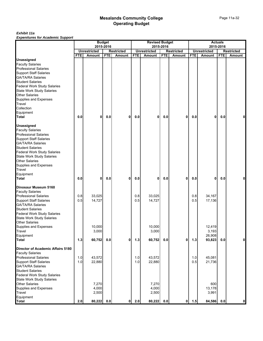#### *Exhibit 11a Expenitures for Academic Support*

|                                                    |            | <b>Budget</b><br>2015-2016 |            |                   |            | <b>Revised Budget</b><br>2015-2016 |            |                   |            |                     | <b>Actuals</b><br>2015-2016 |                   |
|----------------------------------------------------|------------|----------------------------|------------|-------------------|------------|------------------------------------|------------|-------------------|------------|---------------------|-----------------------------|-------------------|
|                                                    |            | <b>Unrestricted</b>        |            | <b>Restricted</b> |            | <b>Unrestricted</b>                |            | <b>Restricted</b> |            | <b>Unrestricted</b> |                             | <b>Restricted</b> |
|                                                    | <b>FTE</b> | Amount                     | <b>FTE</b> | <b>Amount</b>     | <b>FTE</b> | <b>Amount</b>                      | <b>FTE</b> | Amount            | <b>FTE</b> | Amount              | <b>FTE</b>                  | Amount            |
| <b>Unassigned</b>                                  |            |                            |            |                   |            |                                    |            |                   |            |                     |                             |                   |
| <b>Faculty Salaries</b>                            |            |                            |            |                   |            |                                    |            |                   |            |                     |                             |                   |
| <b>Professional Salaries</b>                       |            |                            |            |                   |            |                                    |            |                   |            |                     |                             |                   |
| <b>Support Staff Salaries</b>                      |            |                            |            |                   |            |                                    |            |                   |            |                     |                             |                   |
| <b>GA/TA/RA Salaries</b>                           |            |                            |            |                   |            |                                    |            |                   |            |                     |                             |                   |
| <b>Student Salaries</b>                            |            |                            |            |                   |            |                                    |            |                   |            |                     |                             |                   |
| <b>Federal Work Study Salaries</b>                 |            |                            |            |                   |            |                                    |            |                   |            |                     |                             |                   |
| State Work Study Salaries<br><b>Other Salaries</b> |            |                            |            |                   |            |                                    |            |                   |            |                     |                             |                   |
| Supplies and Expenses                              |            |                            |            |                   |            |                                    |            |                   |            |                     |                             |                   |
| Travel                                             |            |                            |            |                   |            |                                    |            |                   |            |                     |                             |                   |
| Collection                                         |            |                            |            |                   |            |                                    |            |                   |            |                     |                             |                   |
| Equipment                                          |            |                            |            |                   |            |                                    |            |                   |            |                     |                             |                   |
| <b>Total</b>                                       | 0.0        | 0                          | 0.0        | 0                 | 0.0        | 0                                  | 0.0        | 0                 | 0.0        | 0                   | 0.0                         | 0                 |
|                                                    |            |                            |            |                   |            |                                    |            |                   |            |                     |                             |                   |
| <b>Unassigned</b>                                  |            |                            |            |                   |            |                                    |            |                   |            |                     |                             |                   |
| <b>Faculty Salaries</b>                            |            |                            |            |                   |            |                                    |            |                   |            |                     |                             |                   |
| <b>Professional Salaries</b>                       |            |                            |            |                   |            |                                    |            |                   |            |                     |                             |                   |
| <b>Support Staff Salaries</b>                      |            |                            |            |                   |            |                                    |            |                   |            |                     |                             |                   |
| <b>GA/TA/RA Salaries</b>                           |            |                            |            |                   |            |                                    |            |                   |            |                     |                             |                   |
| <b>Student Salaries</b>                            |            |                            |            |                   |            |                                    |            |                   |            |                     |                             |                   |
| Federal Work Study Salaries                        |            |                            |            |                   |            |                                    |            |                   |            |                     |                             |                   |
| State Work Study Salaries                          |            |                            |            |                   |            |                                    |            |                   |            |                     |                             |                   |
| Other Salaries                                     |            |                            |            |                   |            |                                    |            |                   |            |                     |                             |                   |
| Supplies and Expenses                              |            |                            |            |                   |            |                                    |            |                   |            |                     |                             |                   |
| Travel                                             |            |                            |            |                   |            |                                    |            |                   |            |                     |                             |                   |
| Equipment<br><b>Total</b>                          | 0.0        | 0                          | 0.0        | 0                 | 0.0        | 0                                  |            | 0                 |            | 0                   | 0.0                         | 0                 |
|                                                    |            |                            |            |                   |            |                                    | $0.0\,$    |                   | 0.0        |                     |                             |                   |
| Dinosaur Museum 5160                               |            |                            |            |                   |            |                                    |            |                   |            |                     |                             |                   |
| <b>Faculty Salaries</b>                            |            |                            |            |                   |            |                                    |            |                   |            |                     |                             |                   |
| <b>Professional Salaries</b>                       | 0.8        | 33,025                     |            |                   | 0.8        | 33,025                             |            |                   | 0.8        | 34,167              |                             |                   |
| <b>Support Staff Salaries</b>                      | 0.5        | 14,727                     |            |                   | 0.5        | 14,727                             |            |                   | 0.5        | 17,136              |                             |                   |
| <b>GA/TA/RA Salaries</b>                           |            |                            |            |                   |            |                                    |            |                   |            |                     |                             |                   |
| <b>Student Salaries</b>                            |            |                            |            |                   |            |                                    |            |                   |            |                     |                             |                   |
| Federal Work Study Salaries                        |            |                            |            |                   |            |                                    |            |                   |            |                     |                             |                   |
| <b>State Work Study Salaries</b>                   |            |                            |            |                   |            |                                    |            |                   |            |                     |                             |                   |
| <b>Other Salaries</b>                              |            |                            |            |                   |            |                                    |            |                   |            |                     |                             |                   |
| Supplies and Expenses                              |            | 10,000                     |            |                   |            | 10,000                             |            |                   |            | 12,419              |                             |                   |
| <b>Travel</b>                                      |            | 3,000                      |            |                   |            | 3,000                              |            |                   |            | 3,193               |                             |                   |
| Equipment                                          |            |                            |            |                   |            |                                    |            |                   |            | 26,908              |                             |                   |
| <b>Total</b>                                       | 1.3        | 60,752                     | 0.0        | $\mathbf{0}$      | $1.3$      | 60,752                             | 0.0        | $\mathbf{0}$      | $1.3$      | 93,823              | 0.0                         | $\mathbf 0$       |
| <b>Director of Academic Affairs 5180</b>           |            |                            |            |                   |            |                                    |            |                   |            |                     |                             |                   |
| <b>Faculty Salaries</b>                            |            |                            |            |                   |            |                                    |            |                   |            |                     |                             |                   |
| <b>Professional Salaries</b>                       | 1.0        | 43,572                     |            |                   | 1.0        | 43,572                             |            |                   | 1.0        | 45,081              |                             |                   |
| <b>Support Staff Salaries</b>                      | 1.0        | 22,880                     |            |                   | 1.0        | 22,880                             |            |                   | 0.5        | 21,736              |                             |                   |
| <b>GA/TA/RA Salaries</b>                           |            |                            |            |                   |            |                                    |            |                   |            |                     |                             |                   |
| <b>Student Salaries</b>                            |            |                            |            |                   |            |                                    |            |                   |            |                     |                             |                   |
| Federal Work Study Salaries                        |            |                            |            |                   |            |                                    |            |                   |            |                     |                             |                   |
| <b>State Work Study Salaries</b>                   |            |                            |            |                   |            |                                    |            |                   |            |                     |                             |                   |
| <b>Other Salaries</b>                              |            | 7,270                      |            |                   |            | 7,270                              |            |                   |            | 600                 |                             |                   |
| Supplies and Expenses                              |            | 4,000                      |            |                   |            | 4,000                              |            |                   |            | 13,178              |                             |                   |
| Travel                                             |            | 2,500                      |            |                   |            | 2,500                              |            |                   |            | 3,991               |                             |                   |
| Equipment                                          |            |                            |            |                   |            |                                    |            |                   |            |                     |                             |                   |
| <b>Total</b>                                       | 2.0        | 80,222                     | 0.0        | 0                 | 2.0        | 80,222                             | 0.0        | 0                 | 1.5        | 84,586              | 0.0                         | $\pmb{0}$         |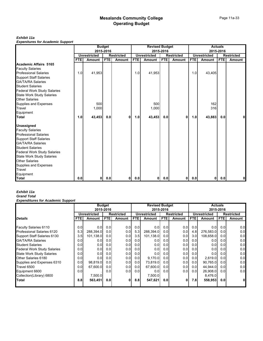#### Page 11a-33

#### *Exhibit 11a*

*Expenitures for Academic Support*

|                                    |      |                     | <b>Budget</b> |                   |            | <b>Revised Budget</b> |            |                   |      |                     | <b>Actuals</b> |                   |
|------------------------------------|------|---------------------|---------------|-------------------|------------|-----------------------|------------|-------------------|------|---------------------|----------------|-------------------|
|                                    |      |                     | 2015-2016     |                   |            |                       | 2015-2016  |                   |      |                     | 2015-2016      |                   |
|                                    |      | <b>Unrestricted</b> |               | <b>Restricted</b> |            | <b>Unrestricted</b>   |            | <b>Restricted</b> |      | <b>Unrestricted</b> |                | <b>Restricted</b> |
|                                    | FTE. | Amount              | <b>FTE</b>    | <b>Amount</b>     | <b>FTE</b> | Amount                | <b>FTE</b> | <b>Amount</b>     | FTE. | Amount              | <b>FTE</b>     | <b>Amount</b>     |
| Academic Affairs 5165              |      |                     |               |                   |            |                       |            |                   |      |                     |                |                   |
| <b>Faculty Salaries</b>            |      |                     |               |                   |            |                       |            |                   |      |                     |                |                   |
| <b>Professional Salaries</b>       | 1.0  | 41,953              |               |                   | 1.0        | 41,953                |            |                   | 1.0  | 43,405              |                |                   |
| <b>Support Staff Salaries</b>      |      |                     |               |                   |            |                       |            |                   |      |                     |                |                   |
| <b>GA/TA/RA Salaries</b>           |      |                     |               |                   |            |                       |            |                   |      |                     |                |                   |
| <b>Student Salaries</b>            |      |                     |               |                   |            |                       |            |                   |      |                     |                |                   |
| <b>Federal Work Study Salaries</b> |      |                     |               |                   |            |                       |            |                   |      |                     |                |                   |
| <b>State Work Study Salaries</b>   |      |                     |               |                   |            |                       |            |                   |      |                     |                |                   |
| <b>Other Salaries</b>              |      |                     |               |                   |            |                       |            |                   |      |                     |                |                   |
| Supplies and Expenses              |      | 500                 |               |                   |            | 500                   |            |                   |      | 162                 |                |                   |
| Travel                             |      | 1,000               |               |                   |            | 1,000                 |            |                   |      | 316                 |                |                   |
| Equipment                          |      |                     |               |                   |            |                       |            |                   |      |                     |                |                   |
| Total                              | 1.0  | 43,453              | 0.0           | 0                 | 1.0        | 43,453                | 0.0        | $\mathbf{0}$      | 1.0  | 43,883              | 0.0            | $\mathbf{0}$      |
| <b>Unassigned</b>                  |      |                     |               |                   |            |                       |            |                   |      |                     |                |                   |
| <b>Faculty Salaries</b>            |      |                     |               |                   |            |                       |            |                   |      |                     |                |                   |
| <b>Professional Salaries</b>       |      |                     |               |                   |            |                       |            |                   |      |                     |                |                   |
| <b>Support Staff Salaries</b>      |      |                     |               |                   |            |                       |            |                   |      |                     |                |                   |
| <b>GA/TA/RA Salaries</b>           |      |                     |               |                   |            |                       |            |                   |      |                     |                |                   |
| <b>Student Salaries</b>            |      |                     |               |                   |            |                       |            |                   |      |                     |                |                   |
| <b>Federal Work Study Salaries</b> |      |                     |               |                   |            |                       |            |                   |      |                     |                |                   |
| <b>State Work Study Salaries</b>   |      |                     |               |                   |            |                       |            |                   |      |                     |                |                   |
| <b>Other Salaries</b>              |      |                     |               |                   |            |                       |            |                   |      |                     |                |                   |
| Supplies and Expenses              |      |                     |               |                   |            |                       |            |                   |      |                     |                |                   |
| Travel                             |      |                     |               |                   |            |                       |            |                   |      |                     |                |                   |
| Equipment                          |      |                     |               |                   |            |                       |            |                   |      |                     |                |                   |
| <b>Total</b>                       | 0.0  | 0                   | 0.0           | 0                 | 0.0        | 0                     | 0.0        | 0                 | 0.0  | 01                  | 0.0            | $\mathbf{0}$      |

## *Exhibit 11a*

#### *Grand Total Expenditures for Academic Support*

|                                    | <b>Budget</b><br>2015-2016 |                     |                  |                   |                  | <b>Revised Budget</b> |                  |                   |                  |              | <b>Actuals</b>   |                   |
|------------------------------------|----------------------------|---------------------|------------------|-------------------|------------------|-----------------------|------------------|-------------------|------------------|--------------|------------------|-------------------|
|                                    |                            |                     |                  |                   |                  |                       | 2015-2016        |                   |                  |              | 2015-2016        |                   |
|                                    |                            | <b>Unrestricted</b> |                  | <b>Restricted</b> |                  | <b>Unrestricted</b>   |                  | <b>Restricted</b> |                  | Unrestricted |                  | <b>Restricted</b> |
| <b>Details</b>                     | <b>FTEI</b>                | Amount              | FTE.             | <b>Amount</b>     | <b>FTE</b>       | Amount                | <b>FTE</b>       | Amount            | FTE.             | Amount       | <b>FTE</b>       | Amount            |
|                                    |                            |                     |                  |                   |                  |                       |                  |                   |                  |              |                  |                   |
| Faculty Salaries 6110              | 0.0                        | 0.0                 | 0.0              | 0.0               | 0.0              | 0.0 <sub>l</sub>      | 0.0              | 0.0               | 0.0              | 0.0          | 0.0 <sub>l</sub> | 0.0               |
| Professional Salaries 6120         | 5.3                        | 288,394.0           | 0.0              | 0.0               | 5.3              | 288,394.0             | 0.01             | 0.0               | 4.8              | 276,583.0    | 0.0              | 0.0               |
| Support Staff Salaries 6130        | 3.5                        | 101,138.0           | 0.0              | 0.0               | 3.5              | 101,138.0             | 0.01             | 0.0               | 3.0              | 108,658.0    | 0.0              | 0.0               |
| <b>GA/TA/RA Salaries</b>           | 0.0                        | 0.0                 | 0.0              | 0.0               | 0.01             | 0.0                   | 0.01             | 0.0               | 0.0              | 0.0          | 0.0              | 0.0               |
| <b>Student Salaries</b>            | 0.01                       | 0.0                 | 0.01             | 0.0               | 0.0 <sub>l</sub> | 0.0                   | 0.01             | 0.0               | 0.0              | 0.0          | 0.0              | 0.0               |
| <b>Federal Work Study Salaries</b> | 0.01                       | 0.0                 | 0.0              | 0.0               | 0.0 <sub>l</sub> | 0.0                   | 0.01             | 0.0 <sub>l</sub>  | 0.0              | 0.0          | 0.0              | 0.0               |
| <b>State Work Study Salaries</b>   | 0.01                       | 0.0                 | 0.0              | 0.0               | 0.0 <sub>l</sub> | 0.0                   | 0.01             | 0.0 <sub>l</sub>  | 0.0              | 0.0          | 0.0              | 0.0               |
| Other Salaries 6180                | 0.01                       | 0.0                 | 0.0              | 0.0               | 0.0              | 9.170.0               | 0.01             | 0.0               | 0.0              | 2,619.0      | 0.0              | 0.0               |
| Supplies and Expenses 6310         | 0.01                       | 98.819.0            | 0.0              | 0.0               | 0.0              | 73.819.0              | 0.01             | 0.0               | 0.0              | 90.765.0     | 0.0              | 0.0               |
| Travel 6500                        | 0.01                       | 67.600.0            | 0.0 <sub>l</sub> | 0.0               | 0.01             | 67.600.0              | 0.01             | 0.0               | 0.0              | 44.944.0     | 0.01             | 0.0               |
| Equipment 6600                     | 0.01                       |                     | 0.0              | 0.0               | 0.0 <sub>l</sub> | 0.0                   | 0.01             | 0.0               | 0.0 <sub>l</sub> | 26,908.0     | 0.0              | 0.0               |
| Collection(Library) 6800           |                            | 7.500.0             |                  |                   |                  | 7.500.0               |                  |                   |                  | 8,476.0      |                  |                   |
| Total                              | 8.8                        | 563,451             | 0.0              | 0                 | 8.8 <sub>1</sub> | 547,621               | 0.0 <sub>l</sub> | 0                 | 7.8              | 558,953      | 0.0              | 0                 |
|                                    |                            |                     |                  |                   |                  |                       |                  |                   |                  |              |                  |                   |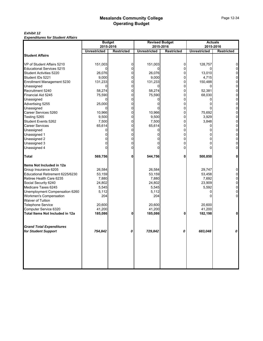#### *Exhibit 12 Expenditures for Student Affairs*

|                                  | <b>Budget</b>       |                   |                     | <b>Revised Budget</b> |                     | <b>Actuals</b>    |
|----------------------------------|---------------------|-------------------|---------------------|-----------------------|---------------------|-------------------|
|                                  | 2015-2016           |                   | 2015-2016           |                       |                     | 2015-2016         |
|                                  | <b>Unrestricted</b> | <b>Restricted</b> | <b>Unrestricted</b> | <b>Restricted</b>     | <b>Unrestricted</b> | <b>Restricted</b> |
| <b>Student Affairs</b>           |                     |                   |                     |                       |                     |                   |
| VP of Student Affairs 5210       | 151,003             | 0                 | 151,003             | 0                     | 128,757             | 0                 |
| <b>Educational Services 5215</b> | 0                   | 0                 | 0                   | 0                     | 0                   | $\overline{0}$    |
| Student Activities 5220          | 26,076              | 0                 | 26,076              | 0                     | 13,010              | 0                 |
| Student IDs 5221                 | 9,000               | 0                 | 9,000               | 0                     | 4,715               | 0                 |
| Enrollment Management 5230       | 131,233             | 0                 | 131,233             | $\mathbf 0$           | 150,488             | $\mathbf 0$       |
| Unassigned                       | 0                   | 0                 |                     | 0                     |                     | 0                 |
| Recruitment 5240                 | 58,274              | 0                 | 58,274              | 0                     | 52,381              | 0                 |
| Financial Aid 5245               | 75,590              | 0                 | 75,590              | 0                     | 68,030              | $\mathsf 0$       |
| Unassigned                       | 0                   | 0                 |                     | 0                     |                     | $\mathbf 0$       |
| Advertising 5255                 | 25,000              | 0                 | 0                   | 0                     |                     | 0                 |
| Unassigned                       |                     | 0                 |                     | 0                     |                     | 0                 |
| Career Services 5260             | 10,966              | 0                 | 10,966              | 0                     | 75,692              | $\mathbf 0$       |
| Testing 5265                     | 9,500               | 0                 | 9,500               | 0                     | 3,929               | 0                 |
| Student Events 5262              | 7,500               | 0                 | 7,500               | 0                     | 3,848               | 0                 |
| Career Services                  | 65,614              | 0                 | 65,614              | 0                     | 0                   | $\mathbf 0$       |
| Unassigned                       |                     | 0                 |                     | 0                     | 0                   | $\mathbf 0$       |
| Unassigned 1                     | 0                   | 0                 | 0                   | 0                     | 0                   | $\overline{0}$    |
| Unassigned 2                     | 0                   | 0                 | 0                   | 0                     | 0                   | $\mathbf 0$       |
| Unassigned 3                     | 0                   | 0                 | 0                   | 0                     | 0                   | $\overline{0}$    |
| Unassigned 4                     | O                   | 0                 | <sup>0</sup>        | $\Omega$              | U                   | $\overline{0}$    |
| <b>Total</b>                     | 569,756             | 0                 | 544,756             | 0                     | 500,850             | $\mathbf{0}$      |
| Items Not Included in 12a        |                     |                   |                     |                       |                     |                   |
| Group Insurance 6205             | 26,584              |                   | 26,584              |                       | 29,747              | 0                 |
| Educational Retirement 6225/6230 | 53,159              |                   | 53,159              |                       | 53,458              | 0                 |
| Retiree Health Care 6235         | 7,880               |                   | 7,880               |                       | 7,692               | $\mathbf 0$       |
| Social Security 6240             | 24,802              |                   | 24,802              |                       | 23,909              | $\mathsf 0$       |
| Medicare Taxes 6245              | 5,545               |                   | 5,545               |                       | 5,592               | $\overline{0}$    |
| Unemployment Compensation 6260   | 5,112               |                   | 5,112               |                       |                     | $\overline{0}$    |
| Workmen's Compensation           | 204                 |                   | 204                 |                       | ი                   | $\overline{0}$    |
| Waiver of Tuition                |                     |                   |                     |                       |                     |                   |
| Telephone Service                | 20,600              |                   | 20,600              |                       | 20,600              |                   |
| Computer Service 6320            | 41,200              |                   | 41,200              |                       | 41,200              |                   |
| Total Items Not Included in 12a  | 185,086             | 0                 | 185,086             | 0                     | 182,198             | 0                 |
| <b>Grand Total Expenditures</b>  |                     |                   |                     |                       |                     |                   |
| for Student Support              | 754,842             | 0                 | 729,842             | 0                     | 683,048             | 0                 |
|                                  |                     |                   |                     |                       |                     |                   |
|                                  |                     |                   |                     |                       |                     |                   |
|                                  |                     |                   |                     |                       |                     |                   |
|                                  |                     |                   |                     |                       |                     |                   |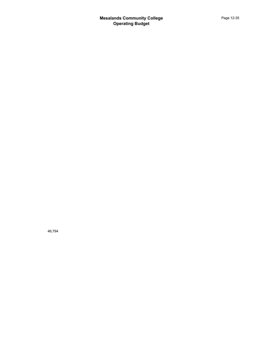46,794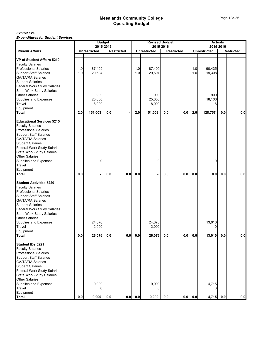|                                                     | <b>Budget</b><br>2015-2016 |                     |     |                   |     | <b>Revised Budget</b> |     |                   |     | <b>Actuals</b><br>2015-2016<br><b>Unrestricted</b><br><b>Restricted</b> |         |     |  |  |
|-----------------------------------------------------|----------------------------|---------------------|-----|-------------------|-----|-----------------------|-----|-------------------|-----|-------------------------------------------------------------------------|---------|-----|--|--|
| <b>Student Affairs</b>                              |                            |                     |     |                   |     | 2015-2016             |     |                   |     |                                                                         |         |     |  |  |
|                                                     |                            | <b>Unrestricted</b> |     | <b>Restricted</b> |     | <b>Unrestricted</b>   |     | <b>Restricted</b> |     |                                                                         |         |     |  |  |
| <b>VP of Student Affairs 5210</b>                   |                            |                     |     |                   |     |                       |     |                   |     |                                                                         |         |     |  |  |
| <b>Faculty Salaries</b>                             |                            |                     |     |                   |     |                       |     |                   |     |                                                                         |         |     |  |  |
| <b>Professional Salaries</b>                        | 1.0                        | 87,409              |     |                   | 1.0 | 87,409                |     |                   | 1.0 | 90,435                                                                  |         |     |  |  |
| <b>Support Staff Salaries</b>                       | 1.0                        | 29,694              |     |                   | 1.0 | 29,694                |     |                   | 1.0 | 19,308                                                                  |         |     |  |  |
| <b>GA/TA/RA Salaries</b>                            |                            |                     |     |                   |     |                       |     |                   |     |                                                                         |         |     |  |  |
| <b>Student Salaries</b>                             |                            |                     |     |                   |     |                       |     |                   |     |                                                                         |         |     |  |  |
|                                                     |                            |                     |     |                   |     |                       |     |                   |     |                                                                         |         |     |  |  |
| <b>Federal Work Study Salaries</b>                  |                            |                     |     |                   |     |                       |     |                   |     |                                                                         |         |     |  |  |
| <b>State Work Study Salaries</b>                    |                            |                     |     |                   |     |                       |     |                   |     |                                                                         |         |     |  |  |
| <b>Other Salaries</b>                               |                            | 900                 |     |                   |     | 900                   |     |                   |     | 900                                                                     |         |     |  |  |
| Supplies and Expenses                               |                            | 25,000              |     |                   |     | 25,000                |     |                   |     | 18,106                                                                  |         |     |  |  |
| Travel                                              |                            | 8,000               |     |                   |     | 8,000                 |     |                   |     | 8                                                                       |         |     |  |  |
| Equipment                                           |                            |                     |     |                   |     |                       |     |                   |     |                                                                         |         |     |  |  |
| <b>Total</b>                                        | 2.0                        | 151,003             | 0.0 |                   | 2.0 | 151,003               | 0.0 | 0.0               | 2.0 | 128,757                                                                 | 0.0     | 0.0 |  |  |
| <b>Educational Services 5215</b>                    |                            |                     |     |                   |     |                       |     |                   |     |                                                                         |         |     |  |  |
| <b>Faculty Salaries</b>                             |                            |                     |     |                   |     |                       |     |                   |     |                                                                         |         |     |  |  |
| <b>Professional Salaries</b>                        |                            |                     |     |                   |     |                       |     |                   |     |                                                                         |         |     |  |  |
| <b>Support Staff Salaries</b>                       |                            |                     |     |                   |     |                       |     |                   |     |                                                                         |         |     |  |  |
| <b>GA/TA/RA Salaries</b>                            |                            |                     |     |                   |     |                       |     |                   |     |                                                                         |         |     |  |  |
| <b>Student Salaries</b>                             |                            |                     |     |                   |     |                       |     |                   |     |                                                                         |         |     |  |  |
| <b>Federal Work Study Salaries</b>                  |                            |                     |     |                   |     |                       |     |                   |     |                                                                         |         |     |  |  |
| State Work Study Salaries                           |                            |                     |     |                   |     |                       |     |                   |     |                                                                         |         |     |  |  |
| <b>Other Salaries</b>                               |                            |                     |     |                   |     |                       |     |                   |     |                                                                         |         |     |  |  |
| Supplies and Expenses                               |                            | 0                   |     |                   |     | 0                     |     |                   |     | 0                                                                       |         |     |  |  |
| Travel                                              |                            |                     |     |                   |     |                       |     |                   |     |                                                                         |         |     |  |  |
| Equipment                                           |                            |                     |     |                   |     |                       |     |                   |     |                                                                         |         |     |  |  |
| <b>Total</b>                                        | 0.0                        | ×,                  | 0.0 | 0.0               | 0.0 |                       | 0.0 | 0.0               | 0.0 | 0.0                                                                     | 0.0     | 0.0 |  |  |
| <b>Student Activities 5220</b>                      |                            |                     |     |                   |     |                       |     |                   |     |                                                                         |         |     |  |  |
| <b>Faculty Salaries</b>                             |                            |                     |     |                   |     |                       |     |                   |     |                                                                         |         |     |  |  |
| <b>Professional Salaries</b>                        |                            |                     |     |                   |     |                       |     |                   |     |                                                                         |         |     |  |  |
| <b>Support Staff Salaries</b>                       |                            |                     |     |                   |     |                       |     |                   |     |                                                                         |         |     |  |  |
| <b>GA/TA/RA Salaries</b>                            |                            |                     |     |                   |     |                       |     |                   |     |                                                                         |         |     |  |  |
| <b>Student Salaries</b>                             |                            |                     |     |                   |     |                       |     |                   |     |                                                                         |         |     |  |  |
| Federal Work Study Salaries                         |                            |                     |     |                   |     |                       |     |                   |     |                                                                         |         |     |  |  |
| <b>State Work Study Salaries</b>                    |                            |                     |     |                   |     |                       |     |                   |     |                                                                         |         |     |  |  |
| <b>Other Salaries</b>                               |                            |                     |     |                   |     |                       |     |                   |     |                                                                         |         |     |  |  |
| Supplies and Expenses                               |                            | 24,076              |     |                   |     | 24,076                |     |                   |     | 13,010                                                                  |         |     |  |  |
| Travel                                              |                            | 2,000               |     |                   |     | 2,000                 |     |                   |     | 0                                                                       |         |     |  |  |
| Equipment                                           |                            |                     |     |                   |     |                       |     |                   |     |                                                                         |         |     |  |  |
| <b>Total</b>                                        | 0.0                        | 26,076              | 0.0 | 0.0               | 0.0 | 26,076                | 0.0 | 0.0               | 0.0 | 13,010                                                                  | $0.0\,$ | 0.0 |  |  |
| Student IDs 5221                                    |                            |                     |     |                   |     |                       |     |                   |     |                                                                         |         |     |  |  |
| <b>Faculty Salaries</b>                             |                            |                     |     |                   |     |                       |     |                   |     |                                                                         |         |     |  |  |
| <b>Professional Salaries</b>                        |                            |                     |     |                   |     |                       |     |                   |     |                                                                         |         |     |  |  |
|                                                     |                            |                     |     |                   |     |                       |     |                   |     |                                                                         |         |     |  |  |
| <b>Support Staff Salaries</b>                       |                            |                     |     |                   |     |                       |     |                   |     |                                                                         |         |     |  |  |
| <b>GA/TA/RA Salaries</b><br><b>Student Salaries</b> |                            |                     |     |                   |     |                       |     |                   |     |                                                                         |         |     |  |  |
|                                                     |                            |                     |     |                   |     |                       |     |                   |     |                                                                         |         |     |  |  |
| <b>Federal Work Study Salaries</b>                  |                            |                     |     |                   |     |                       |     |                   |     |                                                                         |         |     |  |  |
| <b>State Work Study Salaries</b>                    |                            |                     |     |                   |     |                       |     |                   |     |                                                                         |         |     |  |  |
| Other Salaries                                      |                            |                     |     |                   |     |                       |     |                   |     |                                                                         |         |     |  |  |
| Supplies and Expenses                               |                            | 9,000               |     |                   |     | 9,000                 |     |                   |     | 4,715                                                                   |         |     |  |  |
| Travel                                              |                            | 0                   |     |                   |     | $\Omega$              |     |                   |     |                                                                         |         |     |  |  |
| Equipment                                           |                            |                     |     |                   |     |                       |     |                   |     |                                                                         |         |     |  |  |
| <b>Total</b>                                        | 0.0                        | 9,000               | 0.0 | $0.0\,$           | 0.0 | 9,000                 | 0.0 | 0.0               | 0.0 | 4,715                                                                   | 0.0     | 0.0 |  |  |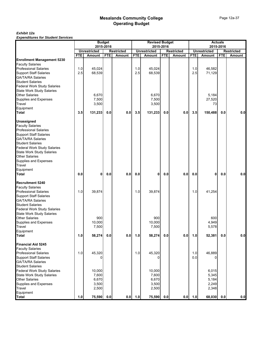| Experience for Gaudin Services     |            |                                  | <b>Budget</b> |                                    |            | <b>Revised Budget</b>            |            |                             |            |                     | <b>Actuals</b> |                   |
|------------------------------------|------------|----------------------------------|---------------|------------------------------------|------------|----------------------------------|------------|-----------------------------|------------|---------------------|----------------|-------------------|
|                                    |            | 2015-2016<br><b>Unrestricted</b> |               |                                    |            | 2015-2016<br><b>Unrestricted</b> |            |                             |            | <b>Unrestricted</b> | 2015-2016      | <b>Restricted</b> |
|                                    | <b>FTE</b> | <b>Amount</b>                    | <b>FTE</b>    | <b>Restricted</b><br><b>Amount</b> | <b>FTE</b> | Amount                           | <b>FTE</b> | <b>Restricted</b><br>Amount | <b>FTE</b> | Amount              | <b>FTE</b>     | <b>Amount</b>     |
| <b>Enrollment Management 5230</b>  |            |                                  |               |                                    |            |                                  |            |                             |            |                     |                |                   |
| <b>Faculty Salaries</b>            |            |                                  |               |                                    |            |                                  |            |                             |            |                     |                |                   |
| Professional Salaries              | 1.0        | 45,024                           |               |                                    | 1.0        | 45,024                           |            |                             | 1.0        | 46,582              |                |                   |
| <b>Support Staff Salaries</b>      | 2.5        | 68,539                           |               |                                    | 2.5        | 68,539                           |            |                             | 2.5        | 71,129              |                |                   |
| <b>GA/TA/RA Salaries</b>           |            |                                  |               |                                    |            |                                  |            |                             |            |                     |                |                   |
| <b>Student Salaries</b>            |            |                                  |               |                                    |            |                                  |            |                             |            |                     |                |                   |
| <b>Federal Work Study Salaries</b> |            |                                  |               |                                    |            |                                  |            |                             |            |                     |                |                   |
| <b>State Work Study Salaries</b>   |            |                                  |               |                                    |            |                                  |            |                             |            |                     |                |                   |
| <b>Other Salaries</b>              |            | 6,670                            |               |                                    |            | 6,670                            |            |                             |            | 5,184               |                |                   |
| Supplies and Expenses              |            | 7,500                            |               |                                    |            | 7,500                            |            |                             |            | 27,520              |                |                   |
| Travel                             |            | 3,500                            |               |                                    |            | 3,500                            |            |                             |            | 73                  |                |                   |
| Equipment                          |            |                                  |               |                                    |            |                                  |            |                             |            |                     |                |                   |
| <b>Total</b>                       | 3.5        | 131,233                          | 0.0           | 0.0                                | 3.5        | 131,233                          | 0.0        | 0.0                         | 3.5        | 150,488             | 0.0            | 0.0               |
| <b>Unassigned</b>                  |            |                                  |               |                                    |            |                                  |            |                             |            |                     |                |                   |
| <b>Faculty Salaries</b>            |            |                                  |               |                                    |            |                                  |            |                             |            |                     |                |                   |
| <b>Professional Salaries</b>       |            |                                  |               |                                    |            |                                  |            |                             |            |                     |                |                   |
| <b>Support Staff Salaries</b>      |            |                                  |               |                                    |            |                                  |            |                             |            |                     |                |                   |
| <b>GA/TA/RA Salaries</b>           |            |                                  |               |                                    |            |                                  |            |                             |            |                     |                |                   |
| <b>Student Salaries</b>            |            |                                  |               |                                    |            |                                  |            |                             |            |                     |                |                   |
| <b>Federal Work Study Salaries</b> |            |                                  |               |                                    |            |                                  |            |                             |            |                     |                |                   |
| <b>State Work Study Salaries</b>   |            |                                  |               |                                    |            |                                  |            |                             |            |                     |                |                   |
| Other Salaries                     |            |                                  |               |                                    |            |                                  |            |                             |            |                     |                |                   |
| Supplies and Expenses              |            |                                  |               |                                    |            |                                  |            |                             |            |                     |                |                   |
| Travel                             |            |                                  |               |                                    |            |                                  |            |                             |            |                     |                |                   |
| Equipment                          |            |                                  |               |                                    |            |                                  |            |                             |            |                     |                |                   |
| <b>Total</b>                       | 0.0        | 0                                | 0.0           | 0.0                                | 0.0        | 0                                | 0.0        | 0.0                         | 0.0        | 0                   | 0.0            | 0.0               |
| <b>Recruitment 5240</b>            |            |                                  |               |                                    |            |                                  |            |                             |            |                     |                |                   |
| <b>Faculty Salaries</b>            |            |                                  |               |                                    |            |                                  |            |                             |            |                     |                |                   |
| <b>Professional Salaries</b>       | 1.0        | 39,874                           |               |                                    | 1.0        | 39,874                           |            |                             | 1.0        | 41,254              |                |                   |
| <b>Support Staff Salaries</b>      |            |                                  |               |                                    |            |                                  |            |                             |            |                     |                |                   |
| <b>GA/TA/RA Salaries</b>           |            |                                  |               |                                    |            |                                  |            |                             |            |                     |                |                   |
| <b>Student Salaries</b>            |            |                                  |               |                                    |            |                                  |            |                             |            |                     |                |                   |
| <b>Federal Work Study Salaries</b> |            |                                  |               |                                    |            |                                  |            |                             |            |                     |                |                   |
| <b>State Work Study Salaries</b>   |            |                                  |               |                                    |            |                                  |            |                             |            |                     |                |                   |
| Other Salaries                     |            | 900                              |               |                                    |            | 900                              |            |                             |            | 600                 |                |                   |
| Supplies and Expenses              |            | 10.000                           |               |                                    |            | 10,000                           |            |                             |            | 4,949               |                |                   |
| Travel                             |            | 7,500                            |               |                                    |            | 7,500                            |            |                             |            | 5,578               |                |                   |
| Equipment                          |            |                                  |               |                                    |            |                                  |            |                             |            |                     |                |                   |
| <b>Total</b>                       | 1.0        | 58,274                           | $0.0\,$       | $0.0\,$                            | 1.0        | 58,274                           | 0.0        | 0.0                         | 1.0        | 52,381              | 0.0            | 0.0               |
| <b>Financial Aid 5245</b>          |            |                                  |               |                                    |            |                                  |            |                             |            |                     |                |                   |
| <b>Faculty Salaries</b>            |            |                                  |               |                                    |            |                                  |            |                             |            |                     |                |                   |
| <b>Professional Salaries</b>       | 1.0        | 45,320                           |               |                                    | 1.0        | 45,320                           |            |                             | 1.0        | 46,889              |                |                   |
| <b>Support Staff Salaries</b>      |            |                                  |               |                                    |            |                                  |            |                             | 0.0        |                     |                |                   |
| GA/TA/RA Salaries                  |            |                                  |               |                                    |            |                                  |            |                             |            |                     |                |                   |
| <b>Student Salaries</b>            |            |                                  |               |                                    |            |                                  |            |                             |            |                     |                |                   |
| Federal Work Study Salaries        |            | 10,000                           |               |                                    |            | 10,000                           |            |                             |            | 6,015               |                |                   |
| <b>State Work Study Salaries</b>   |            | 7,600                            |               |                                    |            | 7,600                            |            |                             |            | 5,345               |                |                   |
| <b>Other Salaries</b>              |            | 6,670                            |               |                                    |            | 6,670                            |            |                             |            | 5,184               |                |                   |
| Supplies and Expenses              |            | 3,500                            |               |                                    |            | 3,500                            |            |                             |            | 2,249               |                |                   |
| Travel                             |            | 2,500                            |               |                                    |            | 2,500                            |            |                             |            | 2,348               |                |                   |
| Equipment                          |            |                                  |               |                                    |            |                                  |            |                             |            |                     |                |                   |
| <b>Total</b>                       | 1.0        | 75,590                           | 0.0           | 0.0                                | 1.0        | 75,590                           | 0.0        | 0.0                         | 1.0        | 68,030              | 0.0            | 0.0               |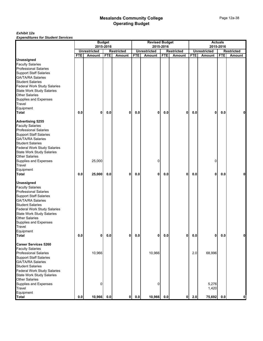|                                    |            |                     | <b>Budget</b><br>2015-2016 |                   |            | <b>Revised Budget</b> | 2015-2016  |                   |            |                     | <b>Actuals</b><br>2015-2016 |                   |
|------------------------------------|------------|---------------------|----------------------------|-------------------|------------|-----------------------|------------|-------------------|------------|---------------------|-----------------------------|-------------------|
|                                    |            | <b>Unrestricted</b> |                            | <b>Restricted</b> |            | <b>Unrestricted</b>   |            | <b>Restricted</b> |            | <b>Unrestricted</b> |                             | <b>Restricted</b> |
|                                    | <b>FTE</b> | Amount              | <b>FTE</b>                 | Amount            | <b>FTE</b> | Amount                | <b>FTE</b> | Amount            | <b>FTE</b> | Amount              | <b>FTE</b>                  | Amount            |
| <b>Unassigned</b>                  |            |                     |                            |                   |            |                       |            |                   |            |                     |                             |                   |
| <b>Faculty Salaries</b>            |            |                     |                            |                   |            |                       |            |                   |            |                     |                             |                   |
| <b>Professional Salaries</b>       |            |                     |                            |                   |            |                       |            |                   |            |                     |                             |                   |
| <b>Support Staff Salaries</b>      |            |                     |                            |                   |            |                       |            |                   |            |                     |                             |                   |
| <b>GA/TA/RA Salaries</b>           |            |                     |                            |                   |            |                       |            |                   |            |                     |                             |                   |
| <b>Student Salaries</b>            |            |                     |                            |                   |            |                       |            |                   |            |                     |                             |                   |
| <b>Federal Work Study Salaries</b> |            |                     |                            |                   |            |                       |            |                   |            |                     |                             |                   |
| <b>State Work Study Salaries</b>   |            |                     |                            |                   |            |                       |            |                   |            |                     |                             |                   |
| <b>Other Salaries</b>              |            |                     |                            |                   |            |                       |            |                   |            |                     |                             |                   |
| Supplies and Expenses              |            |                     |                            |                   |            |                       |            |                   |            |                     |                             |                   |
| Travel                             |            |                     |                            |                   |            |                       |            |                   |            |                     |                             |                   |
| Equipment                          |            |                     |                            |                   |            |                       |            |                   |            |                     |                             |                   |
| <b>Total</b>                       | 0.0        | 0                   | 0.0                        | 0                 | 0.0        | 0                     | 0.0        | 0                 | 0.0        | $\mathbf 0$         | 0.0                         | 0                 |
| <b>Advertising 5255</b>            |            |                     |                            |                   |            |                       |            |                   |            |                     |                             |                   |
| <b>Faculty Salaries</b>            |            |                     |                            |                   |            |                       |            |                   |            |                     |                             |                   |
| <b>Professional Salaries</b>       |            |                     |                            |                   |            |                       |            |                   |            |                     |                             |                   |
| <b>Support Staff Salaries</b>      |            |                     |                            |                   |            |                       |            |                   |            |                     |                             |                   |
| <b>GA/TA/RA Salaries</b>           |            |                     |                            |                   |            |                       |            |                   |            |                     |                             |                   |
| <b>Student Salaries</b>            |            |                     |                            |                   |            |                       |            |                   |            |                     |                             |                   |
| <b>Federal Work Study Salaries</b> |            |                     |                            |                   |            |                       |            |                   |            |                     |                             |                   |
| State Work Study Salaries          |            |                     |                            |                   |            |                       |            |                   |            |                     |                             |                   |
| Other Salaries                     |            |                     |                            |                   |            |                       |            |                   |            |                     |                             |                   |
| Supplies and Expenses              |            | 25,000              |                            |                   |            | 0                     |            |                   |            | 0                   |                             |                   |
| Travel                             |            |                     |                            |                   |            |                       |            |                   |            |                     |                             |                   |
| Equipment                          |            |                     |                            |                   |            |                       |            |                   |            |                     |                             |                   |
| <b>Total</b>                       | 0.0        | 25,000              | 0.0                        | 0                 | 0.0        | 0                     | 0.0        | 0                 | 0.0        | 0                   | 0.0                         | 0                 |
| <b>Unassigned</b>                  |            |                     |                            |                   |            |                       |            |                   |            |                     |                             |                   |
| <b>Faculty Salaries</b>            |            |                     |                            |                   |            |                       |            |                   |            |                     |                             |                   |
| <b>Professional Salaries</b>       |            |                     |                            |                   |            |                       |            |                   |            |                     |                             |                   |
| <b>Support Staff Salaries</b>      |            |                     |                            |                   |            |                       |            |                   |            |                     |                             |                   |
| <b>GA/TA/RA Salaries</b>           |            |                     |                            |                   |            |                       |            |                   |            |                     |                             |                   |
| <b>Student Salaries</b>            |            |                     |                            |                   |            |                       |            |                   |            |                     |                             |                   |
| <b>Federal Work Study Salaries</b> |            |                     |                            |                   |            |                       |            |                   |            |                     |                             |                   |
| <b>State Work Study Salaries</b>   |            |                     |                            |                   |            |                       |            |                   |            |                     |                             |                   |
| Other Salaries                     |            |                     |                            |                   |            |                       |            |                   |            |                     |                             |                   |
| Supplies and Expenses              |            |                     |                            |                   |            |                       |            |                   |            |                     |                             |                   |
| Travel                             |            |                     |                            |                   |            |                       |            |                   |            |                     |                             |                   |
| Equipment                          |            |                     |                            |                   |            |                       |            |                   |            |                     |                             |                   |
| <b>Total</b>                       | 0.0        | 0                   | 0.0                        | 0                 | 0.0        | 0                     | 0.0        | 0                 | $0.0\,$    | 0                   | $0.0\,$                     | $\mathbf{0}$      |
| <b>Career Services 5260</b>        |            |                     |                            |                   |            |                       |            |                   |            |                     |                             |                   |
| <b>Faculty Salaries</b>            |            |                     |                            |                   |            |                       |            |                   |            |                     |                             |                   |
| <b>Professional Salaries</b>       |            | 10,966              |                            |                   |            | 10,966                |            |                   | 2.0        | 68,996              |                             |                   |
| <b>Support Staff Salaries</b>      |            |                     |                            |                   |            |                       |            |                   |            |                     |                             |                   |
| <b>GA/TA/RA Salaries</b>           |            |                     |                            |                   |            |                       |            |                   |            |                     |                             |                   |
| <b>Student Salaries</b>            |            |                     |                            |                   |            |                       |            |                   |            |                     |                             |                   |
| <b>Federal Work Study Salaries</b> |            |                     |                            |                   |            |                       |            |                   |            |                     |                             |                   |
| State Work Study Salaries          |            |                     |                            |                   |            |                       |            |                   |            |                     |                             |                   |
| <b>Other Salaries</b>              |            |                     |                            |                   |            |                       |            |                   |            |                     |                             |                   |
| Supplies and Expenses              |            | 0                   |                            |                   |            | 0                     |            |                   |            | 5,276               |                             |                   |
| Travel                             |            |                     |                            |                   |            |                       |            |                   |            | 1,420               |                             |                   |
| Equipment                          |            |                     |                            |                   |            |                       |            |                   |            |                     |                             |                   |
| <b>Total</b>                       | 0.0        | 10,966 0.0          |                            | $\mathbf{0}$      | 0.0        | 10,966 0.0            |            | 0                 | 2.0        | 75,692              | 0.0                         | $\mathbf{0}$      |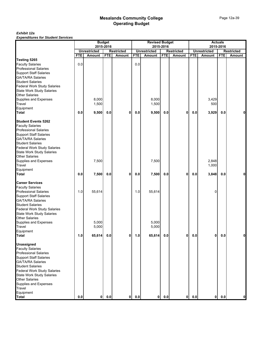|                                                           |            |                     | <b>Budget</b><br>2015-2016 |                   |            | <b>Revised Budget</b><br>2015-2016 |            |                   |            |                     | <b>Actuals</b><br>2015-2016 |                   |
|-----------------------------------------------------------|------------|---------------------|----------------------------|-------------------|------------|------------------------------------|------------|-------------------|------------|---------------------|-----------------------------|-------------------|
|                                                           |            | <b>Unrestricted</b> |                            | <b>Restricted</b> |            | <b>Unrestricted</b>                |            | <b>Restricted</b> |            | <b>Unrestricted</b> |                             | <b>Restricted</b> |
|                                                           | <b>FTE</b> | Amount              | <b>FTE</b>                 | Amount            | <b>FTE</b> | Amount                             | <b>FTE</b> | Amount            | <b>FTE</b> | Amount              | <b>FTE</b>                  | Amount            |
| Testing 5265                                              |            |                     |                            |                   |            |                                    |            |                   |            |                     |                             |                   |
| <b>Faculty Salaries</b>                                   | 0.0        |                     |                            |                   | 0.0        |                                    |            |                   |            |                     |                             |                   |
| <b>Professional Salaries</b>                              |            |                     |                            |                   |            |                                    |            |                   |            |                     |                             |                   |
| <b>Support Staff Salaries</b>                             |            |                     |                            |                   |            |                                    |            |                   |            |                     |                             |                   |
| <b>GA/TA/RA Salaries</b>                                  |            |                     |                            |                   |            |                                    |            |                   |            |                     |                             |                   |
| <b>Student Salaries</b>                                   |            |                     |                            |                   |            |                                    |            |                   |            |                     |                             |                   |
| <b>Federal Work Study Salaries</b>                        |            |                     |                            |                   |            |                                    |            |                   |            |                     |                             |                   |
| <b>State Work Study Salaries</b>                          |            |                     |                            |                   |            |                                    |            |                   |            |                     |                             |                   |
| <b>Other Salaries</b>                                     |            |                     |                            |                   |            |                                    |            |                   |            |                     |                             |                   |
| Supplies and Expenses                                     |            | 8,000               |                            |                   |            | 8,000                              |            |                   |            | 3,429               |                             |                   |
| Travel                                                    |            | 1,500               |                            |                   |            | 1,500                              |            |                   |            | 500                 |                             |                   |
| Equipment                                                 |            |                     |                            |                   |            |                                    |            |                   |            |                     |                             |                   |
| <b>Total</b>                                              | 0.0        | 9,500               | 0.0                        | 0                 | 0.0        | 9,500                              | 0.0        | 0                 | 0.0        | 3,929               | 0.0                         | 0                 |
|                                                           |            |                     |                            |                   |            |                                    |            |                   |            |                     |                             |                   |
| <b>Student Events 5262</b>                                |            |                     |                            |                   |            |                                    |            |                   |            |                     |                             |                   |
| <b>Faculty Salaries</b>                                   |            |                     |                            |                   |            |                                    |            |                   |            |                     |                             |                   |
| <b>Professional Salaries</b>                              |            |                     |                            |                   |            |                                    |            |                   |            |                     |                             |                   |
| <b>Support Staff Salaries</b>                             |            |                     |                            |                   |            |                                    |            |                   |            |                     |                             |                   |
| <b>GA/TA/RA Salaries</b>                                  |            |                     |                            |                   |            |                                    |            |                   |            |                     |                             |                   |
| <b>Student Salaries</b>                                   |            |                     |                            |                   |            |                                    |            |                   |            |                     |                             |                   |
| <b>Federal Work Study Salaries</b>                        |            |                     |                            |                   |            |                                    |            |                   |            |                     |                             |                   |
| <b>State Work Study Salaries</b>                          |            |                     |                            |                   |            |                                    |            |                   |            |                     |                             |                   |
| Other Salaries                                            |            |                     |                            |                   |            |                                    |            |                   |            |                     |                             |                   |
| Supplies and Expenses                                     |            | 7,500               |                            |                   |            | 7,500                              |            |                   |            | 2,848               |                             |                   |
| Travel                                                    |            |                     |                            |                   |            |                                    |            |                   |            | 1,000               |                             |                   |
| Equipment                                                 |            |                     |                            |                   |            |                                    |            |                   |            |                     |                             |                   |
| <b>Total</b>                                              | 0.0        | 7,500               | 0.0                        | 0                 | 0.0        | 7,500                              | 0.0        | 0                 | 0.0        | 3,848               | 0.0                         | 0                 |
| <b>Career Services</b>                                    |            |                     |                            |                   |            |                                    |            |                   |            |                     |                             |                   |
| <b>Faculty Salaries</b>                                   |            |                     |                            |                   |            |                                    |            |                   |            |                     |                             |                   |
| <b>Professional Salaries</b>                              | 1.0        | 55,614              |                            |                   | 1.0        | 55,614                             |            |                   |            | 0                   |                             |                   |
| <b>Support Staff Salaries</b>                             |            |                     |                            |                   |            |                                    |            |                   |            |                     |                             |                   |
| <b>GA/TA/RA Salaries</b>                                  |            |                     |                            |                   |            |                                    |            |                   |            |                     |                             |                   |
| <b>Student Salaries</b>                                   |            |                     |                            |                   |            |                                    |            |                   |            |                     |                             |                   |
| <b>Federal Work Study Salaries</b>                        |            |                     |                            |                   |            |                                    |            |                   |            |                     |                             |                   |
|                                                           |            |                     |                            |                   |            |                                    |            |                   |            |                     |                             |                   |
| <b>State Work Study Salaries</b><br><b>Other Salaries</b> |            |                     |                            |                   |            |                                    |            |                   |            |                     |                             |                   |
|                                                           |            |                     |                            |                   |            |                                    |            |                   |            |                     |                             |                   |
| Supplies and Expenses                                     |            | 5,000               |                            |                   |            | 5,000                              |            |                   |            |                     |                             |                   |
| Travel                                                    |            | 5,000               |                            |                   |            | 5,000                              |            |                   |            |                     |                             |                   |
| Equipment<br><b>Total</b>                                 | 1.0        | 65,614              | 0.0                        | 0                 | 1.0        | 65,614                             | 0.0        | 0                 | $0.0\,$    | 0                   | $0.0\,$                     | 0                 |
|                                                           |            |                     |                            |                   |            |                                    |            |                   |            |                     |                             |                   |
| <b>Unassigned</b>                                         |            |                     |                            |                   |            |                                    |            |                   |            |                     |                             |                   |
| <b>Faculty Salaries</b>                                   |            |                     |                            |                   |            |                                    |            |                   |            |                     |                             |                   |
| <b>Professional Salaries</b>                              |            |                     |                            |                   |            |                                    |            |                   |            |                     |                             |                   |
| <b>Support Staff Salaries</b>                             |            |                     |                            |                   |            |                                    |            |                   |            |                     |                             |                   |
| <b>GA/TA/RA Salaries</b>                                  |            |                     |                            |                   |            |                                    |            |                   |            |                     |                             |                   |
| <b>Student Salaries</b>                                   |            |                     |                            |                   |            |                                    |            |                   |            |                     |                             |                   |
| <b>Federal Work Study Salaries</b>                        |            |                     |                            |                   |            |                                    |            |                   |            |                     |                             |                   |
| <b>State Work Study Salaries</b>                          |            |                     |                            |                   |            |                                    |            |                   |            |                     |                             |                   |
| <b>Other Salaries</b>                                     |            |                     |                            |                   |            |                                    |            |                   |            |                     |                             |                   |
| Supplies and Expenses                                     |            |                     |                            |                   |            |                                    |            |                   |            |                     |                             |                   |
| Travel                                                    |            |                     |                            |                   |            |                                    |            |                   |            |                     |                             |                   |
| Equipment                                                 |            |                     |                            |                   |            |                                    |            |                   |            |                     |                             |                   |
| <b>Total</b>                                              | $0.0\,$    | $\mathbf{0}$        | 0.0                        | 0                 | 0.0        | 0                                  | 0.0        | 0                 | $0.0\,$    | 0                   | $0.0\,$                     | 0                 |
|                                                           |            |                     |                            |                   |            |                                    |            |                   |            |                     |                             |                   |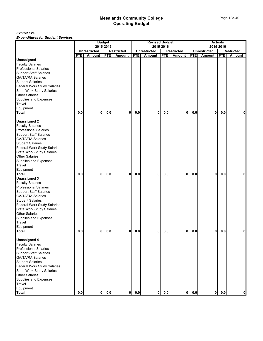| Experience for Gaugent Services              |            |                     | <b>Budget</b> |                   |            | <b>Revised Budget</b> |            |                   |            |                     | <b>Actuals</b> |                   |
|----------------------------------------------|------------|---------------------|---------------|-------------------|------------|-----------------------|------------|-------------------|------------|---------------------|----------------|-------------------|
|                                              |            | 2015-2016           |               |                   |            |                       | 2015-2016  |                   |            |                     | 2015-2016      |                   |
|                                              |            | <b>Unrestricted</b> |               | <b>Restricted</b> |            | <b>Unrestricted</b>   |            | <b>Restricted</b> |            | <b>Unrestricted</b> |                | <b>Restricted</b> |
|                                              | <b>FTE</b> | Amount              | <b>FTE</b>    | Amount            | <b>FTE</b> | Amount                | <b>FTE</b> | Amount            | <b>FTE</b> | Amount              | <b>FTE</b>     | Amount            |
| <b>Unassigned 1</b>                          |            |                     |               |                   |            |                       |            |                   |            |                     |                |                   |
| <b>Faculty Salaries</b>                      |            |                     |               |                   |            |                       |            |                   |            |                     |                |                   |
| <b>Professional Salaries</b>                 |            |                     |               |                   |            |                       |            |                   |            |                     |                |                   |
| <b>Support Staff Salaries</b>                |            |                     |               |                   |            |                       |            |                   |            |                     |                |                   |
| <b>GA/TA/RA Salaries</b>                     |            |                     |               |                   |            |                       |            |                   |            |                     |                |                   |
| <b>Student Salaries</b>                      |            |                     |               |                   |            |                       |            |                   |            |                     |                |                   |
| <b>Federal Work Study Salaries</b>           |            |                     |               |                   |            |                       |            |                   |            |                     |                |                   |
| State Work Study Salaries                    |            |                     |               |                   |            |                       |            |                   |            |                     |                |                   |
| <b>Other Salaries</b>                        |            |                     |               |                   |            |                       |            |                   |            |                     |                |                   |
| Supplies and Expenses                        |            |                     |               |                   |            |                       |            |                   |            |                     |                |                   |
| Travel                                       |            |                     |               |                   |            |                       |            |                   |            |                     |                |                   |
| Equipment                                    |            |                     |               |                   |            |                       |            |                   |            |                     |                |                   |
| <b>Total</b>                                 | 0.0        | $\mathbf{0}$        | 0.0           | 0                 | 0.0        | 0                     | 0.0        | $\mathbf 0$       | 0.0        | 0                   | 0.0            | 0                 |
|                                              |            |                     |               |                   |            |                       |            |                   |            |                     |                |                   |
|                                              |            |                     |               |                   |            |                       |            |                   |            |                     |                |                   |
| <b>Unassigned 2</b>                          |            |                     |               |                   |            |                       |            |                   |            |                     |                |                   |
| <b>Faculty Salaries</b>                      |            |                     |               |                   |            |                       |            |                   |            |                     |                |                   |
| <b>Professional Salaries</b>                 |            |                     |               |                   |            |                       |            |                   |            |                     |                |                   |
| <b>Support Staff Salaries</b>                |            |                     |               |                   |            |                       |            |                   |            |                     |                |                   |
| GA/TA/RA Salaries<br><b>Student Salaries</b> |            |                     |               |                   |            |                       |            |                   |            |                     |                |                   |
|                                              |            |                     |               |                   |            |                       |            |                   |            |                     |                |                   |
| <b>Federal Work Study Salaries</b>           |            |                     |               |                   |            |                       |            |                   |            |                     |                |                   |
| State Work Study Salaries                    |            |                     |               |                   |            |                       |            |                   |            |                     |                |                   |
| Other Salaries                               |            |                     |               |                   |            |                       |            |                   |            |                     |                |                   |
| Supplies and Expenses                        |            |                     |               |                   |            |                       |            |                   |            |                     |                |                   |
| Travel                                       |            |                     |               |                   |            |                       |            |                   |            |                     |                |                   |
| Equipment                                    |            |                     |               |                   |            |                       |            |                   |            |                     |                |                   |
| <b>Total</b>                                 | 0.0        | 0                   | 0.0           | 0                 | 0.0        | 0                     | 0.0        | 0                 | 0.0        | 0                   | 0.0            | 0                 |
| <b>Unassigned 3</b>                          |            |                     |               |                   |            |                       |            |                   |            |                     |                |                   |
| <b>Faculty Salaries</b>                      |            |                     |               |                   |            |                       |            |                   |            |                     |                |                   |
| <b>Professional Salaries</b>                 |            |                     |               |                   |            |                       |            |                   |            |                     |                |                   |
| <b>Support Staff Salaries</b>                |            |                     |               |                   |            |                       |            |                   |            |                     |                |                   |
| <b>GA/TA/RA Salaries</b>                     |            |                     |               |                   |            |                       |            |                   |            |                     |                |                   |
| <b>Student Salaries</b>                      |            |                     |               |                   |            |                       |            |                   |            |                     |                |                   |
| <b>Federal Work Study Salaries</b>           |            |                     |               |                   |            |                       |            |                   |            |                     |                |                   |
| State Work Study Salaries                    |            |                     |               |                   |            |                       |            |                   |            |                     |                |                   |
| <b>Other Salaries</b>                        |            |                     |               |                   |            |                       |            |                   |            |                     |                |                   |
| Supplies and Expenses                        |            |                     |               |                   |            |                       |            |                   |            |                     |                |                   |
| Travel                                       |            |                     |               |                   |            |                       |            |                   |            |                     |                |                   |
| Equipment                                    |            |                     |               |                   |            |                       |            |                   |            |                     |                |                   |
| Total                                        | 0.0        | ΩI                  | 0.0           | $\mathbf{0}$      | 0.0        | ΟI                    | 0.0        | ΟI                | 0.0        | $\mathbf{0}$        | 0.0            |                   |
|                                              |            |                     |               |                   |            |                       |            |                   |            |                     |                |                   |
| <b>Unassigned 4</b>                          |            |                     |               |                   |            |                       |            |                   |            |                     |                |                   |
| <b>Faculty Salaries</b>                      |            |                     |               |                   |            |                       |            |                   |            |                     |                |                   |
| <b>Professional Salaries</b>                 |            |                     |               |                   |            |                       |            |                   |            |                     |                |                   |
| <b>Support Staff Salaries</b>                |            |                     |               |                   |            |                       |            |                   |            |                     |                |                   |
| <b>GA/TA/RA Salaries</b>                     |            |                     |               |                   |            |                       |            |                   |            |                     |                |                   |
| <b>Student Salaries</b>                      |            |                     |               |                   |            |                       |            |                   |            |                     |                |                   |
| <b>Federal Work Study Salaries</b>           |            |                     |               |                   |            |                       |            |                   |            |                     |                |                   |
| <b>State Work Study Salaries</b>             |            |                     |               |                   |            |                       |            |                   |            |                     |                |                   |
| <b>Other Salaries</b>                        |            |                     |               |                   |            |                       |            |                   |            |                     |                |                   |
| Supplies and Expenses                        |            |                     |               |                   |            |                       |            |                   |            |                     |                |                   |
| Travel                                       |            |                     |               |                   |            |                       |            |                   |            |                     |                |                   |
| Equipment                                    |            |                     |               |                   |            |                       |            |                   |            |                     |                |                   |
| <b>Total</b>                                 | 0.0        | 0                   | $0.0\,$       | $\mathbf{0}$      | $0.0\,$    | $\mathbf{0}$          | 0.0        | $\mathbf{0}$      | 0.0        | $\mathbf{0}$        | 0.0            | 0                 |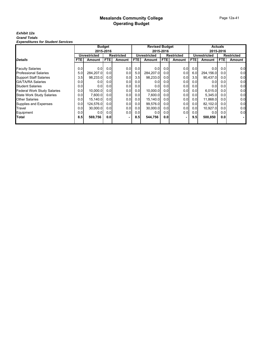## Page 12a-41

#### *Exhibit 12a Grand Totals Expenditures for Student Services*

|                                    | <b>Budget</b><br>2015-2016 |                     |                  |                   |                  | <b>Revised Budget</b> |           |                   |      |              | <b>Actuals</b> |                   |
|------------------------------------|----------------------------|---------------------|------------------|-------------------|------------------|-----------------------|-----------|-------------------|------|--------------|----------------|-------------------|
|                                    |                            |                     |                  |                   |                  |                       | 2015-2016 |                   |      |              | 2015-2016      |                   |
|                                    |                            | <b>Unrestricted</b> |                  | <b>Restricted</b> |                  | <b>Unrestricted</b>   |           | <b>Restricted</b> |      | Unrestricted |                | <b>Restricted</b> |
| <b>Details</b>                     | <b>FTE</b>                 | Amount              | FTE              | Amount            | FTE.             | Amount                | FTE       | <b>Amount</b>     | FTE. | Amount       | <b>FTE</b>     | <b>Amount</b>     |
|                                    |                            |                     |                  |                   |                  |                       |           |                   |      |              |                |                   |
| <b>Faculty Salaries</b>            | 0.0                        | 0.0                 | 0.0              | 0.0               | 0.0              | 0.0                   | 0.01      | 0.0               | 0.0  | 0.0          | 0.01           | 0.0               |
| <b>Professional Salaries</b>       | 5.0                        | 284,207.0           | 0.01             | 0.0               | 5.0              | 284,207.0             | 0.01      | 0.01              | 6.0  | 294,156.0    | 0.01           | 0.0               |
| <b>Support Staff Salaries</b>      | 3.5                        | 98,233.0            | 0.0 <sub>l</sub> | 0.0               | 3.5              | 98.233.0              | 0.01      | 0.01              | 3.5  | 90,437.0     | 0.01           | 0.0               |
| <b>GA/TA/RA Salaries</b>           | 0.0                        | 0.0                 | 0.0 <sub>l</sub> | 0.0               | 0.0              | 0.0                   | 0.01      | 0.0               | 0.0  | 0.0          | 0.01           | 0.0               |
| <b>Student Salaries</b>            | 0.0                        | 0.01                | 0.0              | 0.01              | 0.0              | 0.0                   | 0.01      | 0.0               | 0.0  | 0.0          | 0.01           | 0.0               |
| <b>Federal Work Study Salaries</b> | 0.0                        | 10,000.0            | 0.0              | 0.0               | 0.0              | 10,000.0              | 0.01      | 0.0               | 0.0  | 6,015.0      | 0.01           | 0.0               |
| <b>State Work Study Salaries</b>   | 0.0                        | 7,600.0             | 0.0              | 0.0               | 0.0              | 7,600.0               | 0.01      | 0.0               | 0.0  | 5,345.0      | 0.01           | 0.0               |
| <b>Other Salaries</b>              | 0.0                        | 15,140.0            | 0.0 <sub>l</sub> | 0.0               | 0.0 <sub>l</sub> | 15.140.0              | 0.01      | 0.0               | 0.0  | 11,868.0     | 0.01           | 0.0               |
| Supplies and Expenses              | 0.0                        | 124,576.0           | 0.01             | 0.0               | 0.0              | 99,576.0              | 0.01      | 0.0               | 0.0  | 82,102.0     | 0.01           | 0.0               |
| Travel                             | 0.0                        | 30.000.0            | 0.0 <sub>l</sub> | 0.0               | 0.0              | 30.000.0              | 0.01      | 0.0               | 0.0  | 10,927.0     | 0.01           | 0.0               |
| Equipment                          | 0.0                        | 0.0                 | 0.0 <sub>l</sub> | 0.0               | 0.0              | 0.0                   | 0.01      | 0.0               | 0.0  | 0.0          | 0.01           | 0.0               |
| <b>Total</b>                       | 8.5                        | 569,756             | 0.0              |                   | 8.5              | 544,756               | 0.0       |                   | 9.5  | 500,850      | 0.01           |                   |
|                                    |                            |                     |                  |                   |                  |                       |           |                   |      |              |                |                   |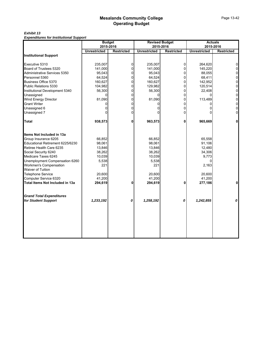| <b>Restricted</b><br>$\overline{0}$ | 2015-2016<br><b>Unrestricted</b><br><b>Restricted</b> |
|-------------------------------------|-------------------------------------------------------|
|                                     |                                                       |
|                                     |                                                       |
|                                     | 264,620                                               |
| $\Omega$                            | 145,220                                               |
| $\overline{0}$                      | 88,055                                                |
| $\Omega$                            | 68,411                                                |
| $\Omega$                            | 142,952                                               |
| $\overline{0}$                      | 120,514                                               |
| 0                                   | 22,408                                                |
| 0                                   |                                                       |
| $\Omega$                            | 113,489                                               |
| 0                                   |                                                       |
| $\Omega$                            |                                                       |
| 0                                   |                                                       |
| 0                                   | 965,669                                               |
|                                     |                                                       |
|                                     | 65,558                                                |
|                                     | 91,106                                                |
|                                     | 12,480                                                |
|                                     | 34,306                                                |
|                                     | 9,773                                                 |
|                                     |                                                       |
|                                     | 2,163                                                 |
|                                     |                                                       |
|                                     | 20,600                                                |
|                                     | 41,200                                                |
| 0                                   | 277,186                                               |
|                                     |                                                       |
| 0                                   | 1,242,855                                             |
|                                     |                                                       |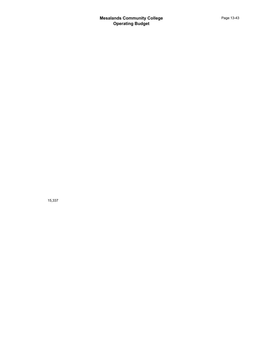15,337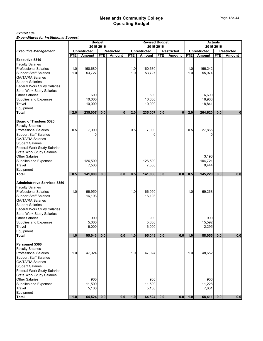|                                                           |            |                                      | <b>Budget</b> |                                    |            | <b>Revised Budget</b>                |            |                                    |            |                               | <b>Actuals</b> |                             |
|-----------------------------------------------------------|------------|--------------------------------------|---------------|------------------------------------|------------|--------------------------------------|------------|------------------------------------|------------|-------------------------------|----------------|-----------------------------|
|                                                           |            |                                      | 2015-2016     |                                    |            | 2015-2016                            |            |                                    |            |                               | 2015-2016      |                             |
| <b>Executive Management</b>                               | <b>FTE</b> | <b>Unrestricted</b><br><b>Amount</b> | <b>FTE</b>    | <b>Restricted</b><br><b>Amount</b> | <b>FTE</b> | <b>Unrestricted</b><br><b>Amount</b> | <b>FTE</b> | <b>Restricted</b><br><b>Amount</b> | <b>FTE</b> | <b>Unrestricted</b><br>Amount | <b>FTE</b>     | <b>Restricted</b><br>Amount |
| <b>Executive 5310</b>                                     |            |                                      |               |                                    |            |                                      |            |                                    |            |                               |                |                             |
| <b>Faculty Salaries</b>                                   |            |                                      |               |                                    |            |                                      |            |                                    |            |                               |                |                             |
| <b>Professional Salaries</b>                              | 1.0        | 160,680                              |               |                                    | 1.0        | 160,680                              |            |                                    | 1.0        | 166,242                       |                |                             |
|                                                           | 1.0        | 53,727                               |               |                                    | 1.0        | 53,727                               |            |                                    | 1.0        | 55,974                        |                |                             |
| Support Staff Salaries<br>GA/TA/RA Salaries               |            |                                      |               |                                    |            |                                      |            |                                    |            |                               |                |                             |
| <b>Student Salaries</b>                                   |            |                                      |               |                                    |            |                                      |            |                                    |            |                               |                |                             |
| Federal Work Study Salaries<br>State Work Study Salaries  |            |                                      |               |                                    |            |                                      |            |                                    |            |                               |                |                             |
|                                                           |            |                                      |               |                                    |            |                                      |            |                                    |            |                               |                |                             |
| <b>Other Salaries</b>                                     |            | 600                                  |               |                                    |            | 600                                  |            |                                    |            | 6,600                         |                |                             |
| Supplies and Expenses                                     |            | 10,000                               |               |                                    |            | 10,000                               |            |                                    |            | 16,963                        |                |                             |
| <b>Travel</b>                                             |            | 10,000                               |               |                                    |            | 10,000                               |            |                                    |            | 18,841                        |                |                             |
| Equipment<br><b>Total</b>                                 | 2.0        | 235,007                              | 0.0           | $\mathbf{0}$                       | 2.0        | 235,007                              | 0.0        | $\bf{0}$                           | 2.0        | 264,620                       | 0.0            | $\bf{0}$                    |
|                                                           |            |                                      |               |                                    |            |                                      |            |                                    |            |                               |                |                             |
| <b>Board of Trustees 5320</b>                             |            |                                      |               |                                    |            |                                      |            |                                    |            |                               |                |                             |
| <b>Faculty Salaries</b>                                   |            |                                      |               |                                    |            |                                      |            |                                    |            |                               |                |                             |
| <b>Professional Salaries</b>                              | 0.5        | 7,000                                |               |                                    | 0.5        | 7,000                                |            |                                    | 0.5        | 27,865                        |                |                             |
| <b>Support Staff Salaries</b>                             |            |                                      |               |                                    |            |                                      |            |                                    |            |                               |                |                             |
| <b>GA/TA/RA Salaries</b>                                  |            |                                      |               |                                    |            |                                      |            |                                    |            |                               |                |                             |
| <b>Student Salaries</b>                                   |            |                                      |               |                                    |            |                                      |            |                                    |            |                               |                |                             |
| <b>Federal Work Study Salaries</b>                        |            |                                      |               |                                    |            |                                      |            |                                    |            |                               |                |                             |
| <b>State Work Study Salaries</b>                          |            |                                      |               |                                    |            |                                      |            |                                    |            |                               |                |                             |
| <b>Other Salaries</b>                                     |            |                                      |               |                                    |            |                                      |            |                                    |            | 3,190                         |                |                             |
| Supplies and Expenses<br>Travel                           |            | 126,500                              |               |                                    |            | 126,500                              |            |                                    |            | 104,721                       |                |                             |
|                                                           |            | 7,500                                |               |                                    |            | 7,500                                |            |                                    |            | 9,444                         |                |                             |
| Equipment<br><b>Total</b>                                 | 0.5        | 141,000                              | 0.0           | 0.0                                | 0.5        | 141,000                              | 0.0        | 0.0                                | 0.5        | 145,220                       | 0.0            | 0.0                         |
|                                                           |            |                                      |               |                                    |            |                                      |            |                                    |            |                               |                |                             |
| <b>Administrative Services 5350</b>                       |            |                                      |               |                                    |            |                                      |            |                                    |            |                               |                |                             |
| <b>Faculty Salaries</b>                                   |            |                                      |               |                                    |            |                                      |            |                                    |            |                               |                |                             |
| <b>Professional Salaries</b>                              | 1.0        | 66,950                               |               |                                    | 1.0        | 66,950                               |            |                                    | 1.0        | 69,268                        |                |                             |
| <b>Support Staff Salaries</b>                             |            | 16,193                               |               |                                    |            | 16,193                               |            |                                    |            |                               |                |                             |
| GA/TA/RA Salaries                                         |            |                                      |               |                                    |            |                                      |            |                                    |            |                               |                |                             |
| <b>Student Salaries</b>                                   |            |                                      |               |                                    |            |                                      |            |                                    |            |                               |                |                             |
| Federal Work Study Salaries                               |            |                                      |               |                                    |            |                                      |            |                                    |            |                               |                |                             |
| <b>State Work Study Salaries</b>                          |            |                                      |               |                                    |            |                                      |            |                                    |            |                               |                |                             |
| <b>Other Salaries</b><br>Supplies and Expenses            |            | 900<br>5,000                         |               |                                    |            | 900<br>5,000                         |            |                                    |            | 900<br>15,592                 |                |                             |
| Travel                                                    |            | 6,000                                |               |                                    |            | 6,000                                |            |                                    |            | 2,295                         |                |                             |
| Equipment                                                 |            |                                      |               |                                    |            |                                      |            |                                    |            |                               |                |                             |
| Total                                                     | 1.0        | 95,043                               | 0.0           | 0.0                                | 1.0        | 95,043                               | $0.0\,$    | 0.0                                | 1.0        | 88,055                        | 0.0            | 0.0                         |
|                                                           |            |                                      |               |                                    |            |                                      |            |                                    |            |                               |                |                             |
| Personnel 5360                                            |            |                                      |               |                                    |            |                                      |            |                                    |            |                               |                |                             |
| <b>Faculty Salaries</b>                                   |            |                                      |               |                                    |            |                                      |            |                                    |            |                               |                |                             |
| <b>Professional Salaries</b>                              | 1.0        | 47,024                               |               |                                    | 1.0        | 47,024                               |            |                                    | 1.0        | 48,652                        |                |                             |
| <b>Support Staff Salaries</b>                             |            |                                      |               |                                    |            |                                      |            |                                    |            |                               |                |                             |
| <b>GA/TA/RA Salaries</b><br><b>Student Salaries</b>       |            |                                      |               |                                    |            |                                      |            |                                    |            |                               |                |                             |
| <b>Federal Work Study Salaries</b>                        |            |                                      |               |                                    |            |                                      |            |                                    |            |                               |                |                             |
|                                                           |            |                                      |               |                                    |            |                                      |            |                                    |            |                               |                |                             |
| <b>State Work Study Salaries</b><br><b>Other Salaries</b> |            | 900                                  |               |                                    |            | 900                                  |            |                                    |            | 900                           |                |                             |
| Supplies and Expenses                                     |            | 11,500                               |               |                                    |            | 11,500                               |            |                                    |            | 11,228                        |                |                             |
| <b>Travel</b>                                             |            | 5,100                                |               |                                    |            | 5,100                                |            |                                    |            | 7,631                         |                |                             |
|                                                           |            |                                      |               |                                    |            |                                      |            |                                    |            |                               |                |                             |
| Equipment<br>Total                                        | 1.0        | 64,524                               | 0.0           | 0.0                                | 1.0        | 64,524                               | 0.0        | 0.0                                | 1.0        | 68,411                        | 0.0            | 0.0                         |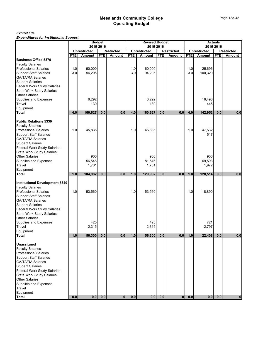# Page 13a-45

|                                                          |            |                                      | <b>Budget</b> |                                    |            | <b>Revised Budget</b>         |            |                                    |            |                                      | <b>Actuals</b> |                             |
|----------------------------------------------------------|------------|--------------------------------------|---------------|------------------------------------|------------|-------------------------------|------------|------------------------------------|------------|--------------------------------------|----------------|-----------------------------|
|                                                          |            |                                      | 2015-2016     |                                    |            | 2015-2016                     |            |                                    |            |                                      | 2015-2016      |                             |
|                                                          | <b>FTE</b> | <b>Unrestricted</b><br><b>Amount</b> | <b>FTE</b>    | <b>Restricted</b><br><b>Amount</b> | <b>FTE</b> | <b>Unrestricted</b><br>Amount | <b>FTE</b> | <b>Restricted</b><br><b>Amount</b> | <b>FTE</b> | <b>Unrestricted</b><br><b>Amount</b> | <b>FTE</b>     | <b>Restricted</b><br>Amount |
| <b>Business Office 5370</b>                              |            |                                      |               |                                    |            |                               |            |                                    |            |                                      |                |                             |
| <b>Faculty Salaries</b>                                  |            |                                      |               |                                    |            |                               |            |                                    |            |                                      |                |                             |
| <b>Professional Salaries</b>                             | 1.0        | 60,000                               |               |                                    | 1.0        | 60,000                        |            |                                    | 1.0        | 25,696                               |                |                             |
|                                                          | 3.0        | 94,205                               |               |                                    | 3.0        | 94,205                        |            |                                    | 3.0        | 100,320                              |                |                             |
| Support Staff Salaries<br>GA/TA/RA Salaries              |            |                                      |               |                                    |            |                               |            |                                    |            |                                      |                |                             |
| <b>Student Salaries</b>                                  |            |                                      |               |                                    |            |                               |            |                                    |            |                                      |                |                             |
| Federal Work Study Salaries<br>State Work Study Salaries |            |                                      |               |                                    |            |                               |            |                                    |            |                                      |                |                             |
|                                                          |            |                                      |               |                                    |            |                               |            |                                    |            |                                      |                |                             |
| <b>Other Salaries</b>                                    |            |                                      |               |                                    |            |                               |            |                                    |            |                                      |                |                             |
| Supplies and Expenses<br>Travel                          |            | 6,292                                |               |                                    |            | 6,292                         |            |                                    |            | 16,490                               |                |                             |
|                                                          |            | 130                                  |               |                                    |            | 130                           |            |                                    |            | 446                                  |                |                             |
| Equipment                                                |            |                                      |               |                                    |            |                               |            |                                    |            |                                      |                |                             |
| <b>Total</b>                                             | 4.0        | 160,627                              | 0.0           | 0.0                                | 4.0        | 160,627                       | 0.0        | 0.0                                | 4.0        | 142,952                              | 0.0            | 0.0                         |
| <b>Public Relations 5330</b>                             |            |                                      |               |                                    |            |                               |            |                                    |            |                                      |                |                             |
| <b>Faculty Salaries</b>                                  |            |                                      |               |                                    |            |                               |            |                                    |            |                                      |                |                             |
|                                                          | 1.0        | 45,835                               |               |                                    | 1.0        | 45,835                        |            |                                    | 1.0        | 47,532                               |                |                             |
| <b>Professional Salaries<br/>Support Staff Salaries</b>  |            |                                      |               |                                    |            |                               |            |                                    |            | 517                                  |                |                             |
| <b>GA/TA/RA Salaries</b>                                 |            |                                      |               |                                    |            |                               |            |                                    |            |                                      |                |                             |
|                                                          |            |                                      |               |                                    |            |                               |            |                                    |            |                                      |                |                             |
| Student Salaries<br>Federal Work Study Salaries          |            |                                      |               |                                    |            |                               |            |                                    |            |                                      |                |                             |
| State Work Study Salaries                                |            |                                      |               |                                    |            |                               |            |                                    |            |                                      |                |                             |
| <b>Other Salaries</b>                                    |            | 900                                  |               |                                    |            | 900                           |            |                                    |            | 900                                  |                |                             |
| Supplies and Expenses<br>Travel                          |            | 56,546                               |               |                                    |            | 81,546                        |            |                                    |            | 69,593                               |                |                             |
|                                                          |            | 1,701                                |               |                                    |            | 1,701                         |            |                                    |            | 1,972                                |                |                             |
| Equipment                                                |            |                                      |               |                                    |            |                               |            |                                    |            |                                      |                |                             |
| <b>Total</b>                                             | 1.0        | 104,982                              | 0.0           | 0.0                                | 1.0        | 129,982                       | 0.0        | 0.0                                | 1.0        | 120,514                              | 0.0            | 0.0                         |
| <b>Institutional Development 5340</b>                    |            |                                      |               |                                    |            |                               |            |                                    |            |                                      |                |                             |
| <b>Faculty Salaries</b>                                  |            |                                      |               |                                    |            |                               |            |                                    |            |                                      |                |                             |
| <b>Professional Salaries</b>                             | 1.0        | 53,560                               |               |                                    | 1.0        | 53,560                        |            |                                    | 1.0        | 18,890                               |                |                             |
| <b>Support Staff Salaries</b>                            |            |                                      |               |                                    |            |                               |            |                                    |            |                                      |                |                             |
| GA/TA/RA Salaries                                        |            |                                      |               |                                    |            |                               |            |                                    |            |                                      |                |                             |
| Student Salaries<br>Federal Work Study Salaries          |            |                                      |               |                                    |            |                               |            |                                    |            |                                      |                |                             |
|                                                          |            |                                      |               |                                    |            |                               |            |                                    |            |                                      |                |                             |
| <b>State Work Study Salaries</b>                         |            |                                      |               |                                    |            |                               |            |                                    |            |                                      |                |                             |
| <b>Other Salaries</b>                                    |            |                                      |               |                                    |            |                               |            |                                    |            |                                      |                |                             |
| Supplies and Expenses                                    |            | 425                                  |               |                                    |            | 425                           |            |                                    |            | 721                                  |                |                             |
| Travel                                                   |            | 2,315                                |               |                                    |            | 2,315                         |            |                                    |            | 2,797                                |                |                             |
| Equipment<br>Total                                       | 1.0        | 56,300                               | 0.0           | 0.0                                | 1.0        | 56,300                        | 0.0        | 0.0                                | 1.0        | 22,408                               | 0.0            | 0.0                         |
|                                                          |            |                                      |               |                                    |            |                               |            |                                    |            |                                      |                |                             |
| <b>Unassigned</b>                                        |            |                                      |               |                                    |            |                               |            |                                    |            |                                      |                |                             |
| <b>Faculty Salaries</b>                                  |            |                                      |               |                                    |            |                               |            |                                    |            |                                      |                |                             |
| Professional Salaries                                    |            |                                      |               |                                    |            |                               |            |                                    |            |                                      |                |                             |
| <b>Support Staff Salaries</b>                            |            |                                      |               |                                    |            |                               |            |                                    |            |                                      |                |                             |
| <b>GA/TA/RA Salaries</b>                                 |            |                                      |               |                                    |            |                               |            |                                    |            |                                      |                |                             |
| <b>Student Salaries</b>                                  |            |                                      |               |                                    |            |                               |            |                                    |            |                                      |                |                             |
| <b>Federal Work Study Salaries</b>                       |            |                                      |               |                                    |            |                               |            |                                    |            |                                      |                |                             |
| State Work Study Salaries                                |            |                                      |               |                                    |            |                               |            |                                    |            |                                      |                |                             |
| <b>Other Salaries</b>                                    |            |                                      |               |                                    |            |                               |            |                                    |            |                                      |                |                             |
| Supplies and Expenses                                    |            |                                      |               |                                    |            |                               |            |                                    |            |                                      |                |                             |
| <b>Travel</b><br>Equipment                               |            |                                      |               |                                    |            |                               |            |                                    |            |                                      |                |                             |
| Total                                                    | 0.0        | 0.0                                  | $0.0\,$       | $\mathbf{0}$                       | 0.0        | 0.0                           | 0.0        | $\mathbf{0}$                       | 0.0        | 0.0                                  | 0.0            | $\mathbf 0$                 |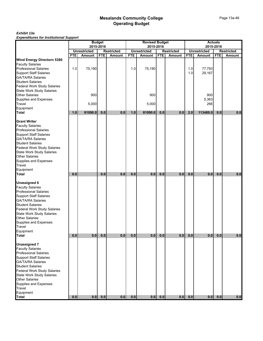# Page 13a-46

|                                    |            |                               | <b>Budget</b> |                                    |            | <b>Revised Budget</b>                |            |                             |            |                                      | <b>Actuals</b> |                             |
|------------------------------------|------------|-------------------------------|---------------|------------------------------------|------------|--------------------------------------|------------|-----------------------------|------------|--------------------------------------|----------------|-----------------------------|
|                                    |            |                               | 2015-2016     |                                    |            | 2015-2016                            |            |                             |            |                                      | 2015-2016      |                             |
|                                    | <b>FTE</b> | <b>Unrestricted</b><br>Amount | <b>FTE</b>    | <b>Restricted</b><br><b>Amount</b> | <b>FTE</b> | <b>Unrestricted</b><br><b>Amount</b> | <b>FTE</b> | <b>Restricted</b><br>Amount | <b>FTE</b> | <b>Unrestricted</b><br><b>Amount</b> | <b>FTE</b>     | <b>Restricted</b><br>Amount |
| Wind Energy Directorn 5380         |            |                               |               |                                    |            |                                      |            |                             |            |                                      |                |                             |
| <b>Faculty Salaries</b>            |            |                               |               |                                    |            |                                      |            |                             |            |                                      |                |                             |
| <b>Professional Salaries</b>       | 1.0        | 75,190                        |               |                                    | 1.0        | 75,190                               |            |                             | 1.0        | 77,793                               |                |                             |
| <b>Support Staff Salaries</b>      |            |                               |               |                                    |            |                                      |            |                             | 1.0        | 29,167                               |                |                             |
| GA/TA/RA Salaries                  |            |                               |               |                                    |            |                                      |            |                             |            |                                      |                |                             |
| <b>Student Salaries</b>            |            |                               |               |                                    |            |                                      |            |                             |            |                                      |                |                             |
| <b>Federal Work Study Salaries</b> |            |                               |               |                                    |            |                                      |            |                             |            |                                      |                |                             |
| <b>State Work Study Salaries</b>   |            |                               |               |                                    |            |                                      |            |                             |            |                                      |                |                             |
| <b>Other Salaries</b>              |            | 900                           |               |                                    |            | 900                                  |            |                             |            | 900                                  |                |                             |
| Supplies and Expenses              |            |                               |               |                                    |            |                                      |            |                             |            | 5,363                                |                |                             |
| Travel                             |            | 5,000                         |               |                                    |            | 5,000                                |            |                             |            | 266                                  |                |                             |
| Equipment                          |            |                               |               |                                    |            |                                      |            |                             |            |                                      |                |                             |
| <b>Total</b>                       | 1.0        | 81090.0                       | 0.0           | 0.0                                | 1.0        | 81090.0                              | 0.0        | 0.0                         | 2.0        | 113489.0                             | 0.0            | 0.0                         |
| <b>Grant Writer</b>                |            |                               |               |                                    |            |                                      |            |                             |            |                                      |                |                             |
| <b>Faculty Salaries</b>            |            |                               |               |                                    |            |                                      |            |                             |            |                                      |                |                             |
| <b>Professional Salaries</b>       |            |                               |               |                                    |            |                                      |            |                             |            |                                      |                |                             |
| <b>Support Staff Salaries</b>      |            |                               |               |                                    |            |                                      |            |                             |            |                                      |                |                             |
| <b>GA/TA/RA Salaries</b>           |            |                               |               |                                    |            |                                      |            |                             |            |                                      |                |                             |
| <b>Student Salaries</b>            |            |                               |               |                                    |            |                                      |            |                             |            |                                      |                |                             |
| Federal Work Study Salaries        |            |                               |               |                                    |            |                                      |            |                             |            |                                      |                |                             |
| State Work Study Salaries          |            |                               |               |                                    |            |                                      |            |                             |            |                                      |                |                             |
| <b>Other Salaries</b>              |            |                               |               |                                    |            |                                      |            |                             |            |                                      |                |                             |
| Supplies and Expenses              |            |                               |               |                                    |            |                                      |            |                             |            |                                      |                |                             |
| Travel                             |            |                               |               |                                    |            |                                      |            |                             |            |                                      |                |                             |
| Equipment                          |            |                               |               |                                    |            |                                      |            |                             |            |                                      |                |                             |
| <b>Total</b>                       | 0.0        |                               | 0.0           | 0.0                                | 0.0        | 0.0                                  | 0.0        | 0.0                         | 0.0        | 0.0                                  | 0.0            | 0.0                         |
|                                    |            |                               |               |                                    |            |                                      |            |                             |            |                                      |                |                             |
| <b>Unassigned 6</b>                |            |                               |               |                                    |            |                                      |            |                             |            |                                      |                |                             |
| <b>Faculty Salaries</b>            |            |                               |               |                                    |            |                                      |            |                             |            |                                      |                |                             |
| <b>Professional Salaries</b>       |            |                               |               |                                    |            |                                      |            |                             |            |                                      |                |                             |
| <b>Support Staff Salaries</b>      |            |                               |               |                                    |            |                                      |            |                             |            |                                      |                |                             |
| <b>GA/TA/RA Salaries</b>           |            |                               |               |                                    |            |                                      |            |                             |            |                                      |                |                             |
| <b>Student Salaries</b>            |            |                               |               |                                    |            |                                      |            |                             |            |                                      |                |                             |
| Federal Work Study Salaries        |            |                               |               |                                    |            |                                      |            |                             |            |                                      |                |                             |
| <b>State Work Study Salaries</b>   |            |                               |               |                                    |            |                                      |            |                             |            |                                      |                |                             |
| <b>Other Salaries</b>              |            |                               |               |                                    |            |                                      |            |                             |            |                                      |                |                             |
| Supplies and Expenses              |            |                               |               |                                    |            |                                      |            |                             |            |                                      |                |                             |
| Travel<br>Equipment                |            |                               |               |                                    |            |                                      |            |                             |            |                                      |                |                             |
| <b>Total</b>                       | $0.0\,$    | 0.0                           | 0.0           | 0.0                                | 0.0        | 0.0                                  | 0.0        | 0.0                         | 0.0        | 0.0                                  | 0.0            | 0.0                         |
|                                    |            |                               |               |                                    |            |                                      |            |                             |            |                                      |                |                             |
| <b>Unassigned 7</b>                |            |                               |               |                                    |            |                                      |            |                             |            |                                      |                |                             |
| <b>Faculty Salaries</b>            |            |                               |               |                                    |            |                                      |            |                             |            |                                      |                |                             |
| <b>Professional Salaries</b>       |            |                               |               |                                    |            |                                      |            |                             |            |                                      |                |                             |
| <b>Support Staff Salaries</b>      |            |                               |               |                                    |            |                                      |            |                             |            |                                      |                |                             |
| <b>GA/TA/RA Salaries</b>           |            |                               |               |                                    |            |                                      |            |                             |            |                                      |                |                             |
| <b>Student Salaries</b>            |            |                               |               |                                    |            |                                      |            |                             |            |                                      |                |                             |
| Federal Work Study Salaries        |            |                               |               |                                    |            |                                      |            |                             |            |                                      |                |                             |
| State Work Study Salaries          |            |                               |               |                                    |            |                                      |            |                             |            |                                      |                |                             |
| <b>Other Salaries</b>              |            |                               |               |                                    |            |                                      |            |                             |            |                                      |                |                             |
| Supplies and Expenses              |            |                               |               |                                    |            |                                      |            |                             |            |                                      |                |                             |
| Travel                             |            |                               |               |                                    |            |                                      |            |                             |            |                                      |                |                             |
| Equipment                          |            |                               |               |                                    |            |                                      |            |                             |            |                                      |                |                             |
| Total                              | 0.0        | 0.0                           | 0.0           | 0.0                                | 0.0        | 0.0                                  | 0.0        | 0.0                         | 0.0        | 0.0                                  | 0.0            | 0.0                         |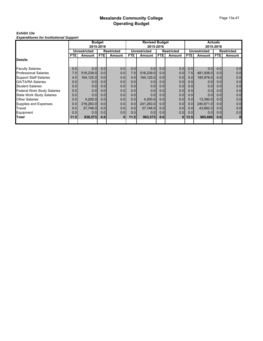## Page 13a-47

|                                  |      | <b>Budget</b><br><b>Revised Budget</b> |                  |                   |      |                     |                  |                   | <b>Actuals</b><br>2015-2016 |              |                  |                   |  |
|----------------------------------|------|----------------------------------------|------------------|-------------------|------|---------------------|------------------|-------------------|-----------------------------|--------------|------------------|-------------------|--|
|                                  |      |                                        | 2015-2016        |                   |      | 2015-2016           |                  |                   |                             |              |                  |                   |  |
|                                  |      | <b>Unrestricted</b>                    |                  | <b>Restricted</b> |      | <b>Unrestricted</b> |                  | <b>Restricted</b> |                             | Unrestricted |                  | <b>Restricted</b> |  |
|                                  | FTE. | Amount                                 | <b>FTE</b>       | Amount            | FTE. | Amount              | <b>FTE</b>       | Amount            | <b>FTEI</b>                 | Amount       | <b>FTE</b>       | Amount            |  |
| <b>Details</b>                   |      |                                        |                  |                   |      |                     |                  |                   |                             |              |                  |                   |  |
| <b>Faculty Salaries</b>          | 0.0  | 0.0 <sub>l</sub>                       | 0.0              | 0.0               | 0.0  | 0.0                 | 0.0              | 0.0               | 0.0                         | 0.0          | 0.0              | 0.0               |  |
| Professional Salaries            | 7.5  | 516,239.0                              | 0.0 <sub>l</sub> | 0.0               | 7.5  | 516,239.0           | 0.0              | 0.0               | 7.5                         | 481,938.0    | 0.0 <sub>l</sub> | 0.0               |  |
| <b>Support Staff Salaries</b>    | 4.0  | 164,125.0                              |                  | 0.0               | 4.0  | 164,125.0           | 0.0              | 0.0               | 5.0                         | 185.978.0    | 0.0              | 0.0               |  |
| GA/TA/RA Salaries                | 0.0  | 0.0                                    | 0.0 <sub>l</sub> | 0.0               | 0.0  | 0.0                 | 0.0              | 0.0               | 0.0                         | 0.0          | 0.0 <sub>l</sub> | 0.0               |  |
| <b>Student Salaries</b>          | 0.0  | 0.0                                    | 0.0              | 0.0               | 0.0  | 0.0                 | 0.0 <sub>l</sub> | 0.0               | 0.0                         | 0.0          | 0.0              | 0.0               |  |
| Federal Work Study Salaries      | 0.0  | 0.0                                    | 0.0              | 0.0               | 0.0  | 0.0                 | 0.0 <sub>l</sub> | 0.0               | 0.0                         | 0.0          | 0.0 <sub>l</sub> | 0.0               |  |
| <b>State Work Study Salaries</b> | 0.0  | 0.0 <sub>l</sub>                       | 0.0              | 0.0 <sub>l</sub>  | 0.0  | 0.0                 | 0.0 <sub>l</sub> | 0.0               | 0.0 <sub>l</sub>            | 0.0          | 0.0 <sub>l</sub> | 0.0               |  |
| Other Salaries                   | 0.0  | 4,200.0                                | 0.0              | 0.0               | 0.0  | 4,200.0             | 0.0              | 0.0               | 0.0                         | 13,390.0     | 0.0 <sub>l</sub> | 0.0               |  |
| Supplies and Expenses            | 0.0  | 216.263.0                              | 0.0              | 0.0               | 0.0  | 241.263.0           | 0.0 <sub>l</sub> | 0.0               | 0.0                         | 240,671.0    | 0.0 <sub>l</sub> | 0.0               |  |
| Travel                           | 0.0  | 37,746.0                               | 0.0 <sub>l</sub> | 0.0               | 0.0  | 37,746.0            | 0.0              | 0.0               | 0.0                         | 43,692.0     | 0.0 <sub>l</sub> | 0.0               |  |
| Equipment                        | 0.0  | 0.0                                    | 0.0 <sub>l</sub> | 0.0               | 0.0  | 0.0                 | 0.0 <sub>l</sub> | 0.01              | 0.0                         | 0.0          | 0.0              | 0.0               |  |
| Total                            | 11.5 | 938,573                                | 0.0              | <b>01</b>         | 11.5 | 963,573             | 0.0              | 01                | 12.51                       | 965,669      | 0.0              | $\mathbf{0}$      |  |
|                                  |      |                                        |                  |                   |      |                     |                  |                   |                             |              |                  |                   |  |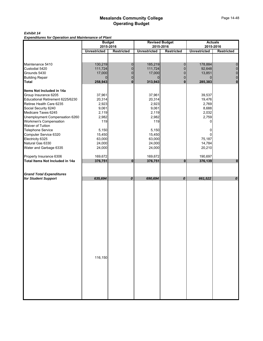## *Exhibit 14*

*Expenditures for Operation and Maintenance of Plant*

|                                                          |                     | <b>Budget</b>     |                     | <b>Revised Budget</b> |                     | <b>Actuals</b>     |
|----------------------------------------------------------|---------------------|-------------------|---------------------|-----------------------|---------------------|--------------------|
|                                                          |                     | 2015-2016         |                     | 2015-2016             |                     | 2015-2016          |
|                                                          | <b>Unrestricted</b> | <b>Restricted</b> | <b>Unrestricted</b> | <b>Restricted</b>     | <b>Unrestricted</b> | <b>Restricted</b>  |
|                                                          |                     |                   |                     |                       |                     |                    |
| Maintenance 5410                                         | 130,219             | 0                 | 185,219             | 0                     | 178,884             | $\mathbf 0$        |
| Custodial 5420                                           | 111,724             | $\pmb{0}$         | 111,724             | $\mathbf 0$           | 92,648              | $\pmb{0}$          |
| Grounds 5430                                             | 17,000              | $\pmb{0}$         | 17,000              | $\overline{0}$        | 13,851              | $\pmb{0}$          |
| <b>Building Repair</b>                                   |                     | $\pmb{0}$         |                     | $\overline{0}$        | $\Omega$            | $\pmb{0}$          |
| <b>Total</b>                                             | 258,943             | $\mathbf 0$       | 313,943             | $\mathbf 0$           | 285,383             | $\mathbf 0$        |
|                                                          |                     |                   |                     |                       |                     |                    |
| Items Not Included in 14a                                |                     |                   |                     |                       |                     |                    |
| Group Insurance 6205<br>Educational Retirement 6225/6230 | 37,961<br>20,314    |                   | 37,961<br>20,314    |                       | 39,537<br>19,476    |                    |
| Retiree Health Care 6235                                 | 2,923               |                   | 2,923               |                       | 2,769               |                    |
| Social Security 6240                                     | 9,061               |                   | 9,061               |                       | 8,688               |                    |
| Medicare Taxes 6245                                      | 2,119               |                   | 2,119               |                       | 2,032               |                    |
| Unemployment Compensation 6260                           | 2,982               |                   | 2,982               |                       | 2,759               |                    |
| Workmen's Compensation                                   | 119                 |                   | 119                 |                       | 0                   |                    |
|                                                          |                     |                   |                     |                       |                     |                    |
| Waiver of Tuition<br>Telephone Service                   | 5,150               |                   | 5,150               |                       | 0                   |                    |
| Computer Service 6320                                    | 15,450              |                   | 15,450              |                       | 0                   |                    |
| Electricity 6325                                         | 63,000              |                   | 63,000              |                       | 75,187              |                    |
| Natural Gas 6330                                         | 24,000              |                   | 24,000              |                       | 14,784              |                    |
| Water and Garbage 6335                                   | 24,000              |                   | 24,000              |                       | 20,210              |                    |
|                                                          |                     |                   |                     |                       |                     |                    |
| Property Insurance 6306                                  | 169,672             |                   | 169,672             |                       | 190,697             |                    |
| Total Items Not Included in 14a                          | 376,751             | $\pmb{0}$         | 376,751             | $\bf{0}$              | 376,139             | $\pmb{0}$          |
|                                                          |                     |                   |                     |                       |                     |                    |
| <b>Grand Total Expenditures</b>                          |                     |                   |                     |                       |                     |                    |
| for Student Support                                      | 635,694             | 0                 | 690,694             | 0                     | 661,522             | $\pmb{\mathit{o}}$ |
|                                                          |                     |                   |                     |                       |                     |                    |
|                                                          |                     |                   |                     |                       |                     |                    |
|                                                          |                     |                   |                     |                       |                     |                    |
|                                                          |                     |                   |                     |                       |                     |                    |
|                                                          |                     |                   |                     |                       |                     |                    |
|                                                          |                     |                   |                     |                       |                     |                    |
|                                                          |                     |                   |                     |                       |                     |                    |
|                                                          |                     |                   |                     |                       |                     |                    |
|                                                          |                     |                   |                     |                       |                     |                    |
|                                                          |                     |                   |                     |                       |                     |                    |
|                                                          |                     |                   |                     |                       |                     |                    |
|                                                          |                     |                   |                     |                       |                     |                    |
|                                                          |                     |                   |                     |                       |                     |                    |
|                                                          |                     |                   |                     |                       |                     |                    |
|                                                          |                     |                   |                     |                       |                     |                    |
|                                                          |                     |                   |                     |                       |                     |                    |
|                                                          |                     |                   |                     |                       |                     |                    |
|                                                          | 116,150             |                   |                     |                       |                     |                    |
|                                                          |                     |                   |                     |                       |                     |                    |
|                                                          |                     |                   |                     |                       |                     |                    |
|                                                          |                     |                   |                     |                       |                     |                    |
|                                                          |                     |                   |                     |                       |                     |                    |
|                                                          |                     |                   |                     |                       |                     |                    |
|                                                          |                     |                   |                     |                       |                     |                    |
|                                                          |                     |                   |                     |                       |                     |                    |
|                                                          |                     |                   |                     |                       |                     |                    |
|                                                          |                     |                   |                     |                       |                     |                    |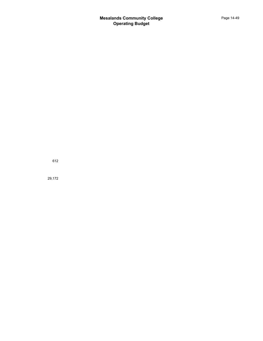612

29,172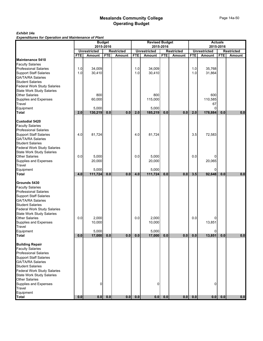## *Exhibit 14a*

*Expenditures for Operation and Maintenance of Plant*

|                                                               |            |                                      | <b>Budget</b> |                             |            | <b>Revised Budget</b> |            |                                    |            |                               | <b>Actuals</b> |                                    |
|---------------------------------------------------------------|------------|--------------------------------------|---------------|-----------------------------|------------|-----------------------|------------|------------------------------------|------------|-------------------------------|----------------|------------------------------------|
|                                                               |            |                                      | 2015-2016     |                             |            | <b>Unrestricted</b>   | 2015-2016  |                                    |            |                               | 2015-2016      |                                    |
|                                                               | <b>FTE</b> | <b>Unrestricted</b><br><b>Amount</b> | <b>FTE</b>    | <b>Restricted</b><br>Amount | <b>FTE</b> | Amount                | <b>FTE</b> | <b>Restricted</b><br><b>Amount</b> | <b>FTE</b> | <b>Unrestricted</b><br>Amount | <b>FTE</b>     | <b>Restricted</b><br><b>Amount</b> |
| Maintenance 5410                                              |            |                                      |               |                             |            |                       |            |                                    |            |                               |                |                                    |
| <b>Faculty Salaries</b>                                       |            |                                      |               |                             |            |                       |            |                                    |            |                               |                |                                    |
| <b>Professional Salaries</b>                                  | 1.0        | 34,009                               |               |                             | 1.0        | 34,009                |            |                                    | 1.0        | 35.768                        |                |                                    |
|                                                               | 1.0        | 30,410                               |               |                             | 1.0        | 30,410                |            |                                    | 1.0        | 31,864                        |                |                                    |
| Support Staff Salaries<br>GA/TA/RA Salaries                   |            |                                      |               |                             |            |                       |            |                                    |            |                               |                |                                    |
| <b>Student Salaries</b>                                       |            |                                      |               |                             |            |                       |            |                                    |            |                               |                |                                    |
| <b>Federal Work Study Salaries</b>                            |            |                                      |               |                             |            |                       |            |                                    |            |                               |                |                                    |
|                                                               |            |                                      |               |                             |            |                       |            |                                    |            |                               |                |                                    |
| State Work Study Salaries<br>Other Salaries                   |            | 800                                  |               |                             |            | 800                   |            |                                    |            | 600                           |                |                                    |
| Supplies and Expenses                                         |            | 60,000                               |               |                             |            | 115,000               |            |                                    |            | 110,585                       |                |                                    |
|                                                               |            |                                      |               |                             |            |                       |            |                                    |            |                               |                |                                    |
| Travel                                                        |            |                                      |               |                             |            | 5,000                 |            |                                    |            | 67<br>$\Omega$                |                |                                    |
| Equipment                                                     |            | 5,000                                |               |                             |            |                       |            |                                    |            |                               |                | 0.0                                |
| <b>Total</b>                                                  | 2.0        | 130,219                              | 0.0           | 0.0                         | 2.0        | 185,219               | 0.0        | 0.0                                | 2.0        | 178,884                       | 0.0            |                                    |
| <b>Custodial 5420</b>                                         |            |                                      |               |                             |            |                       |            |                                    |            |                               |                |                                    |
| <b>Faculty Salaries</b>                                       |            |                                      |               |                             |            |                       |            |                                    |            |                               |                |                                    |
| <b>Professional Salaries</b>                                  |            |                                      |               |                             |            |                       |            |                                    |            |                               |                |                                    |
| <b>Support Staff Salaries</b>                                 | 4.0        | 81,724                               |               |                             | 4.0        | 81,724                |            |                                    | 3.5        | 72,583                        |                |                                    |
| GA/TA/RA Salaries                                             |            |                                      |               |                             |            |                       |            |                                    |            |                               |                |                                    |
| <b>Student Salaries</b>                                       |            |                                      |               |                             |            |                       |            |                                    |            |                               |                |                                    |
| <b>Federal Work Study Salaries</b>                            |            |                                      |               |                             |            |                       |            |                                    |            |                               |                |                                    |
| State Work Study Salaries                                     |            |                                      |               |                             |            |                       |            |                                    |            |                               |                |                                    |
| <b>Other Salaries</b>                                         | 0.0        | 5,000                                |               |                             | 0.0        | 5,000                 |            |                                    | 0.0        | 0                             |                |                                    |
| Supplies and Expenses                                         |            | 20,000                               |               |                             |            | 20,000                |            |                                    |            | 20,065                        |                |                                    |
| Travel                                                        |            |                                      |               |                             |            |                       |            |                                    |            |                               |                |                                    |
| Equipment                                                     |            | 5,000                                |               |                             |            | 5,000                 |            |                                    |            | 0                             |                |                                    |
| <b>Total</b>                                                  | 4.0        | 111,724                              | 0.0           | 0.0                         | 4.0        | 111,724               | 0.0        | 0.0                                | 3.5        | 92,648                        | 0.0            | 0.0                                |
|                                                               |            |                                      |               |                             |            |                       |            |                                    |            |                               |                |                                    |
| Grounds 5430                                                  |            |                                      |               |                             |            |                       |            |                                    |            |                               |                |                                    |
| <b>Faculty Salaries</b>                                       |            |                                      |               |                             |            |                       |            |                                    |            |                               |                |                                    |
| <b>Professional Salaries</b>                                  |            |                                      |               |                             |            |                       |            |                                    |            |                               |                |                                    |
| <b>Support Staff Salaries</b>                                 |            |                                      |               |                             |            |                       |            |                                    |            |                               |                |                                    |
| <b>GA/TA/RA Salaries</b>                                      |            |                                      |               |                             |            |                       |            |                                    |            |                               |                |                                    |
| <b>Student Salaries</b>                                       |            |                                      |               |                             |            |                       |            |                                    |            |                               |                |                                    |
| <b>Federal Work Study Salaries</b>                            |            |                                      |               |                             |            |                       |            |                                    |            |                               |                |                                    |
| <b>State Work Study Salaries</b>                              |            |                                      |               |                             |            |                       |            |                                    |            |                               |                |                                    |
| <b>Other Salaries</b>                                         | 0.0        | 2,000                                |               |                             | 0.0        | 2,000                 |            |                                    | 0.0        | 0                             |                |                                    |
| Supplies and Expenses<br>Travel                               |            | 10,000                               |               |                             |            | 10,000                |            |                                    |            | 13,851                        |                |                                    |
|                                                               |            |                                      |               |                             |            |                       |            |                                    |            |                               |                |                                    |
| Equipment                                                     |            | 5,000                                |               |                             |            | 5,000                 |            |                                    |            | 0                             |                |                                    |
| Total                                                         | 0.0        | 17,000                               | 0.0           | 0.0                         | $0.0\,$    | 17,000                | 0.0        | 0.0                                | $0.0\,$    | 13,851                        | 0.0            | 0.0                                |
|                                                               |            |                                      |               |                             |            |                       |            |                                    |            |                               |                |                                    |
| <b>Building Repair</b>                                        |            |                                      |               |                             |            |                       |            |                                    |            |                               |                |                                    |
| <b>Faculty Salaries</b>                                       |            |                                      |               |                             |            |                       |            |                                    |            |                               |                |                                    |
| <b>Professional Salaries</b><br><b>Support Staff Salaries</b> |            |                                      |               |                             |            |                       |            |                                    |            |                               |                |                                    |
|                                                               |            |                                      |               |                             |            |                       |            |                                    |            |                               |                |                                    |
| <b>GA/TA/RA Salaries</b>                                      |            |                                      |               |                             |            |                       |            |                                    |            |                               |                |                                    |
| <b>Student Salaries</b>                                       |            |                                      |               |                             |            |                       |            |                                    |            |                               |                |                                    |
| Federal Work Study Salaries                                   |            |                                      |               |                             |            |                       |            |                                    |            |                               |                |                                    |
| <b>State Work Study Salaries</b>                              |            |                                      |               |                             |            |                       |            |                                    |            |                               |                |                                    |
| <b>Other Salaries</b><br>Supplies and Expenses                |            |                                      |               |                             |            |                       |            |                                    |            |                               |                |                                    |
| Travel                                                        |            | 0                                    |               |                             |            | 0                     |            |                                    |            | 0                             |                |                                    |
| Equipment                                                     |            |                                      |               |                             |            |                       |            |                                    |            |                               |                |                                    |
| <b>Total</b>                                                  | 0.0        | 0.0                                  | $0.0$         | 0.0                         | 0.0        | 0.0                   | $0.0\,$    | 0.0                                | 0.0        | 0.0                           | 0.0            | 0.0                                |
|                                                               |            |                                      |               |                             |            |                       |            |                                    |            |                               |                |                                    |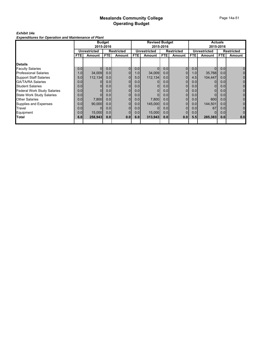## *Exhibit 14a*

*Expenditures for Operation and Maintenance of Plant*

|                                    |                  |              | <b>Budget</b> |                   |                  | <b>Revised Budget</b> |                  |                   |                  |                     | <b>Actuals</b>   |                   |
|------------------------------------|------------------|--------------|---------------|-------------------|------------------|-----------------------|------------------|-------------------|------------------|---------------------|------------------|-------------------|
|                                    |                  |              | 2015-2016     |                   |                  |                       | 2015-2016        |                   |                  |                     | 2015-2016        |                   |
|                                    |                  | Unrestricted |               | <b>Restricted</b> |                  | <b>Unrestricted</b>   |                  | <b>Restricted</b> |                  | <b>Unrestricted</b> |                  | <b>Restricted</b> |
|                                    | <b>FTE</b>       | Amount       | <b>FTE</b>    | Amount            | <b>FTE</b>       | Amount                | <b>FTE</b>       | <b>Amount</b>     | <b>FTE</b>       | Amount              | <b>FTE</b>       | Amount            |
|                                    |                  |              |               |                   |                  |                       |                  |                   |                  |                     |                  |                   |
| <b>Details</b>                     |                  |              |               |                   |                  |                       |                  |                   |                  |                     |                  |                   |
| <b>Faculty Salaries</b>            | 0.0              |              | 0.0           | $\overline{0}$    | 0.0              | $\Omega$              | 0.0              | $\mathbf{0}$      | 0.0              | 0                   | 0.0              | 0                 |
| <b>Professional Salaries</b>       | 1.0              | 34,009       | 0.0           | 0                 | 1.0 <sub>l</sub> | 34,009                | 0.01             | $\overline{0}$    | 1.0 <sub>l</sub> | 35,768              | 0.0 <sub>l</sub> | 0                 |
| <b>Support Staff Salaries</b>      | 5.0              | 112, 134     | 0.0           | 0                 | 5.0              | 112,134               | 0.01             |                   | 4.5              | 104,447             | 0.0 <sub>l</sub> |                   |
| <b>GA/TA/RA Salaries</b>           | 0.0 <sub>l</sub> |              | 0.0           | 0                 | 0.0 <sub>1</sub> |                       | 0.0 <sub>l</sub> | 0                 | 0.0              |                     | 0.01             |                   |
| <b>Student Salaries</b>            | 0.0              |              | 0.0           | 0                 | 0.01             |                       | 0.01             | 0                 | 0.0 <sub>l</sub> | 0                   | 0.0              |                   |
| <b>Federal Work Study Salaries</b> | 0.0              |              | 0.0           | 0                 | 0.01             | $\Omega$              | 0.01             | $\overline{0}$    | 0.0              | 0                   | 0.0              | 0                 |
| <b>State Work Study Salaries</b>   | 0.0              |              | 0.0           | $\overline{0}$    | 0.0              | 0                     | 0.01             | 0                 | 0.0              |                     | 0.0              | 0                 |
| <b>Other Salaries</b>              | 0.0              | 7,800        | 0.0           | $\overline{0}$    | 0.01             | 7,800                 | 0.01             | 0                 | 0.0              | 600                 | 0.0 <sub>l</sub> | 0                 |
| Supplies and Expenses              | 0.0              | 90,000       | 0.0           | $\overline{0}$    | 0.0              | 145,000               | 0.0              | 0                 | 0.0              | 144,501             | 0.0 <sub>l</sub> | 0                 |
| Travel                             | 0.0              |              | 0.0           | $\overline{0}$    | 0.0 <sub>l</sub> |                       | 0.0 <sub>l</sub> | 01                | 0.0              | 67                  | 0.0              | $\overline{0}$    |
| Equipment                          | 0.0              | 15,000       | 0.0           |                   | 0.0              | 15,000                | 0.0              | 0                 | 0.0              |                     | 0.0              | 0                 |
| <b>Total</b>                       | 6.0              | 258,943      | 0.0           | 0.0               | 6.01             | 313,943               | 0.01             | 0.0               | 5.5              | 285,383             | 0.0              | 0.0               |
|                                    |                  |              |               |                   |                  |                       |                  |                   |                  |                     |                  |                   |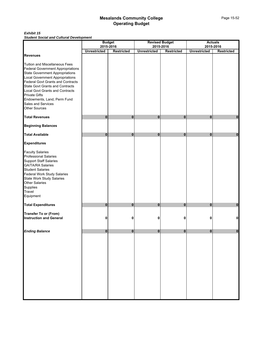## *Exhibit 15 Student Social and Cultural Development*

|                                                                                                                                                                                                                                                                                                                                                           |                     | <b>Budget</b>                  |                     | <b>Revised Budget</b>          |                     | <b>Actuals</b>                 |
|-----------------------------------------------------------------------------------------------------------------------------------------------------------------------------------------------------------------------------------------------------------------------------------------------------------------------------------------------------------|---------------------|--------------------------------|---------------------|--------------------------------|---------------------|--------------------------------|
|                                                                                                                                                                                                                                                                                                                                                           | <b>Unrestricted</b> | 2015-2016<br><b>Restricted</b> | <b>Unrestricted</b> | 2015-2016<br><b>Restricted</b> | <b>Unrestricted</b> | 2015-2016<br><b>Restricted</b> |
| <b>Revenues</b>                                                                                                                                                                                                                                                                                                                                           |                     |                                |                     |                                |                     |                                |
| Tuition and Miscellaneous Fees<br>Federal Government Appropriations<br>State Government Appropriations<br>Local Government Appropriations<br><b>Federal Govt Grants and Contracts</b><br>State Govt Grants and Contracts<br>Local Govt Grants and Contracts<br><b>Private Gifts</b><br>Endowments, Land, Perm Fund<br>Sales and Services<br>Other Sources |                     |                                |                     |                                |                     |                                |
| <b>Total Revenues</b>                                                                                                                                                                                                                                                                                                                                     | 0                   | $\mathbf{0}$                   | $\bf{0}$            | $\bf{0}$                       | 0                   | $\bf{0}$                       |
| <b>Beginning Balances</b>                                                                                                                                                                                                                                                                                                                                 |                     |                                |                     |                                |                     |                                |
| <b>Total Available</b>                                                                                                                                                                                                                                                                                                                                    | $\mathbf{0}$        | $\bf{0}$                       | 0                   | $\pmb{0}$                      | 0                   | $\pmb{0}$                      |
| <b>Expenditures</b>                                                                                                                                                                                                                                                                                                                                       |                     |                                |                     |                                |                     |                                |
| <b>Faculty Salaries</b><br><b>Professional Salaries</b><br>Support Staff Salaries<br>GA/TA/RA Salaries<br><b>Student Salaries</b><br>Federal Work Study Salaries<br>State Work Study Salaries<br>Other Salaries<br>Supplies<br><b>Travel</b><br>Equipment                                                                                                 |                     |                                |                     |                                |                     |                                |
| <b>Total Expenditures</b>                                                                                                                                                                                                                                                                                                                                 | $\mathbf 0$         | $\bf{0}$                       | $\mathbf{0}$        | $\bf{0}$                       | 0                   | $\mathbf 0$                    |
| <b>Transfer To or (From)</b><br><b>Instruction and General</b>                                                                                                                                                                                                                                                                                            | 0                   | 0                              | 0                   | 0                              | 0                   | $\pmb{0}$                      |
| <b>Ending Balance</b>                                                                                                                                                                                                                                                                                                                                     | $\mathbf{0}$        | 0                              | $\mathbf{0}$        | $\mathbf{0}$                   | $\mathbf{0}$        | $\pmb{0}$                      |
|                                                                                                                                                                                                                                                                                                                                                           |                     |                                |                     |                                |                     |                                |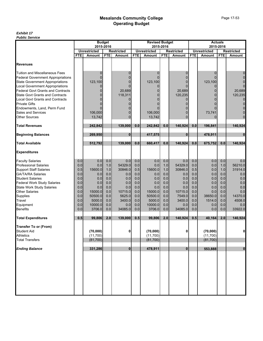|                                                                    |            |                                  | <b>Budget</b> |                             |            | <b>Revised Budget</b>            |            |                             |            | <b>Actuals</b>                       |            |                             |
|--------------------------------------------------------------------|------------|----------------------------------|---------------|-----------------------------|------------|----------------------------------|------------|-----------------------------|------------|--------------------------------------|------------|-----------------------------|
|                                                                    |            | 2015-2016<br><b>Unrestricted</b> |               |                             |            | 2015-2016<br><b>Unrestricted</b> |            |                             |            | 2015-2016                            |            |                             |
|                                                                    | FTE        | <b>Amount</b>                    | <b>FTE</b>    | <b>Restricted</b><br>Amount | <b>FTE</b> | <b>Amount</b>                    | <b>FTE</b> | <b>Restricted</b><br>Amount | <b>FTE</b> | <b>Unrestricted</b><br><b>Amount</b> | <b>FTE</b> | <b>Restricted</b><br>Amount |
|                                                                    |            |                                  |               |                             |            |                                  |            |                             |            |                                      |            |                             |
| <b>Revenues</b>                                                    |            |                                  |               |                             |            |                                  |            |                             |            |                                      |            |                             |
| <b>Tuition and Miscellaneous Fees</b>                              |            | 0                                |               | 0                           |            | 0                                |            | $\Omega$                    |            |                                      |            | $\mathbf{0}$                |
| <b>Federal Government Appropriations</b>                           |            |                                  |               | $\overline{0}$              |            |                                  |            |                             |            |                                      |            | $\Omega$                    |
|                                                                    |            | 123,100                          |               | 0                           |            | 123,100                          |            |                             |            | 123,100                              |            | $\Omega$                    |
| State Government Appropriations<br>Local Government Appropriations |            |                                  |               | $\Omega$                    |            |                                  |            |                             |            |                                      |            | $\mathbf 0$                 |
| <b>Federal Govt Grants and Contracts</b>                           |            | 0                                |               | 20,689                      |            | 0                                |            | 20,689                      |            | 0                                    |            | 20,689                      |
| <b>State Govt Grants and Contracts</b>                             |            | $\Omega$                         |               | 118,311                     |            |                                  |            | 120,235                     |            |                                      |            | 120,235                     |
| <b>Local Govt Grants and Contracts</b>                             |            | $\Omega$                         |               | 0                           |            |                                  |            |                             |            |                                      |            | $\mathbf 0$                 |
| <b>Private Gifts</b>                                               |            |                                  |               | 0                           |            |                                  |            |                             |            |                                      |            | $\mathbf 0$                 |
| Endowments, Land, Perm Fund                                        |            |                                  |               | $\Omega$                    |            |                                  |            |                             |            |                                      |            | $\mathbf 0$                 |
| Sales and Services                                                 |            | 106,000                          |               | $\overline{0}$              |            | 106,000                          |            |                             |            | 73,741                               |            | $\mathbf 0$                 |
| <b>Other Sources</b>                                               |            | 13,742                           |               | $\Omega$                    |            | 13,742                           |            |                             |            |                                      |            | $\overline{0}$              |
| <b>Total Revenues</b>                                              |            | 242,842                          |               | 139,000                     | 0.0        | 242,842                          | 0.0        | 140,924                     | 0.0        | 196,841                              |            | 140,924                     |
| <b>Beginning Balances</b>                                          |            | 269,950                          |               | $\bf{0}$                    |            | 417,575                          |            | $\mathbf{0}$                |            | 478,911                              |            | $\mathbf{0}$                |
| <b>Total Available</b>                                             |            | 512,792                          |               | 139,000                     | 0.0        | 660,417                          | 0.0        | 140,924                     | 0.0        | 675,752                              | 0.0        | 140,924                     |
|                                                                    |            |                                  |               |                             |            |                                  |            |                             |            |                                      |            |                             |
| <b>Expenditures</b>                                                |            |                                  |               |                             |            |                                  |            |                             |            |                                      |            |                             |
| <b>Faculty Salaries</b>                                            | 0.0        | 0.0                              | 0.0           | 0.0                         | 0.0        | 0.0                              | 0.0        | 0.0                         | 0.0        | 0.0                                  | 0.0        | 0.0                         |
| <b>Professional Salaries</b>                                       | 0.0        | 0.0                              | 1.0           | 54329.0                     | 0.0        | 0.0                              | 1.0        | 54329.0                     | 0.0        | 0.0                                  | 1.0        | 56210.0                     |
| <b>Support Staff Salaries</b>                                      | 0.5        | 15600.0                          | 1.0           | 30846.0                     | 0.5        | 15600.0                          | 1.0        | 30846.0                     | 0.5        | 0.0                                  | 1.0        | 31914.0                     |
| GA/TA/RA Salaries                                                  | 0.0        | 0.0                              | 0.0           | 0.0                         | 0.0        | 0.0                              | 0.0        | 0.0                         | 0.0        | 0.0                                  | 0.0        | 0.0                         |
| <b>Student Salaries</b>                                            | 0.0        | 0.0                              | 0.0           | 0.0                         | 0.0        | 0.0                              | 0.0        | 0.0                         | 0.0        | 0.0                                  | 0.0        | 0.0                         |
| Federal Work Study Salaries                                        | 0.0        | 0.0                              | 0.0           | 0.0                         | 0.0        | 0.0                              | 0.0        | 0.0                         | 0.0        | 0.0                                  | 0.0        | 0.0                         |
| <b>State Work Study Salaries</b>                                   | 0.0        | 0.0                              | 0.0           | 0.0                         | 0.0        | 0.0                              | 0.0        | 0.0                         | 0.0        | 0.0                                  | 0.0        | 0.0                         |
| Other Salaries                                                     | 0.0        | 15000.0                          | 0.0           | 10715.0                     | 0.0        | 15000.0                          | 0.0        | 10715.0                     | 0.0        | 0.0                                  | 0.0        | 0.0                         |
| Supplies                                                           | 0.0        | 50500.0                          | 0.0           | 5625.0                      | 0.0        | 50500.0                          | 0.0        | 7549.0                      | 0.0        | 38650.0                              | 0.0        | 14370.0                     |
| Travel<br>Equipment                                                | 0.0        | 5000.0                           | 0.0           | 3400.0                      | 0.0        | 5000.0                           | 0.0        | 3400.0                      | 0.0        | 1514.0                               | 0.0        | 4508.0                      |
| <b>Benefits</b>                                                    | 0.0<br>0.0 | 10000.0<br>3706.0                | 0.0<br>0.0    | 0.0<br>34085.0              | 0.0<br>0.0 | 10000.0<br>3706.0                | 0.0<br>0.0 | 0.0<br>34085.0              | 0.0<br>0.0 | 0.0<br>0.0                           | 0.0<br>0.0 | 0.0<br>33922.0              |
|                                                                    |            |                                  |               |                             |            |                                  |            |                             |            |                                      |            |                             |
| <b>Total Expenditures</b>                                          | 0.5        | 99,806                           | 2.0           | 139,000                     | 0.5        | 99,806                           | 2.0        | 140,924                     | 0.5        | 40,164                               | 2.0        | 140,924                     |
| <b>Transfer To or (From)</b>                                       |            |                                  |               |                             |            |                                  |            |                             |            |                                      |            |                             |
| <b>Student Aid</b>                                                 |            | (70,000)                         |               | 0                           |            | (70,000)                         |            | 0                           |            | (70,000)                             |            | 0                           |
| <b>Athletics</b>                                                   |            | (11,700)                         |               |                             |            | (11,700)                         |            |                             |            | (11,700)                             |            |                             |
| <b>Total Transfers</b>                                             |            | (81,700)                         |               |                             |            | (81,700)                         |            |                             |            | (81,700)                             |            |                             |
| <b>Ending Balance</b>                                              |            | 331,286                          |               | $\mathbf 0$                 |            | 478,911                          |            | $\mathbf{0}$                |            | 553,888                              |            | $\mathbf 0$                 |
|                                                                    |            |                                  |               |                             |            |                                  |            |                             |            |                                      |            |                             |
|                                                                    |            |                                  |               |                             |            |                                  |            |                             |            |                                      |            |                             |
|                                                                    |            |                                  |               |                             |            |                                  |            |                             |            |                                      |            |                             |
|                                                                    |            |                                  |               |                             |            |                                  |            |                             |            |                                      |            |                             |
|                                                                    |            |                                  |               |                             |            |                                  |            |                             |            |                                      |            |                             |
|                                                                    |            |                                  |               |                             |            |                                  |            |                             |            |                                      |            |                             |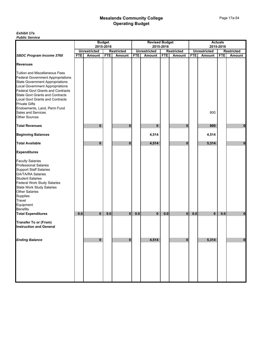|                                                                    |            |                     | <b>Budget</b> |                   |            | <b>Revised Budget</b> |            |                   |            |                     | <b>Actuals</b> |                   |
|--------------------------------------------------------------------|------------|---------------------|---------------|-------------------|------------|-----------------------|------------|-------------------|------------|---------------------|----------------|-------------------|
|                                                                    |            | <b>Unrestricted</b> | 2015-2016     | <b>Restricted</b> |            | <b>Unrestricted</b>   | 2015-2016  | <b>Restricted</b> |            | <b>Unrestricted</b> | 2015-2016      | <b>Restricted</b> |
| <b>SBDC Program Income 3760</b>                                    | <b>FTE</b> | Amount              | <b>FTE</b>    | Amount            | <b>FTE</b> | Amount                | <b>FTE</b> | <b>Amount</b>     | <b>FTE</b> | Amount              | <b>FTE</b>     | <b>Amount</b>     |
|                                                                    |            |                     |               |                   |            |                       |            |                   |            |                     |                |                   |
| <b>Revenues</b>                                                    |            |                     |               |                   |            |                       |            |                   |            |                     |                |                   |
|                                                                    |            |                     |               |                   |            |                       |            |                   |            |                     |                |                   |
| Tuition and Miscellaneous Fees                                     |            |                     |               |                   |            |                       |            |                   |            |                     |                |                   |
| <b>Federal Government Appropriations</b>                           |            |                     |               |                   |            |                       |            |                   |            |                     |                |                   |
| State Government Appropriations<br>Local Government Appropriations |            |                     |               |                   |            |                       |            |                   |            |                     |                |                   |
|                                                                    |            |                     |               |                   |            |                       |            |                   |            |                     |                |                   |
| <b>Federal Govt Grants and Contracts</b>                           |            |                     |               |                   |            |                       |            |                   |            |                     |                |                   |
| State Govt Grants and Contracts<br>Local Govt Grants and Contracts |            |                     |               |                   |            |                       |            |                   |            |                     |                |                   |
|                                                                    |            |                     |               |                   |            |                       |            |                   |            |                     |                |                   |
| <b>Private Gifts</b>                                               |            |                     |               |                   |            |                       |            |                   |            |                     |                |                   |
| Endowments, Land, Perm Fund<br>Sales and Services                  |            |                     |               |                   |            |                       |            |                   |            |                     |                |                   |
|                                                                    |            |                     |               |                   |            |                       |            |                   |            | 800                 |                |                   |
| Other Sources                                                      |            |                     |               |                   |            |                       |            |                   |            |                     |                |                   |
|                                                                    |            |                     |               |                   |            |                       |            |                   |            |                     |                |                   |
| <b>Total Revenues</b>                                              |            | $\mathbf{0}$        |               | $\bf{0}$          |            | $\mathbf{0}$          |            | 0                 |            | 800                 |                | 0                 |
| <b>Beginning Balances</b>                                          |            |                     |               |                   |            | 4,514                 |            |                   |            | 4,514               |                |                   |
|                                                                    |            |                     |               |                   |            |                       |            |                   |            |                     |                |                   |
| <b>Total Available</b>                                             |            | $\bf{0}$            |               | $\bf{0}$          |            | 4,514                 |            | $\bf{0}$          |            | 5,314               |                | $\bf{0}$          |
| <b>Expenditures</b>                                                |            |                     |               |                   |            |                       |            |                   |            |                     |                |                   |
| <b>Faculty Salaries</b>                                            |            |                     |               |                   |            |                       |            |                   |            |                     |                |                   |
| <b>Professional Salaries</b>                                       |            |                     |               |                   |            |                       |            |                   |            |                     |                |                   |
|                                                                    |            |                     |               |                   |            |                       |            |                   |            |                     |                |                   |
| Support Staff Salaries<br>GA/TA/RA Salaries                        |            |                     |               |                   |            |                       |            |                   |            |                     |                |                   |
| <b>Student Salaries</b>                                            |            |                     |               |                   |            |                       |            |                   |            |                     |                |                   |
|                                                                    |            |                     |               |                   |            |                       |            |                   |            |                     |                |                   |
| Federal Work Study Salaries<br>State Work Study Salaries           |            |                     |               |                   |            |                       |            |                   |            |                     |                |                   |
| <b>Other Salaries</b>                                              |            |                     |               |                   |            |                       |            |                   |            |                     |                |                   |
|                                                                    |            |                     |               |                   |            |                       |            |                   |            |                     |                |                   |
| Supplies<br>Travel                                                 |            |                     |               |                   |            |                       |            |                   |            |                     |                |                   |
| Equipment                                                          |            |                     |               |                   |            |                       |            |                   |            |                     |                |                   |
| <b>Benefits</b>                                                    |            |                     |               |                   |            |                       |            |                   |            |                     |                |                   |
| <b>Total Expenditures</b>                                          | 0.0        | $\mathbf{0}$        | 0.0           | 0                 | 0.0        | $\mathbf{0}$          | 0.0        | $\mathbf{0}$      | $0.0\,$    | $\mathbf{0}$        | 0.0            | 0                 |
|                                                                    |            |                     |               |                   |            |                       |            |                   |            |                     |                |                   |
| <b>Transfer To or (From)</b>                                       |            |                     |               |                   |            |                       |            |                   |            |                     |                |                   |
| <b>Instruction and General</b>                                     |            |                     |               |                   |            |                       |            |                   |            |                     |                |                   |
|                                                                    |            |                     |               |                   |            |                       |            |                   |            |                     |                |                   |
| <b>Ending Balance</b>                                              |            | $\mathbf{0}$        |               | $\mathbf 0$       |            | 4,514                 |            | $\bf{0}$          |            | 5,314               |                | $\pmb{0}$         |
|                                                                    |            |                     |               |                   |            |                       |            |                   |            |                     |                |                   |
|                                                                    |            |                     |               |                   |            |                       |            |                   |            |                     |                |                   |
|                                                                    |            |                     |               |                   |            |                       |            |                   |            |                     |                |                   |
|                                                                    |            |                     |               |                   |            |                       |            |                   |            |                     |                |                   |
|                                                                    |            |                     |               |                   |            |                       |            |                   |            |                     |                |                   |
|                                                                    |            |                     |               |                   |            |                       |            |                   |            |                     |                |                   |
|                                                                    |            |                     |               |                   |            |                       |            |                   |            |                     |                |                   |
|                                                                    |            |                     |               |                   |            |                       |            |                   |            |                     |                |                   |
|                                                                    |            |                     |               |                   |            |                       |            |                   |            |                     |                |                   |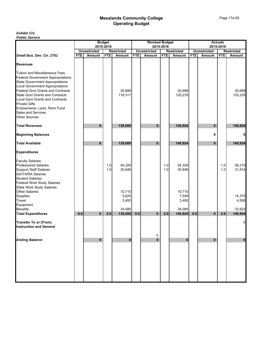|                                                                                                                                                                                                                                                                                                                                                                         |            |                     | <b>Budget</b> |                          |            | <b>Revised Budget</b> |            |                          |            |                     | <b>Actuals</b> |                   |
|-------------------------------------------------------------------------------------------------------------------------------------------------------------------------------------------------------------------------------------------------------------------------------------------------------------------------------------------------------------------------|------------|---------------------|---------------|--------------------------|------------|-----------------------|------------|--------------------------|------------|---------------------|----------------|-------------------|
|                                                                                                                                                                                                                                                                                                                                                                         |            | 2015-2016           |               |                          |            |                       | 2015-2016  |                          |            |                     | 2015-2016      |                   |
|                                                                                                                                                                                                                                                                                                                                                                         |            | <b>Unrestricted</b> |               | <b>Restricted</b>        |            | <b>Unrestricted</b>   |            | <b>Restricted</b>        |            | <b>Unrestricted</b> |                | <b>Restricted</b> |
| Small Bus. Dev. Ctr. 2701                                                                                                                                                                                                                                                                                                                                               | <b>FTE</b> | <b>Amount</b>       | <b>FTE</b>    | Amount                   | <b>FTE</b> | <b>Amount</b>         | <b>FTE</b> | Amount                   | <b>FTE</b> | Amount              | <b>FTE</b>     | Amount            |
| <b>Revenues</b>                                                                                                                                                                                                                                                                                                                                                         |            |                     |               |                          |            |                       |            |                          |            |                     |                |                   |
| <b>Tuition and Miscellaneous Fees</b><br><b>Federal Government Appropriations</b><br>State Government Appropriations<br>Local Government Appropriations<br><b>Federal Govt Grants and Contracts</b><br>State Govt Grants and Contracts<br>Local Govt Grants and Contracts<br><b>Private Gifts</b><br>Endowments, Land, Perm Fund<br>Sales and Services<br>Other Sources |            |                     |               | 20,689<br>118,311        |            |                       |            | 20,689<br>120.235        |            |                     |                | 20,689<br>120,235 |
| <b>Total Revenues</b>                                                                                                                                                                                                                                                                                                                                                   |            | $\bf{0}$            |               | 139,000                  |            | $\mathbf{0}$          |            | 140,924                  |            | 0                   |                | 140,924           |
| <b>Beginning Balances</b>                                                                                                                                                                                                                                                                                                                                               |            |                     |               |                          |            |                       |            |                          |            | 0                   |                |                   |
| <b>Total Available</b>                                                                                                                                                                                                                                                                                                                                                  |            | 0                   |               | 139,000                  |            | $\mathbf{0}$          |            | 140,924                  |            | $\mathbf{0}$        |                | 140,924           |
| <b>Expenditures</b>                                                                                                                                                                                                                                                                                                                                                     |            |                     |               |                          |            |                       |            |                          |            |                     |                |                   |
| <b>Faculty Salaries</b><br><b>Professional Salaries</b><br>Support Staff Salaries<br>GA/TA/RA Salaries<br><b>Student Salaries</b><br>Federal Work Study Salaries<br>State Work Study Salaries                                                                                                                                                                           |            |                     | 1.0<br>1.0    | 54,329<br>30,846         |            |                       | 1.0<br>1.0 | 54,329<br>30,846         |            |                     | 1.0<br>1.0     | 56,210<br>31,914  |
| Other Salaries<br>Supplies<br>Travel<br>Equipment                                                                                                                                                                                                                                                                                                                       |            |                     |               | 10,715<br>5,625<br>3,400 |            |                       |            | 10,715<br>7,549<br>3,400 |            |                     |                | 14,370<br>4,508   |
| <b>Benefits</b>                                                                                                                                                                                                                                                                                                                                                         |            |                     |               | 34,085                   |            |                       |            | 34,085                   |            |                     |                | 33,922            |
| <b>Total Expenditures</b>                                                                                                                                                                                                                                                                                                                                               | 0.0        | $\mathbf{0}$        | 2.0           | 139,000                  | 0.0        | $\mathbf{0}$          | 2.0        | 140,924                  | 0.0        | $\mathbf{0}$        | 2.0            | 140,924           |
| <b>Transfer To or (From)</b><br><b>Instruction and General</b>                                                                                                                                                                                                                                                                                                          |            |                     |               |                          |            |                       |            |                          |            |                     |                |                   |
| <b>Ending Balance</b>                                                                                                                                                                                                                                                                                                                                                   |            | $\bf{0}$            |               | $\mathbf{0}$             |            | 0<br>$\mathbf{0}$     |            | $\bf{0}$                 |            | 0                   |                | 0                 |
|                                                                                                                                                                                                                                                                                                                                                                         |            |                     |               |                          |            |                       |            |                          |            |                     |                |                   |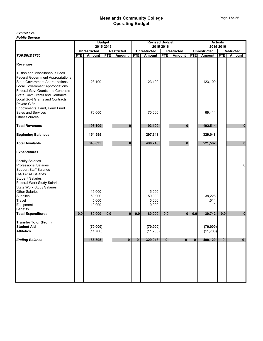|                                                                                                                                                                                                                                                                                                          |            |                                     | <b>Budget</b> |                   |            | <b>Revised Budget</b>               |            |                   |              | <b>Actuals</b>       |              |                   |
|----------------------------------------------------------------------------------------------------------------------------------------------------------------------------------------------------------------------------------------------------------------------------------------------------------|------------|-------------------------------------|---------------|-------------------|------------|-------------------------------------|------------|-------------------|--------------|----------------------|--------------|-------------------|
|                                                                                                                                                                                                                                                                                                          |            |                                     | 2015-2016     |                   |            |                                     | 2015-2016  |                   |              | 2015-2016            |              |                   |
| <b>TURBINE 3750</b>                                                                                                                                                                                                                                                                                      | <b>FTE</b> | <b>Unrestricted</b>                 | <b>FTE</b>    | <b>Restricted</b> | <b>FTE</b> | <b>Unrestricted</b>                 | <b>FTE</b> | <b>Restricted</b> | <b>FTE</b>   | <b>Unrestricted</b>  | <b>FTE</b>   | <b>Restricted</b> |
|                                                                                                                                                                                                                                                                                                          |            | Amount                              |               | Amount            |            | Amount                              |            | Amount            |              | Amount               |              | Amount            |
| <b>Revenues</b>                                                                                                                                                                                                                                                                                          |            |                                     |               |                   |            |                                     |            |                   |              |                      |              |                   |
| <b>Tuition and Miscellaneous Fees</b><br><b>Federal Government Appropriations</b><br>State Government Appropriations<br>Local Government Appropriations<br>Federal Govt Grants and Contracts<br><b>State Govt Grants and Contracts</b><br><b>Local Govt Grants and Contracts</b><br><b>Private Gifts</b> |            | 123,100                             |               |                   |            | 123,100                             |            |                   |              | 123,100              |              |                   |
| Endowments, Land, Perm Fund<br>Sales and Services<br>Other Sources                                                                                                                                                                                                                                       |            | 70,000                              |               |                   |            | 70,000                              |            |                   |              | 69,414               |              |                   |
| <b>Total Revenues</b>                                                                                                                                                                                                                                                                                    |            | 193,100                             |               | $\bf{0}$          |            | 193,100                             |            | $\bf{0}$          |              | 192,514              |              | $\mathbf{0}$      |
| <b>Beginning Balances</b>                                                                                                                                                                                                                                                                                |            | 154,995                             |               |                   |            | 297,648                             |            |                   |              | 329,048              |              |                   |
| <b>Total Available</b>                                                                                                                                                                                                                                                                                   |            | 348,095                             |               | 0                 |            | 490,748                             |            | $\bf{0}$          |              | 521,562              |              | $\mathbf 0$       |
| <b>Expenditures</b>                                                                                                                                                                                                                                                                                      |            |                                     |               |                   |            |                                     |            |                   |              |                      |              |                   |
| <b>Faculty Salaries</b><br><b>Professional Salaries</b><br>Support Staff Salaries<br>GA/TA/RA Salaries<br><b>Student Salaries</b><br>Federal Work Study Salaries<br>State Work Study Salaries<br>Other Salaries                                                                                          |            |                                     |               |                   |            |                                     |            |                   |              |                      |              | 0                 |
| Supplies<br>Travel<br>Equipment<br>Benefits                                                                                                                                                                                                                                                              |            | 15,000<br>50,000<br>5,000<br>10,000 |               |                   |            | 15,000<br>50,000<br>5,000<br>10,000 |            |                   |              | 38,228<br>1,514<br>0 |              |                   |
| <b>Total Expenditures</b>                                                                                                                                                                                                                                                                                | 0.0        | 80,000                              | 0.0           | $\mathbf{0}$      | 0.0        | 80,000                              | 0.0        | $\mathbf{0}$      | $0.0\,$      | 39,742               | 0.0          | $\mathbf{0}$      |
| <b>Transfer To or (From)</b><br><b>Student Aid</b><br><b>Athletics</b>                                                                                                                                                                                                                                   |            | (70,000)<br>(11, 700)               |               |                   |            | (70,000)<br>(11,700)                |            |                   |              | (70,000)<br>(11,700) |              |                   |
| <b>Ending Balance</b>                                                                                                                                                                                                                                                                                    |            | 186,395                             |               | $\bf{0}$          | 0          | 329,048                             | $\bf{0}$   | 0                 | $\mathbf{0}$ | 400,120              | $\mathbf{0}$ | $\mathbf 0$       |
|                                                                                                                                                                                                                                                                                                          |            |                                     |               |                   |            |                                     |            |                   |              |                      |              |                   |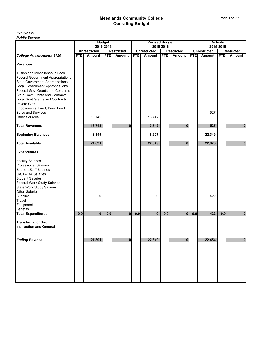|                                                                                                         |            |                     | <b>Budget</b> |                   |            | <b>Revised Budget</b> |            |                   |            |                     | <b>Actuals</b> |                   |
|---------------------------------------------------------------------------------------------------------|------------|---------------------|---------------|-------------------|------------|-----------------------|------------|-------------------|------------|---------------------|----------------|-------------------|
|                                                                                                         |            | <b>Unrestricted</b> | 2015-2016     | <b>Restricted</b> |            | <b>Unrestricted</b>   | 2015-2016  | <b>Restricted</b> |            | <b>Unrestricted</b> | 2015-2016      | <b>Restricted</b> |
| <b>College Advancement 3720</b>                                                                         | <b>FTE</b> | Amount              | <b>FTE</b>    | Amount            | <b>FTE</b> | Amount                | <b>FTE</b> | <b>Amount</b>     | <b>FTE</b> | Amount              | <b>FTE</b>     | Amount            |
|                                                                                                         |            |                     |               |                   |            |                       |            |                   |            |                     |                |                   |
| <b>Revenues</b>                                                                                         |            |                     |               |                   |            |                       |            |                   |            |                     |                |                   |
|                                                                                                         |            |                     |               |                   |            |                       |            |                   |            |                     |                |                   |
| Tuition and Miscellaneous Fees                                                                          |            |                     |               |                   |            |                       |            |                   |            |                     |                |                   |
| Federal Government Appropriations<br>State Government Appropriations<br>Local Government Appropriations |            |                     |               |                   |            |                       |            |                   |            |                     |                |                   |
|                                                                                                         |            |                     |               |                   |            |                       |            |                   |            |                     |                |                   |
|                                                                                                         |            |                     |               |                   |            |                       |            |                   |            |                     |                |                   |
| <b>Federal Govt Grants and Contracts</b>                                                                |            |                     |               |                   |            |                       |            |                   |            |                     |                |                   |
| State Govt Grants and Contracts<br>Local Govt Grants and Contracts                                      |            |                     |               |                   |            |                       |            |                   |            |                     |                |                   |
|                                                                                                         |            |                     |               |                   |            |                       |            |                   |            |                     |                |                   |
| <b>Private Gifts</b>                                                                                    |            |                     |               |                   |            |                       |            |                   |            |                     |                |                   |
| Endowments, Land, Perm Fund<br>Sales and Services                                                       |            |                     |               |                   |            |                       |            |                   |            |                     |                |                   |
|                                                                                                         |            |                     |               |                   |            |                       |            |                   |            | 527                 |                |                   |
| Other Sources                                                                                           |            | 13,742              |               |                   |            | 13,742                |            |                   |            |                     |                |                   |
| <b>Total Revenues</b>                                                                                   |            | 13,742              |               | $\bf{0}$          |            | 13,742                |            | $\bf{0}$          |            | 527                 |                | $\bf{0}$          |
|                                                                                                         |            |                     |               |                   |            |                       |            |                   |            |                     |                |                   |
| <b>Beginning Balances</b>                                                                               |            | 8,149               |               |                   |            | 8,607                 |            |                   |            | 22,349              |                |                   |
| <b>Total Available</b>                                                                                  |            | 21,891              |               |                   |            | 22,349                |            | $\bf{0}$          |            | 22,876              |                | $\bf{0}$          |
| <b>Expenditures</b>                                                                                     |            |                     |               |                   |            |                       |            |                   |            |                     |                |                   |
| <b>Faculty Salaries</b>                                                                                 |            |                     |               |                   |            |                       |            |                   |            |                     |                |                   |
|                                                                                                         |            |                     |               |                   |            |                       |            |                   |            |                     |                |                   |
|                                                                                                         |            |                     |               |                   |            |                       |            |                   |            |                     |                |                   |
| Professional Salaries<br>Support Staff Salaries<br>GA/TA/RA Salaries                                    |            |                     |               |                   |            |                       |            |                   |            |                     |                |                   |
| <b>Student Salaries</b>                                                                                 |            |                     |               |                   |            |                       |            |                   |            |                     |                |                   |
|                                                                                                         |            |                     |               |                   |            |                       |            |                   |            |                     |                |                   |
| Federal Work Study Salaries<br>State Work Study Salaries                                                |            |                     |               |                   |            |                       |            |                   |            |                     |                |                   |
| <b>Other Salaries</b>                                                                                   |            |                     |               |                   |            |                       |            |                   |            |                     |                |                   |
|                                                                                                         |            | 0                   |               |                   |            | 0                     |            |                   |            | 422                 |                |                   |
| Supplies<br>Travel                                                                                      |            |                     |               |                   |            |                       |            |                   |            |                     |                |                   |
| Equipment                                                                                               |            |                     |               |                   |            |                       |            |                   |            |                     |                |                   |
| <b>Benefits</b>                                                                                         |            |                     |               |                   |            |                       |            |                   |            |                     |                |                   |
| <b>Total Expenditures</b>                                                                               | 0.0        | $\mathbf{0}$        | 0.0           | $\mathbf{0}$      | 0.0        | $\mathbf{0}$          | 0.0        | $\mathbf{0}$      | $0.0\,$    | 422                 | 0.0            | $\bf{0}$          |
|                                                                                                         |            |                     |               |                   |            |                       |            |                   |            |                     |                |                   |
| <b>Transfer To or (From)</b>                                                                            |            |                     |               |                   |            |                       |            |                   |            |                     |                |                   |
| <b>Instruction and General</b>                                                                          |            |                     |               |                   |            |                       |            |                   |            |                     |                |                   |
|                                                                                                         |            |                     |               |                   |            |                       |            |                   |            |                     |                |                   |
| <b>Ending Balance</b>                                                                                   |            | 21,891              |               | $\mathbf{0}$      |            | 22,349                |            | $\mathbf{0}$      |            | 22,454              |                | $\pmb{0}$         |
|                                                                                                         |            |                     |               |                   |            |                       |            |                   |            |                     |                |                   |
|                                                                                                         |            |                     |               |                   |            |                       |            |                   |            |                     |                |                   |
|                                                                                                         |            |                     |               |                   |            |                       |            |                   |            |                     |                |                   |
|                                                                                                         |            |                     |               |                   |            |                       |            |                   |            |                     |                |                   |
|                                                                                                         |            |                     |               |                   |            |                       |            |                   |            |                     |                |                   |
|                                                                                                         |            |                     |               |                   |            |                       |            |                   |            |                     |                |                   |
|                                                                                                         |            |                     |               |                   |            |                       |            |                   |            |                     |                |                   |
|                                                                                                         |            |                     |               |                   |            |                       |            |                   |            |                     |                |                   |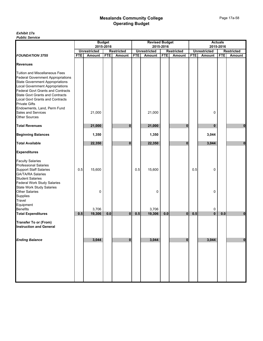|                                                                                                                                                                                                                                                                                                |            |                               | <b>Budget</b> |                   |            | <b>Revised Budget</b> |            |                             |            |                     | <b>Actuals</b> |                   |
|------------------------------------------------------------------------------------------------------------------------------------------------------------------------------------------------------------------------------------------------------------------------------------------------|------------|-------------------------------|---------------|-------------------|------------|-----------------------|------------|-----------------------------|------------|---------------------|----------------|-------------------|
|                                                                                                                                                                                                                                                                                                |            |                               | 2015-2016     |                   |            |                       | 2015-2016  |                             |            |                     | 2015-2016      |                   |
| <b>FOUNDATION 3755</b>                                                                                                                                                                                                                                                                         | <b>FTE</b> | <b>Unrestricted</b><br>Amount | <b>FTE</b>    | <b>Restricted</b> | <b>FTE</b> | <b>Unrestricted</b>   | <b>FTE</b> | <b>Restricted</b><br>Amount | <b>FTE</b> | <b>Unrestricted</b> | <b>FTE</b>     | <b>Restricted</b> |
|                                                                                                                                                                                                                                                                                                |            |                               |               | <b>Amount</b>     |            | <b>Amount</b>         |            |                             |            | <b>Amount</b>       |                | <b>Amount</b>     |
| <b>Revenues</b>                                                                                                                                                                                                                                                                                |            |                               |               |                   |            |                       |            |                             |            |                     |                |                   |
| <b>Tuition and Miscellaneous Fees</b><br><b>Federal Government Appropriations</b><br><b>State Government Appropriations</b><br><b>Local Government Appropriations</b><br>Federal Govt Grants and Contracts<br><b>State Govt Grants and Contracts</b><br><b>Local Govt Grants and Contracts</b> |            |                               |               |                   |            |                       |            |                             |            |                     |                |                   |
| <b>Private Gifts</b><br>Endowments, Land, Perm Fund<br>Sales and Services<br><b>Other Sources</b>                                                                                                                                                                                              |            | 21,000                        |               |                   |            | 21,000                |            |                             |            | 0                   |                |                   |
| <b>Total Revenues</b>                                                                                                                                                                                                                                                                          |            | 21,000                        |               | $\bf{0}$          |            | 21,000                |            | $\bf{0}$                    |            | $\mathbf 0$         |                | $\bf{0}$          |
| <b>Beginning Balances</b>                                                                                                                                                                                                                                                                      |            | 1,350                         |               |                   |            | 1,350                 |            |                             |            | 3,044               |                |                   |
| <b>Total Available</b>                                                                                                                                                                                                                                                                         |            | 22,350                        |               | $\bf{0}$          |            | 22,350                |            | $\bf{0}$                    |            | 3,044               |                | $\bf{0}$          |
| <b>Expenditures</b>                                                                                                                                                                                                                                                                            |            |                               |               |                   |            |                       |            |                             |            |                     |                |                   |
| <b>Faculty Salaries</b><br><b>Professional Salaries</b><br><b>Support Staff Salaries</b><br><b>GA/TA/RA Salaries</b><br><b>Student Salaries</b><br><b>Federal Work Study Salaries</b>                                                                                                          | 0.5        | 15,600                        |               |                   | 0.5        | 15,600                |            |                             | 0.5        | $\mathbf 0$         |                |                   |
| <b>State Work Study Salaries</b><br>Other Salaries<br>Supplies<br>Travel<br>Equipment                                                                                                                                                                                                          |            | $\mathbf 0$                   |               |                   |            | 0                     |            |                             |            | 0                   |                |                   |
| <b>Benefits</b>                                                                                                                                                                                                                                                                                |            | 3,706                         |               |                   |            | 3,706                 |            |                             |            | 0                   |                |                   |
| <b>Total Expenditures</b>                                                                                                                                                                                                                                                                      | 0.5        | 19,306                        | 0.0           | $\mathbf{0}$      | 0.5        | 19,306                | 0.0        | $\mathbf{0}$                | 0.5        | $\mathbf 0$         | 0.0            | $\bf{0}$          |
| <b>Transfer To or (From)</b><br><b>Instruction and General</b>                                                                                                                                                                                                                                 |            |                               |               |                   |            |                       |            |                             |            |                     |                |                   |
| <b>Ending Balance</b>                                                                                                                                                                                                                                                                          |            | 3,044                         |               | $\bf{0}$          |            | 3,044                 |            | $\bf{0}$                    |            | 3,044               |                | $\bf{0}$          |
|                                                                                                                                                                                                                                                                                                |            |                               |               |                   |            |                       |            |                             |            |                     |                |                   |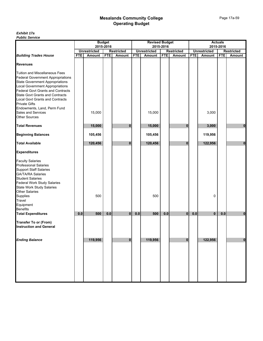| יטעו וטט טוועוט ו                                                                                       |            |                     | <b>Budget</b> |                   |            | <b>Revised Budget</b> |            |                   |            |                     | <b>Actuals</b> |                   |
|---------------------------------------------------------------------------------------------------------|------------|---------------------|---------------|-------------------|------------|-----------------------|------------|-------------------|------------|---------------------|----------------|-------------------|
|                                                                                                         |            | 2015-2016           |               |                   |            |                       | 2015-2016  |                   |            |                     | 2015-2016      |                   |
|                                                                                                         |            | <b>Unrestricted</b> |               | <b>Restricted</b> |            | <b>Unrestricted</b>   |            | <b>Restricted</b> |            | <b>Unrestricted</b> |                | <b>Restricted</b> |
| <b>Building Trades House</b>                                                                            | <b>FTE</b> | Amount              | <b>FTE</b>    | Amount            | <b>FTE</b> | Amount                | <b>FTE</b> | Amount            | <b>FTE</b> | Amount              | <b>FTE</b>     | Amount            |
| <b>Revenues</b>                                                                                         |            |                     |               |                   |            |                       |            |                   |            |                     |                |                   |
| Tuition and Miscellaneous Fees                                                                          |            |                     |               |                   |            |                       |            |                   |            |                     |                |                   |
|                                                                                                         |            |                     |               |                   |            |                       |            |                   |            |                     |                |                   |
| Federal Government Appropriations<br>State Government Appropriations<br>Local Government Appropriations |            |                     |               |                   |            |                       |            |                   |            |                     |                |                   |
|                                                                                                         |            |                     |               |                   |            |                       |            |                   |            |                     |                |                   |
| <b>Federal Govt Grants and Contracts</b>                                                                |            |                     |               |                   |            |                       |            |                   |            |                     |                |                   |
| State Govt Grants and Contracts<br>Local Govt Grants and Contracts                                      |            |                     |               |                   |            |                       |            |                   |            |                     |                |                   |
|                                                                                                         |            |                     |               |                   |            |                       |            |                   |            |                     |                |                   |
| <b>Private Gifts</b>                                                                                    |            |                     |               |                   |            |                       |            |                   |            |                     |                |                   |
| Endowments, Land, Perm Fund                                                                             |            |                     |               |                   |            |                       |            |                   |            |                     |                |                   |
| Sales and Services                                                                                      |            | 15,000              |               |                   |            | 15,000                |            |                   |            | 3,000               |                |                   |
| <b>Other Sources</b>                                                                                    |            |                     |               |                   |            |                       |            |                   |            |                     |                |                   |
| <b>Total Revenues</b>                                                                                   |            | 15,000              |               | 0                 |            | 15,000                |            | 0                 |            | 3,000               |                | $\mathbf{0}$      |
| <b>Beginning Balances</b>                                                                               |            | 105,456             |               |                   |            | 105,456               |            |                   |            | 119,956             |                |                   |
| <b>Total Available</b>                                                                                  |            | 120,456             |               | $\mathbf{0}$      |            | 120,456               |            | $\bf{0}$          |            | 122,956             |                | $\mathbf{0}$      |
|                                                                                                         |            |                     |               |                   |            |                       |            |                   |            |                     |                |                   |
| <b>Expenditures</b>                                                                                     |            |                     |               |                   |            |                       |            |                   |            |                     |                |                   |
| <b>Faculty Salaries</b>                                                                                 |            |                     |               |                   |            |                       |            |                   |            |                     |                |                   |
|                                                                                                         |            |                     |               |                   |            |                       |            |                   |            |                     |                |                   |
|                                                                                                         |            |                     |               |                   |            |                       |            |                   |            |                     |                |                   |
| Professional Salaries<br>Support Staff Salaries<br>GA/TA/RA Salaries                                    |            |                     |               |                   |            |                       |            |                   |            |                     |                |                   |
| <b>Student Salaries</b>                                                                                 |            |                     |               |                   |            |                       |            |                   |            |                     |                |                   |
| Federal Work Study Salaries<br>State Work Study Salaries                                                |            |                     |               |                   |            |                       |            |                   |            |                     |                |                   |
|                                                                                                         |            |                     |               |                   |            |                       |            |                   |            |                     |                |                   |
| Other Salaries                                                                                          |            |                     |               |                   |            |                       |            |                   |            |                     |                |                   |
| Supplies<br>Travel                                                                                      |            | 500                 |               |                   |            | 500                   |            |                   |            | 0                   |                |                   |
|                                                                                                         |            |                     |               |                   |            |                       |            |                   |            |                     |                |                   |
| Equipment                                                                                               |            |                     |               |                   |            |                       |            |                   |            |                     |                |                   |
| <b>Benefits</b>                                                                                         |            |                     |               |                   |            |                       |            |                   |            |                     |                |                   |
| <b>Total Expenditures</b>                                                                               | 0.0        | 500                 | 0.0           | $\mathbf{0}$      | 0.0        | 500                   | 0.0        | $\mathbf{0}$      | 0.0        | $\mathbf 0$         | 0.0            | $\bf{0}$          |
| <b>Transfer To or (From)</b>                                                                            |            |                     |               |                   |            |                       |            |                   |            |                     |                |                   |
| <b>Instruction and General</b>                                                                          |            |                     |               |                   |            |                       |            |                   |            |                     |                |                   |
|                                                                                                         |            |                     |               |                   |            |                       |            |                   |            |                     |                |                   |
| <b>Ending Balance</b>                                                                                   |            | 119,956             |               | $\mathbf{0}$      |            | 119,956               |            | $\mathbf{0}$      |            | 122,956             |                | $\mathbf{0}$      |
|                                                                                                         |            |                     |               |                   |            |                       |            |                   |            |                     |                |                   |
|                                                                                                         |            |                     |               |                   |            |                       |            |                   |            |                     |                |                   |
|                                                                                                         |            |                     |               |                   |            |                       |            |                   |            |                     |                |                   |
|                                                                                                         |            |                     |               |                   |            |                       |            |                   |            |                     |                |                   |
|                                                                                                         |            |                     |               |                   |            |                       |            |                   |            |                     |                |                   |
|                                                                                                         |            |                     |               |                   |            |                       |            |                   |            |                     |                |                   |
|                                                                                                         |            |                     |               |                   |            |                       |            |                   |            |                     |                |                   |
|                                                                                                         |            |                     |               |                   |            |                       |            |                   |            |                     |                |                   |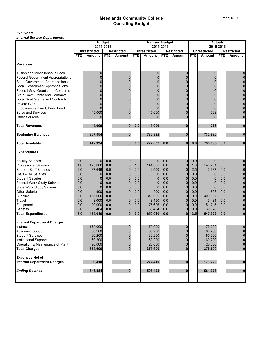#### *Exhibit 18 Internal Service Departments*

|                                                                      |            | <b>Budget</b>       |            |                   |            | <b>Revised Budget</b> |            |                |            | <b>Actuals</b>      |            |                   |
|----------------------------------------------------------------------|------------|---------------------|------------|-------------------|------------|-----------------------|------------|----------------|------------|---------------------|------------|-------------------|
|                                                                      |            | 2015-2016           |            |                   |            |                       | 2015-2016  |                |            | 2015-2016           |            |                   |
|                                                                      |            | <b>Unrestricted</b> |            | <b>Restricted</b> |            | <b>Unrestricted</b>   |            | Restricted     |            | <b>Unrestricted</b> |            | <b>Restricted</b> |
|                                                                      | <b>FTE</b> | <b>Amount</b>       | <b>FTE</b> | <b>Amount</b>     | <b>FTE</b> | <b>Amount</b>         | <b>FTE</b> | <b>Amount</b>  | <b>FTE</b> | <b>Amount</b>       | <b>FTE</b> | Amount            |
| <b>Revenues</b>                                                      |            |                     |            |                   |            |                       |            |                |            |                     |            |                   |
| <b>Tuition and Miscellaneous Fees</b>                                |            | 0                   |            | 0                 |            | 0                     |            | 0              |            | 0                   |            | 0                 |
| <b>Federal Government Appropriations</b>                             |            | ŋ                   |            | $\Omega$          |            | $\Omega$              |            |                |            | 0                   |            | 0                 |
| <b>State Government Appropriations</b>                               |            |                     |            |                   |            | 0                     |            |                |            | 0                   |            |                   |
| Local Government Appropriations<br>Federal Govt Grants and Contracts |            | 0                   |            | 0                 |            | 0                     |            | 0              |            | 0                   |            |                   |
|                                                                      |            |                     |            | 0                 |            |                       |            | $\Omega$       |            | 0                   |            |                   |
| <b>State Govt Grants and Contracts</b>                               |            | 0                   |            | 0                 |            | 0                     |            | 0              |            | 0                   |            |                   |
| <b>Local Govt Grants and Contracts</b>                               |            |                     |            | 0                 |            |                       |            | $\overline{0}$ |            | 0                   |            | $\mathbf 0$       |
| <b>Private Gifts</b>                                                 |            |                     |            |                   |            |                       |            | 0              |            | 0                   |            | 0                 |
| Endowments, Land, Perm Fund                                          |            |                     |            | $\Omega$          |            |                       |            | 0              |            | 0                   |            | $\overline{0}$    |
| Sales and Services                                                   |            | 45,000              |            | 0                 |            | 45,000                |            | $\Omega$       |            | 263                 |            | 0                 |
| <b>Other Sources</b>                                                 |            | 0                   |            | $\Omega$          |            | 0                     |            | $\mathbf 0$    |            | $\Omega$            |            | $\mathbf 0$       |
| <b>Total Revenues</b>                                                |            | 45,000              |            | 0                 | 0.0        | 45,000                |            | $\bf{0}$       |            | 263                 |            | $\bf{0}$          |
|                                                                      |            |                     |            |                   |            |                       |            |                |            |                     |            |                   |
| <b>Beginning Balances</b>                                            |            | 397,994             |            | 0                 |            | 732,832               |            | $\mathbf 0$    |            | 732,832             |            | $\mathbf 0$       |
| <b>Total Available</b>                                               |            | 442,994             |            | $\bf{0}$          | 0.0        | 777,832               | 0.0        | $\mathbf 0$    | 0.0        | 733,095             | 0.0        | $\bf{0}$          |
| <b>Expenditures</b>                                                  |            |                     |            |                   |            |                       |            |                |            |                     |            |                   |
| <b>Faculty Salaries</b>                                              | 0.0        | $\overline{0}$      | 0.0        | 0                 | 0.0        | $\overline{0}$        | 0.0        | $\mathbf 0$    | 0.0        | $\overline{0}$      | 0.0        | $\boldsymbol{0}$  |
| Professional Salaries                                                | 1.0        | 125,000             | 0.0        | 0                 | 1.0        | 141,000               | 0.0        | $\mathbf 0$    | 1.0        | 140,731             | 0.0        | $\mathbf 0$       |
| <b>Support Staff Salaries</b>                                        | 2.0        | 87,646              | 0.0        | $\mathbf 0$       | 2.0        | 2,500                 | 0.0        | $\mathbf 0$    | 2.5        | 2,337               | 0.0        | $\mathbf 0$       |
| <b>GA/TA/RA Salaries</b>                                             | 0.0        | $\overline{0}$      | 0.0        | $\mathbf 0$       | 0.0        | 0                     | 0.0        | $\mathbf 0$    | 0.0        | 0                   | 0.0        | $\mathbf 0$       |
| <b>Student Salaries</b>                                              | 0.0        | 0                   | 0.0        | 0                 | 0.0        | 0                     | 0.0        | $\mathbf 0$    | 0.0        | 0                   | 0.0        | 0                 |
| <b>Federal Work Study Salaries</b>                                   | 0.0        | $\mathbf 0$         | 0.0        | $\overline{0}$    | 0.0        | 0                     | 0.0        | $\mathbf 0$    | 0.0        | $\overline{0}$      | 0.0        | 0                 |
| <b>State Work Study Salaries</b>                                     | 0.0        | $\mathbf 0$         | 0.0        | $\overline{0}$    | 0.0        | $\mathbf 0$           | 0.0        | $\mathbf 0$    | 0.0        | $\overline{0}$      | 0.0        | 0                 |
| <b>Other Salaries</b>                                                | 0.0        | 900                 | 0.0        | 0                 | 0.0        | 900                   | 0.0        | $\mathbf 0$    | 0.0        | 863                 | 0.0        | $\mathbf 0$       |
| Supplies                                                             | 0.0        | 155,000             | 0.0        | $\overline{0}$    | 0.0        | 343,000               | 0.0        | $\mathbf 0$    | 0.0        | 309,667             | 0.0        | $\mathbf 0$       |
| <b>Travel</b>                                                        | 0.0        | 3,000               | 0.0        | $\overline{0}$    | 0.0        | 3,450                 | 0.0        | $\mathbf 0$    | 0.0        | 3,431               | 0.0        | $\mathbf 0$       |
| Equipment                                                            | 0.0        | 20,000              | 0.0        | 0                 | 0.0        | 75,696                | 0.0        | $\mathbf 0$    | 0.0        | 51,215              | 0.0        | $\mathbf 0$       |
| <b>Benefits</b>                                                      | 0.0        | 83,464              | 0.0        | $\overline{0}$    | 0.0        | 83,464                | 0.0        | $\mathbf 0$    | 0.0        | 39,078              | 0.0        | 0                 |
| <b>Total Expenditures</b>                                            | 3.0        | 475,010             | 0.0        | $\mathbf{0}$      | 3.0        | 650,010               | 0.0        | $\mathbf{0}$   | 3.5        | 547,322             | 0.0        | $\mathbf{0}$      |
| <b>Internal Department Charges</b>                                   |            |                     |            |                   |            |                       |            |                |            |                     |            |                   |
| Instruction                                                          |            | 175,000             |            | 0                 |            | 175,000               |            | $\mathbf 0$    |            | 175,000             |            | 0                 |
| Academic Support                                                     |            | 60,200              |            | $\Omega$          |            | 60,200                |            | $\overline{0}$ |            | 60,200              |            | $\mathbf 0$       |
| Student Services                                                     |            | 60,200              |            | 0                 |            | 60,200                |            | 0              |            | 60,200              |            | $\mathbf 0$       |
| <b>Institutional Support</b>                                         |            | 60,200              |            | $\overline{0}$    |            | 60,200                |            |                |            | 60,200              |            | $\mathbf 0$       |
| Operation & Maintenance of Plant                                     |            | 20,000              |            | 0                 |            | 20,000                |            |                |            | 20,000              |            | $\overline{0}$    |
| <b>Total Charges</b>                                                 |            | 375,600             |            | $\bf{0}$          |            | 375,600               |            | 0              |            | 375,600             |            | $\bf{0}$          |
| <b>Expenses Net of</b>                                               |            |                     |            |                   |            |                       |            |                |            |                     |            |                   |
| <b>Internal Department Charges</b>                                   |            | 99,410              |            | $\bf{0}$          |            | 274,410               |            | $\bf{0}$       |            | 171,722             |            | $\bf{0}$          |
| <b>Ending Balance</b>                                                |            | 343,584             |            | $\bf{0}$          |            | 503,422               |            | $\bf{0}$       |            | 561,373             |            | $\mathbf 0$       |
|                                                                      |            |                     |            |                   |            |                       |            |                |            |                     |            |                   |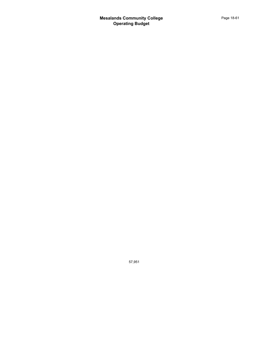57,951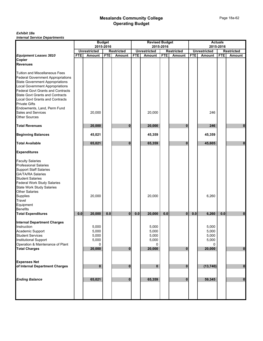### *Exhibit 18a Internal Service Departments*

|                                                                      |            |                     | <b>Budget</b> |                   |            | <b>Revised Budget</b> |            |                   |            |                     | <b>Actuals</b> |                   |
|----------------------------------------------------------------------|------------|---------------------|---------------|-------------------|------------|-----------------------|------------|-------------------|------------|---------------------|----------------|-------------------|
|                                                                      |            | <b>Unrestricted</b> | 2015-2016     | <b>Restricted</b> |            | <b>Unrestricted</b>   | 2015-2016  | <b>Restricted</b> |            | <b>Unrestricted</b> | 2015-2016      | <b>Restricted</b> |
| <b>Equipment Leases 3810</b>                                         | <b>FTE</b> | <b>Amount</b>       | <b>FTE</b>    | Amount            | <b>FTE</b> | Amount                | <b>FTE</b> | <b>Amount</b>     | <b>FTE</b> | <b>Amount</b>       | <b>FTE</b>     | Amount            |
| Copier                                                               |            |                     |               |                   |            |                       |            |                   |            |                     |                |                   |
| <b>Revenues</b>                                                      |            |                     |               |                   |            |                       |            |                   |            |                     |                |                   |
|                                                                      |            |                     |               |                   |            |                       |            |                   |            |                     |                |                   |
| <b>Tuition and Miscellaneous Fees</b>                                |            |                     |               |                   |            |                       |            |                   |            |                     |                |                   |
| <b>Federal Government Appropriations</b>                             |            |                     |               |                   |            |                       |            |                   |            |                     |                |                   |
| <b>State Government Appropriations</b>                               |            |                     |               |                   |            |                       |            |                   |            |                     |                |                   |
| Local Government Appropriations<br>Federal Govt Grants and Contracts |            |                     |               |                   |            |                       |            |                   |            |                     |                |                   |
|                                                                      |            |                     |               |                   |            |                       |            |                   |            |                     |                |                   |
| <b>State Govt Grants and Contracts</b>                               |            |                     |               |                   |            |                       |            |                   |            |                     |                |                   |
| <b>Local Govt Grants and Contracts</b>                               |            |                     |               |                   |            |                       |            |                   |            |                     |                |                   |
| <b>Private Gifts</b>                                                 |            |                     |               |                   |            |                       |            |                   |            |                     |                |                   |
| Endowments, Land, Perm Fund                                          |            |                     |               |                   |            |                       |            |                   |            |                     |                |                   |
| Sales and Services                                                   |            | 20,000              |               |                   |            | 20,000                |            |                   |            | 246                 |                |                   |
| Other Sources                                                        |            |                     |               |                   |            |                       |            |                   |            |                     |                |                   |
|                                                                      |            |                     |               |                   |            |                       |            |                   |            |                     |                |                   |
| <b>Total Revenues</b>                                                |            | 20,000              |               | 0                 |            | 20,000                |            | $\bf{0}$          |            | 246                 |                | 0                 |
| <b>Beginning Balances</b>                                            |            | 45,021              |               |                   |            | 45,359                |            |                   |            | 45,359              |                |                   |
|                                                                      |            |                     |               |                   |            |                       |            |                   |            |                     |                |                   |
| <b>Total Available</b>                                               |            | 65,021              |               | $\bf{0}$          |            | 65,359                |            | $\mathbf{0}$      |            | 45,605              |                | $\bf{0}$          |
| <b>Expenditures</b>                                                  |            |                     |               |                   |            |                       |            |                   |            |                     |                |                   |
| <b>Faculty Salaries</b>                                              |            |                     |               |                   |            |                       |            |                   |            |                     |                |                   |
| <b>Professional Salaries</b>                                         |            |                     |               |                   |            |                       |            |                   |            |                     |                |                   |
| <b>Support Staff Salaries</b>                                        |            |                     |               |                   |            |                       |            |                   |            |                     |                |                   |
|                                                                      |            |                     |               |                   |            |                       |            |                   |            |                     |                |                   |
| GA/TA/RA Salaries<br>Student Salaries                                |            |                     |               |                   |            |                       |            |                   |            |                     |                |                   |
| <b>Federal Work Study Salaries</b>                                   |            |                     |               |                   |            |                       |            |                   |            |                     |                |                   |
| <b>State Work Study Salaries</b>                                     |            |                     |               |                   |            |                       |            |                   |            |                     |                |                   |
| Other Salaries                                                       |            |                     |               |                   |            |                       |            |                   |            |                     |                |                   |
| Supplies                                                             |            | 20,000              |               |                   |            | 20,000                |            |                   |            | 6,260               |                |                   |
|                                                                      |            |                     |               |                   |            |                       |            |                   |            |                     |                |                   |
| Travel<br>Equipment                                                  |            |                     |               |                   |            |                       |            |                   |            |                     |                |                   |
| <b>Benefits</b>                                                      |            |                     |               |                   |            |                       |            |                   |            |                     |                |                   |
| <b>Total Expenditures</b>                                            | 0.0        | 20,000              | 0.0           | $\bf{0}$          | 0.0        | 20,000                | 0.0        | $\bf{0}$          | $0.0\,$    | 6,260               | 0.0            | $\bf{0}$          |
|                                                                      |            |                     |               |                   |            |                       |            |                   |            |                     |                |                   |
| <b>Internal Department Charges</b>                                   |            |                     |               |                   |            |                       |            |                   |            |                     |                |                   |
| Instruction                                                          |            | 5,000               |               |                   |            | 5,000                 |            |                   |            | 5,000               |                |                   |
| Academic Support                                                     |            | 5,000               |               |                   |            | 5,000                 |            |                   |            | 5,000               |                |                   |
| <b>Student Services</b>                                              |            | 5,000               |               |                   |            | 5,000                 |            |                   |            | 5,000               |                |                   |
| <b>Institutional Support</b>                                         |            | 5,000               |               |                   |            | 5,000                 |            |                   |            | 5,000               |                |                   |
| Operation & Maintenance of Plant<br>Total Charges                    |            | $\mathbf 0$         |               |                   |            | 0                     |            |                   |            | $\Omega$            |                |                   |
|                                                                      |            | 20,000              |               | $\mathbf{0}$      |            | 20,000                |            | $\bf{0}$          |            | 20,000              |                | $\bf{0}$          |
|                                                                      |            |                     |               |                   |            |                       |            |                   |            |                     |                |                   |
| <b>Expenses Net</b>                                                  |            |                     |               |                   |            |                       |            |                   |            |                     |                |                   |
| of Internal Department Charges                                       |            | $\mathbf 0$         |               | $\bf{0}$          |            | $\mathbf{0}$          |            | $\bf{0}$          |            | (13, 740)           |                | $\pmb{0}$         |
|                                                                      |            |                     |               |                   |            |                       |            |                   |            |                     |                |                   |
| <b>Ending Balance</b>                                                |            | 65,021              |               | $\mathbf{0}$      |            | 65,359                |            | $\bf{0}$          |            | 59,345              |                | $\pmb{0}$         |
|                                                                      |            |                     |               |                   |            |                       |            |                   |            |                     |                |                   |
|                                                                      |            |                     |               |                   |            |                       |            |                   |            |                     |                |                   |
|                                                                      |            |                     |               |                   |            |                       |            |                   |            |                     |                |                   |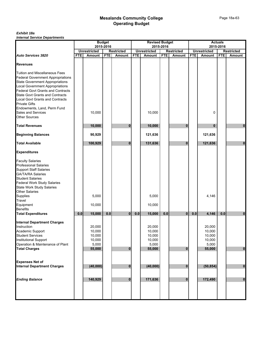### *Exhibit 18a Internal Service Departments*

|                                                                      |                                                       |               | <b>Budget</b> |               |            | <b>Revised Budget</b> |            |                   |            |                     | <b>Actuals</b> |                   |
|----------------------------------------------------------------------|-------------------------------------------------------|---------------|---------------|---------------|------------|-----------------------|------------|-------------------|------------|---------------------|----------------|-------------------|
|                                                                      | 2015-2016<br><b>Unrestricted</b><br><b>Restricted</b> |               |               |               |            | <b>Unrestricted</b>   | 2015-2016  | <b>Restricted</b> |            | <b>Unrestricted</b> | 2015-2016      | <b>Restricted</b> |
| <b>Auto Services 3820</b>                                            | <b>FTE</b>                                            | <b>Amount</b> | <b>FTE</b>    | <b>Amount</b> | <b>FTE</b> | Amount                | <b>FTE</b> | <b>Amount</b>     | <b>FTE</b> | Amount              | <b>FTE</b>     | Amount            |
|                                                                      |                                                       |               |               |               |            |                       |            |                   |            |                     |                |                   |
| <b>Revenues</b>                                                      |                                                       |               |               |               |            |                       |            |                   |            |                     |                |                   |
|                                                                      |                                                       |               |               |               |            |                       |            |                   |            |                     |                |                   |
| Tuition and Miscellaneous Fees                                       |                                                       |               |               |               |            |                       |            |                   |            |                     |                |                   |
| <b>Federal Government Appropriations</b>                             |                                                       |               |               |               |            |                       |            |                   |            |                     |                |                   |
| <b>State Government Appropriations</b>                               |                                                       |               |               |               |            |                       |            |                   |            |                     |                |                   |
| Local Government Appropriations<br>Federal Govt Grants and Contracts |                                                       |               |               |               |            |                       |            |                   |            |                     |                |                   |
|                                                                      |                                                       |               |               |               |            |                       |            |                   |            |                     |                |                   |
| <b>State Govt Grants and Contracts</b>                               |                                                       |               |               |               |            |                       |            |                   |            |                     |                |                   |
| <b>Local Govt Grants and Contracts</b><br><b>Private Gifts</b>       |                                                       |               |               |               |            |                       |            |                   |            |                     |                |                   |
|                                                                      |                                                       |               |               |               |            |                       |            |                   |            |                     |                |                   |
| Endowments, Land, Perm Fund                                          |                                                       |               |               |               |            |                       |            |                   |            |                     |                |                   |
| Sales and Services<br>Other Sources                                  |                                                       | 10,000        |               |               |            | 10,000                |            |                   |            | 0                   |                |                   |
|                                                                      |                                                       |               |               |               |            |                       |            |                   |            |                     |                |                   |
| <b>Total Revenues</b>                                                |                                                       | 10,000        |               | 0             |            | 10,000                |            | $\bf{0}$          |            | 0                   |                | 0                 |
|                                                                      |                                                       |               |               |               |            |                       |            |                   |            |                     |                |                   |
| <b>Beginning Balances</b>                                            |                                                       | 90,929        |               |               |            | 121,636               |            |                   |            | 121,636             |                |                   |
| <b>Total Available</b>                                               |                                                       | 100,929       |               | $\bf{0}$      |            | 131,636               |            | $\mathbf{0}$      |            | 121,636             |                | $\bf{0}$          |
| <b>Expenditures</b>                                                  |                                                       |               |               |               |            |                       |            |                   |            |                     |                |                   |
| <b>Faculty Salaries</b>                                              |                                                       |               |               |               |            |                       |            |                   |            |                     |                |                   |
| <b>Professional Salaries</b>                                         |                                                       |               |               |               |            |                       |            |                   |            |                     |                |                   |
| <b>Support Staff Salaries</b>                                        |                                                       |               |               |               |            |                       |            |                   |            |                     |                |                   |
|                                                                      |                                                       |               |               |               |            |                       |            |                   |            |                     |                |                   |
| GA/TA/RA Salaries<br>Student Salaries                                |                                                       |               |               |               |            |                       |            |                   |            |                     |                |                   |
| <b>Federal Work Study Salaries</b>                                   |                                                       |               |               |               |            |                       |            |                   |            |                     |                |                   |
| <b>State Work Study Salaries</b>                                     |                                                       |               |               |               |            |                       |            |                   |            |                     |                |                   |
| Other Salaries                                                       |                                                       |               |               |               |            |                       |            |                   |            |                     |                |                   |
| Supplies                                                             |                                                       | 5,000         |               |               |            | 5,000                 |            |                   |            | 4,146               |                |                   |
| Travel<br>Equipment                                                  |                                                       |               |               |               |            |                       |            |                   |            |                     |                |                   |
|                                                                      |                                                       | 10,000        |               |               |            | 10,000                |            |                   |            |                     |                |                   |
| <b>Benefits</b>                                                      |                                                       |               |               |               |            |                       |            |                   |            |                     |                |                   |
| <b>Total Expenditures</b>                                            | 0.0                                                   | 15,000        | 0.0           | $\bf{0}$      | 0.0        | 15,000                | 0.0        | $\bf{0}$          | $0.0\,$    | 4,146               | 0.0            | $\bf{0}$          |
| <b>Internal Department Charges</b>                                   |                                                       |               |               |               |            |                       |            |                   |            |                     |                |                   |
| Instruction                                                          |                                                       | 20,000        |               |               |            | 20,000                |            |                   |            | 20,000              |                |                   |
| Academic Support                                                     |                                                       | 10,000        |               |               |            | 10,000                |            |                   |            | 10,000              |                |                   |
| <b>Student Services</b>                                              |                                                       | 10,000        |               |               |            | 10,000                |            |                   |            | 10,000              |                |                   |
| Institutional Support                                                |                                                       | 10,000        |               |               |            | 10,000                |            |                   |            | 10,000              |                |                   |
| Operation & Maintenance of Plant                                     |                                                       | 5,000         |               |               |            | 5,000                 |            |                   |            | 5,000               |                |                   |
| <b>Total Charges</b>                                                 |                                                       | 55,000        |               | $\mathbf{0}$  |            | 55,000                |            | $\bf{0}$          |            | 55,000              |                | $\mathbf 0$       |
|                                                                      |                                                       |               |               |               |            |                       |            |                   |            |                     |                |                   |
| <b>Expenses Net of</b>                                               |                                                       |               |               |               |            |                       |            |                   |            |                     |                |                   |
| <b>Internal Department Charges</b>                                   |                                                       | (40,000)      |               | $\bf{0}$      |            | (40,000)              |            | $\bf{0}$          |            | (50, 854)           |                | $\pmb{0}$         |
|                                                                      |                                                       |               |               |               |            |                       |            |                   |            |                     |                |                   |
| <b>Ending Balance</b>                                                |                                                       | 140,929       |               | $\mathbf{0}$  |            | 171,636               |            | $\bf{0}$          |            | 172,490             |                | $\pmb{0}$         |
|                                                                      |                                                       |               |               |               |            |                       |            |                   |            |                     |                |                   |
|                                                                      |                                                       |               |               |               |            |                       |            |                   |            |                     |                |                   |
|                                                                      |                                                       |               |               |               |            |                       |            |                   |            |                     |                |                   |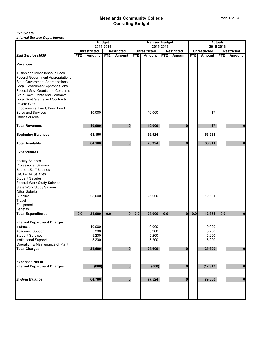### *Exhibit 18a Internal Service Departments*

|                                                                    |            |                     | <b>Budget</b> |                   |            | <b>Revised Budget</b> |            |                   |            |                     | <b>Actuals</b> |                   |
|--------------------------------------------------------------------|------------|---------------------|---------------|-------------------|------------|-----------------------|------------|-------------------|------------|---------------------|----------------|-------------------|
|                                                                    |            |                     | 2015-2016     |                   |            |                       | 2015-2016  |                   |            |                     | 2015-2016      |                   |
|                                                                    |            | <b>Unrestricted</b> |               | <b>Restricted</b> |            | <b>Unrestricted</b>   |            | <b>Restricted</b> |            | <b>Unrestricted</b> |                | <b>Restricted</b> |
| <b>Mail Services3830</b>                                           | <b>FTE</b> | <b>Amount</b>       | <b>FTE</b>    | Amount            | <b>FTE</b> | Amount                | <b>FTE</b> | Amount            | <b>FTE</b> | <b>Amount</b>       | <b>FTE</b>     | <b>Amount</b>     |
| <b>Revenues</b>                                                    |            |                     |               |                   |            |                       |            |                   |            |                     |                |                   |
| <b>Tuition and Miscellaneous Fees</b>                              |            |                     |               |                   |            |                       |            |                   |            |                     |                |                   |
| <b>Federal Government Appropriations</b>                           |            |                     |               |                   |            |                       |            |                   |            |                     |                |                   |
| State Government Appropriations<br>Local Government Appropriations |            |                     |               |                   |            |                       |            |                   |            |                     |                |                   |
|                                                                    |            |                     |               |                   |            |                       |            |                   |            |                     |                |                   |
| Federal Govt Grants and Contracts                                  |            |                     |               |                   |            |                       |            |                   |            |                     |                |                   |
| <b>State Govt Grants and Contracts</b>                             |            |                     |               |                   |            |                       |            |                   |            |                     |                |                   |
| <b>Local Govt Grants and Contracts</b>                             |            |                     |               |                   |            |                       |            |                   |            |                     |                |                   |
| <b>Private Gifts</b>                                               |            |                     |               |                   |            |                       |            |                   |            |                     |                |                   |
| Endowments, Land, Perm Fund                                        |            |                     |               |                   |            |                       |            |                   |            |                     |                |                   |
| Sales and Services                                                 |            | 10,000              |               |                   |            | 10,000                |            |                   |            | 17                  |                |                   |
| Other Sources                                                      |            |                     |               |                   |            |                       |            |                   |            |                     |                |                   |
| <b>Total Revenues</b>                                              |            | 10,000              |               | $\bf{0}$          |            | 10,000                |            | $\bf{0}$          |            | 17                  |                | $\bf{0}$          |
|                                                                    |            |                     |               |                   |            |                       |            |                   |            |                     |                |                   |
| <b>Beginning Balances</b>                                          |            | 54,106              |               |                   |            | 66,924                |            |                   |            | 66,924              |                |                   |
| <b>Total Available</b>                                             |            | 64,106              |               | $\bf{0}$          |            | 76,924                |            | $\bf{0}$          |            | 66,941              |                | 0                 |
| <b>Expenditures</b>                                                |            |                     |               |                   |            |                       |            |                   |            |                     |                |                   |
| <b>Faculty Salaries</b>                                            |            |                     |               |                   |            |                       |            |                   |            |                     |                |                   |
| <b>Professional Salaries</b>                                       |            |                     |               |                   |            |                       |            |                   |            |                     |                |                   |
|                                                                    |            |                     |               |                   |            |                       |            |                   |            |                     |                |                   |
| Support Staff Salaries<br>GA/TA/RA Salaries                        |            |                     |               |                   |            |                       |            |                   |            |                     |                |                   |
| Student Salaries                                                   |            |                     |               |                   |            |                       |            |                   |            |                     |                |                   |
| Federal Work Study Salaries                                        |            |                     |               |                   |            |                       |            |                   |            |                     |                |                   |
|                                                                    |            |                     |               |                   |            |                       |            |                   |            |                     |                |                   |
| State Work Study Salaries<br>Other Salaries                        |            |                     |               |                   |            |                       |            |                   |            |                     |                |                   |
| Supplies                                                           |            | 25,000              |               |                   |            | 25,000                |            |                   |            | 12,681              |                |                   |
|                                                                    |            |                     |               |                   |            |                       |            |                   |            |                     |                |                   |
| Travel<br>Equipment                                                |            |                     |               |                   |            |                       |            |                   |            |                     |                |                   |
| Benefits                                                           |            |                     |               |                   |            |                       |            |                   |            |                     |                |                   |
| <b>Total Expenditures</b>                                          | $0.0$      | 25,000              | 0.0           | $\mathbf{0}$      | 0.0        | 25,000                | 0.0        | $\mathbf{0}$      | $0.0\,$    | 12,681              | 0.0            | $\bf{0}$          |
|                                                                    |            |                     |               |                   |            |                       |            |                   |            |                     |                |                   |
| <b>Internal Department Charges</b>                                 |            |                     |               |                   |            |                       |            |                   |            |                     |                |                   |
| Instruction                                                        |            | 10,000              |               |                   |            | 10,000                |            |                   |            | 10,000              |                |                   |
| Academic Support                                                   |            | 5,200               |               |                   |            | 5,200                 |            |                   |            | 5,200               |                |                   |
| <b>Student Services</b>                                            |            | 5,200               |               |                   |            | 5,200                 |            |                   |            | 5,200               |                |                   |
| Institutional Support                                              |            | 5,200               |               |                   |            | 5,200                 |            |                   |            | 5,200               |                |                   |
| Operation & Maintenance of Plant<br>Total Charges                  |            |                     |               |                   |            |                       |            |                   |            |                     |                |                   |
|                                                                    |            | 25,600              |               | $\mathbf{0}$      |            | 25,600                |            | $\bf{0}$          |            | 25,600              |                | $\bf{0}$          |
| <b>Expenses Net of</b>                                             |            |                     |               |                   |            |                       |            |                   |            |                     |                |                   |
| <b>Internal Department Charges</b>                                 |            | (600)               |               | 0                 |            | (600)                 |            | $\bf{0}$          |            | (12, 919)           |                | $\bf{0}$          |
|                                                                    |            |                     |               |                   |            |                       |            |                   |            |                     |                |                   |
| <b>Ending Balance</b>                                              |            | 64,706              |               | $\mathbf{0}$      |            | 77,524                |            | $\bf{0}$          |            | 79,860              |                | $\pmb{0}$         |
|                                                                    |            |                     |               |                   |            |                       |            |                   |            |                     |                |                   |
|                                                                    |            |                     |               |                   |            |                       |            |                   |            |                     |                |                   |
|                                                                    |            |                     |               |                   |            |                       |            |                   |            |                     |                |                   |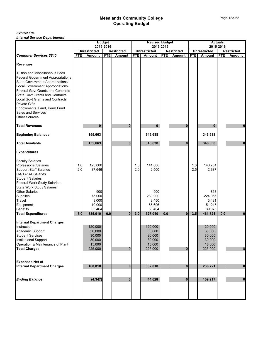# *Exhibit 18a*

*Internal Service Departments*

|                                          |            |                     | <b>Budget</b><br>2015-2016 |                   |            | <b>Revised Budget</b> | 2015-2016  |                   |            |                     | <b>Actuals</b><br>2015-2016 |                   |
|------------------------------------------|------------|---------------------|----------------------------|-------------------|------------|-----------------------|------------|-------------------|------------|---------------------|-----------------------------|-------------------|
|                                          |            | <b>Unrestricted</b> |                            | <b>Restricted</b> |            | <b>Unrestricted</b>   |            | <b>Restricted</b> |            | <b>Unrestricted</b> |                             | <b>Restricted</b> |
| <b>Computer Services 3840</b>            | <b>FTE</b> | Amount              | <b>FTE</b>                 | <b>Amount</b>     | <b>FTE</b> | Amount                | <b>FTE</b> | Amount            | <b>FTE</b> | Amount              | <b>FTE</b>                  | <b>Amount</b>     |
| <b>Revenues</b>                          |            |                     |                            |                   |            |                       |            |                   |            |                     |                             |                   |
| <b>Tuition and Miscellaneous Fees</b>    |            |                     |                            |                   |            |                       |            |                   |            |                     |                             |                   |
| <b>Federal Government Appropriations</b> |            |                     |                            |                   |            |                       |            |                   |            |                     |                             |                   |
| <b>State Government Appropriations</b>   |            |                     |                            |                   |            |                       |            |                   |            |                     |                             |                   |
| <b>Local Government Appropriations</b>   |            |                     |                            |                   |            |                       |            |                   |            |                     |                             |                   |
| <b>Federal Govt Grants and Contracts</b> |            |                     |                            |                   |            |                       |            |                   |            |                     |                             |                   |
| <b>State Govt Grants and Contracts</b>   |            |                     |                            |                   |            |                       |            |                   |            |                     |                             |                   |
| <b>Local Govt Grants and Contracts</b>   |            |                     |                            |                   |            |                       |            |                   |            |                     |                             |                   |
| <b>Private Gifts</b>                     |            |                     |                            |                   |            |                       |            |                   |            |                     |                             |                   |
| Endowments, Land, Perm Fund              |            |                     |                            |                   |            |                       |            |                   |            |                     |                             |                   |
| Sales and Services                       |            |                     |                            |                   |            |                       |            |                   |            |                     |                             |                   |
| <b>Other Sources</b>                     |            |                     |                            |                   |            |                       |            |                   |            |                     |                             |                   |
| <b>Total Revenues</b>                    |            | $\mathbf{0}$        |                            | $\mathbf{0}$      |            | $\bf{0}$              |            | $\bf{0}$          |            | $\mathbf{0}$        |                             | $\bf{0}$          |
|                                          |            |                     |                            |                   |            |                       |            |                   |            |                     |                             |                   |
| <b>Beginning Balances</b>                |            | 155,663             |                            |                   |            | 346,638               |            |                   |            | 346,638             |                             |                   |
| <b>Total Available</b>                   |            | 155,663             |                            | $\bf{0}$          |            | 346.638               |            | ŋ                 |            | 346,638             |                             | 0                 |
| <b>Expenditures</b>                      |            |                     |                            |                   |            |                       |            |                   |            |                     |                             |                   |
| <b>Faculty Salaries</b>                  |            |                     |                            |                   |            |                       |            |                   |            |                     |                             |                   |
| <b>Professional Salaries</b>             | 1.0        | 125,000             |                            |                   | 1.0        | 141.000               |            |                   | 1.0        | 140,731             |                             |                   |
| <b>Support Staff Salaries</b>            | 2.0        | 87,646              |                            |                   | 2.0        | 2,500                 |            |                   | 2.5        | 2,337               |                             |                   |
| <b>GA/TA/RA Salaries</b>                 |            |                     |                            |                   |            |                       |            |                   |            |                     |                             |                   |
| <b>Student Salaries</b>                  |            |                     |                            |                   |            |                       |            |                   |            |                     |                             |                   |
| <b>Federal Work Study Salaries</b>       |            |                     |                            |                   |            |                       |            |                   |            |                     |                             |                   |
| State Work Study Salaries                |            |                     |                            |                   |            |                       |            |                   |            |                     |                             |                   |
| <b>Other Salaries</b>                    |            | 900                 |                            |                   |            | 900                   |            |                   |            | 863                 |                             |                   |
| Supplies                                 |            | 75,000              |                            |                   |            | 230,000               |            |                   |            | 224,066             |                             |                   |
| Travel                                   |            | 3,000               |                            |                   |            | 3,450                 |            |                   |            | 3,431               |                             |                   |
| Equipment                                |            | 10,000              |                            |                   |            | 65,696                |            |                   |            | 51,215              |                             |                   |
| <b>Benefits</b>                          |            | 83,464              |                            |                   |            | 83,464                |            |                   |            | 39,078              |                             |                   |
| <b>Total Expenditures</b>                | 3.0        | 385,010             | 0.0                        | $\mathbf{0}$      | 3.0        | 527,010               | 0.0        | $\bf{0}$          | 3.5        | 461,721             | 0.0                         | $\bf{0}$          |
| <b>Internal Department Charges</b>       |            |                     |                            |                   |            |                       |            |                   |            |                     |                             |                   |
| Instruction                              |            | 120,000             |                            |                   |            | 120,000               |            |                   |            | 120,000             |                             |                   |
| Academic Support                         |            | 30,000              |                            |                   |            | 30,000                |            |                   |            | 30,000              |                             |                   |
| <b>Student Services</b>                  |            | 30,000              |                            |                   |            | 30,000                |            |                   |            | 30,000              |                             |                   |
| Institutional Support                    |            | 30,000              |                            |                   |            | 30,000                |            |                   |            | 30,000              |                             |                   |
| Operation & Maintenance of Plant         |            | 15,000              |                            |                   |            | 15,000                |            |                   |            | 15,000              |                             |                   |
| <b>Total Charges</b>                     |            | 225,000             |                            | $\overline{0}$    |            | 225,000               |            | $\Omega$          |            | 225,000             |                             | $\pmb{0}$         |
|                                          |            |                     |                            |                   |            |                       |            |                   |            |                     |                             |                   |
| <b>Expenses Net of</b>                   |            |                     |                            |                   |            |                       |            |                   |            |                     |                             |                   |
| <b>Internal Department Charges</b>       |            | 160,010             |                            | $\mathbf{0}$      |            | 302,010               |            | $\mathbf{0}$      |            | 236,721             |                             | $\pmb{0}$         |
|                                          |            |                     |                            |                   |            |                       |            |                   |            |                     |                             |                   |
| <b>Ending Balance</b>                    |            | (4, 347)            |                            | $\mathbf 0$       |            | 44,628                |            | $\mathbf{0}$      |            | 109,917             |                             | $\pmb{0}$         |
|                                          |            |                     |                            |                   |            |                       |            |                   |            |                     |                             |                   |
|                                          |            |                     |                            |                   |            |                       |            |                   |            |                     |                             |                   |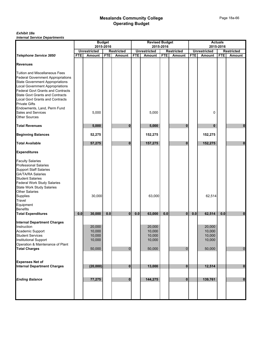# *Exhibit 18a*

*Internal Service Departments*

|                                                                    |            |                     | <b>Budget</b><br>2015-2016 |                   |            | <b>Revised Budget</b> | 2015-2016  |                   |            |                     | <b>Actuals</b><br>2015-2016 |                   |
|--------------------------------------------------------------------|------------|---------------------|----------------------------|-------------------|------------|-----------------------|------------|-------------------|------------|---------------------|-----------------------------|-------------------|
|                                                                    |            | <b>Unrestricted</b> |                            | <b>Restricted</b> |            | <b>Unrestricted</b>   |            | <b>Restricted</b> |            | <b>Unrestricted</b> |                             | <b>Restricted</b> |
| Telephone Service 3850                                             | <b>FTE</b> | Amount              | <b>FTE</b>                 | Amount            | <b>FTE</b> | Amount                | <b>FTE</b> | Amount            | <b>FTE</b> | Amount              | <b>FTE</b>                  | <b>Amount</b>     |
| <b>Revenues</b>                                                    |            |                     |                            |                   |            |                       |            |                   |            |                     |                             |                   |
| <b>Tuition and Miscellaneous Fees</b>                              |            |                     |                            |                   |            |                       |            |                   |            |                     |                             |                   |
| <b>Federal Government Appropriations</b>                           |            |                     |                            |                   |            |                       |            |                   |            |                     |                             |                   |
| State Government Appropriations<br>Local Government Appropriations |            |                     |                            |                   |            |                       |            |                   |            |                     |                             |                   |
|                                                                    |            |                     |                            |                   |            |                       |            |                   |            |                     |                             |                   |
| <b>Federal Govt Grants and Contracts</b>                           |            |                     |                            |                   |            |                       |            |                   |            |                     |                             |                   |
| <b>State Govt Grants and Contracts</b>                             |            |                     |                            |                   |            |                       |            |                   |            |                     |                             |                   |
| <b>Local Govt Grants and Contracts</b>                             |            |                     |                            |                   |            |                       |            |                   |            |                     |                             |                   |
| <b>Private Gifts</b>                                               |            |                     |                            |                   |            |                       |            |                   |            |                     |                             |                   |
| Endowments, Land, Perm Fund<br>Sales and Services                  |            |                     |                            |                   |            |                       |            |                   |            |                     |                             |                   |
|                                                                    |            | 5,000               |                            |                   |            | 5,000                 |            |                   |            | 0                   |                             |                   |
| Other Sources                                                      |            |                     |                            |                   |            |                       |            |                   |            |                     |                             |                   |
| <b>Total Revenues</b>                                              |            | 5,000               |                            | 0                 |            | 5,000                 |            | $\bf{0}$          |            | $\mathbf{0}$        |                             | $\bf{0}$          |
| <b>Beginning Balances</b>                                          |            | 52,275              |                            |                   |            | 152,275               |            |                   |            | 152,275             |                             |                   |
| <b>Total Available</b>                                             |            | 57,275              |                            | $\bf{0}$          |            | 157,275               |            | $\bf{0}$          |            | 152,275             |                             | $\mathbf{0}$      |
| <b>Expenditures</b>                                                |            |                     |                            |                   |            |                       |            |                   |            |                     |                             |                   |
|                                                                    |            |                     |                            |                   |            |                       |            |                   |            |                     |                             |                   |
| <b>Faculty Salaries</b>                                            |            |                     |                            |                   |            |                       |            |                   |            |                     |                             |                   |
| <b>Professional Salaries</b>                                       |            |                     |                            |                   |            |                       |            |                   |            |                     |                             |                   |
| Support Staff Salaries<br>GA/TA/RA Salaries                        |            |                     |                            |                   |            |                       |            |                   |            |                     |                             |                   |
|                                                                    |            |                     |                            |                   |            |                       |            |                   |            |                     |                             |                   |
| <b>Student Salaries</b>                                            |            |                     |                            |                   |            |                       |            |                   |            |                     |                             |                   |
| Federal Work Study Salaries<br>State Work Study Salaries           |            |                     |                            |                   |            |                       |            |                   |            |                     |                             |                   |
|                                                                    |            |                     |                            |                   |            |                       |            |                   |            |                     |                             |                   |
| <b>Other Salaries</b>                                              |            | 30,000              |                            |                   |            | 63,000                |            |                   |            | 62,514              |                             |                   |
| Supplies<br>Travel                                                 |            |                     |                            |                   |            |                       |            |                   |            |                     |                             |                   |
| Equipment                                                          |            |                     |                            |                   |            |                       |            |                   |            |                     |                             |                   |
| <b>Benefits</b>                                                    |            |                     |                            |                   |            |                       |            |                   |            |                     |                             |                   |
| <b>Total Expenditures</b>                                          | 0.0        | 30,000              | 0.0                        | $\overline{0}$    | 0.0        | 63,000                | 0.0        | $\mathbf{0}$      | 0.0        | 62,514              | 0.0                         | $\bf{0}$          |
|                                                                    |            |                     |                            |                   |            |                       |            |                   |            |                     |                             |                   |
| <b>Internal Department Charges</b>                                 |            |                     |                            |                   |            |                       |            |                   |            |                     |                             |                   |
| Instruction                                                        |            | 20,000              |                            |                   |            | 20,000                |            |                   |            | 20,000              |                             |                   |
| Academic Support                                                   |            | 10,000              |                            |                   |            | 10,000                |            |                   |            | 10,000              |                             |                   |
| <b>Student Services</b>                                            |            | 10,000<br>10,000    |                            |                   |            | 10,000<br>10,000      |            |                   |            | 10,000              |                             |                   |
| <b>Institutional Support</b><br>Operation & Maintenance of Plant   |            |                     |                            |                   |            |                       |            |                   |            | 10,000              |                             |                   |
| <b>Total Charges</b>                                               |            | 50,000              |                            | 0                 |            | 50,000                |            | $\overline{0}$    |            | 50,000              |                             | $\pmb{0}$         |
|                                                                    |            |                     |                            |                   |            |                       |            |                   |            |                     |                             |                   |
| <b>Expenses Net of</b>                                             |            |                     |                            |                   |            |                       |            |                   |            |                     |                             |                   |
| <b>Internal Department Charges</b>                                 |            | (20,000)            |                            | 0                 |            | 13,000                |            | $\mathbf 0$       |            | 12,514              |                             | $\pmb{0}$         |
|                                                                    |            |                     |                            |                   |            |                       |            |                   |            |                     |                             |                   |
| <b>Ending Balance</b>                                              |            | 77,275              |                            | 0                 |            | 144,275               |            | $\mathbf{0}$      |            | 139,761             |                             | $\pmb{0}$         |
|                                                                    |            |                     |                            |                   |            |                       |            |                   |            |                     |                             |                   |
|                                                                    |            |                     |                            |                   |            |                       |            |                   |            |                     |                             |                   |
|                                                                    |            |                     |                            |                   |            |                       |            |                   |            |                     |                             |                   |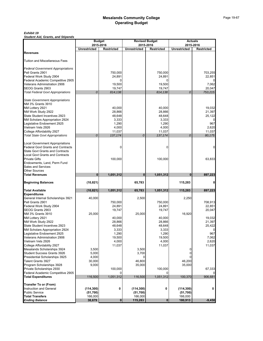## *Exhibit 19*

*Student Aid, Grants, and Stipends*

|                                                                             |                     | <b>Budget</b>                  |                     | <b>Revised Budget</b>          |                     | <b>Actuals</b>                 |
|-----------------------------------------------------------------------------|---------------------|--------------------------------|---------------------|--------------------------------|---------------------|--------------------------------|
|                                                                             | <b>Unrestricted</b> | 2015-2016<br><b>Restricted</b> | <b>Unrestricted</b> | 2015-2016<br><b>Restricted</b> | <b>Unrestricted</b> | 2015-2016<br><b>Restricted</b> |
| <b>Revenues</b>                                                             |                     |                                |                     |                                |                     |                                |
|                                                                             |                     |                                |                     |                                |                     |                                |
| <b>Tuition and Miscellaneous Fees</b>                                       |                     |                                |                     |                                |                     |                                |
|                                                                             |                     |                                |                     |                                |                     |                                |
| <b>Federal Government Appropriations</b>                                    |                     |                                |                     |                                |                     |                                |
| Pell Grants 2901                                                            |                     | 750,000                        |                     | 750,000                        |                     | 703,255                        |
| Federal Work Study 2904<br>Federal Academic Competitive 2905                |                     | 24,891<br>O                    |                     | 24,891                         |                     | 22,851                         |
| Veterans Administration 2906                                                |                     | 19,500                         |                     | 19,500                         |                     | 7,062                          |
| SEOG Grants 2903                                                            |                     | 19,747                         |                     | 19,747                         |                     | 20,047                         |
| <b>Total Federal Govt Appropriations</b>                                    | 0                   | 814,138                        |                     | 814,138                        | 0                   | 753,215                        |
|                                                                             |                     |                                |                     |                                |                     |                                |
| <b>State Government Appropriations</b>                                      |                     |                                |                     |                                |                     |                                |
| NM 3% Grants 3910                                                           |                     |                                |                     |                                |                     |                                |
| NM Lottery 2921                                                             |                     | 40,000                         |                     | 40,000                         |                     | 19,032                         |
| NM Work Study 2922<br>State Student Incentives 2923                         |                     | 28,866<br>48,648               |                     | 28,866<br>48,648               |                     | 21,397<br>25,122               |
| NM Scholars Appropriation 2924                                              |                     | 3,333                          |                     | 3,333                          |                     |                                |
| Legislative Endowment 2925                                                  |                     | 1,290                          |                     | 1,290                          |                     | 967                            |
| Vietnam Vets 2926                                                           |                     | 4,000                          |                     | 4,000                          |                     | 2,620                          |
| College Affordability 2927                                                  |                     | 11,037                         |                     | 11,037                         |                     | 11.037                         |
| <b>Total State Govt Appropriations</b>                                      | 0                   | 137,174                        | 0                   | 137,174                        | 0                   | 80,175                         |
|                                                                             |                     |                                |                     |                                |                     |                                |
| Local Government Appropriations<br><b>Federal Govt Grants and Contracts</b> |                     | $\Omega$                       |                     | 0                              |                     | 0                              |
| <b>State Govt Grants and Contracts</b>                                      |                     |                                |                     |                                |                     |                                |
| <b>Local Govt Grants and Contracts</b>                                      |                     |                                |                     |                                |                     |                                |
| <b>Private Gifts</b>                                                        |                     | 100,000                        |                     | 100,000                        |                     | 63,833                         |
| Endowments, Land, Perm Fund                                                 |                     |                                |                     |                                |                     |                                |
| Sales and Services                                                          |                     |                                |                     |                                |                     |                                |
| <b>Other Sources</b>                                                        |                     |                                |                     |                                |                     |                                |
| <b>Total Revenues</b>                                                       | $\bf{0}$            | 1,051,312                      | $\bf{0}$            | 1,051,312                      | $\bf{0}$            | 897,223                        |
| <b>Beginning Balances</b>                                                   | (10, 821)           |                                | 65,783              |                                | 115,283             | 0                              |
| <b>Total Available</b>                                                      | (10, 821)           | 1,051,312                      | 65,783              | 1,051,312                      | 115,283             | 897,223                        |
| Expenditures                                                                |                     |                                |                     |                                |                     |                                |
| General Internal Scholarships 3921                                          | 40,000              |                                | 2,500               |                                | 2,250               |                                |
| Pell Grants 2901                                                            |                     | 750,000                        |                     | 750,000                        |                     | 708,913                        |
| Federal Work Study 2904                                                     |                     | 24,891                         |                     | 24,891                         |                     | 22,851                         |
| SEOG Grants 2903                                                            |                     | 19,747                         |                     | 19,747                         |                     | 20,047                         |
| NM 3% Grants 3910                                                           | 25,000              |                                | 25,000              |                                | 16,920              |                                |
| NM Lottery 2921<br>NM Work Study 2922                                       |                     | 40,000<br>28,866               |                     | 40,000<br>28,866               |                     | 19,032<br>21,397               |
| State Student Incentives 2923                                               |                     | 48,648                         |                     | 48,648                         |                     | 25,422                         |
| NM Scholars Appropriation 2924                                              |                     | 3,333                          |                     | 3,333                          |                     | 0                              |
| Legislative Endowment 2925                                                  |                     | 1,290                          |                     | 1,290                          |                     | 967                            |
| Veterans Administration 2906                                                |                     | 19,500                         |                     | 19,500                         |                     | 7,062                          |
| Vietnam Vets 2926                                                           |                     | 4,000                          |                     | 4,000                          |                     | 2,620                          |
| College Affordability 2927                                                  |                     | 11,037                         |                     | 11,037                         |                     | 11,037                         |
| Mesalands Scholarships 3924<br>Student Success Grants 3926                  | 3,500<br>5,000      |                                | 3,500<br>3,700      |                                | 0<br>0              |                                |
| Presidential Scholarships 3925                                              | 4,000               |                                | $\Omega$            |                                | 0                   |                                |
| Talent Grants 3927                                                          | 30,000              |                                | 46,800              |                                | 46,200              |                                |
| Program Scholarships 3928                                                   | 9,000               |                                | 35,000              |                                | 35,000              |                                |
| Private Scholarships 2930                                                   |                     | 100,000                        |                     | 100,000                        |                     | 67,333                         |
| Federal Academic Competitive 2905                                           |                     | $\Omega$                       |                     |                                |                     |                                |
| <b>Total Expenditures</b>                                                   | 116,500             | 1,051,312                      | 116,500             | 1,051,312                      | 100,370             | 906,681                        |
| <b>Transfer To or (From)</b>                                                |                     |                                |                     |                                |                     |                                |
| <b>Instruction and General</b>                                              | (114, 300)          | 0                              | (114, 300)          | 0                              | (114, 300)          | 0                              |
| <b>Public Service</b>                                                       | (51,700)            |                                | (51, 700)           |                                | (51, 700)           |                                |
| <b>Total Transfers</b>                                                      | 166,000             |                                | 166,000             |                                | 166,000             |                                |
| <b>Ending Balance</b>                                                       | 38,679              | $\bf{0}$                       | 115,283             | $\bf{0}$                       | 180,913             | $-9,458$                       |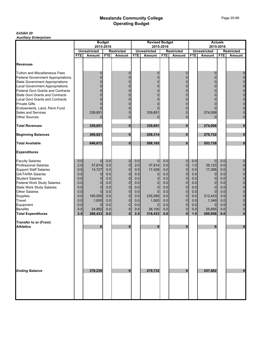#### *Exhibit 20 Auxiliary Enterprises*

|                                                                      | <b>Budget</b> |                     |            |                   |            | <b>Revised Budget</b> |            |                   |            |                     | <b>Actuals</b> |                   |
|----------------------------------------------------------------------|---------------|---------------------|------------|-------------------|------------|-----------------------|------------|-------------------|------------|---------------------|----------------|-------------------|
|                                                                      |               | 2015-2016           |            |                   |            |                       | 2015-2016  |                   |            | 2015-2016           |                |                   |
|                                                                      |               | <b>Unrestricted</b> |            | <b>Restricted</b> |            | <b>Unrestricted</b>   |            | <b>Restricted</b> |            | <b>Unrestricted</b> |                | <b>Restricted</b> |
|                                                                      | <b>FTE</b>    | <b>Amount</b>       | <b>FTE</b> | Amount            | <b>FTE</b> | Amount                | <b>FTE</b> | <b>Amount</b>     | <b>FTE</b> | Amount              | <b>FTE</b>     | Amount            |
| <b>Revenues</b>                                                      |               |                     |            |                   |            |                       |            |                   |            |                     |                |                   |
| Tuition and Miscellaneous Fees                                       |               | $\mathbf 0$         |            | 0                 |            | $\mathbf 0$           |            | $\mathbf 0$       |            | 0                   |                | 0                 |
| <b>Federal Government Appropriations</b>                             |               |                     |            | $\Omega$          |            | $\Omega$              |            |                   |            | 0                   |                | $\mathbf 0$       |
| <b>State Government Appropriations</b>                               |               |                     |            |                   |            | 0                     |            | 0                 |            | 0                   |                | $\mathbf 0$       |
| Local Government Appropriations<br>Federal Govt Grants and Contracts |               |                     |            | $\Omega$          |            | 0                     |            | 0                 |            | 0                   |                | $\mathbf 0$       |
|                                                                      |               |                     |            |                   |            |                       |            |                   |            | ი                   |                | 0                 |
| <b>State Govt Grants and Contracts</b>                               |               |                     |            | 0                 |            | N                     |            | 0                 |            | ი                   |                | $\mathbf 0$       |
| <b>Local Govt Grants and Contracts</b>                               |               |                     |            | O                 |            |                       |            | 0                 |            | ი                   |                | $\mathbf 0$       |
| <b>Private Gifts</b>                                                 |               |                     |            |                   |            |                       |            | 0                 |            |                     |                | 0                 |
| Endowments, Land, Perm Fund                                          |               |                     |            |                   |            |                       |            | 0                 |            |                     |                | $\mathbf 0$       |
| Sales and Services                                                   |               | 339,851             |            | $\Omega$          |            | 339,851               |            | $\Omega$          |            | 274,006             |                | 0                 |
| <b>Other Sources</b>                                                 |               |                     |            | $\mathbf{0}$      |            | $\Omega$              |            | $\mathbf{0}$      |            | 0                   |                | $\mathbf 0$       |
| <b>Total Revenues</b>                                                |               | 339,851             |            | 0                 |            | 339,851               |            | $\bf{0}$          |            | 274,006             |                | 0                 |
| <b>Beginning Balances</b>                                            |               | 306,821             |            | $\bf{0}$          |            | 258,314               |            | $\bf{0}$          |            | 279,732             |                | $\bf{0}$          |
| <b>Total Available</b>                                               |               | 646,672             |            | $\bf{0}$          |            | 598,165               |            | $\bf{0}$          |            | 553,738             |                | $\bf{0}$          |
| <b>Expenditures</b>                                                  |               |                     |            |                   |            |                       |            |                   |            |                     |                |                   |
| <b>Faculty Salaries<br/>Professional Salaries</b>                    | 0.0           | $\overline{0}$      | 0.0        | $\mathbf 0$       | 0.0        | $\mathbf{0}$          | 0.0        | $\mathbf 0$       | 0.0        | $\overline{0}$      | 0.0            | 0                 |
|                                                                      | 2.0           | 37,814              | 0.0        | 0                 | 2.0        | 37,814                | 0.0        | $\mathbf 0$       | 1.0        | 39,123              | 0.0            | 0                 |
| <b>Support Staff Salaries</b>                                        | 0.5           | 14,727              | 0.0        | $\mathbf 0$       | 0.5        | 17,429                | 0.0        | $\mathbf 0$       | 0.5        | 17,306              | 0.0            | 0                 |
| GA/TA/RA Salaries                                                    | 0.0           | 0                   | 0.0        | $\mathbf 0$       | 0.0        | $\mathbf 0$           | 0.0        | $\mathbf 0$       | 0.0        | $\overline{0}$      | 0.0            | $\mathbf 0$       |
| <b>Student Salaries</b>                                              | 0.0           | $\mathbf 0$         | 0.0        | 0                 | 0.0        | $\mathbf 0$           | 0.0        | $\mathbf 0$       | 0.0        | $\overline{0}$      | 0.0            | $\mathbf 0$       |
| <b>Federal Work Study Salaries</b>                                   | 0.0           | $\Omega$            | 0.0        | $\overline{0}$    | 0.0        | $\Omega$              | 0.0        | $\mathbf 0$       | 0.0        | 0                   | 0.0            | $\mathbf 0$       |
| <b>State Work Study Salaries</b>                                     | 0.0           | $\Omega$            | 0.0        | $\overline{0}$    | 0.0        | $\mathbf 0$           | 0.0        | $\mathbf 0$       | 0.0        | $\overline{0}$      | 0.0            | $\overline{0}$    |
| <b>Other Salaries</b>                                                | 0.0           | $\mathbf{0}$        | 0.0        | 0                 | 0.0        | $\mathbf 0$           | 0.0        | $\mathbf 0$       | 0.0        | $\overline{0}$      | 0.0            | $\mathbf 0$       |
| Supplies                                                             | 0.0           | 190,000             | 0.0        | 0                 | 0.0        | 235,590               | 0.0        | $\mathbf 0$       | 0.0        | 212,423             | 0.0            | $\pmb{0}$         |
| Travel                                                               | 0.0           | 1,000               | 0.0        | $\mathbf 0$       | 0.0        | 1,500                 | 0.0        | $\mathbf 0$       | 0.0        | 1,349               | 0.0            | $\mathbf 0$       |
| Equipment                                                            | 0.0           | $\overline{0}$      | 0.0        | $\overline{0}$    | 0.0        | $\Omega$              | 0.0        | $\mathbf 0$       | 0.0        | $\overline{0}$      | 0.0            | $\mathbf 0$       |
| <b>Benefits</b>                                                      | 0.0           | 24,892              | 0.0        | $\overline{0}$    | 0.0        | 26,100                | 0.0        | $\mathbf 0$       | 0.0        | 25,655              | 0.0            | $\mathbf 0$       |
| <b>Total Expenditures</b>                                            | 2.5           | 268,433             | 0.0        | $\mathbf{0}$      | 2.5        | 318,433               | 0.0        | $\mathbf 0$       | 1.5        | 295,856             | 0.0            | $\bf{0}$          |
| <b>Transfer to or (From)</b><br><b>Athletics</b>                     |               | $\bf{0}$            |            | $\bf{0}$          |            | $\bf{0}$              |            | $\bf{0}$          |            | 0                   |                | $\mathbf{0}$      |
|                                                                      |               |                     |            |                   |            |                       |            |                   |            |                     |                |                   |
|                                                                      |               |                     |            |                   |            |                       |            |                   |            |                     |                |                   |
| <b>Ending Balance</b>                                                |               | 378,239             |            | $\bf{0}$          |            | 279,732               |            | $\bf{0}$          |            | 257.882             |                | $\mathbf{0}$      |
|                                                                      |               |                     |            |                   |            |                       |            |                   |            |                     |                |                   |
|                                                                      |               |                     |            |                   |            |                       |            |                   |            |                     |                |                   |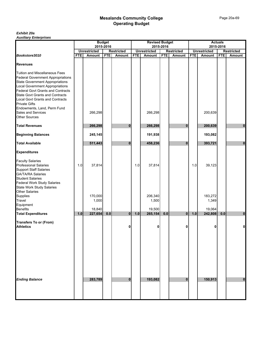#### *Exhibit 20a Auxiliary Enterprises*

|                                                                                                                                                                                                                                                                                                                                                                      | <b>Budget</b> |                            |            | <b>Revised Budget</b><br>2015-2016 |            |                            |            | <b>Actuals</b><br>2015-2016 |            |                            |            |                   |
|----------------------------------------------------------------------------------------------------------------------------------------------------------------------------------------------------------------------------------------------------------------------------------------------------------------------------------------------------------------------|---------------|----------------------------|------------|------------------------------------|------------|----------------------------|------------|-----------------------------|------------|----------------------------|------------|-------------------|
|                                                                                                                                                                                                                                                                                                                                                                      |               | <b>Unrestricted</b>        | 2015-2016  | <b>Restricted</b>                  |            | <b>Unrestricted</b>        |            | <b>Restricted</b>           |            | <b>Unrestricted</b>        |            | <b>Restricted</b> |
| Bookstore3010                                                                                                                                                                                                                                                                                                                                                        | <b>FTE</b>    | <b>Amount</b>              | <b>FTE</b> | <b>Amount</b>                      | <b>FTE</b> | Amount                     | <b>FTE</b> | <b>Amount</b>               | <b>FTE</b> | Amount                     | <b>FTE</b> | <b>Amount</b>     |
| <b>Revenues</b>                                                                                                                                                                                                                                                                                                                                                      |               |                            |            |                                    |            |                            |            |                             |            |                            |            |                   |
| Tuition and Miscellaneous Fees<br><b>Federal Government Appropriations</b><br><b>State Government Appropriations</b><br><b>Local Government Appropriations</b><br><b>Federal Govt Grants and Contracts</b><br><b>State Govt Grants and Contracts</b><br>Local Govt Grants and Contracts<br><b>Private Gifts</b><br>Endowments, Land, Perm Fund<br>Sales and Services |               | 266,298                    |            |                                    |            | 266,298                    |            |                             |            | 200,639                    |            |                   |
| <b>Other Sources</b>                                                                                                                                                                                                                                                                                                                                                 |               |                            |            |                                    |            |                            |            |                             |            |                            |            |                   |
| <b>Total Revenues</b>                                                                                                                                                                                                                                                                                                                                                |               | 266,298                    |            | $\bf{0}$                           |            | 266,298                    |            | $\bf{0}$                    |            | 200,639                    |            | 0                 |
| <b>Beginning Balances</b>                                                                                                                                                                                                                                                                                                                                            |               | 245,145                    |            |                                    |            | 191,938                    |            |                             |            | 193,082                    |            |                   |
| <b>Total Available</b>                                                                                                                                                                                                                                                                                                                                               |               | 511,443                    |            | $\bf{0}$                           |            | 458,236                    |            | $\bf{0}$                    |            | 393,721                    |            | $\bf{0}$          |
| <b>Expenditures</b>                                                                                                                                                                                                                                                                                                                                                  |               |                            |            |                                    |            |                            |            |                             |            |                            |            |                   |
| <b>Faculty Salaries</b><br><b>Professional Salaries</b><br><b>Support Staff Salaries</b><br><b>GA/TA/RA Salaries</b><br><b>Student Salaries</b><br>Federal Work Study Salaries<br>State Work Study Salaries                                                                                                                                                          | 1.0           | 37,814                     |            |                                    | 1.0        | 37,814                     |            |                             | 1.0        | 39,123                     |            |                   |
| Other Salaries<br>Supplies<br>Travel<br>Equipment<br><b>Benefits</b>                                                                                                                                                                                                                                                                                                 |               | 170,000<br>1,000<br>18,840 |            |                                    |            | 206,340<br>1,500<br>19,500 |            |                             |            | 183,272<br>1,349<br>19,064 |            |                   |
| <b>Total Expenditures</b>                                                                                                                                                                                                                                                                                                                                            | 1.0           | 227,654                    | $0.0\,$    | $\mathbf{0}$                       | 1.0        | 265,154                    | $0.0\,$    | 0                           | $1.0$      | 242,808                    | $0.0\,$    | $\pmb{0}$         |
| <b>Transfers To or (From)</b><br><b>Athletics</b>                                                                                                                                                                                                                                                                                                                    |               |                            |            | 0                                  |            | 0                          |            | 0                           |            | 0                          |            | 0                 |
| <b>Ending Balance</b>                                                                                                                                                                                                                                                                                                                                                |               | 283,789                    |            | $\bf{0}$                           |            | 193,082                    |            | $\mathbf{0}$                |            | 150,913                    |            | $\bf{0}$          |
|                                                                                                                                                                                                                                                                                                                                                                      |               |                            |            |                                    |            |                            |            |                             |            |                            |            |                   |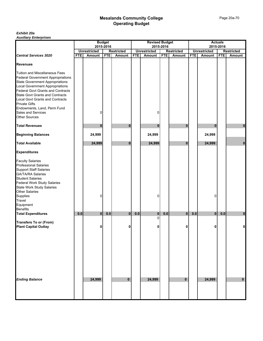#### *Exhibit 20a Auxiliary Enterprises*

|                                                                                                                                                                                                                                                                                            | <b>Budget</b><br>2015-2016 |                     |            | <b>Revised Budget</b> |                                                       |               |            | <b>Actuals</b> |                                                       |              |            |             |
|--------------------------------------------------------------------------------------------------------------------------------------------------------------------------------------------------------------------------------------------------------------------------------------------|----------------------------|---------------------|------------|-----------------------|-------------------------------------------------------|---------------|------------|----------------|-------------------------------------------------------|--------------|------------|-------------|
|                                                                                                                                                                                                                                                                                            |                            | <b>Unrestricted</b> |            | <b>Restricted</b>     | 2015-2016<br><b>Unrestricted</b><br><b>Restricted</b> |               |            |                | 2015-2016<br><b>Unrestricted</b><br><b>Restricted</b> |              |            |             |
| <b>Central Services 3020</b>                                                                                                                                                                                                                                                               | <b>FTE</b>                 | Amount              | <b>FTE</b> | Amount                | <b>FTE</b>                                            | <b>Amount</b> | <b>FTE</b> | <b>Amount</b>  | <b>FTE</b>                                            | Amount       | <b>FTE</b> | Amount      |
| <b>Revenues</b>                                                                                                                                                                                                                                                                            |                            |                     |            |                       |                                                       |               |            |                |                                                       |              |            |             |
| Tuition and Miscellaneous Fees<br><b>Federal Government Appropriations</b><br><b>State Government Appropriations</b><br><b>Local Government Appropriations</b>                                                                                                                             |                            |                     |            |                       |                                                       |               |            |                |                                                       |              |            |             |
| Federal Govt Grants and Contracts<br><b>State Govt Grants and Contracts</b><br><b>Local Govt Grants and Contracts</b><br><b>Private Gifts</b>                                                                                                                                              |                            |                     |            |                       |                                                       |               |            |                |                                                       |              |            |             |
| Endowments, Land, Perm Fund<br>Sales and Services<br><b>Other Sources</b>                                                                                                                                                                                                                  |                            | 0                   |            |                       |                                                       | 0             |            |                |                                                       |              |            |             |
| <b>Total Revenues</b>                                                                                                                                                                                                                                                                      |                            | $\bf{0}$            |            | $\bf{0}$              |                                                       | $\bf{0}$      |            | $\bf{0}$       |                                                       | $\bf{0}$     |            | $\bf{0}$    |
| <b>Beginning Balances</b>                                                                                                                                                                                                                                                                  |                            | 24,999              |            |                       |                                                       | 24,999        |            |                |                                                       | 24,999       |            |             |
| <b>Total Available</b>                                                                                                                                                                                                                                                                     |                            | 24,999              |            | 0                     |                                                       | 24,999        |            | $\bf{0}$       |                                                       | 24,999       |            | $\bf{0}$    |
| <b>Expenditures</b>                                                                                                                                                                                                                                                                        |                            |                     |            |                       |                                                       |               |            |                |                                                       |              |            |             |
| <b>Faculty Salaries</b><br><b>Professional Salaries</b><br><b>Support Staff Salaries</b><br><b>GA/TA/RA Salaries</b><br><b>Student Salaries</b><br>Federal Work Study Salaries<br>State Work Study Salaries<br><b>Other Salaries</b><br>Supplies<br>Travel<br>Equipment<br><b>Benefits</b> |                            | 0                   |            |                       |                                                       | 0             |            |                |                                                       | 0            |            |             |
| <b>Total Expenditures</b>                                                                                                                                                                                                                                                                  | 0.0                        | $\overline{0}$      | 0.0        | $\bf{0}$              | 0.0                                                   | $\bf{0}$      | 0.0        | $\mathbf{0}$   | 0.0                                                   | $\mathbf{0}$ | $0.0\,$    | $\pmb{0}$   |
| <b>Transfers To or (From)</b><br><b>Plant Capital Outlay</b>                                                                                                                                                                                                                               |                            | 0                   |            | 0                     |                                                       | $\Omega$<br>0 |            | 0              |                                                       | 0            |            | 0           |
| <b>Ending Balance</b>                                                                                                                                                                                                                                                                      |                            | 24,999              |            | $\mathbf 0$           |                                                       | 24,999        |            | $\bf{0}$       |                                                       | 24,999       |            | $\mathbf 0$ |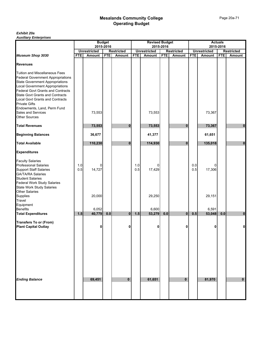#### *Exhibit 20a Auxiliary Enterprises*

|                                                                                                                                                                                                                                                             | <b>Budget</b><br>2015-2016 |                     |            |                   | <b>Revised Budget</b><br>2015-2016 |                     |            |                   | <b>Actuals</b><br>2015-2016 |             |            |                   |  |
|-------------------------------------------------------------------------------------------------------------------------------------------------------------------------------------------------------------------------------------------------------------|----------------------------|---------------------|------------|-------------------|------------------------------------|---------------------|------------|-------------------|-----------------------------|-------------|------------|-------------------|--|
|                                                                                                                                                                                                                                                             |                            | <b>Unrestricted</b> |            | <b>Restricted</b> |                                    | <b>Unrestricted</b> |            | <b>Restricted</b> | <b>Unrestricted</b>         |             |            | <b>Restricted</b> |  |
| Museum Shop 3030                                                                                                                                                                                                                                            | <b>FTE</b>                 | <b>Amount</b>       | <b>FTE</b> | Amount            | <b>FTE</b>                         | Amount              | <b>FTE</b> | <b>Amount</b>     | <b>FTE</b>                  | Amount      | <b>FTE</b> | <b>Amount</b>     |  |
| <b>Revenues</b>                                                                                                                                                                                                                                             |                            |                     |            |                   |                                    |                     |            |                   |                             |             |            |                   |  |
| <b>Tuition and Miscellaneous Fees</b><br><b>Federal Government Appropriations</b><br><b>State Government Appropriations</b><br><b>Local Government Appropriations</b><br><b>Federal Govt Grants and Contracts</b><br><b>State Govt Grants and Contracts</b> |                            |                     |            |                   |                                    |                     |            |                   |                             |             |            |                   |  |
| Local Govt Grants and Contracts<br><b>Private Gifts</b><br>Endowments, Land, Perm Fund                                                                                                                                                                      |                            |                     |            |                   |                                    |                     |            |                   |                             |             |            |                   |  |
| Sales and Services<br><b>Other Sources</b>                                                                                                                                                                                                                  |                            | 73,553              |            |                   |                                    | 73,553              |            |                   |                             | 73,367      |            |                   |  |
| <b>Total Revenues</b>                                                                                                                                                                                                                                       |                            | 73,553              |            | 0                 |                                    | 73,553              |            | $\bf{0}$          |                             | 73,367      |            | 0                 |  |
| <b>Beginning Balances</b>                                                                                                                                                                                                                                   |                            | 36,677              |            |                   |                                    | 41,377              |            |                   |                             | 61,651      |            |                   |  |
| <b>Total Available</b>                                                                                                                                                                                                                                      |                            | 110,230             |            | $\bf{0}$          |                                    | 114,930             |            | $\bf{0}$          |                             | 135,018     |            | $\bf{0}$          |  |
| <b>Expenditures</b>                                                                                                                                                                                                                                         |                            |                     |            |                   |                                    |                     |            |                   |                             |             |            |                   |  |
| <b>Faculty Salaries</b><br><b>Professional Salaries</b><br><b>Support Staff Salaries</b><br><b>GA/TA/RA Salaries</b><br><b>Student Salaries</b><br>Federal Work Study Salaries                                                                              | 1.0<br>0.5                 | 0<br>14,727         |            |                   | 1.0<br>0.5                         | 0<br>17,429         |            |                   | 0.0<br>0.5                  | 0<br>17,306 |            |                   |  |
| State Work Study Salaries<br><b>Other Salaries</b><br>Supplies<br>Travel<br>Equipment                                                                                                                                                                       |                            | 20,000              |            |                   |                                    | 29,250              |            |                   |                             | 29,151      |            |                   |  |
| <b>Benefits</b>                                                                                                                                                                                                                                             |                            | 6,052               |            |                   |                                    | 6,600               |            |                   |                             | 6,591       |            |                   |  |
| <b>Total Expenditures</b>                                                                                                                                                                                                                                   | 1.5                        | 40,779              | 0.0        | $\bf{0}$          | 1.5                                | 53,279              | 0.0        | $\bf{0}$          | 0.5                         | 53,048      | 0.0        | $\bf{0}$          |  |
| <b>Transfers To or (From)</b><br><b>Plant Capital Outlay</b>                                                                                                                                                                                                |                            | 0                   |            | 0                 |                                    | 0                   |            | 0                 |                             | 0           |            | 0                 |  |
|                                                                                                                                                                                                                                                             |                            |                     |            |                   |                                    |                     |            |                   |                             |             |            |                   |  |
| <b>Ending Balance</b>                                                                                                                                                                                                                                       |                            | 69,451              |            | $\mathbf 0$       |                                    | 61,651              |            | $\bf{0}$          |                             | 81,970      |            | $\bf{0}$          |  |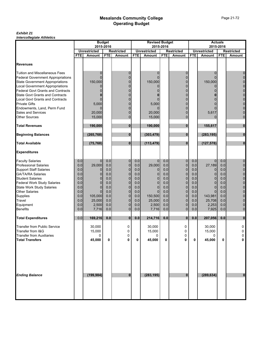### *Exhibit 21 Intercollegiate Athletics*

|                                          | <b>Budget</b>                    |               |                                  |                             | <b>Revised Budget</b> |              |            |                                    | <b>Actuals</b> |                               |            |                                    |
|------------------------------------------|----------------------------------|---------------|----------------------------------|-----------------------------|-----------------------|--------------|------------|------------------------------------|----------------|-------------------------------|------------|------------------------------------|
|                                          | 2015-2016<br><b>Unrestricted</b> |               | 2015-2016<br><b>Unrestricted</b> |                             |                       |              | 2015-2016  |                                    |                |                               |            |                                    |
|                                          | <b>FTE</b>                       | <b>Amount</b> | <b>FTE</b>                       | <b>Restricted</b><br>Amount | <b>FTE</b>            | Amount       | <b>FTE</b> | <b>Restricted</b><br><b>Amount</b> | <b>FTE</b>     | <b>Unrestricted</b><br>Amount | <b>FTE</b> | <b>Restricted</b><br><b>Amount</b> |
|                                          |                                  |               |                                  |                             |                       |              |            |                                    |                |                               |            |                                    |
| Revenues                                 |                                  |               |                                  |                             |                       |              |            |                                    |                |                               |            |                                    |
| Tuition and Miscellaneous Fees           |                                  | 0             |                                  | 0                           |                       | 0            |            | $\Omega$                           |                | 0                             |            | 0                                  |
| <b>Federal Government Appropriations</b> |                                  |               |                                  | $\overline{0}$              |                       |              |            | $\Omega$                           |                | $\Omega$                      |            | $\mathbf 0$                        |
| <b>State Government Appropriations</b>   |                                  | 150,000       |                                  | 0                           |                       | 150,000      |            | $\Omega$                           |                | 150,000                       |            | $\overline{0}$                     |
| <b>Local Government Appropriations</b>   |                                  | 0             |                                  | $\overline{0}$              |                       | 0            |            | 0                                  |                | 0                             |            | $\mathbf 0$                        |
| <b>Federal Govt Grants and Contracts</b> |                                  |               |                                  | $\overline{0}$              |                       |              |            | $\mathbf 0$                        |                | 0                             |            | $\mathbf 0$                        |
| State Govt Grants and Contracts          |                                  |               |                                  | $\Omega$                    |                       |              |            | $\Omega$                           |                |                               |            | $\mathbf 0$                        |
| Local Govt Grants and Contracts          |                                  | 0             |                                  | $\Omega$                    |                       | 0            |            | $\overline{0}$                     |                | ი                             |            | $\mathbf 0$                        |
| <b>Private Gifts</b>                     |                                  | 5,000         |                                  | $\Omega$                    |                       | 5,000        |            | $\Omega$                           |                |                               |            | $\mathbf 0$                        |
| Endowments, Land, Perm Fund              |                                  |               |                                  | $\overline{0}$              |                       |              |            | $\mathbf 0$                        |                |                               |            | $\mathbf 0$                        |
| Sales and Services                       |                                  | 20,000        |                                  | $\overline{0}$              |                       | 20,000       |            | $\mathbf{0}$                       |                | 5,617                         |            | $\mathbf 0$                        |
| <b>Other Sources</b>                     |                                  | 15,000        |                                  | $\overline{0}$              |                       | 15,000       |            | $\Omega$                           |                | 0                             |            | $\mathbf 0$                        |
| <b>Total Revenues</b>                    |                                  | 190,000       |                                  | $\bf{0}$                    |                       | 190,000      |            | $\bf{0}$                           |                | 155,617                       |            | $\bf{0}$                           |
| <b>Beginning Balances</b>                |                                  | (265, 768)    |                                  | $\bf{0}$                    |                       | (303, 479)   |            | $\bf{0}$                           |                | (283, 195)                    |            | $\bf{0}$                           |
| <b>Total Available</b>                   |                                  | (75, 768)     |                                  | $\mathbf{0}$                |                       | (113, 479)   |            | $\bf{0}$                           |                | (127, 578)                    |            | $\mathbf{0}$                       |
| <b>Expenditures</b>                      |                                  |               |                                  |                             |                       |              |            |                                    |                |                               |            |                                    |
| <b>Faculty Salaries</b>                  | 0.0                              | $\mathbf 0$   | 0.0                              | 0                           | 0.0                   | 0            | 0.0        | $\mathbf 0$                        | 0.0            | 0                             | 0.0        | 0                                  |
| <b>Professional Salaries</b>             | 0.0                              | 29,000        | 0.0                              | 0                           | 0.0                   | 29,000       | 0.0        | $\mathbf 0$                        | 0.0            | 27,189                        | 0.0        | $\pmb{0}$                          |
| <b>Support Staff Salaries</b>            | 0.0                              | $\Omega$      | 0.0                              | $\overline{0}$              | 0.0                   | $\mathbf 0$  | 0.0        | $\mathbf 0$                        | 0.0            | 0                             | 0.0        | $\mathbf 0$                        |
| <b>GA/TA/RA Salaries</b>                 | 0.0                              | $\mathbf{0}$  | 0.0                              | $\mathbf 0$                 | 0.0                   | 0            | 0.0        | $\mathbf 0$                        | 0.0            | 0                             | 0.0        | $\mathbf 0$                        |
| <b>Student Salaries</b>                  | 0.0                              | $\Omega$      | 0.0                              | 0                           | 0.0                   | $\Omega$     | 0.0        | $\mathbf 0$                        | 0.0            | $\overline{0}$                | 0.0        | $\mathbf 0$                        |
| <b>Federal Work Study Salaries</b>       | 0.0                              | $\Omega$      | 0.0                              | $\overline{0}$              | 0.0                   | $\mathbf{0}$ | 0.0        | $\Omega$                           | 0.0            | $\Omega$                      | 0.0        | $\mathbf 0$                        |
| <b>State Work Study Salaries</b>         | 0.0                              | $\mathbf 0$   | 0.0                              | $\overline{0}$              | 0.0                   | 0            | 0.0        | $\mathbf{0}$                       | 0.0            | $\overline{0}$                | 0.0        | $\mathbf 0$                        |
| <b>Other Salaries</b>                    | 0.0                              | $\Omega$      | 0.0                              | $\overline{0}$              | 0.0                   | 0            | 0.0        | $\mathbf 0$                        | 0.0            | $\Omega$                      | 0.0        | $\mathbf 0$                        |
| Supplies                                 | 0.0                              | 105,000       | 0.0                              | $\mathbf 0$                 | 0.0                   | 150,500      | 0.0        | $\mathbf 0$                        | 0.0            | 143,981                       | 0.0        | $\mathbf 0$                        |
| Travel                                   | 0.0                              | 25,000        | 0.0                              | $\overline{0}$              | 0.0                   | 25,000       | 0.0        | $\mathbf 0$                        | 0.0            | 25,708                        | 0.0        | $\pmb{0}$                          |
| Equipment                                | 0.0                              | 2,500         | 0.0                              | 0                           | 0.0                   | 2,500        | 0.0        | $\mathbf 0$                        | 0.0            | 2,253                         | 0.0        | 0                                  |
| <b>Benefits</b>                          | 0.0                              | 7,716         | 0.0                              | $\mathbf 0$                 | 0.0                   | 7,716        | 0.0        | $\mathbf 0$                        | 0.0            | 7,925                         | 0.0        | $\mathbf 0$                        |
| <b>Total Expenditures</b>                | 0.0                              | 169,216       | 0.0                              | $\mathbf{0}$                | 0.0                   | 214,716      | 0.0        | $\mathbf{0}$                       | $0.0\,$        | 207,056                       | 0.0        | $\bf{0}$                           |
| <b>Transfer from Public Service</b>      |                                  | 30,000        |                                  | 0                           |                       | 30,000       |            | 0                                  |                | 30,000                        |            | 0                                  |
| Transfer from I&G                        |                                  | 15,000        |                                  | 0                           |                       | 15,000       |            | 0                                  |                | 15,000                        |            | $\pmb{0}$                          |
| <b>Transfer from Auxiliaries</b>         |                                  | 0             |                                  | 0                           |                       | 0            |            | 0                                  |                | 0                             |            | $\mathsf{O}\xspace$                |
| <b>Total Transfers</b>                   |                                  | 45,000        | 0                                | 0                           | 0                     | 45,000       | 0          | 0                                  | 0              | 45,000                        | 0          | 0                                  |
|                                          |                                  |               |                                  |                             |                       |              |            |                                    |                |                               |            |                                    |
| <b>Ending Balance</b>                    |                                  | (199, 984)    |                                  | $\bf{0}$                    |                       | (283, 195)   |            | $\mathbf{0}$                       |                | (289, 634)                    |            | $\bf{0}$                           |
|                                          |                                  |               |                                  |                             |                       |              |            |                                    |                |                               |            |                                    |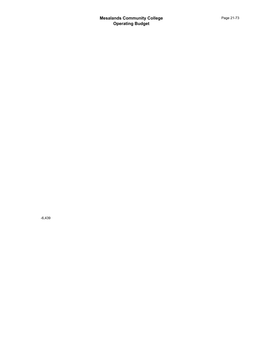-6,439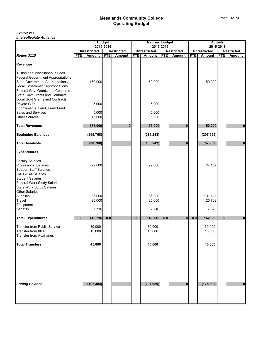### *Exhibit 21a Intercollegiate Athletics*

|                                                                      | <b>Budget</b> |                     |            |                   | <b>Revised Budget</b> |                     |            |                   | <b>Actuals</b> |                     |            |                   |  |
|----------------------------------------------------------------------|---------------|---------------------|------------|-------------------|-----------------------|---------------------|------------|-------------------|----------------|---------------------|------------|-------------------|--|
|                                                                      |               | 2015-2016           |            |                   |                       |                     | 2015-2016  |                   | 2015-2016      |                     |            |                   |  |
|                                                                      |               | <b>Unrestricted</b> |            | <b>Restricted</b> |                       | <b>Unrestricted</b> |            | <b>Restricted</b> |                | <b>Unrestricted</b> |            | <b>Restricted</b> |  |
| Rodeo 3110                                                           | <b>FTE</b>    | <b>Amount</b>       | <b>FTE</b> | <b>Amount</b>     | <b>FTE</b>            | <b>Amount</b>       | <b>FTE</b> | <b>Amount</b>     | <b>FTE</b>     | Amount              | <b>FTE</b> | <b>Amount</b>     |  |
| <b>Revenues</b>                                                      |               |                     |            |                   |                       |                     |            |                   |                |                     |            |                   |  |
| Tuition and Miscellaneous Fees                                       |               |                     |            |                   |                       |                     |            |                   |                |                     |            |                   |  |
| <b>Federal Government Appropriations</b>                             |               |                     |            |                   |                       |                     |            |                   |                |                     |            |                   |  |
| <b>State Government Appropriations</b>                               |               | 150,000             |            |                   |                       | 150,000             |            |                   |                | 150,000             |            |                   |  |
| Local Government Appropriations<br>Federal Govt Grants and Contracts |               |                     |            |                   |                       |                     |            |                   |                |                     |            |                   |  |
| <b>State Govt Grants and Contracts</b>                               |               |                     |            |                   |                       |                     |            |                   |                |                     |            |                   |  |
| <b>Local Govt Grants and Contracts</b>                               |               |                     |            |                   |                       |                     |            |                   |                |                     |            |                   |  |
| <b>Private Gifts</b>                                                 |               | 5,000               |            |                   |                       | 5,000               |            |                   |                |                     |            |                   |  |
| Endowments, Land, Perm Fund                                          |               |                     |            |                   |                       |                     |            |                   |                |                     |            |                   |  |
| Sales and Services                                                   |               | 5,000               |            |                   |                       | 5,000               |            |                   |                |                     |            |                   |  |
| <b>Other Sources</b>                                                 |               | 15,000              |            |                   |                       | 15,000              |            |                   |                |                     |            |                   |  |
| <b>Total Revenues</b>                                                |               | 175,000             |            | 0                 |                       | 175,000             |            | $\bf{0}$          |                | 150,000             |            | 0                 |  |
| <b>Beginning Balances</b>                                            |               | (265, 768)          |            |                   |                       | (281, 243)          |            |                   |                | (207, 959)          |            |                   |  |
| <b>Total Available</b>                                               |               | (90, 768)           |            | $\bf{0}$          |                       | (106, 243)          |            | $\bf{0}$          |                | (57, 959)           |            | $\pmb{0}$         |  |
| <b>Expenditures</b>                                                  |               |                     |            |                   |                       |                     |            |                   |                |                     |            |                   |  |
|                                                                      |               |                     |            |                   |                       |                     |            |                   |                |                     |            |                   |  |
| <b>Faculty Salaries</b>                                              |               |                     |            |                   |                       |                     |            |                   |                |                     |            |                   |  |
| Professional Salaries                                                |               | 29,000              |            |                   |                       | 29,000              |            |                   |                | 27,189              |            |                   |  |
| <b>Support Staff Salaries</b>                                        |               |                     |            |                   |                       |                     |            |                   |                |                     |            |                   |  |
| GA/TA/RA Salaries<br>Student Salaries                                |               |                     |            |                   |                       |                     |            |                   |                |                     |            |                   |  |
| <b>Federal Work Study Salaries</b>                                   |               |                     |            |                   |                       |                     |            |                   |                |                     |            |                   |  |
| <b>State Work Study Salaries</b>                                     |               |                     |            |                   |                       |                     |            |                   |                |                     |            |                   |  |
| <b>Other Salaries</b>                                                |               |                     |            |                   |                       |                     |            |                   |                |                     |            |                   |  |
| Supplies                                                             |               | 85,000              |            |                   |                       | 85,000              |            |                   |                | 101,528             |            |                   |  |
| Travel                                                               |               | 25,000              |            |                   |                       | 25,000              |            |                   |                | 25,708              |            |                   |  |
| Equipment                                                            |               |                     |            |                   |                       |                     |            |                   |                |                     |            |                   |  |
| Benefits                                                             |               | 7,716               |            |                   |                       | 7,716               |            |                   |                | 7,925               |            |                   |  |
| <b>Total Expenditures</b>                                            | 0.0           | 146,716             | 0.0        | $\mathbf{0}$      | 0.0                   | 146,716             | 0.0        | $\overline{0}$    | 0.0            | 162,350             | 0.0        | $\bf{0}$          |  |
| Transfer from Public Service                                         |               | 30,000              |            |                   |                       | 30,000              |            |                   |                | 30,000              |            |                   |  |
| Transfer from I&G                                                    |               | 15,000              |            |                   |                       | 15,000              |            |                   |                | 15,000              |            |                   |  |
| <b>Transfer from Auxiliaries</b>                                     |               |                     |            |                   |                       |                     |            |                   |                |                     |            |                   |  |
|                                                                      |               |                     |            |                   |                       |                     |            |                   |                |                     |            |                   |  |
| <b>Total Transfers</b>                                               |               | 45,000              |            |                   |                       | 45,000              |            |                   |                | 45,000              |            |                   |  |
|                                                                      |               |                     |            |                   |                       |                     |            |                   |                |                     |            |                   |  |
|                                                                      |               |                     |            |                   |                       |                     |            |                   |                |                     |            |                   |  |
|                                                                      |               |                     |            |                   |                       |                     |            |                   |                |                     |            |                   |  |
| <b>Ending Balance</b>                                                |               | (192, 484)          |            | 0                 |                       | (207, 959)          |            | $\bf{0}$          |                | (175, 309)          |            | $\bf{0}$          |  |
|                                                                      |               |                     |            |                   |                       |                     |            |                   |                |                     |            |                   |  |
|                                                                      |               |                     |            |                   |                       |                     |            |                   |                |                     |            |                   |  |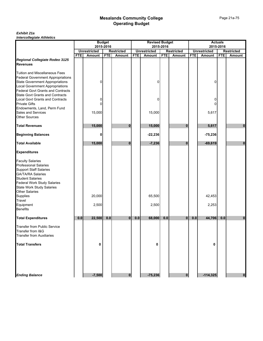#### *Exhibit 21a Intercollegiate Athletics*

|                                                                                                                                                                                                                                             | <b>Budget</b> |                     |            |                   |            | <b>Revised Budget</b> |            |                   |            | <b>Actuals</b>      |            |                   |  |
|---------------------------------------------------------------------------------------------------------------------------------------------------------------------------------------------------------------------------------------------|---------------|---------------------|------------|-------------------|------------|-----------------------|------------|-------------------|------------|---------------------|------------|-------------------|--|
|                                                                                                                                                                                                                                             |               | 2015-2016           |            |                   |            |                       | 2015-2016  |                   |            |                     | 2015-2016  |                   |  |
|                                                                                                                                                                                                                                             |               | <b>Unrestricted</b> |            | <b>Restricted</b> |            | <b>Unrestricted</b>   |            | <b>Restricted</b> |            | <b>Unrestricted</b> |            | <b>Restricted</b> |  |
|                                                                                                                                                                                                                                             | <b>FTE</b>    | Amount              | <b>FTE</b> | Amount            | <b>FTE</b> | <b>Amount</b>         | <b>FTE</b> | <b>Amount</b>     | <b>FTE</b> | Amount              | <b>FTE</b> | Amount            |  |
| Regional Collegiate Rodeo 3125<br><b>Revenues</b>                                                                                                                                                                                           |               |                     |            |                   |            |                       |            |                   |            |                     |            |                   |  |
| <b>Tuition and Miscellaneous Fees</b><br><b>Federal Government Appropriations</b><br><b>State Government Appropriations</b><br><b>Local Government Appropriations</b><br><b>Federal Govt Grants and Contracts</b>                           |               | 0                   |            |                   |            | 0                     |            |                   |            | 0                   |            |                   |  |
| <b>State Govt Grants and Contracts</b><br><b>Local Govt Grants and Contracts</b><br><b>Private Gifts</b><br>Endowments, Land, Perm Fund                                                                                                     |               | 0<br>0              |            |                   |            | 0                     |            |                   |            | 0<br>$\Omega$       |            |                   |  |
| Sales and Services<br><b>Other Sources</b>                                                                                                                                                                                                  |               | 15,000              |            |                   |            | 15,000                |            |                   |            | 5,617               |            |                   |  |
| <b>Total Revenues</b>                                                                                                                                                                                                                       |               | 15,000              |            | 0                 |            | 15,000                |            |                   |            | 5,617               |            | 0                 |  |
| <b>Beginning Balances</b>                                                                                                                                                                                                                   |               | 0                   |            |                   |            | $-22,236$             |            |                   |            | $-75,236$           |            |                   |  |
| <b>Total Available</b>                                                                                                                                                                                                                      |               | 15,000              |            | 0                 |            | $-7,236$              |            | $\bf{0}$          |            | $-69,619$           |            | $\bf{0}$          |  |
| <b>Expenditures</b>                                                                                                                                                                                                                         |               |                     |            |                   |            |                       |            |                   |            |                     |            |                   |  |
| <b>Faculty Salaries</b><br><b>Professional Salaries</b><br><b>Support Staff Salaries</b><br><b>GA/TA/RA Salaries</b><br><b>Student Salaries</b><br><b>Federal Work Study Salaries</b><br><b>State Work Study Salaries</b><br>Other Salaries |               |                     |            |                   |            |                       |            |                   |            |                     |            |                   |  |
| Supplies<br>Travel                                                                                                                                                                                                                          |               | 20,000              |            |                   |            | 65,500                |            |                   |            | 42,453              |            |                   |  |
| Equipment<br><b>Benefits</b>                                                                                                                                                                                                                |               | 2,500               |            |                   |            | 2,500                 |            |                   |            | 2,253               |            |                   |  |
| <b>Total Expenditures</b>                                                                                                                                                                                                                   | 0.0           | 22,500              | $0.0$      | $\mathbf{0}$      | 0.0        | 68,000                | 0.0        | $\mathbf{0}$      | $0.0\,$    | 44,706              | 0.0        | $\bf{0}$          |  |
| <b>Transfer from Public Service</b><br>Transfer from I&G<br><b>Transfer from Auxiliaries</b>                                                                                                                                                |               |                     |            |                   |            |                       |            |                   |            |                     |            |                   |  |
| <b>Total Transfers</b>                                                                                                                                                                                                                      |               | 0                   |            |                   |            | 0                     |            |                   |            | 0                   |            |                   |  |
| <b>Ending Balance</b>                                                                                                                                                                                                                       |               | $-7,500$            |            | 0                 |            | $-75,236$             |            | $\bf{0}$          |            | $-114,325$          |            | $\bf{0}$          |  |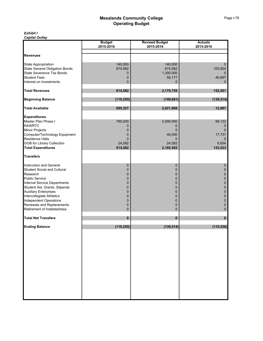#### *Exhibit I Capital Outlay*

|                                                               | <b>Budget</b> | <b>Revised Budget</b> | <b>Actuals</b> |
|---------------------------------------------------------------|---------------|-----------------------|----------------|
|                                                               | 2015-2016     | 2015-2016             | 2015-2016      |
| <b>Revenues</b>                                               |               |                       |                |
|                                                               |               |                       |                |
| <b>State Appropriation</b>                                    | 140,000       | 140,000               | 0              |
| <b>State General Obligation Bonds</b>                         | 674,582       | 674,582               | 105,804        |
| State Severance Tax Bonds                                     | 0             | 1,300,000             | 0              |
| <b>Student Fees</b><br>Interest on Investments                | 0<br>0        | 56,177<br>0           | 46,697<br>0    |
|                                                               |               |                       |                |
| <b>Total Revenues</b>                                         | 814,582       | 2,170,759             | 152,501        |
| <b>Beginning Balance</b>                                      | (119, 255)    | (149, 691)            | (139, 514)     |
| <b>Total Available</b>                                        | 695,327       | 2,021,068             | 12,987         |
| <b>Expenditures</b>                                           |               |                       |                |
| Master Plan Phase I                                           | 790,000       | 2,090,000             | 99,132         |
| <b>NAWRTC</b>                                                 | 0             | 0                     | 0              |
| <b>Minor Projects</b>                                         | 0             | $\Omega$              | $\mathbf{0}$   |
| Computer/Technology Equipment                                 | 0             | 46,000                | 17,737         |
| Residence Halls                                               | 0             | 0                     | $\mathbf 0$    |
| <b>GOB for Library Collection</b>                             | 24,582        | 24,582                | 6,654          |
| <b>Total Expenditures</b>                                     | 814,582       | 2,160,582             | 123,523        |
| <b>Transfers</b>                                              |               |                       |                |
| Instruction and General                                       | 0             | $\mathbf 0$           | 0              |
| <b>Student Social and Cultural</b>                            | 0             | 0                     | 0              |
| Research                                                      | 0             | 0                     | 0              |
| <b>Public Service</b>                                         | 0             | 0                     | 0              |
| <b>Internal Service Departments</b>                           | $\mathbf 0$   | 0                     | 0              |
| Student Aid, Grants, Stipends<br><b>Auxiliary Enterprises</b> | 0<br>0        | 0                     | 0              |
| Intercollegiate Athletics                                     | $\mathbf 0$   | 0<br>0                | 0<br>0         |
| <b>Independent Operations</b>                                 | 0             | $\mathbf 0$           | 0              |
| Renewals and Replacements                                     | 0             | 0                     | 0              |
| Retirement of Indebtedness                                    | 0             | 0                     | 0              |
| <b>Total Net Transfers</b>                                    | $\bf{0}$      | $\mathbf{0}$          | $\mathbf{0}$   |
|                                                               |               |                       |                |
| <b>Ending Balance</b>                                         | (119, 255)    | (139, 514)            | (110, 536)     |
|                                                               |               |                       |                |
|                                                               |               |                       |                |
|                                                               |               |                       |                |
|                                                               |               |                       |                |
|                                                               |               |                       |                |
|                                                               |               |                       |                |
|                                                               |               |                       |                |
|                                                               |               |                       |                |
|                                                               |               |                       |                |
|                                                               |               |                       |                |
|                                                               |               |                       |                |
|                                                               |               |                       |                |
|                                                               |               |                       |                |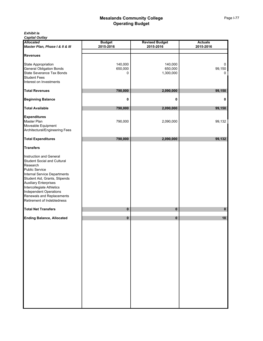*Capital Outlay*

| <b>Allocated</b><br>Master Plan, Phase I & II & III                                                                                                                                                                                                                                                                          | <b>Budget</b><br>2015-2016 | <b>Revised Budget</b><br>2015-2016 | <b>Actuals</b><br>2015-2016 |  |  |  |  |
|------------------------------------------------------------------------------------------------------------------------------------------------------------------------------------------------------------------------------------------------------------------------------------------------------------------------------|----------------------------|------------------------------------|-----------------------------|--|--|--|--|
| <b>Revenues</b>                                                                                                                                                                                                                                                                                                              |                            |                                    |                             |  |  |  |  |
| State Appropriation<br><b>General Obligation Bonds</b><br>State Severance Tax Bonds<br><b>Student Fees</b><br>Interest on Investments                                                                                                                                                                                        | 140,000<br>650,000<br>0    | 140,000<br>650,000<br>1,300,000    | 0<br>99,150<br>0            |  |  |  |  |
| <b>Total Revenues</b>                                                                                                                                                                                                                                                                                                        | 790,000                    | 2,090,000                          | 99,150                      |  |  |  |  |
| <b>Beginning Balance</b>                                                                                                                                                                                                                                                                                                     | 0                          | 0                                  | 0                           |  |  |  |  |
| <b>Total Available</b>                                                                                                                                                                                                                                                                                                       | 790,000                    | 2,090,000                          | 99,150                      |  |  |  |  |
| <b>Expenditures</b><br>Master Plan<br>Moveable Equipment<br>Architectural/Engineering Fees                                                                                                                                                                                                                                   | 790,000                    | 2,090,000                          | 99,132                      |  |  |  |  |
| <b>Total Expenditures</b>                                                                                                                                                                                                                                                                                                    | 790,000                    | 2,090,000                          | 99,132                      |  |  |  |  |
| <b>Transfers</b>                                                                                                                                                                                                                                                                                                             |                            |                                    |                             |  |  |  |  |
| Instruction and General<br><b>Student Social and Cultural</b><br>Research<br><b>Public Service</b><br>Internal Service Departments<br>Student Aid, Grants, Stipends<br><b>Auxiliary Enterprises</b><br>Intercollegiate Athletics<br><b>Independent Operations</b><br>Renewals and Replacements<br>Retirement of Indebtedness |                            |                                    |                             |  |  |  |  |
| <b>Total Net Transfers</b>                                                                                                                                                                                                                                                                                                   | 0                          | 0                                  | 0                           |  |  |  |  |
| <b>Ending Balance, Allocated</b>                                                                                                                                                                                                                                                                                             | $\pmb{0}$                  | $\mathbf 0$                        | 18                          |  |  |  |  |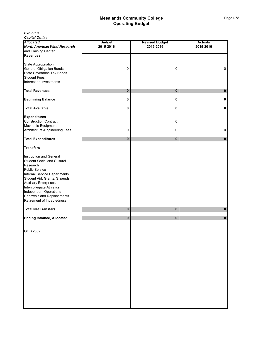*Exhibit Ia Capital Outlay*

| <b>Allocated<br/> North Anerican Wind Research<br/> and Training Center<br/> Revenues</b> | <b>Budget</b> | <b>Revised Budget</b> | <b>Actuals</b> |
|-------------------------------------------------------------------------------------------|---------------|-----------------------|----------------|
|                                                                                           | 2015-2016     | 2015-2016             | 2015-2016      |
|                                                                                           |               |                       |                |
|                                                                                           |               |                       |                |
|                                                                                           |               |                       |                |
| State Appropriation                                                                       |               |                       |                |
| General Obligation Bonds                                                                  | 0             | 0                     | 0              |
|                                                                                           |               |                       |                |
| State Severance Tax Bonds<br>Student Fees                                                 |               |                       |                |
| Interest on Investments                                                                   |               |                       |                |
|                                                                                           |               |                       |                |
| <b>Total Revenues</b>                                                                     | 0             | $\mathbf 0$           | $\bf{0}$       |
|                                                                                           |               |                       |                |
| <b>Beginning Balance</b>                                                                  | 0             | 0                     | 0              |
|                                                                                           |               |                       |                |
| <b>Total Available</b>                                                                    |               |                       | $\pmb{0}$      |
|                                                                                           | 0             | 0                     |                |
|                                                                                           |               |                       |                |
| Expenditures<br>Construction Contract                                                     |               |                       |                |
|                                                                                           |               | 0                     |                |
| Moveable Equipment                                                                        |               |                       |                |
| Architectural/Engineering Fees                                                            | 0             | 0                     | 0              |
|                                                                                           |               |                       |                |
| <b>Total Expenditures</b>                                                                 | 0             | $\pmb{0}$             | $\pmb{0}$      |
|                                                                                           |               |                       |                |
| <b>Transfers</b>                                                                          |               |                       |                |
|                                                                                           |               |                       |                |
| Instruction and General                                                                   |               |                       |                |
| Student Social and Cultural<br>Research                                                   |               |                       |                |
|                                                                                           |               |                       |                |
| <b>Public Service</b>                                                                     |               |                       |                |
|                                                                                           |               |                       |                |
| Internal Service Departments<br>Student Aid, Grants, Stipends<br>Auxiliary Enterprises    |               |                       |                |
|                                                                                           |               |                       |                |
| Intercollegiate Athletics                                                                 |               |                       |                |
|                                                                                           |               |                       |                |
| Independent Operations<br>Renewals and Replacements                                       |               |                       |                |
| Retirement of Indebtedness                                                                |               |                       |                |
|                                                                                           |               |                       |                |
| <b>Total Net Transfers</b>                                                                | 0             | $\pmb{0}$             | $\bf{0}$       |
|                                                                                           |               |                       |                |
| <b>Ending Balance, Allocated</b>                                                          | 0             | $\bf{0}$              | 0              |
|                                                                                           |               |                       |                |
|                                                                                           |               |                       |                |
| GOB 2002                                                                                  |               |                       |                |
|                                                                                           |               |                       |                |
|                                                                                           |               |                       |                |
|                                                                                           |               |                       |                |
|                                                                                           |               |                       |                |
|                                                                                           |               |                       |                |
|                                                                                           |               |                       |                |
|                                                                                           |               |                       |                |
|                                                                                           |               |                       |                |
|                                                                                           |               |                       |                |
|                                                                                           |               |                       |                |
|                                                                                           |               |                       |                |
|                                                                                           |               |                       |                |
|                                                                                           |               |                       |                |
|                                                                                           |               |                       |                |
|                                                                                           |               |                       |                |
|                                                                                           |               |                       |                |
|                                                                                           |               |                       |                |
|                                                                                           |               |                       |                |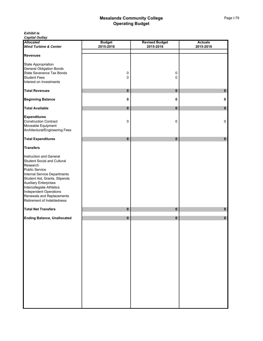*Exhibit Ia*

*Capital Outlay*

|                                                                                 | <b>Budget</b> | <b>Revised Budget</b> | <b>Actuals</b> |
|---------------------------------------------------------------------------------|---------------|-----------------------|----------------|
| <b>Allocated</b><br>Wind Turbine & Center                                       | 2015-2016     | 2015-2016             | 2015-2016      |
| <b>Revenues</b>                                                                 |               |                       |                |
|                                                                                 |               |                       |                |
| State Appropriation                                                             |               |                       |                |
| General Obligation Bonds<br>State Severance Tax Bonds                           |               |                       |                |
| <b>Student Fees</b>                                                             | 0             | 0                     |                |
| Interest on Investments                                                         | 0             | 0                     |                |
|                                                                                 |               |                       |                |
| <b>Total Revenues</b>                                                           | 0             | $\pmb{0}$             | $\pmb{0}$      |
| <b>Beginning Balance</b>                                                        | 0             | 0                     | 0              |
| <b>Total Available</b>                                                          | 0             | $\mathbf 0$           | $\bf{0}$       |
| <b>Expenditures</b>                                                             |               |                       |                |
| Construction Contract                                                           | 0             | 0                     | 0              |
| Moveable Equipment                                                              |               |                       |                |
| Architectural/Engineering Fees                                                  |               |                       |                |
| <b>Total Expenditures</b>                                                       | 0             | $\bf{0}$              | 0              |
| <b>Transfers</b>                                                                |               |                       |                |
|                                                                                 |               |                       |                |
| Instruction and General<br>Student Social and Cultural                          |               |                       |                |
| Research                                                                        |               |                       |                |
|                                                                                 |               |                       |                |
| Public Service<br>Internal Service Departments<br>Student Aid, Grants, Stipends |               |                       |                |
|                                                                                 |               |                       |                |
| <b>Auxiliary Enterprises</b>                                                    |               |                       |                |
| Intercollegiate Athletics<br>Independent Operations                             |               |                       |                |
|                                                                                 |               |                       |                |
| Renewals and Replacements                                                       |               |                       |                |
| Retirement of Indebtedness                                                      |               |                       |                |
| <b>Total Net Transfers</b>                                                      | 0             | $\pmb{0}$             | $\pmb{0}$      |
| <b>Ending Balance, Unallocated</b>                                              | $\bf{0}$      | $\mathbf 0$           | 0              |
|                                                                                 |               |                       |                |
|                                                                                 |               |                       |                |
|                                                                                 |               |                       |                |
|                                                                                 |               |                       |                |
|                                                                                 |               |                       |                |
|                                                                                 |               |                       |                |
|                                                                                 |               |                       |                |
|                                                                                 |               |                       |                |
|                                                                                 |               |                       |                |
|                                                                                 |               |                       |                |
|                                                                                 |               |                       |                |
|                                                                                 |               |                       |                |
|                                                                                 |               |                       |                |
|                                                                                 |               |                       |                |
|                                                                                 |               |                       |                |
|                                                                                 |               |                       |                |
|                                                                                 |               |                       |                |
|                                                                                 |               |                       |                |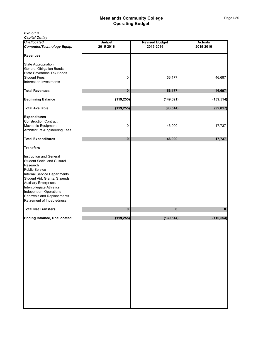| Exhibit la |  |
|------------|--|
|------------|--|

*Capital Outlay*

| <b>Unallocated</b><br>Computer/Technology Equip.                                                                                                                                                                                                                                                                             | <b>Budget</b><br>2015-2016 | <b>Revised Budget</b><br>2015-2016 | <b>Actuals</b><br>2015-2016 |  |
|------------------------------------------------------------------------------------------------------------------------------------------------------------------------------------------------------------------------------------------------------------------------------------------------------------------------------|----------------------------|------------------------------------|-----------------------------|--|
| <b>Revenues</b>                                                                                                                                                                                                                                                                                                              |                            |                                    |                             |  |
| <b>State Appropriation</b><br><b>General Obligation Bonds</b><br><b>State Severance Tax Bonds</b><br><b>Student Fees</b><br>Interest on Investments                                                                                                                                                                          | 0                          | 56,177                             | 46,697                      |  |
| <b>Total Revenues</b>                                                                                                                                                                                                                                                                                                        | 0                          | 56,177                             | 46,697                      |  |
| <b>Beginning Balance</b>                                                                                                                                                                                                                                                                                                     | (119, 255)                 | (149, 691)                         | (139, 514)                  |  |
| <b>Total Available</b>                                                                                                                                                                                                                                                                                                       | (119, 255)                 | (93, 514)                          | (92, 817)                   |  |
| <b>Expenditures</b><br><b>Construction Contract</b><br>Moveable Equipment<br>Architectural/Engineering Fees                                                                                                                                                                                                                  | 0                          | 46,000                             | 17,737                      |  |
| <b>Total Expenditures</b>                                                                                                                                                                                                                                                                                                    | $\mathbf 0$                | 46,000                             | 17,737                      |  |
| <b>Transfers</b>                                                                                                                                                                                                                                                                                                             |                            |                                    |                             |  |
| Instruction and General<br>Student Social and Cultural<br>Research<br><b>Public Service</b><br><b>Internal Service Departments</b><br>Student Aid, Grants, Stipends<br><b>Auxiliary Enterprises</b><br>Intercollegiate Athletics<br><b>Independent Operations</b><br>Renewals and Replacements<br>Retirement of Indebtedness |                            |                                    |                             |  |
| <b>Total Net Transfers</b>                                                                                                                                                                                                                                                                                                   | $\pmb{0}$                  | $\mathbf 0$                        | $\mathbf 0$                 |  |
| <b>Ending Balance, Unallocated</b>                                                                                                                                                                                                                                                                                           | (119, 255)                 | (139, 514)                         | (110, 554)                  |  |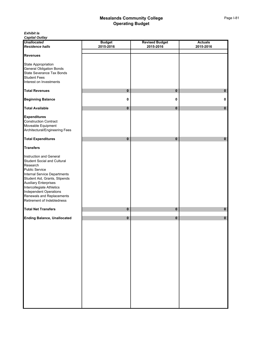*Exhibit Ia Capital Outlay*

| <b>Unallocated</b>                                     | <b>Budget</b> | <b>Revised Budget</b> | <b>Actuals</b> |
|--------------------------------------------------------|---------------|-----------------------|----------------|
| Residence halls                                        | 2015-2016     | 2015-2016             | 2015-2016      |
|                                                        |               |                       |                |
| <b>Revenues</b>                                        |               |                       |                |
| State Appropriation                                    |               |                       |                |
| <b>General Obligation Bonds</b>                        |               |                       |                |
| State Severance Tax Bonds                              |               |                       |                |
| <b>Student Fees</b>                                    |               |                       |                |
| Interest on Investments                                |               |                       |                |
|                                                        |               |                       |                |
| <b>Total Revenues</b>                                  | $\pmb{0}$     | $\mathbf 0$           | $\mathbf 0$    |
| <b>Beginning Balance</b>                               | 0             | 0                     | 0              |
| <b>Total Available</b>                                 | $\pmb{0}$     | $\pmb{0}$             | $\bf{0}$       |
| <b>Expenditures</b>                                    |               |                       |                |
| <b>Construction Contract</b>                           |               |                       |                |
| Moveable Equipment                                     |               |                       |                |
| Architectural/Engineering Fees                         |               |                       |                |
|                                                        |               |                       |                |
| <b>Total Expenditures</b>                              | $\pmb{0}$     | $\bf{0}$              | $\mathbf 0$    |
| <b>Transfers</b>                                       |               |                       |                |
|                                                        |               |                       |                |
| Instruction and General<br>Student Social and Cultural |               |                       |                |
| Research                                               |               |                       |                |
| <b>Public Service</b>                                  |               |                       |                |
| Internal Service Departments                           |               |                       |                |
| Student Aid, Grants, Stipends                          |               |                       |                |
| <b>Auxiliary Enterprises</b>                           |               |                       |                |
| Intercollegiate Athletics                              |               |                       |                |
| <b>Independent Operations</b>                          |               |                       |                |
| Renewals and Replacements                              |               |                       |                |
| Retirement of Indebtedness                             |               |                       |                |
|                                                        |               |                       |                |
| <b>Total Net Transfers</b>                             | $\bf{0}$      | $\mathbf 0$           | $\bf{0}$       |
| <b>Ending Balance, Unallocated</b>                     | 0             | $\bf{0}$              | $\pmb{0}$      |
|                                                        |               |                       |                |
|                                                        |               |                       |                |
|                                                        |               |                       |                |
|                                                        |               |                       |                |
|                                                        |               |                       |                |
|                                                        |               |                       |                |
|                                                        |               |                       |                |
|                                                        |               |                       |                |
|                                                        |               |                       |                |
|                                                        |               |                       |                |
|                                                        |               |                       |                |
|                                                        |               |                       |                |
|                                                        |               |                       |                |
|                                                        |               |                       |                |
|                                                        |               |                       |                |
|                                                        |               |                       |                |
|                                                        |               |                       |                |
|                                                        |               |                       |                |
|                                                        |               |                       |                |
|                                                        |               |                       |                |
|                                                        |               |                       |                |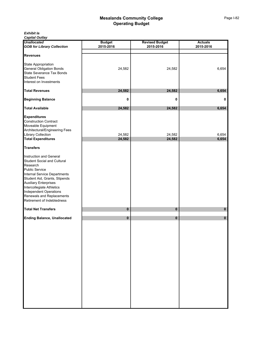*Capital Outlay*

| <b>Unallocated</b>                 | <b>Budget</b> | <b>Revised Budget</b> | <b>Actuals</b> |  |
|------------------------------------|---------------|-----------------------|----------------|--|
| <b>GOB for Library Collection</b>  | 2015-2016     | 2015-2016             | 2015-2016      |  |
|                                    |               |                       |                |  |
| <b>Revenues</b>                    |               |                       |                |  |
| State Appropriation                |               |                       |                |  |
| <b>General Obligation Bonds</b>    | 24,582        | 24,582                | 6,654          |  |
| State Severance Tax Bonds          |               |                       |                |  |
| <b>Student Fees</b>                |               |                       |                |  |
| Interest on Investments            |               |                       |                |  |
|                                    |               |                       |                |  |
| <b>Total Revenues</b>              | 24,582        | 24,582                | 6,654          |  |
|                                    |               |                       |                |  |
| <b>Beginning Balance</b>           | 0             | 0                     | 0              |  |
|                                    |               |                       |                |  |
| <b>Total Available</b>             | 24,582        | 24,582                | 6,654          |  |
|                                    |               |                       |                |  |
| <b>Expenditures</b>                |               |                       |                |  |
| <b>Construction Contract</b>       |               |                       |                |  |
| Moveable Equipment                 |               |                       |                |  |
| Architectural/Engineering Fees     |               |                       |                |  |
| <b>Library Collection</b>          | 24,582        | 24,582                | 6,654          |  |
| <b>Total Expenditures</b>          | 24,582        | 24,582                | 6,654          |  |
|                                    |               |                       |                |  |
| <b>Transfers</b>                   |               |                       |                |  |
| Instruction and General            |               |                       |                |  |
| Student Social and Cultural        |               |                       |                |  |
| Research                           |               |                       |                |  |
| <b>Public Service</b>              |               |                       |                |  |
| Internal Service Departments       |               |                       |                |  |
| Student Aid, Grants, Stipends      |               |                       |                |  |
| <b>Auxiliary Enterprises</b>       |               |                       |                |  |
| Intercollegiate Athletics          |               |                       |                |  |
| <b>Independent Operations</b>      |               |                       |                |  |
| Renewals and Replacements          |               |                       |                |  |
| Retirement of Indebtedness         |               |                       |                |  |
|                                    |               |                       |                |  |
| <b>Total Net Transfers</b>         | $\pmb{0}$     | 0                     | 0              |  |
|                                    |               |                       |                |  |
| <b>Ending Balance, Unallocated</b> | 0             | 0                     | 0              |  |
|                                    |               |                       |                |  |
|                                    |               |                       |                |  |
|                                    |               |                       |                |  |
|                                    |               |                       |                |  |
|                                    |               |                       |                |  |
|                                    |               |                       |                |  |
|                                    |               |                       |                |  |
|                                    |               |                       |                |  |
|                                    |               |                       |                |  |
|                                    |               |                       |                |  |
|                                    |               |                       |                |  |
|                                    |               |                       |                |  |
|                                    |               |                       |                |  |
|                                    |               |                       |                |  |
|                                    |               |                       |                |  |
|                                    |               |                       |                |  |
|                                    |               |                       |                |  |
|                                    |               |                       |                |  |
|                                    |               |                       |                |  |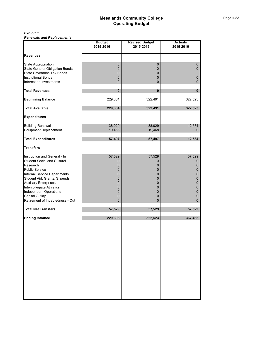## *Exhibit II Renewals and Replacements*

|                                                                                                                                                                                                                                                                                                                              | <b>Budget</b><br>2015-2016                                                 | <b>Revised Budget</b><br>2015-2016                                              | <b>Actuals</b><br>2015-2016                                      |
|------------------------------------------------------------------------------------------------------------------------------------------------------------------------------------------------------------------------------------------------------------------------------------------------------------------------------|----------------------------------------------------------------------------|---------------------------------------------------------------------------------|------------------------------------------------------------------|
|                                                                                                                                                                                                                                                                                                                              |                                                                            |                                                                                 |                                                                  |
| <b>Revenues</b>                                                                                                                                                                                                                                                                                                              |                                                                            |                                                                                 |                                                                  |
| State Appropriation<br>State General Obligation Bonds<br>State Severance Tax Bonds                                                                                                                                                                                                                                           | $\pmb{0}$<br>0<br>0                                                        | 0<br>$\mathbf 0$<br>$\pmb{0}$                                                   | $\pmb{0}$<br>0                                                   |
| <b>Institutional Bonds</b><br>Interest on Investments                                                                                                                                                                                                                                                                        | $\pmb{0}$<br>0                                                             | 0<br>0                                                                          | $\pmb{0}$<br>0                                                   |
| <b>Total Revenues</b>                                                                                                                                                                                                                                                                                                        | $\pmb{0}$                                                                  | $\mathbf{0}$                                                                    | $\bf{0}$                                                         |
| <b>Beginning Balance</b>                                                                                                                                                                                                                                                                                                     | 229,364                                                                    | 322,491                                                                         | 322,523                                                          |
| <b>Total Available</b>                                                                                                                                                                                                                                                                                                       | 229,364                                                                    | 322,491                                                                         | 322,523                                                          |
| <b>Expenditures</b>                                                                                                                                                                                                                                                                                                          |                                                                            |                                                                                 |                                                                  |
| <b>Building Renewal</b><br><b>Equipment Replacement</b>                                                                                                                                                                                                                                                                      | 38,029<br>19,468                                                           | 38,029<br>19,468                                                                | 12,584<br>0                                                      |
| <b>Total Expenditures</b>                                                                                                                                                                                                                                                                                                    | 57,497                                                                     | 57,497                                                                          | 12,584                                                           |
| <b>Transfers</b>                                                                                                                                                                                                                                                                                                             |                                                                            |                                                                                 |                                                                  |
| Instruction and General - In<br><b>Student Social and Cultural</b><br>Research<br><b>Public Service</b><br>Internal Service Departments<br>Student Aid, Grants, Stipends<br><b>Auxiliary Enterprises</b><br>Intercollegiate Athletics<br><b>Independent Operations</b><br>Capital Outlay<br>Retirement of Indebtedness - Out | 57,529<br>0<br>0<br>0<br>0<br>0<br>$\mathbf 0$<br>$\pmb{0}$<br>0<br>0<br>0 | 57,529<br>0<br>$\mathbf 0$<br>0<br>0<br>0<br>0<br>0<br>0<br>0<br>$\overline{0}$ | 57,529<br>0<br>$\pmb{0}$<br>0<br>0<br>0<br>0<br>0<br>0<br>0<br>0 |
| <b>Total Net Transfers</b>                                                                                                                                                                                                                                                                                                   | 57,529                                                                     | 57,529                                                                          | 57,529                                                           |
| <b>Ending Balance</b>                                                                                                                                                                                                                                                                                                        | 229,396                                                                    | 322,523                                                                         | 367,468                                                          |
|                                                                                                                                                                                                                                                                                                                              |                                                                            |                                                                                 |                                                                  |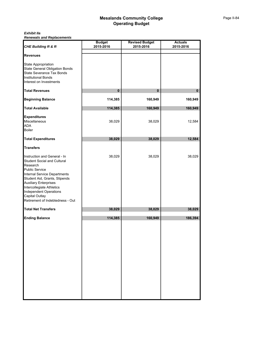## *Exhibit IIa Renewals and Replacements*

| <b>CHE Building R &amp; R</b>                                                                                                                                                                                                                                                                                                | <b>Budget</b><br>2015-2016 | <b>Revised Budget</b><br>2015-2016 | <b>Actuals</b><br>2015-2016 |
|------------------------------------------------------------------------------------------------------------------------------------------------------------------------------------------------------------------------------------------------------------------------------------------------------------------------------|----------------------------|------------------------------------|-----------------------------|
| <b>Revenues</b>                                                                                                                                                                                                                                                                                                              |                            |                                    |                             |
| State Appropriation<br><b>State General Obligation Bonds</b><br>State Severance Tax Bonds<br><b>Institutional Bonds</b><br>Interest on Investments                                                                                                                                                                           |                            |                                    |                             |
| <b>Total Revenues</b>                                                                                                                                                                                                                                                                                                        | $\mathbf 0$                | 0                                  | $\mathbf{0}$                |
| <b>Beginning Balance</b>                                                                                                                                                                                                                                                                                                     | 114,385                    | 160,949                            | 160,949                     |
| <b>Total Available</b>                                                                                                                                                                                                                                                                                                       | 114,385                    | 160,949                            | 160,949                     |
| <b>Expenditures</b><br>Miscellaneous<br><b>ADA</b><br><b>Boiler</b>                                                                                                                                                                                                                                                          | 38,029                     | 38,029                             | 12,584                      |
| <b>Total Expenditures</b>                                                                                                                                                                                                                                                                                                    | 38,029                     | 38,029                             | 12,584                      |
| <b>Transfers</b>                                                                                                                                                                                                                                                                                                             |                            |                                    |                             |
| Instruction and General - In<br><b>Student Social and Cultural</b><br>Research<br><b>Public Service</b><br>Internal Service Departments<br>Student Aid, Grants, Stipends<br><b>Auxiliary Enterprises</b><br>Intercollegiate Athletics<br><b>Independent Operations</b><br>Capital Outlay<br>Retirement of Indebtedness - Out | 38,029                     | 38,029                             | 38,029                      |
| <b>Total Net Transfers</b>                                                                                                                                                                                                                                                                                                   | 38,029                     | 38,029                             | 38,029                      |
| <b>Ending Balance</b>                                                                                                                                                                                                                                                                                                        | 114,385                    | 160,949                            | 186,394                     |
|                                                                                                                                                                                                                                                                                                                              |                            |                                    |                             |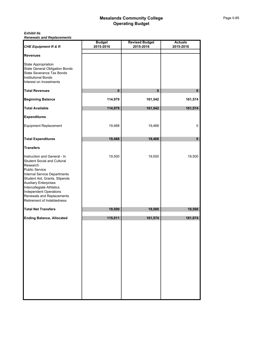## *Exhibit IIa Renewals and Replacements*

| <b>CHE Equipment R &amp; R</b>                                                                                                                                                                                                                                                                                                    | <b>Budget</b><br>2015-2016 | <b>Revised Budget</b><br>2015-2016 | <b>Actuals</b><br>2015-2016 |
|-----------------------------------------------------------------------------------------------------------------------------------------------------------------------------------------------------------------------------------------------------------------------------------------------------------------------------------|----------------------------|------------------------------------|-----------------------------|
| <b>Revenues</b>                                                                                                                                                                                                                                                                                                                   |                            |                                    |                             |
| State Appropriation<br><b>State General Obligation Bonds</b><br>State Severance Tax Bonds<br><b>Institutional Bonds</b><br>Interest on Investments                                                                                                                                                                                |                            |                                    |                             |
| <b>Total Revenues</b>                                                                                                                                                                                                                                                                                                             | $\pmb{0}$                  | $\mathbf{0}$                       | $\mathbf{0}$                |
| <b>Beginning Balance</b>                                                                                                                                                                                                                                                                                                          | 114,979                    | 161,542                            | 161,574                     |
| <b>Total Available</b>                                                                                                                                                                                                                                                                                                            | 114,979                    | 161,542                            | 161,574                     |
| <b>Expenditures</b>                                                                                                                                                                                                                                                                                                               |                            |                                    |                             |
| <b>Equipment Replacement</b>                                                                                                                                                                                                                                                                                                      | 19,468                     | 19,468                             | 0                           |
| <b>Total Expenditures</b>                                                                                                                                                                                                                                                                                                         | 19,468                     | 19,468                             | 0                           |
| <b>Transfers</b>                                                                                                                                                                                                                                                                                                                  |                            |                                    |                             |
| Instruction and General - In<br><b>Student Social and Cultural</b><br>Research<br><b>Public Service</b><br>Internal Service Departments<br>Student Aid, Grants, Stipends<br><b>Auxiliary Enterprises</b><br>Intercollegiate Athletics<br><b>Independent Operations</b><br>Renewals and Replacements<br>Retirement of Indebtedness | 19,500                     | 19,500                             | 19,500                      |
| <b>Total Net Transfers</b>                                                                                                                                                                                                                                                                                                        | 19,500                     | 19,500                             | 19,500                      |
| <b>Ending Balance, Allocated</b>                                                                                                                                                                                                                                                                                                  | 115,011                    | 161,574                            | 181,074                     |
|                                                                                                                                                                                                                                                                                                                                   |                            |                                    |                             |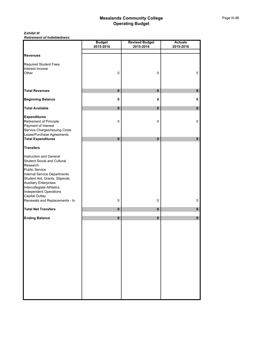*Exhibit III Retirement of Indebtedness*

|                                    | <b>Budget</b> | <b>Revised Budget</b> | <b>Actuals</b> |
|------------------------------------|---------------|-----------------------|----------------|
|                                    | 2015-2016     | 2015-2016             | 2015-2016      |
| <b>Revenues</b>                    |               |                       |                |
| <b>Required Student Fees</b>       |               |                       |                |
| Interest Income                    |               |                       |                |
| Other                              | 0             | $\mathbf 0$           | 0              |
|                                    |               |                       |                |
| <b>Total Revenues</b>              | $\mathbf 0$   | $\pmb{0}$             | $\pmb{0}$      |
| <b>Beginning Balance</b>           | 0             | 0                     | 0              |
| <b>Total Available</b>             | 0             | $\pmb{0}$             | $\pmb{0}$      |
| <b>Expenditures</b>                |               |                       |                |
| Retirement of Principle            | $\pmb{0}$     | $\pmb{0}$             | 0              |
| Payment of Interest                |               |                       |                |
| Service Charges/Issuing Costs      |               |                       |                |
| Lease/Purchase Agreements          |               |                       |                |
| <b>Total Expenditures</b>          | 0             | $\pmb{0}$             | 0              |
| <b>Transfers</b>                   |               |                       |                |
| Instruction and General            |               |                       |                |
| <b>Student Social and Cultural</b> |               |                       |                |
| Research                           |               |                       |                |
| <b>Public Service</b>              |               |                       |                |
| Internal Service Departments       |               |                       |                |
| Student Aid, Grants, Stipends      |               |                       |                |
| <b>Auxiliary Enterprises</b>       |               |                       |                |
| Intercollegiate Athletics          |               |                       |                |
| <b>Independent Operations</b>      |               |                       |                |
| Capital Outlay                     |               |                       |                |
| Renewals and Replacements - In     | $\pmb{0}$     | $\pmb{0}$             | 0              |
| <b>Total Net Transfers</b>         | $\bf{0}$      | $\mathbf 0$           | $\pmb{0}$      |
| <b>Ending Balance</b>              | 0             | $\pmb{0}$             | $\bf{0}$       |
|                                    |               |                       |                |
|                                    |               |                       |                |
|                                    |               |                       |                |
|                                    |               |                       |                |
|                                    |               |                       |                |
|                                    |               |                       |                |
|                                    |               |                       |                |
|                                    |               |                       |                |
|                                    |               |                       |                |
|                                    |               |                       |                |
|                                    |               |                       |                |
|                                    |               |                       |                |
|                                    |               |                       |                |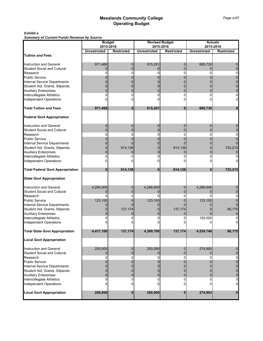## *Exhibit a*

*Summary of Current Funds Revenue by Source*

|                                         | <b>Budget</b><br>2015-2016 |                   |                     | <b>Revised Budget</b><br>2015-2016 | <b>Actuals</b><br>2015-2016 |                   |
|-----------------------------------------|----------------------------|-------------------|---------------------|------------------------------------|-----------------------------|-------------------|
|                                         | <b>Unrestricted</b>        | <b>Restricted</b> | <b>Unrestricted</b> | <b>Restricted</b>                  | <b>Unrestricted</b>         | <b>Restricted</b> |
| <b>Tuition and Fees</b>                 |                            |                   |                     |                                    |                             |                   |
| Instruction and General                 | 971,468                    | 0                 | 915,291             | 0                                  | 685,730                     | 0                 |
| <b>Student Social and Cultural</b>      | 0                          | 0                 | 0                   | 0                                  | $\mathbf 0$                 | 0                 |
| Research                                | 0                          | 0                 | 0                   | 0                                  | 0                           | $\overline{0}$    |
| Public Service                          | 0                          | $\overline{0}$    | 0                   | $\Omega$                           | $\Omega$                    | 0                 |
| <b>Internal Service Departments</b>     |                            | 0                 | 0                   | $\Omega$                           | n                           | 0                 |
| Student Aid, Grants, Stipends           |                            | 0                 | 0                   | 0                                  |                             | $\mathbf 0$       |
| <b>Auxiliary Enterprises</b>            | 0                          | $\overline{0}$    | 0                   | $\Omega$                           | $\Omega$                    | $\pmb{0}$         |
| Intercollegiate Athletics               | 0                          | 0                 | 0                   | 0                                  | $\Omega$                    | 0                 |
| <b>Independent Operations</b>           | 0                          | 0                 | 0                   | 0                                  | 0                           | 0                 |
|                                         |                            |                   |                     |                                    |                             |                   |
| <b>Total Tuition and Fees</b>           | 971,468                    | $\mathbf{0}$      | 915,291             | $\mathbf{0}$                       | 685,730                     | 0                 |
| <b>Federal Govt Appropriation</b>       |                            |                   |                     |                                    |                             |                   |
| Instruction and General                 | 0                          | 0                 | 0                   | 0                                  | 0                           | 0                 |
| <b>Student Social and Cultural</b>      | $\overline{0}$             | 0                 | 0                   | $\mathbf 0$                        | $\mathbf 0$                 | $\mathbf 0$       |
| Research                                | $\Omega$                   | 0                 | 0                   | 0                                  | 0                           | 0                 |
| Public Service                          | 0                          | $\Omega$          | 0                   | $\Omega$                           | $\Omega$                    | 0                 |
| Internal Service Departments            | 0                          |                   | 0                   |                                    | 0                           | $\mathbf 0$       |
| Student Aid, Grants, Stipends           | 0                          | 814,138           | 0                   | 814,138                            | 0                           | 753,215           |
| <b>Auxiliary Enterprises</b>            | 0                          | 0                 | 0                   |                                    | $\Omega$                    | 0                 |
| Intercollegiate Athletics               | 0                          | 0                 | 0                   | 0                                  | 0                           | 0                 |
| <b>Independent Operations</b>           |                            | 0                 | 0                   | n                                  |                             | 0                 |
| <b>Total Federal Govt Appropriation</b> | 0                          | 814,138           | 0                   | 814,138                            | 0                           | 753,215           |
| <b>State Govt Appropriation</b>         |                            |                   |                     |                                    |                             |                   |
| <b>Instruction and General</b>          | 4,294,000                  | 0                 | 4,266,600           | 0                                  | 4,266,648                   | 0                 |
| <b>Student Social and Cultural</b>      | $\Omega$                   |                   |                     | $\mathbf{0}$                       | $\Omega$                    |                   |
|                                         | 0                          | 0<br>0            | 0<br>$\Omega$       | $\Omega$                           | 0                           | 0<br>0            |
| Research                                |                            | $\mathbf{0}$      |                     | $\mathbf{0}$                       |                             | $\mathbf 0$       |
| Public Service                          | 123,100                    | U                 | 123,100             | $\Omega$                           | 123,100                     | $\overline{0}$    |
| Internal Service Departments            | 0                          |                   | 0                   |                                    |                             |                   |
| Student Aid, Grants, Stipends           | 0                          | 137,174           | 0                   | 137,174                            |                             | 80,175            |
| <b>Auxiliary Enterprises</b>            | 0                          | 0                 | 0                   | $\mathbf 0$                        |                             | 0                 |
| Intercollegiate Athletics               | 0                          | 0                 | 0                   | 0                                  | 150,000                     | 0                 |
| Independent Operations                  |                            | 0                 |                     |                                    |                             | 0                 |
| <b>Total State Govt Appropriation</b>   | 4,417,100                  | 137,174           | 4,389,700           | 137,174                            | 4,539,748                   | 80,175            |
| <b>Local Govt Appropriation</b>         |                            |                   |                     |                                    |                             |                   |
| <b>Instruction and General</b>          | 250,000                    | 0                 | 250,000             | 0                                  | 274,993                     | 0                 |
| <b>Student Social and Cultural</b>      | $\overline{0}$             | $\mathbf 0$       | $\overline{0}$      | $\mathbf 0$                        | $\mathbf 0$                 | 0                 |
| Research                                | 0                          | 0                 | 0                   | 0                                  | 0                           | $\pmb{0}$         |
| <b>Public Service</b>                   | 0                          | 0                 | 0                   | $\mathbf 0$                        | 0                           | $\pmb{0}$         |
| <b>Internal Service Departments</b>     | $\Omega$                   | $\overline{0}$    | $\overline{0}$      | $\overline{0}$                     | $\Omega$                    | $\pmb{0}$         |
| Student Aid, Grants, Stipends           | 0                          | $\overline{0}$    | $\overline{0}$      | $\overline{0}$                     | $\Omega$                    | $\mathbf 0$       |
| <b>Auxiliary Enterprises</b>            | 0                          | $\overline{0}$    | 0                   | $\mathbf 0$                        | $\Omega$                    | $\mathbf 0$       |
| Intercollegiate Athletics               | 0                          | 0                 | 0                   | 0                                  | 0                           | $\pmb{0}$         |
| <b>Independent Operations</b>           | 0                          | 0                 | 0                   | $\Omega$                           | $\Omega$                    | 0                 |
| <b>Local Govt Appropriation</b>         | 250,000                    | $\mathbf{0}$      | 250,000             | 0                                  | 274,993                     | 0                 |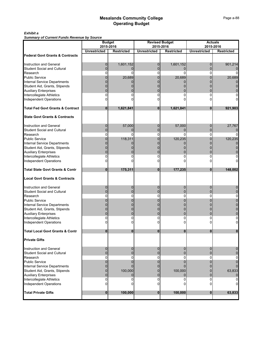## *Exhibit a*

*Summary of Current Funds Revenue by Source*

| Summary or Current runds Revenue by Source  |                            |                   |                     | <b>Revised Budget</b> | <b>Actuals</b>      |                   |  |  |
|---------------------------------------------|----------------------------|-------------------|---------------------|-----------------------|---------------------|-------------------|--|--|
|                                             | <b>Budget</b><br>2015-2016 |                   | 2015-2016           |                       | 2015-2016           |                   |  |  |
|                                             | <b>Unrestricted</b>        | <b>Restricted</b> | <b>Unrestricted</b> | <b>Restricted</b>     | <b>Unrestricted</b> | <b>Restricted</b> |  |  |
| <b>Federal Govt Grants &amp; Contracts</b>  |                            |                   |                     |                       |                     |                   |  |  |
|                                             |                            |                   |                     |                       |                     |                   |  |  |
| Instruction and General                     | 0                          | 1,601,152         | 0                   | 1,601,152             | 0                   | 901,214           |  |  |
| <b>Student Social and Cultural</b>          | 0                          | 0                 | 0                   |                       | $\Omega$            |                   |  |  |
| Research                                    | 0                          | ŋ                 | 0                   |                       | 0                   |                   |  |  |
| <b>Public Service</b>                       | n                          | 20,689            | 0                   | 20,689                | 0                   | 20,689            |  |  |
| <b>Internal Service Departments</b>         |                            |                   |                     |                       |                     |                   |  |  |
| Student Aid, Grants, Stipends               |                            |                   |                     |                       |                     |                   |  |  |
| <b>Auxiliary Enterprises</b>                |                            |                   |                     |                       |                     |                   |  |  |
| Intercollegiate Athletics                   | 0                          | U                 | 0                   |                       | 0                   |                   |  |  |
| <b>Independent Operations</b>               | C                          |                   | ი                   |                       |                     |                   |  |  |
|                                             |                            |                   |                     |                       |                     |                   |  |  |
| <b>Total Fed Govt Grants &amp; Contract</b> | $\bf{0}$                   | 1,621,841         | $\bf{0}$            | 1,621,841             | $\bf{0}$            | 921,903           |  |  |
| <b>State Govt Grants &amp; Contracts</b>    |                            |                   |                     |                       |                     |                   |  |  |
| Instruction and General                     |                            | 57,000            |                     | 57,000                |                     |                   |  |  |
| <b>Student Social and Cultural</b>          | 0<br>0                     | $\Omega$          | 0<br>0              | 0                     | 0<br>$\Omega$       | 27,767            |  |  |
| Research                                    | 0                          | ŋ                 | 0                   | O                     | 0                   |                   |  |  |
| <b>Public Service</b>                       | 0                          | 118,311           | 0                   | 120,235               | 0                   | 120,235           |  |  |
| Internal Service Departments                |                            |                   |                     |                       |                     |                   |  |  |
| Student Aid, Grants, Stipends               |                            |                   |                     |                       |                     |                   |  |  |
| <b>Auxiliary Enterprises</b>                | 0                          |                   | 0                   |                       | 0                   |                   |  |  |
| Intercollegiate Athletics                   | 0                          |                   | 0                   |                       | Ω                   |                   |  |  |
| Independent Operations                      | 0                          |                   | 0                   |                       | n                   |                   |  |  |
|                                             |                            |                   |                     |                       |                     |                   |  |  |
| <b>Total State Govt Grants &amp; Contr</b>  | 0                          | 175,311           | $\bf{0}$            | 177,235               | 0                   | 148,002           |  |  |
| <b>Local Govt Grants &amp; Contracts</b>    |                            |                   |                     |                       |                     |                   |  |  |
| Instruction and General                     | 0                          | 0                 | 0                   | 0                     | 0                   |                   |  |  |
| <b>Student Social and Cultural</b>          | 0                          | ŋ                 | 0                   |                       | U                   |                   |  |  |
| Research                                    | 0                          | 0                 | $\mathbf 0$         | 0                     | 0                   | 0                 |  |  |
| <b>Public Service</b>                       |                            |                   |                     |                       |                     |                   |  |  |
| Internal Service Departments                |                            |                   |                     |                       |                     |                   |  |  |
| Student Aid, Grants, Stipends               |                            |                   | 0                   |                       |                     |                   |  |  |
| <b>Auxiliary Enterprises</b>                | O                          |                   | 0                   |                       | 0                   |                   |  |  |
| Intercollegiate Athletics                   |                            | U                 | 0                   |                       | U                   |                   |  |  |
| <b>Independent Operations</b>               |                            |                   | O                   |                       | n                   |                   |  |  |
| <b>Total Local Govt Grants &amp; Contr</b>  |                            |                   |                     |                       |                     |                   |  |  |
| <b>Private Gifts</b>                        |                            |                   |                     |                       |                     |                   |  |  |
| Instruction and General                     | 0                          | 0                 | 0                   | 0                     | 0                   |                   |  |  |
| <b>Student Social and Cultural</b>          | 0                          | ŋ                 | $\mathbf 0$         |                       | 0                   |                   |  |  |
| Research                                    | 0                          | 0                 | 0                   | 0                     | 0                   |                   |  |  |
| <b>Public Service</b>                       | 0                          |                   | 0                   |                       | 0                   |                   |  |  |
| Internal Service Departments                |                            | 0                 | 0                   |                       | U                   |                   |  |  |
| Student Aid, Grants, Stipends               | 0                          | 100,000           | 0                   | 100,000               | 0                   | 63,833            |  |  |
| <b>Auxiliary Enterprises</b>                | 0                          |                   | 0                   |                       | 0                   |                   |  |  |
| Intercollegiate Athletics                   | 0                          |                   | 0                   |                       | 0                   |                   |  |  |
| <b>Independent Operations</b>               | 0                          | U                 | 0                   |                       | 0                   |                   |  |  |
| <b>Total Private Gifts</b>                  | 0                          | 100,000           | $\bf{0}$            | 100,000               | $\bf{0}$            | 63,833            |  |  |
|                                             |                            |                   |                     |                       |                     |                   |  |  |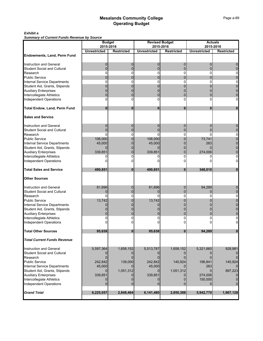## *Exhibit a*

*Summary of Current Funds Revenue by Source*

| Summary or Current runds Revenue by Source                |                     | <b>Revised Budget</b> | <b>Actuals</b>      |                   |                      |                   |  |
|-----------------------------------------------------------|---------------------|-----------------------|---------------------|-------------------|----------------------|-------------------|--|
|                                                           | 2015-2016           | <b>Budget</b>         |                     | 2015-2016         | 2015-2016            |                   |  |
|                                                           | <b>Unrestricted</b> | <b>Restricted</b>     | <b>Unrestricted</b> | <b>Restricted</b> | <b>Unrestricted</b>  | <b>Restricted</b> |  |
| <b>Endowments, Land, Perm Fund</b>                        |                     |                       |                     |                   |                      |                   |  |
|                                                           |                     |                       |                     |                   |                      |                   |  |
| Instruction and General                                   | 0                   | 0                     | 0                   | 0                 | 0                    |                   |  |
| <b>Student Social and Cultural</b>                        | 0                   |                       | 0                   |                   |                      |                   |  |
| Research                                                  | 0                   | 0                     | 0                   | $\Omega$          | $\Omega$             |                   |  |
| <b>Public Service</b>                                     | $\Omega$            | $\mathbf{0}$          | 0                   | $\Omega$          | $\Omega$             |                   |  |
| Internal Service Departments                              | 0                   | 0                     | 0                   | 0                 | 0                    |                   |  |
| Student Aid, Grants, Stipends                             |                     |                       |                     |                   |                      |                   |  |
|                                                           |                     |                       |                     |                   |                      |                   |  |
| <b>Auxiliary Enterprises</b><br>Intercollegiate Athletics |                     |                       |                     |                   |                      |                   |  |
|                                                           | O<br>0              | 0                     | 0<br>0              | 0                 | $\Omega$<br>$\Omega$ |                   |  |
| <b>Independent Operations</b>                             |                     |                       |                     |                   |                      |                   |  |
| <b>Total Endow, Land, Perm Fund</b>                       | $\bf{0}$            | $\bf{0}$              | $\bf{0}$            | $\bf{0}$          | $\bf{0}$             |                   |  |
| <b>Sales and Service</b>                                  |                     |                       |                     |                   |                      |                   |  |
| Instruction and General                                   | 0                   | 0                     | 0                   | 0                 | 0                    |                   |  |
| <b>Student Social and Cultural</b>                        | $\Omega$            |                       | 0                   | $\Omega$          |                      |                   |  |
| Research                                                  | 0                   | 0                     | 0                   | 0                 | $\Omega$             |                   |  |
| <b>Public Service</b>                                     | 106,000             |                       | 106,000             | $\mathbf 0$       | 73,741               |                   |  |
| <b>Internal Service Departments</b>                       |                     | 0                     |                     |                   |                      |                   |  |
|                                                           | 45,000              |                       | 45,000              |                   | 263                  |                   |  |
| Student Aid, Grants, Stipends                             |                     |                       |                     |                   |                      |                   |  |
| <b>Auxiliary Enterprises</b>                              | 339,851             | $\Omega$              | 339,851             | $\Omega$          | 274,006              |                   |  |
| Intercollegiate Athletics                                 |                     | 0                     |                     | 0                 |                      |                   |  |
| Independent Operations                                    |                     |                       |                     |                   |                      |                   |  |
| <b>Total Sales and Service</b>                            | 490,851             | $\bf{0}$              | 490,851             | $\bf{0}$          | 348,010              |                   |  |
| <b>Other Sources</b>                                      |                     |                       |                     |                   |                      |                   |  |
| Instruction and General                                   | 81,896              | 0                     | 81,896              | 0                 | 94,289               |                   |  |
| <b>Student Social and Cultural</b>                        | 0                   | 0                     | 0                   | 0                 | $\Omega$             |                   |  |
| Research                                                  | 0                   | 0                     | 0                   | 0                 | 0                    |                   |  |
| <b>Public Service</b>                                     | 13,742              |                       | 13,742              |                   |                      |                   |  |
| <b>Internal Service Departments</b>                       |                     |                       |                     |                   |                      |                   |  |
| Student Aid, Grants, Stipends                             |                     |                       |                     |                   |                      |                   |  |
| <b>Auxiliary Enterprises</b>                              |                     |                       |                     |                   |                      |                   |  |
| Intercollegiate Athletics                                 |                     |                       |                     | 0                 |                      |                   |  |
| Independent Operations                                    |                     |                       |                     |                   |                      |                   |  |
|                                                           |                     |                       | 95,638              |                   |                      |                   |  |
| <b>Total Other Sources</b>                                | 95,638              |                       |                     |                   | 94,289               |                   |  |
| <b>Total Current Funds Revenue</b>                        |                     |                       |                     |                   |                      |                   |  |
| Instruction and General                                   | 5,597,364           | 1,658,152             | 5,513,787           | 1,658,152         | 5,321,660            | 928,981           |  |
| <b>Student Social and Cultural</b>                        |                     |                       |                     |                   |                      |                   |  |
| Research                                                  |                     |                       |                     |                   |                      |                   |  |
| <b>Public Service</b>                                     | 242,842             | 139,000               | 242,842             | 140,924           | 196,841              | 140,924           |  |
| ı<br><b>Internal Service Departments</b>                  | 45,000              |                       | 45,000              |                   | 263                  |                   |  |
| Student Aid, Grants, Stipends                             | $\Omega$            | 1,051,312             | O                   | 1,051,312         | $\Omega$             | 897,223           |  |
| <b>Auxiliary Enterprises</b>                              | 339,851             |                       | 339,851             |                   | 274,006              |                   |  |
| Intercollegiate Athletics                                 |                     |                       |                     |                   | 150,000              |                   |  |
| <b>Independent Operations</b>                             | $\Omega$            | 0                     | 0                   | $\Omega$          | $\Omega$             |                   |  |
| <b>Grand Total</b>                                        | 6,225,057           | 2,848,464             | 6,141,480           | 2,850,388         | 5,942,770            | 1,967,128         |  |
|                                                           |                     |                       |                     |                   |                      |                   |  |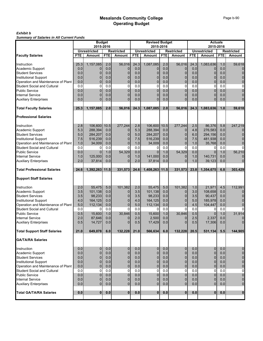## *Exhibit b Summary of Salaries in All Current Funds*

|                                                      | <b>Budget</b> |                     |            | <b>Revised Budget</b> |            |                     |            | <b>Actuals</b> |            |                     |            |                     |
|------------------------------------------------------|---------------|---------------------|------------|-----------------------|------------|---------------------|------------|----------------|------------|---------------------|------------|---------------------|
|                                                      | 2015-2016     |                     |            |                       |            | 2015-2016           |            |                | 2015-2016  |                     |            |                     |
|                                                      |               | <b>Unrestricted</b> |            | <b>Restricted</b>     |            | <b>Unrestricted</b> |            | Restricted     |            | <b>Unrestricted</b> |            | <b>Restricted</b>   |
| <b>Faculty Salaries</b>                              | <b>FTE</b>    | Amount              | <b>FTE</b> | <b>Amount</b>         | <b>FTE</b> | <b>Amount</b>       | <b>FTE</b> | Amount         | <b>FTE</b> | <b>Amount</b>       | <b>FTE</b> | Amount              |
| Instruction                                          | 25.3          | 1,157,085           | 2.0        | 56,016                | 24.3       | 1,087,085           | 2.0        | 56.016         | 24.3       | 1,083,636           | 1.0        | 59,618              |
| Academic Support                                     | 0.0           | $\Omega$            | 0.0        | 0                     | 0.0        | 0                   | 0.0        | $\mathbf 0$    | 0.0        | 0                   | 0.0        | 0                   |
| <b>Student Services</b>                              | 0.0           | $\mathbf 0$         | 0.0        | 0                     | 0.0        | 0                   | 0.0        | 0              | 0.0        | $\mathbf{0}$        | 0.0        | $\overline{0}$      |
| <b>Institutional Support</b>                         | 0.0           | $\Omega$            | 0.0        | $\mathbf{0}$          | 0.0        | $\Omega$            | 0.0        | $\Omega$       | 0.0        | 0                   | 0.0        | 0                   |
|                                                      | 0.0           | $\Omega$            | 0.0        | $\mathbf{0}$          | 0.0        | $\mathbf{0}$        |            | $\overline{0}$ | 0.0        | $\mathbf 0$         |            |                     |
| Operation and Maintenance of Plant                   | 0.0           | $\mathbf 0$         | 0.0        | 0                     | 0.0        |                     | 0.0<br>0.0 | 0              | 0.0        | 0                   | 0.0<br>0.0 | 0<br>0              |
| Student Social and Cultural<br><b>Public Service</b> |               |                     |            |                       |            | 0                   |            |                |            |                     |            |                     |
|                                                      | 0.0           | $\Omega$            | 0.0        | $\Omega$              | 0.0        | $\Omega$            | 0.0        | $\Omega$       | 0.0        | $\overline{0}$      | 0.0        | $\overline{0}$      |
| <b>Internal Service</b>                              | 0.0           | $\Omega$            | 0.0        | $\Omega$              | 0.0        | 0                   | 0.0        | $\Omega$       | 0.0        | $\mathbf{0}$        | 0.0        | 0                   |
| <b>Auxiliary Enterprises</b>                         | 0.0           | $\Omega$            | 0.0        | $\Omega$              | 0.0        | $\Omega$            | 0.0        | $\Omega$       | 0.0        | $\overline{0}$      | 0.0        | $\overline{0}$      |
| <b>Total Faculty Salaries</b>                        | 25.3          | 1,157,085           | 2.0        | 56,016                | 24.3       | 1,087,085           | 2.0        | 56,016         | 24.3       | 1,083,636           | 1.0        | 59,618              |
| <b>Professional Salaries</b>                         |               |                     |            |                       |            |                     |            |                |            |                     |            |                     |
| Instruction                                          | 2.8           | 106,600             | 10.5       | 277,244               | 2.8        | 106.600             | 10.5       | 277,244        | 2.5        | 86,376              | 5.8        | 247,219             |
| Academic Support                                     | 5.3           | 288,394             | 0.0        | 0                     | 5.3        | 288,394             | 0.0        | 0              | 4.8        | 276,583             | 0.0        | 0                   |
| <b>Student Services</b>                              | 5.0           | 284.207             | 0.0        | $\Omega$              | 5.0        | 284,207             | 0.0        | $\Omega$       | 6.0        | 294,156             | 0.0        | 0                   |
| <b>Institutional Support</b>                         | 7.5           | 516,239             | 0.0        | 0                     | 7.5        | 516,239             | 0.0        | $\Omega$       | 7.5        | 481,938             | 0.0        | 0                   |
| Operation and Maintenance of Plant                   | 1.0           | 34,009              | 0.0        | $\overline{0}$        | 1.0        | 34,009              | 0.0        | $\mathbf 0$    | 1.0        | 35,768              | 0.0        | $\mathbf 0$         |
| Student Social and Cultural                          | 0.0           | 0                   | 0.0        | 0                     | 0.0        | 0                   | 0.0        | 0              | 0.0        | 0                   | 0.0        | $\overline{0}$      |
| <b>Public Service</b>                                | 0.0           | $\Omega$            | 1.0        | 54,329                | 0.0        | 0                   | 1.0        | 54,329         | 0.0        | $\mathbf 0$         | 1.0        | 56,210              |
| <b>Internal Service</b>                              | 1.0           | 125,000             | 0.0        | 0                     | 1.0        | 141,000             | 0.0        | $\Omega$       | 1.0        | 140,731             | 0.0        | 0                   |
| <b>Auxiliary Enterprises</b>                         | 2.0           | 37.814              | 0.0        | $\Omega$              | 2.0        | 37,814              | 0.0        | $\Omega$       | 1.0        | 39,123              | 0.0        | $\overline{0}$      |
|                                                      |               |                     |            |                       |            |                     |            |                |            |                     |            |                     |
| <b>Total Professional Salaries</b>                   | 24.6          | 1,392,263           | 11.5       | 331,573               | 24.6       | 1,408,263           | 11.5       | 331,573        | 23.8       | 1,354,675           | 6.8        | 303,429             |
| <b>Support Staff Salaries</b>                        |               |                     |            |                       |            |                     |            |                |            |                     |            |                     |
| Instruction                                          | 2.0           | 55,475              | 5.0        | 101,382               | 2.0        | 55,475              | 5.0        | 101,382        | 1.0        | 21,971              | 4.5        | 112,991             |
| Academic Support                                     | 3.5           | 101,138             | 0.0        | 0                     | 3.5        | 101,138             | 0.0        | 0              | 3.0        | 108,658             | 0.0        | 0                   |
| <b>Student Services</b>                              | 3.5           | 98,233              | 0.0        | 0                     | 3.5        | 98,233              | 0.0        | $\overline{0}$ | 3.5        | 90,437              | 0.0        | $\overline{0}$      |
| <b>Institutional Support</b>                         | 4.0           | 164,125             | 0.0        | $\mathbf{0}$          | 4.0        | 164,125             | 0.0        | $\overline{0}$ | 5.0        | 185,978             | 0.0        | 0                   |
| Operation and Maintenance of Plant                   | 5.0           | 112,134             | 0.0        | $\mathbf{0}$          | 5.0        | 112,134             | 0.0        | $\Omega$       | 4.5        | 104,447             | 0.0        | $\mathbf 0$         |
| Student Social and Cultural                          | 0.0           | 0                   | 0.0        | 0                     | 0.0        | 0                   | 0.0        | $\Omega$       | 0.0        | 0                   | 0.0        | 0                   |
| <b>Public Service</b>                                | 0.5           | 15,600              | 1.0        | 30,846                | 0.5        | 15,600              | 1.0        | 30,846         | 0.5        | $\Omega$            | 1.0        | 31,914              |
| <b>Internal Service</b>                              | 2.0           | 87,646              | 0.0        | 0                     | 2.0        | 2,500               | 0.0        | $\mathbf 0$    | 2.5        | 2,337               | 0.0        | 0                   |
| <b>Auxiliary Enterprises</b>                         | 0.5           | 14,727              | 0.0        | $\Omega$              | 0.5        | 17,429              | 0.0        | 0              | 0.5        | 17,306              | 0.0        | $\overline{0}$      |
| <b>Total Support Staff Salaries</b>                  | 21.0          | 649,078             | 6.0        | 132,228               | 21.0       | 566,634             | 6.0        | 132,228        | 20.5       | 531,134             | 5.5        | 144,905             |
| <b>GA/TA/RA Salaries</b>                             |               |                     |            |                       |            |                     |            |                |            |                     |            |                     |
| Instruction                                          | 0.0           | $\mathbf 0$         | 0.0        | 0                     | 0.0        | 0                   | 0.0        | $\mathbf 0$    | 0.0        | 0                   | 0.0        | 0                   |
| Academic Support                                     | 0.0           | $\mathbf 0$         | 0.0        | $\overline{0}$        | 0.0        | $\mathbf 0$         | 0.0        | $\overline{0}$ | 0.0        | $\mathbf{0}$        | 0.0        | $\mathbf 0$         |
| <b>Student Services</b>                              | 0.0           | $\mathbf 0$         | 0.0        | $\overline{0}$        | 0.0        | $\mathbf 0$         | 0.0        | $\overline{0}$ | 0.0        | $\mathbf{0}$        | 0.0        | 0                   |
| <b>Institutional Support</b>                         | 0.0           | 0                   | 0.0        | $\overline{0}$        | 0.0        | 0                   | 0.0        | $\overline{0}$ | 0.0        | $\overline{0}$      | 0.0        | $\mathsf{O}\xspace$ |
| Operation and Maintenance of Plant                   | 0.0           | 0                   | 0.0        | $\overline{0}$        | 0.0        | $\Omega$            | 0.0        | $\overline{0}$ | 0.0        | $\overline{0}$      | 0.0        | $\overline{0}$      |
| <b>Student Social and Cultural</b>                   | 0.0           | $\Omega$            | 0.0        | $\Omega$              | 0.0        | $\Omega$            | 0.0        | 0              | 0.0        | 0                   | 0.0        | $\overline{0}$      |
| <b>Public Service</b>                                | 0.0           | $\mathbf 0$         | 0.0        | $\overline{0}$        | 0.0        | $\mathbf{0}$        | 0.0        | $\mathbf 0$    | 0.0        | $\overline{0}$      | 0.0        | $\pmb{0}$           |
| <b>Internal Service</b>                              | 0.0           | 0                   | 0.0        | 0                     | 0.0        | $\mathbf 0$         | 0.0        | $\mathbf{0}$   | 0.0        | $\mathbf{0}$        | 0.0        | $\overline{0}$      |
| <b>Auxiliary Enterprises</b>                         | 0.0           | 0                   | 0.0        | $\mathbf{0}$          | 0.0        | $\mathbf{0}$        | 0.0        | $\Omega$       | 0.0        | $\overline{0}$      | 0.0        | $\overline{0}$      |
|                                                      |               |                     |            |                       |            |                     |            |                |            |                     |            |                     |
| <b>Total GA/TA/RA Salaries</b>                       | 0.0           | $\bf{0}$            | 0.0        | $\mathbf{0}$          | 0.0        | $\mathbf{0}$        | 0.0        | $\mathbf{0}$   | 0.0        | $\mathbf{0}$        | 0.0        | $\mathbf{0}$        |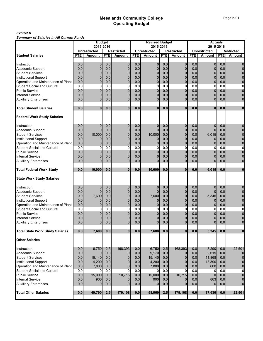#### *Exhibit b Summary of Salaries in All Current Funds*

|                                                                   | <b>Budget</b> |                     |            | <b>Revised Budget</b> |            |                     |            | <b>Actuals</b>    |            |                     |            |                     |
|-------------------------------------------------------------------|---------------|---------------------|------------|-----------------------|------------|---------------------|------------|-------------------|------------|---------------------|------------|---------------------|
|                                                                   |               | 2015-2016           |            |                       |            | 2015-2016           |            |                   |            | 2015-2016           |            |                     |
|                                                                   |               | <b>Unrestricted</b> |            | <b>Restricted</b>     | <b>FTE</b> | <b>Unrestricted</b> |            | <b>Restricted</b> |            | <b>Unrestricted</b> |            | Restricted          |
| <b>Student Salaries</b>                                           | <b>FTE</b>    | <b>Amount</b>       | <b>FTE</b> | <b>Amount</b>         |            | Amount              | <b>FTE</b> | Amount            | <b>FTE</b> | <b>Amount</b>       | <b>FTE</b> | Amount              |
| Instruction                                                       | 0.0           | $\mathbf 0$         | 0.0        | $\mathbf 0$           | 0.0        | 0                   | 0.0        | $\overline{0}$    | 0.0        | $\mathbf 0$         | 0.0        | $\mathbf 0$         |
| Academic Support                                                  | 0.0           | $\mathbf 0$         | 0.0        | 0                     | 0.0        | 0                   | 0.0        | 0                 | 0.0        | $\overline{0}$      | 0.0        | 0                   |
| <b>Student Services</b>                                           | 0.0           | $\mathbf 0$         | 0.0        | 0                     | 0.0        | 0                   | 0.0        | 0                 | 0.0        | 0                   | 0.0        | 0                   |
| <b>Institutional Support</b>                                      | 0.0           | $\Omega$            | 0.0        | 0                     | 0.0        | 0                   | 0.0        | 0                 | 0.0        | $\overline{0}$      | 0.0        | 0                   |
| Operation and Maintenance of Plant                                | 0.0           | $\Omega$            | 0.0        | 0                     | 0.0        | 0                   | 0.0        | $\overline{0}$    | 0.0        | $\overline{0}$      | 0.0        | 0                   |
|                                                                   | 0.0           | 0                   | 0.0        | 0                     | 0.0        | 0                   | 0.0        | $\mathbf 0$       | 0.0        | $\mathbf 0$         | 0.0        | $\mathsf{O}\xspace$ |
| <b>Student Social and Cultural</b><br><b>Public Service</b>       |               |                     |            |                       |            |                     |            |                   |            |                     |            |                     |
|                                                                   | 0.0           | $\mathbf 0$         | 0.0        | 0                     | 0.0        | 0                   | 0.0        | 0                 | 0.0        | 0                   | 0.0        | $\pmb{0}$           |
| <b>Internal Service</b>                                           | 0.0           | $\mathbf 0$         | 0.0        | 0                     | 0.0        | 0                   | 0.0        | 0                 | 0.0        | $\overline{0}$      | 0.0        | 0                   |
| <b>Auxiliary Enterprises</b>                                      | 0.0           | $\Omega$            | 0.0        | $\Omega$              | 0.0        | $\overline{0}$      | 0.0        | $\overline{0}$    | 0.0        | $\overline{0}$      | 0.0        | $\overline{0}$      |
| <b>Total Student Salaries</b>                                     | 0.0           | $\bf{0}$            | 0.0        | $\bf{0}$              | 0.0        | 0                   | 0.0        | $\bf{0}$          | 0.0        | $\mathbf{0}$        | 0.0        | $\mathbf{0}$        |
| <b>Federal Work Study Salaries</b>                                |               |                     |            |                       |            |                     |            |                   |            |                     |            |                     |
| Instruction                                                       | 0.0           | $\mathbf 0$         | 0.0        | $\mathbf 0$           | 0.0        | 0                   | 0.0        | 0                 | 0.0        | 0                   | 0.0        | 0                   |
| Academic Support                                                  | 0.0           | $\Omega$            | 0.0        | $\mathbf{0}$          | 0.0        | $\mathbf 0$         | 0.0        | $\mathbf 0$       | 0.0        | $\overline{0}$      | 0.0        | $\pmb{0}$           |
| <b>Student Services</b>                                           | 0.0           | 10,000              | 0.0        | 0                     | 0.0        | 10,000              | 0.0        | 0                 | 0.0        | 6,015               | 0.0        | $\pmb{0}$           |
| Institutional Support                                             | 0.0           |                     | 0.0        | 0                     | 0.0        | 0                   | 0.0        | $\overline{0}$    | 0.0        | $\mathbf 0$         | 0.0        | 0                   |
| Operation and Maintenance of Plant                                | 0.0           | $\overline{0}$      | 0.0        | $\mathbf{0}$          | 0.0        | $\mathbf{0}$        | 0.0        | $\overline{0}$    | 0.0        | $\overline{0}$      | 0.0        | $\mathbf 0$         |
| <b>Student Social and Cultural</b>                                | 0.0           | $\overline{0}$      | 0.0        | 0                     | 0.0        | 0                   | 0.0        | 0                 | 0.0        | 0                   | 0.0        | $\mathsf 0$         |
| <b>Public Service</b>                                             | 0.0           | $\Omega$            | 0.0        | $\overline{0}$        | 0.0        | 0                   | 0.0        | $\overline{0}$    | 0.0        | $\overline{0}$      | 0.0        | $\pmb{0}$           |
| <b>Internal Service</b>                                           | 0.0           | $\mathbf 0$         | 0.0        | 0                     | 0.0        | 0                   | 0.0        | 0                 | 0.0        | $\overline{0}$      | 0.0        | 0                   |
| <b>Auxiliary Enterprises</b>                                      | 0.0           | $\Omega$            | 0.0        | $\Omega$              | 0.0        | $\mathbf{0}$        | 0.0        | 0                 | 0.0        | $\overline{0}$      | 0.0        | $\overline{0}$      |
|                                                                   |               |                     |            |                       |            |                     |            |                   |            |                     |            |                     |
| <b>Total Federal Work Study</b>                                   | 0.0           | 10,000              | 0.0        | $\bf{0}$              | 0.0        | 10,000              | 0.0        | $\bf{0}$          | 0.0        | 6,015               | 0.0        | $\mathbf{0}$        |
| <b>State Work Study Salaries</b>                                  |               |                     |            |                       |            |                     |            |                   |            |                     |            |                     |
|                                                                   |               |                     |            |                       |            |                     |            |                   |            |                     |            |                     |
| Instruction                                                       | 0.0           | $\mathbf 0$         | 0.0        | $\mathbf 0$           | 0.0        | 0                   | 0.0        | 0                 | 0.0        | 0                   | 0.0        | 0                   |
| Academic Support                                                  | 0.0           | $\mathbf 0$         | 0.0        | 0                     | 0.0        | $\Omega$            | 0.0        | 0                 | 0.0        | $\Omega$            | 0.0        | 0                   |
| <b>Student Services</b>                                           | 0.0           | 7,600               | 0.0        | 0                     | 0.0        | 7,600               | 0.0        | $\overline{0}$    | 0.0        | 5,345               | 0.0        | $\pmb{0}$           |
| <b>Institutional Support</b>                                      | 0.0           | $\mathbf 0$         | 0.0        | $\overline{0}$        | 0.0        | 0                   | 0.0        | $\overline{0}$    | 0.0        | 0                   | 0.0        | $\mathbf 0$         |
| Operation and Maintenance of Plant<br>Student Social and Cultural | 0.0           | $\overline{0}$      | 0.0        | 0                     | 0.0        | 0                   | 0.0        | 0                 | 0.0        | 0                   | 0.0        | $\overline{0}$      |
|                                                                   | 0.0           | 0                   | 0.0        | $\Omega$              | 0.0        | 0                   | 0.0        | 0                 | 0.0        | 0                   | 0.0        | 0                   |
| <b>Public Service</b>                                             | 0.0           | $\Omega$            | 0.0        | 0                     | 0.0        | $\mathbf{0}$        | 0.0        | $\overline{0}$    | 0.0        | $\overline{0}$      | 0.0        | 0                   |
| <b>Internal Service</b>                                           | 0.0           | $\mathbf 0$         | 0.0        | $\mathbf{0}$          | 0.0        | 0                   | 0.0        | 0                 | 0.0        | $\overline{0}$      | 0.0        | $\mathbf 0$         |
| <b>Auxiliary Enterprises</b>                                      | 0.0           | $\Omega$            | 0.0        | 0                     | 0.0        | 0                   | 0.0        | 0                 | 0.0        | $\overline{0}$      | 0.0        | $\overline{0}$      |
| <b>Total State Work Study Salaries</b>                            | 0.0           | 7,600               | 0.0        | $\mathbf{0}$          | 0.0        | 7,600               | 0.0        | $\mathbf{0}$      | 0.0        | 5,345               | 0.0        | $\mathbf{0}$        |
| <b>Other Salaries</b>                                             |               |                     |            |                       |            |                     |            |                   |            |                     |            |                     |
| Instruction                                                       | 0.0           | 6,750               | 2.5        | 168,393               | 0.0        | 6,750               | 2.5        | 168,393           | 0.0        | 8,290               | 0.0        | 22,501              |
| Academic Support                                                  | 0.0           |                     | 0.0        | 0                     | 0.0        | 9,170               | 0.0        | $\overline{0}$    | 0.0        | 2,619               | 0.0        | $\overline{0}$      |
| <b>Student Services</b>                                           | 0.0           | 15,140              | 0.0        | 0                     | 0.0        | 15,140              | 0.0        | $\mathbf 0$       | 0.0        | 11,868              | 0.0        | $\overline{0}$      |
| <b>Institutional Support</b>                                      | 0.0           | 4,200               | 0.0        | $\mathbf{0}$          | 0.0        | 4,200               | 0.0        | $\overline{0}$    | 0.0        | 13,390              | 0.0        | $\mathbf 0$         |
| Operation and Maintenance of Plant                                | 0.0           | 7,800               | 0.0        | 0                     | 0.0        | 7,800               | 0.0        | 0                 | 0.0        | 600                 | 0.0        | $\mathbf 0$         |
| Student Social and Cultural                                       | 0.0           | $\Omega$            | 0.0        | $\Omega$              | 0.0        | 0                   | 0.0        | 0                 | 0.0        | 0                   | 0.0        | 0                   |
| <b>Public Service</b>                                             | 0.0           | 15,000              | 0.0        | 10,715                | 0.0        | 15,000              | 0.0        | 10,715            | 0.0        | $\overline{0}$      | 0.0        | $\pmb{0}$           |
| <b>Internal Service</b>                                           | 0.0           | 900                 | 0.0        | 0                     | 0.0        | 900                 | 0.0        | 0                 | 0.0        | 863                 | 0.0        | $\mathbf 0$         |
| <b>Auxiliary Enterprises</b>                                      | 0.0           | $\Omega$            | 0.0        | $\Omega$              | 0.0        | $\overline{0}$      | 0.0        | $\Omega$          | 0.0        | $\Omega$            | 0.0        | $\overline{0}$      |
|                                                                   |               |                     |            |                       |            |                     |            |                   |            |                     |            |                     |
| <b>Total Other Salaries</b>                                       | 0.0           | 49,790              | 2.5        | 179,108               | 0.0        | 58,960              | 2.5        | 179,108           | 0.0        | 37,630              | 0.0        | 22,501              |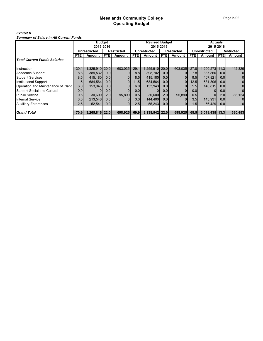# *Exhibit b*

*Summary of Salary in All Current Funds*

|                                     | <b>Budget</b> |                     |                   |         | <b>Revised Budget</b> |                |                   | <b>Actuals</b> |                     |                  |                   |              |  |
|-------------------------------------|---------------|---------------------|-------------------|---------|-----------------------|----------------|-------------------|----------------|---------------------|------------------|-------------------|--------------|--|
|                                     | 2015-2016     |                     |                   |         |                       | 2015-2016      |                   |                |                     | 2015-2016        |                   |              |  |
|                                     |               | <b>Unrestricted</b> | <b>Restricted</b> |         | <b>Unrestricted</b>   |                | <b>Restricted</b> |                | <b>Unrestricted</b> |                  | <b>Restricted</b> |              |  |
|                                     | <b>FTE</b>    | Amount              | <b>FTE</b>        | Amount  | <b>FTE</b>            | Amount         | FTE.              | Amount         | <b>FTE</b>          | Amount           | <b>FTE</b>        | Amount       |  |
| <b>Total Current Funds Salaries</b> |               |                     |                   |         |                       |                |                   |                |                     |                  |                   |              |  |
| Instruction                         | 30.1          | 1,325,910           | 20.0              | 603,035 | 29.1                  | 1,255,910 20.0 |                   | 603.035        | 27.8                | 1,200,273        | 11.3              | 442,329      |  |
| Academic Support                    | 8.8           | 389,532             | 0.0               |         | 8.8 <sub>1</sub>      | 398,702        | 0.0 <sub>l</sub>  |                | 7.8I                | 387,860          | 0.0               |              |  |
| <b>Student Services</b>             | 8.5           | 415,180             | 0.0               |         | 8.5                   | 415,180        | 0.0 <sub>l</sub>  |                | 9.5                 | 407,821          | 0.0               | 0            |  |
| <b>Institutional Support</b>        | 11.5          | 684,564             | 0.0               |         | 11.5                  | 684,564        | 0.0               | $\Omega$       | 12.5                | 681,306          | 0.0 <sub>l</sub>  | $\mathbf 0$  |  |
| Operation and Maintenance of Plant  | 6.0           | 153.943             | 0.0               |         | 6.0                   | 153,943        | 0.0 <sub>l</sub>  |                | 5.5                 | 140,815          | 0.0 <sub>l</sub>  | $\Omega$     |  |
| <b>Student Social and Cultural</b>  | 0.0           |                     | 0.0               |         | 0.0                   |                | 0.0 <sub>l</sub>  |                | 0.0                 |                  | 0.0               | $\Omega$     |  |
| <b>Public Service</b>               | 0.5           | 30.600              | 2.0               | 95.890  | 0.5                   | 30,600         | 2.0               | 95.890         | 0.5                 |                  | 2.0               | 88,124       |  |
| <b>Internal Service</b>             | 3.0           | 213,546             | 0.0               |         | 3.0                   | 144,400        | 0.0 <sub>l</sub>  |                | 3.5                 | 143,931          | 0.0               | 0            |  |
| <b>Auxiliary Enterprises</b>        | 2.5           | 52,541              | 0.0               | 01      | 2.5                   | 55,243         | 0.01              |                | 1.5                 | 56,429           | 0.0               | $\mathbf{0}$ |  |
|                                     |               |                     |                   |         |                       |                |                   |                |                     |                  |                   |              |  |
| <b>Grand Total</b>                  | 70.9          | 3,265,816 22.0      |                   | 698,925 | 69.9                  | 3,138,542 22.0 |                   | 698,925        | 68.5                | $3,018,435$ 13.3 |                   | 530,453      |  |
|                                     |               |                     |                   |         |                       |                |                   |                |                     |                  |                   |              |  |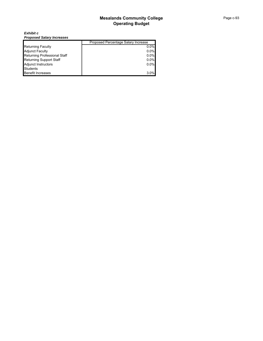*Exhibit c Proposed Salary Increases*

|                                     | Proposed Percentage Salary Increase |
|-------------------------------------|-------------------------------------|
| <b>Returning Faculty</b>            | $0.0\%$                             |
| <b>Adjunct Faculty</b>              | $0.0\%$                             |
| <b>Returning Professional Staff</b> | 0.0%                                |
| <b>Returning Support Staff</b>      | 0.0%                                |
| <b>Adjunct Instructors</b>          | 0.0%                                |
| <b>Students</b>                     |                                     |
| <b>Benefit Increases</b>            | 3.0%                                |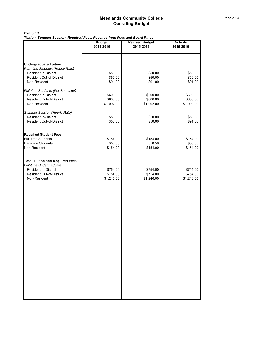## *Exhibit d*

*Tuition, Summer Session, Required Fees, Revenue from Fees and Board Rates*

|                                                                                                                     | <b>Budget</b>                      | <b>Revised Budget</b>              | <b>Actuals</b>                     |
|---------------------------------------------------------------------------------------------------------------------|------------------------------------|------------------------------------|------------------------------------|
|                                                                                                                     | 2015-2016                          | 2015-2016                          | 2015-2016                          |
|                                                                                                                     |                                    |                                    |                                    |
| <b>Undergraduate Tuition</b><br>Part-time Students (Hourly Rate)<br>Resident In-District                            | \$50.00                            | \$50.00                            | \$50.00                            |
| <b>Resident Out-of-District</b><br>Non-Resident                                                                     | \$50.00<br>\$91.00                 | \$50.00<br>\$91.00                 | \$50.00<br>\$91.00                 |
| Full-time Students (Per Semester)<br><b>Resident In-District</b><br><b>Resident Out-of-District</b><br>Non-Resident | \$600.00<br>\$600.00<br>\$1,092.00 | \$600.00<br>\$600.00<br>\$1,092.00 | \$600.00<br>\$600.00<br>\$1,092.00 |
| Summer Session (Hourly Rate)                                                                                        |                                    |                                    |                                    |
| Resident In-District<br><b>Resident Out-of-District</b>                                                             | \$50.00<br>\$50.00                 | \$50.00<br>\$50.00                 | \$50.00<br>\$91.00                 |
| <b>Required Student Fees</b>                                                                                        |                                    |                                    |                                    |
| Full-time Students<br>Part-time Students                                                                            | \$154.00<br>\$58.50                | \$154.00<br>\$58.50                | \$154.00<br>\$58.50                |
| Non-Resident                                                                                                        | \$154.00                           | \$154.00                           | \$154.00                           |
| <b>Total Tuition and Required Fees</b><br>Full-time Undergraduate                                                   |                                    |                                    |                                    |
| Resident In-District                                                                                                | \$754.00                           | \$754.00                           | \$754.00                           |
| <b>Resident Out-of-District</b><br>Non-Resident                                                                     | \$754.00<br>\$1,246.00             | \$754.00<br>\$1,246.00             | \$754.00<br>\$1,246.00             |
|                                                                                                                     |                                    |                                    |                                    |
|                                                                                                                     |                                    |                                    |                                    |
|                                                                                                                     |                                    |                                    |                                    |
|                                                                                                                     |                                    |                                    |                                    |
|                                                                                                                     |                                    |                                    |                                    |
|                                                                                                                     |                                    |                                    |                                    |
|                                                                                                                     |                                    |                                    |                                    |
|                                                                                                                     |                                    |                                    |                                    |
|                                                                                                                     |                                    |                                    |                                    |
|                                                                                                                     |                                    |                                    |                                    |
|                                                                                                                     |                                    |                                    |                                    |
|                                                                                                                     |                                    |                                    |                                    |
|                                                                                                                     |                                    |                                    |                                    |
|                                                                                                                     |                                    |                                    |                                    |
|                                                                                                                     |                                    |                                    |                                    |
|                                                                                                                     |                                    |                                    |                                    |
|                                                                                                                     |                                    |                                    |                                    |
|                                                                                                                     |                                    |                                    |                                    |